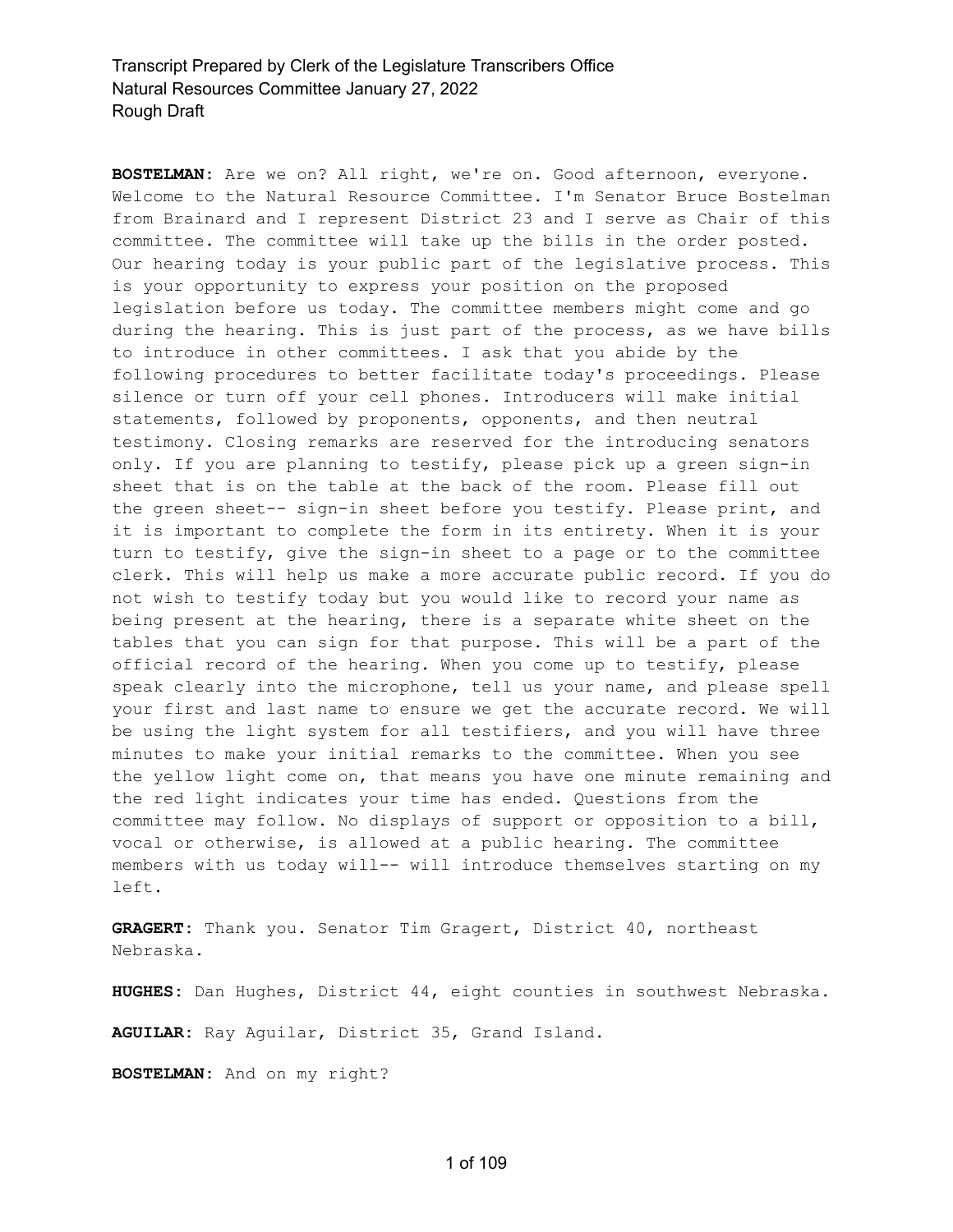**BOSTELMAN:** Are we on? All right, we're on. Good afternoon, everyone. Welcome to the Natural Resource Committee. I'm Senator Bruce Bostelman from Brainard and I represent District 23 and I serve as Chair of this committee. The committee will take up the bills in the order posted. Our hearing today is your public part of the legislative process. This is your opportunity to express your position on the proposed legislation before us today. The committee members might come and go during the hearing. This is just part of the process, as we have bills to introduce in other committees. I ask that you abide by the following procedures to better facilitate today's proceedings. Please silence or turn off your cell phones. Introducers will make initial statements, followed by proponents, opponents, and then neutral testimony. Closing remarks are reserved for the introducing senators only. If you are planning to testify, please pick up a green sign-in sheet that is on the table at the back of the room. Please fill out the green sheet-- sign-in sheet before you testify. Please print, and it is important to complete the form in its entirety. When it is your turn to testify, give the sign-in sheet to a page or to the committee clerk. This will help us make a more accurate public record. If you do not wish to testify today but you would like to record your name as being present at the hearing, there is a separate white sheet on the tables that you can sign for that purpose. This will be a part of the official record of the hearing. When you come up to testify, please speak clearly into the microphone, tell us your name, and please spell your first and last name to ensure we get the accurate record. We will be using the light system for all testifiers, and you will have three minutes to make your initial remarks to the committee. When you see the yellow light come on, that means you have one minute remaining and the red light indicates your time has ended. Questions from the committee may follow. No displays of support or opposition to a bill, vocal or otherwise, is allowed at a public hearing. The committee members with us today will-- will introduce themselves starting on my left.

**GRAGERT:** Thank you. Senator Tim Gragert, District 40, northeast Nebraska.

**HUGHES:** Dan Hughes, District 44, eight counties in southwest Nebraska.

**AGUILAR:** Ray Aguilar, District 35, Grand Island.

**BOSTELMAN:** And on my right?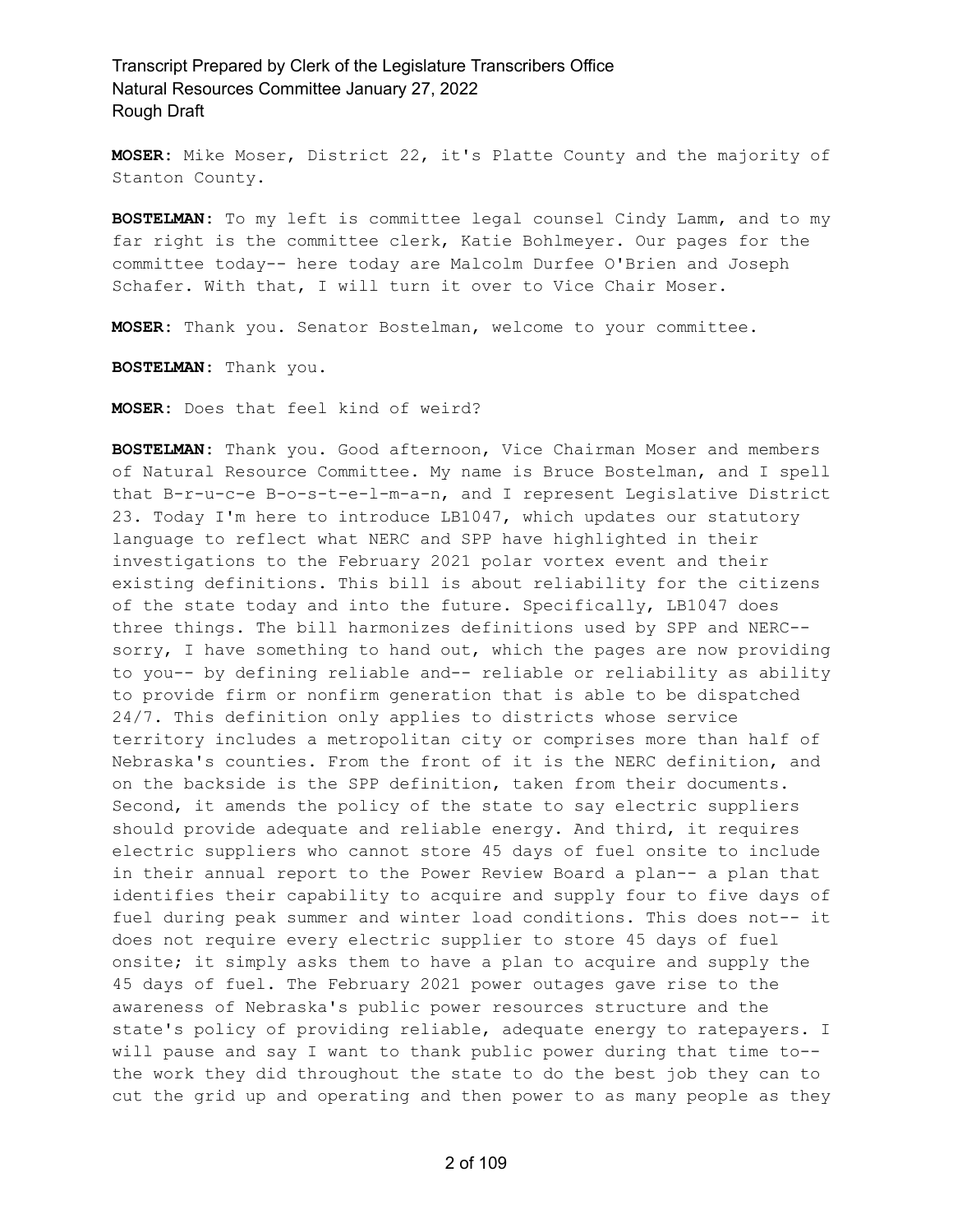**MOSER:** Mike Moser, District 22, it's Platte County and the majority of Stanton County.

**BOSTELMAN:** To my left is committee legal counsel Cindy Lamm, and to my far right is the committee clerk, Katie Bohlmeyer. Our pages for the committee today-- here today are Malcolm Durfee O'Brien and Joseph Schafer. With that, I will turn it over to Vice Chair Moser.

**MOSER:** Thank you. Senator Bostelman, welcome to your committee.

**BOSTELMAN:** Thank you.

**MOSER:** Does that feel kind of weird?

**BOSTELMAN:** Thank you. Good afternoon, Vice Chairman Moser and members of Natural Resource Committee. My name is Bruce Bostelman, and I spell that B-r-u-c-e B-o-s-t-e-l-m-a-n, and I represent Legislative District 23. Today I'm here to introduce LB1047, which updates our statutory language to reflect what NERC and SPP have highlighted in their investigations to the February 2021 polar vortex event and their existing definitions. This bill is about reliability for the citizens of the state today and into the future. Specifically, LB1047 does three things. The bill harmonizes definitions used by SPP and NERC- sorry, I have something to hand out, which the pages are now providing to you-- by defining reliable and-- reliable or reliability as ability to provide firm or nonfirm generation that is able to be dispatched 24/7. This definition only applies to districts whose service territory includes a metropolitan city or comprises more than half of Nebraska's counties. From the front of it is the NERC definition, and on the backside is the SPP definition, taken from their documents. Second, it amends the policy of the state to say electric suppliers should provide adequate and reliable energy. And third, it requires electric suppliers who cannot store 45 days of fuel onsite to include in their annual report to the Power Review Board a plan-- a plan that identifies their capability to acquire and supply four to five days of fuel during peak summer and winter load conditions. This does not-- it does not require every electric supplier to store 45 days of fuel onsite; it simply asks them to have a plan to acquire and supply the 45 days of fuel. The February 2021 power outages gave rise to the awareness of Nebraska's public power resources structure and the state's policy of providing reliable, adequate energy to ratepayers. I will pause and say I want to thank public power during that time to- the work they did throughout the state to do the best job they can to cut the grid up and operating and then power to as many people as they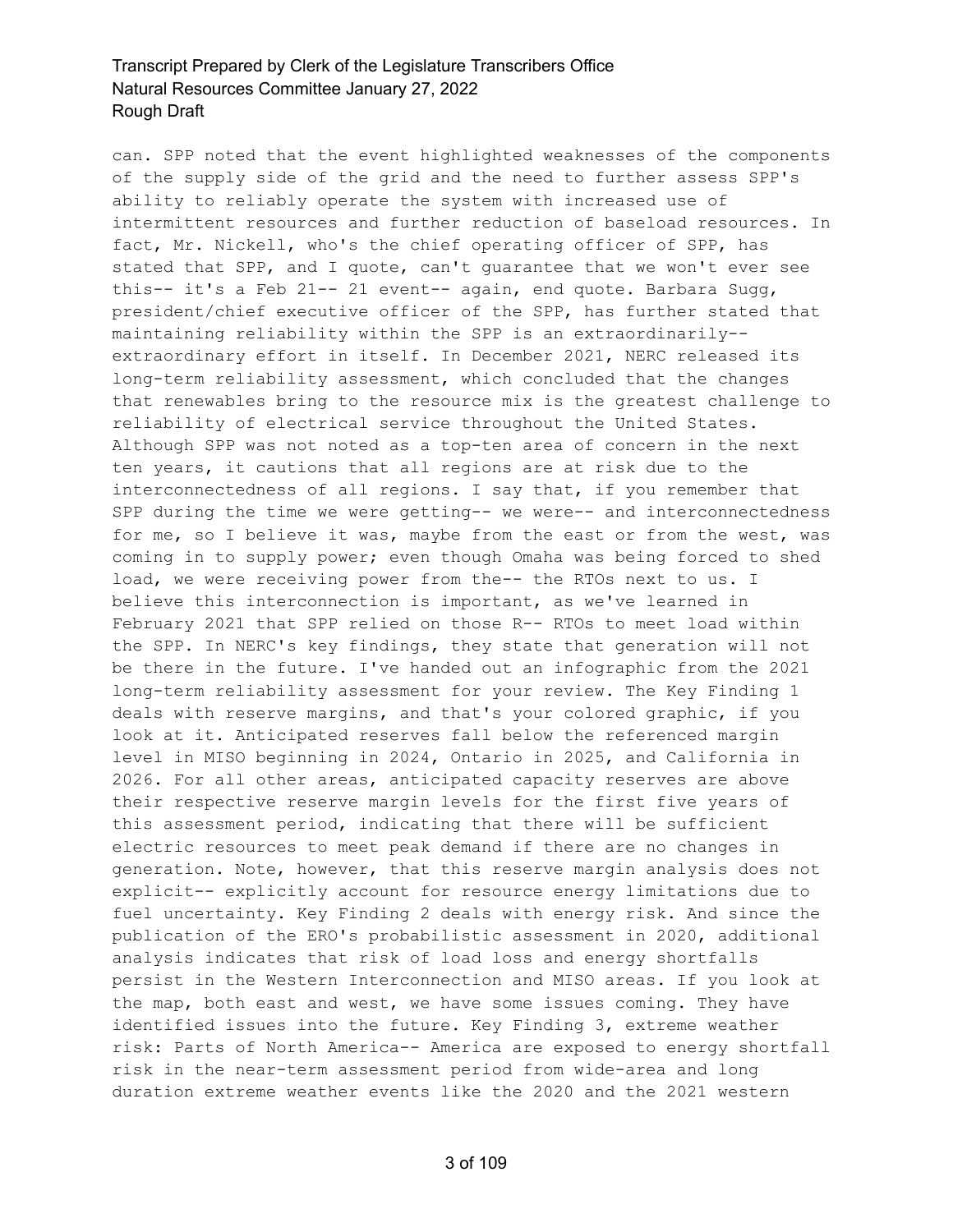can. SPP noted that the event highlighted weaknesses of the components of the supply side of the grid and the need to further assess SPP's ability to reliably operate the system with increased use of intermittent resources and further reduction of baseload resources. In fact, Mr. Nickell, who's the chief operating officer of SPP, has stated that SPP, and I quote, can't guarantee that we won't ever see this-- it's a Feb 21-- 21 event-- again, end quote. Barbara Sugg, president/chief executive officer of the SPP, has further stated that maintaining reliability within the SPP is an extraordinarily- extraordinary effort in itself. In December 2021, NERC released its long-term reliability assessment, which concluded that the changes that renewables bring to the resource mix is the greatest challenge to reliability of electrical service throughout the United States. Although SPP was not noted as a top-ten area of concern in the next ten years, it cautions that all regions are at risk due to the interconnectedness of all regions. I say that, if you remember that SPP during the time we were getting-- we were-- and interconnectedness for me, so I believe it was, maybe from the east or from the west, was coming in to supply power; even though Omaha was being forced to shed load, we were receiving power from the-- the RTOs next to us. I believe this interconnection is important, as we've learned in February 2021 that SPP relied on those R-- RTOs to meet load within the SPP. In NERC's key findings, they state that generation will not be there in the future. I've handed out an infographic from the 2021 long-term reliability assessment for your review. The Key Finding 1 deals with reserve margins, and that's your colored graphic, if you look at it. Anticipated reserves fall below the referenced margin level in MISO beginning in 2024, Ontario in 2025, and California in 2026. For all other areas, anticipated capacity reserves are above their respective reserve margin levels for the first five years of this assessment period, indicating that there will be sufficient electric resources to meet peak demand if there are no changes in generation. Note, however, that this reserve margin analysis does not explicit-- explicitly account for resource energy limitations due to fuel uncertainty. Key Finding 2 deals with energy risk. And since the publication of the ERO's probabilistic assessment in 2020, additional analysis indicates that risk of load loss and energy shortfalls persist in the Western Interconnection and MISO areas. If you look at the map, both east and west, we have some issues coming. They have identified issues into the future. Key Finding 3, extreme weather risk: Parts of North America-- America are exposed to energy shortfall risk in the near-term assessment period from wide-area and long duration extreme weather events like the 2020 and the 2021 western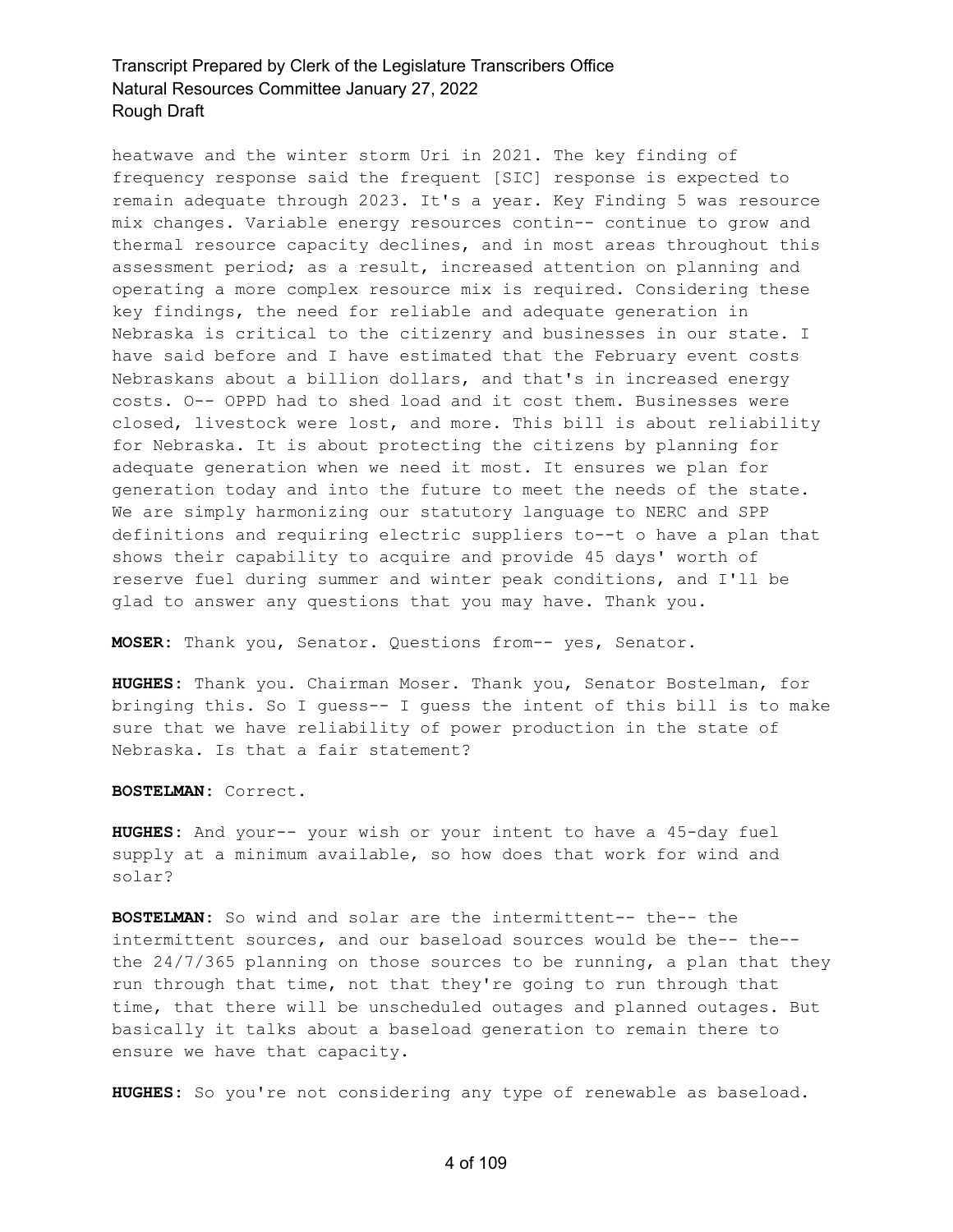heatwave and the winter storm Uri in 2021. The key finding of frequency response said the frequent [SIC] response is expected to remain adequate through 2023. It's a year. Key Finding 5 was resource mix changes. Variable energy resources contin-- continue to grow and thermal resource capacity declines, and in most areas throughout this assessment period; as a result, increased attention on planning and operating a more complex resource mix is required. Considering these key findings, the need for reliable and adequate generation in Nebraska is critical to the citizenry and businesses in our state. I have said before and I have estimated that the February event costs Nebraskans about a billion dollars, and that's in increased energy costs. O-- OPPD had to shed load and it cost them. Businesses were closed, livestock were lost, and more. This bill is about reliability for Nebraska. It is about protecting the citizens by planning for adequate generation when we need it most. It ensures we plan for generation today and into the future to meet the needs of the state. We are simply harmonizing our statutory language to NERC and SPP definitions and requiring electric suppliers to--t o have a plan that shows their capability to acquire and provide 45 days' worth of reserve fuel during summer and winter peak conditions, and I'll be glad to answer any questions that you may have. Thank you.

**MOSER:** Thank you, Senator. Questions from-- yes, Senator.

**HUGHES:** Thank you. Chairman Moser. Thank you, Senator Bostelman, for bringing this. So I guess-- I guess the intent of this bill is to make sure that we have reliability of power production in the state of Nebraska. Is that a fair statement?

**BOSTELMAN:** Correct.

**HUGHES:** And your-- your wish or your intent to have a 45-day fuel supply at a minimum available, so how does that work for wind and solar?

**BOSTELMAN:** So wind and solar are the intermittent-- the-- the intermittent sources, and our baseload sources would be the-- the- the 24/7/365 planning on those sources to be running, a plan that they run through that time, not that they're going to run through that time, that there will be unscheduled outages and planned outages. But basically it talks about a baseload generation to remain there to ensure we have that capacity.

**HUGHES:** So you're not considering any type of renewable as baseload.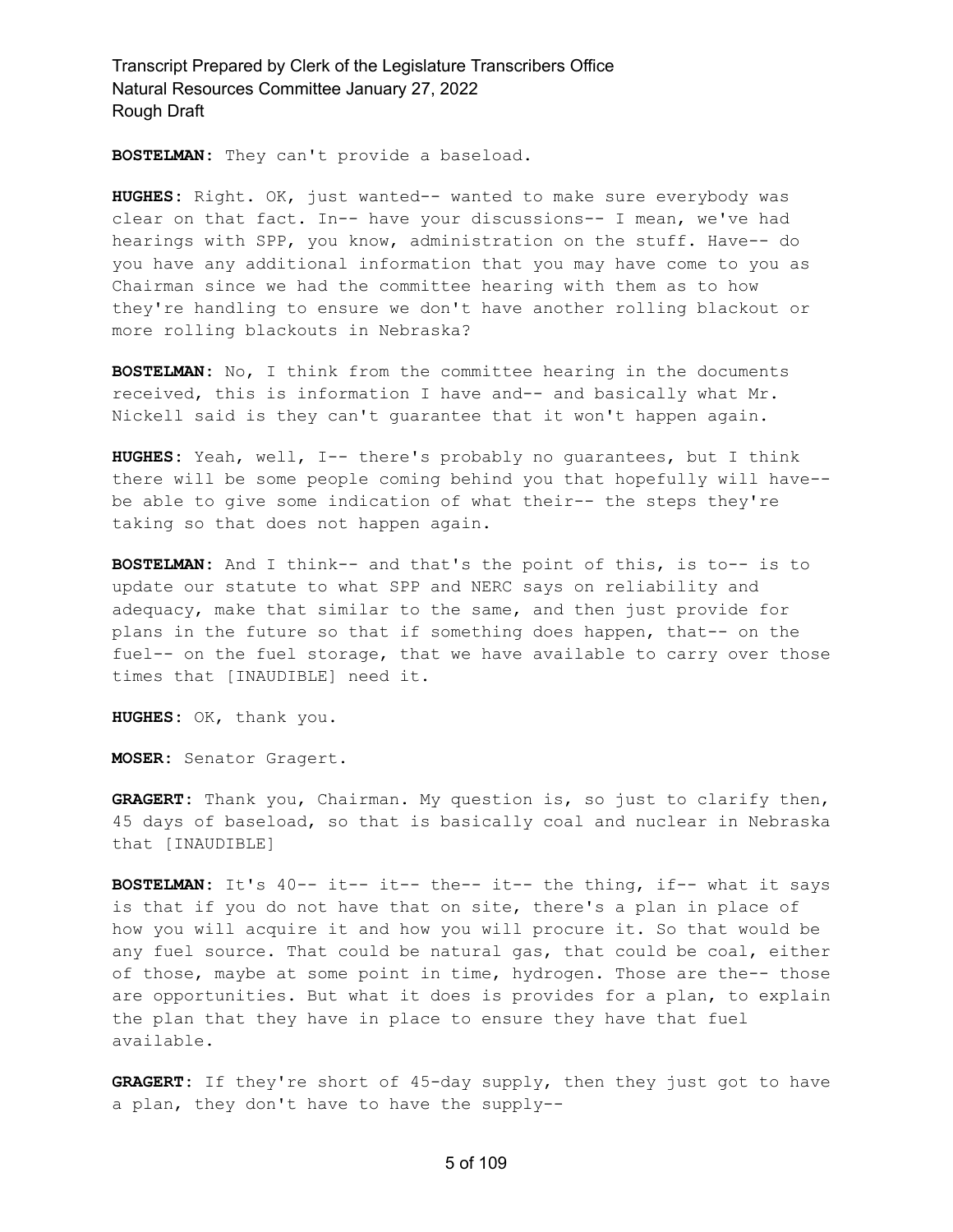**BOSTELMAN:** They can't provide a baseload.

**HUGHES:** Right. OK, just wanted-- wanted to make sure everybody was clear on that fact. In-- have your discussions-- I mean, we've had hearings with SPP, you know, administration on the stuff. Have-- do you have any additional information that you may have come to you as Chairman since we had the committee hearing with them as to how they're handling to ensure we don't have another rolling blackout or more rolling blackouts in Nebraska?

**BOSTELMAN:** No, I think from the committee hearing in the documents received, this is information I have and-- and basically what Mr. Nickell said is they can't guarantee that it won't happen again.

**HUGHES:** Yeah, well, I-- there's probably no guarantees, but I think there will be some people coming behind you that hopefully will have- be able to give some indication of what their-- the steps they're taking so that does not happen again.

**BOSTELMAN:** And I think-- and that's the point of this, is to-- is to update our statute to what SPP and NERC says on reliability and adequacy, make that similar to the same, and then just provide for plans in the future so that if something does happen, that-- on the fuel-- on the fuel storage, that we have available to carry over those times that [INAUDIBLE] need it.

**HUGHES:** OK, thank you.

**MOSER:** Senator Gragert.

**GRAGERT:** Thank you, Chairman. My question is, so just to clarify then, 45 days of baseload, so that is basically coal and nuclear in Nebraska that [INAUDIBLE]

**BOSTELMAN:** It's 40-- it-- it-- the-- it-- the thing, if-- what it says is that if you do not have that on site, there's a plan in place of how you will acquire it and how you will procure it. So that would be any fuel source. That could be natural gas, that could be coal, either of those, maybe at some point in time, hydrogen. Those are the-- those are opportunities. But what it does is provides for a plan, to explain the plan that they have in place to ensure they have that fuel available.

**GRAGERT:** If they're short of 45-day supply, then they just got to have a plan, they don't have to have the supply--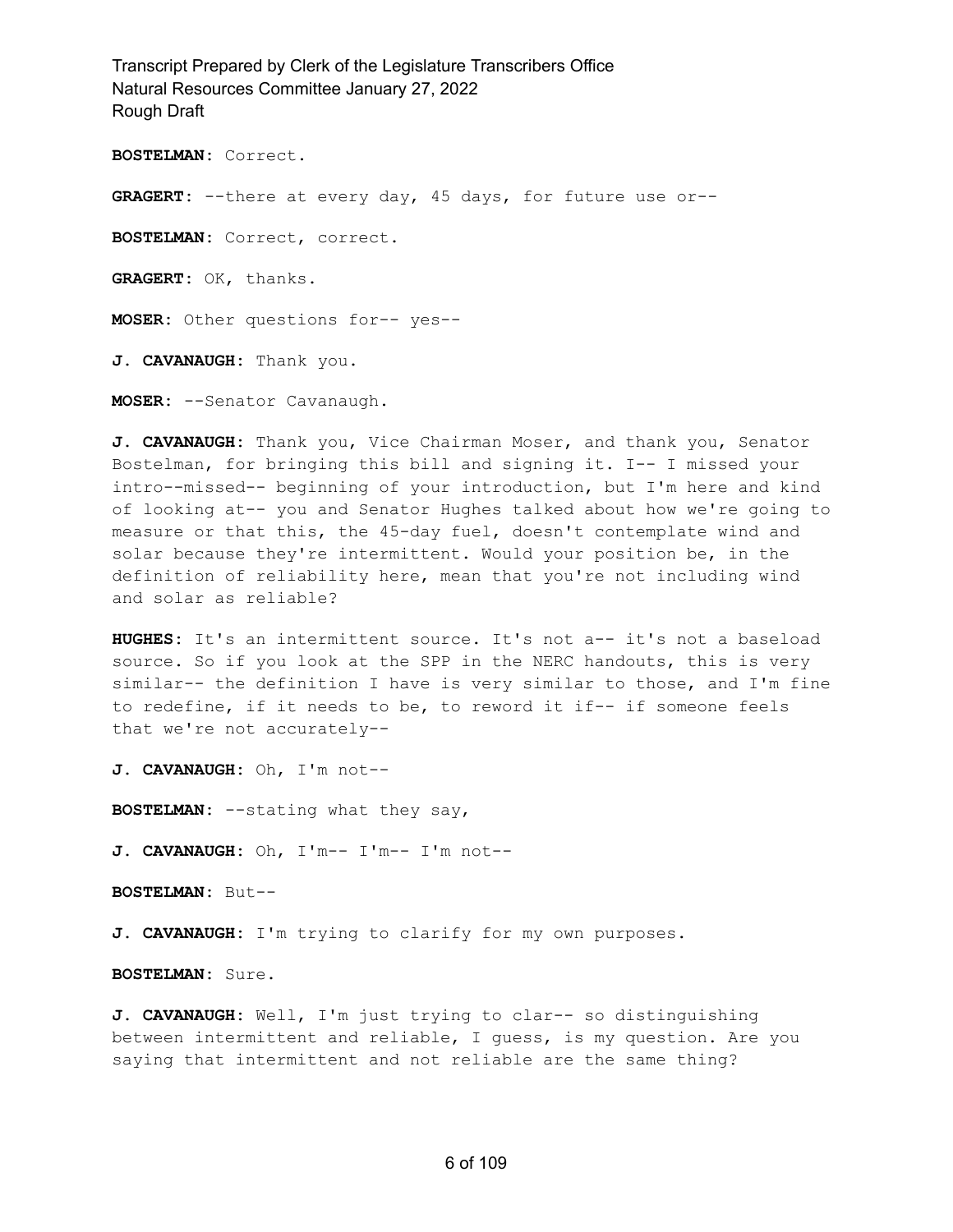**BOSTELMAN:** Correct.

**GRAGERT:** --there at every day, 45 days, for future use or--

**BOSTELMAN:** Correct, correct.

**GRAGERT:** OK, thanks.

**MOSER:** Other questions for-- yes--

**J. CAVANAUGH:** Thank you.

**MOSER:** --Senator Cavanaugh.

**J. CAVANAUGH:** Thank you, Vice Chairman Moser, and thank you, Senator Bostelman, for bringing this bill and signing it. I-- I missed your intro--missed-- beginning of your introduction, but I'm here and kind of looking at-- you and Senator Hughes talked about how we're going to measure or that this, the 45-day fuel, doesn't contemplate wind and solar because they're intermittent. Would your position be, in the definition of reliability here, mean that you're not including wind and solar as reliable?

**HUGHES:** It's an intermittent source. It's not a-- it's not a baseload source. So if you look at the SPP in the NERC handouts, this is very similar-- the definition I have is very similar to those, and I'm fine to redefine, if it needs to be, to reword it if-- if someone feels that we're not accurately--

**J. CAVANAUGH:** Oh, I'm not--

**BOSTELMAN:** --stating what they say,

**J. CAVANAUGH:** Oh, I'm-- I'm-- I'm not--

**BOSTELMAN:** But--

**J. CAVANAUGH:** I'm trying to clarify for my own purposes.

**BOSTELMAN:** Sure.

**J. CAVANAUGH:** Well, I'm just trying to clar-- so distinguishing between intermittent and reliable, I guess, is my question. Are you saying that intermittent and not reliable are the same thing?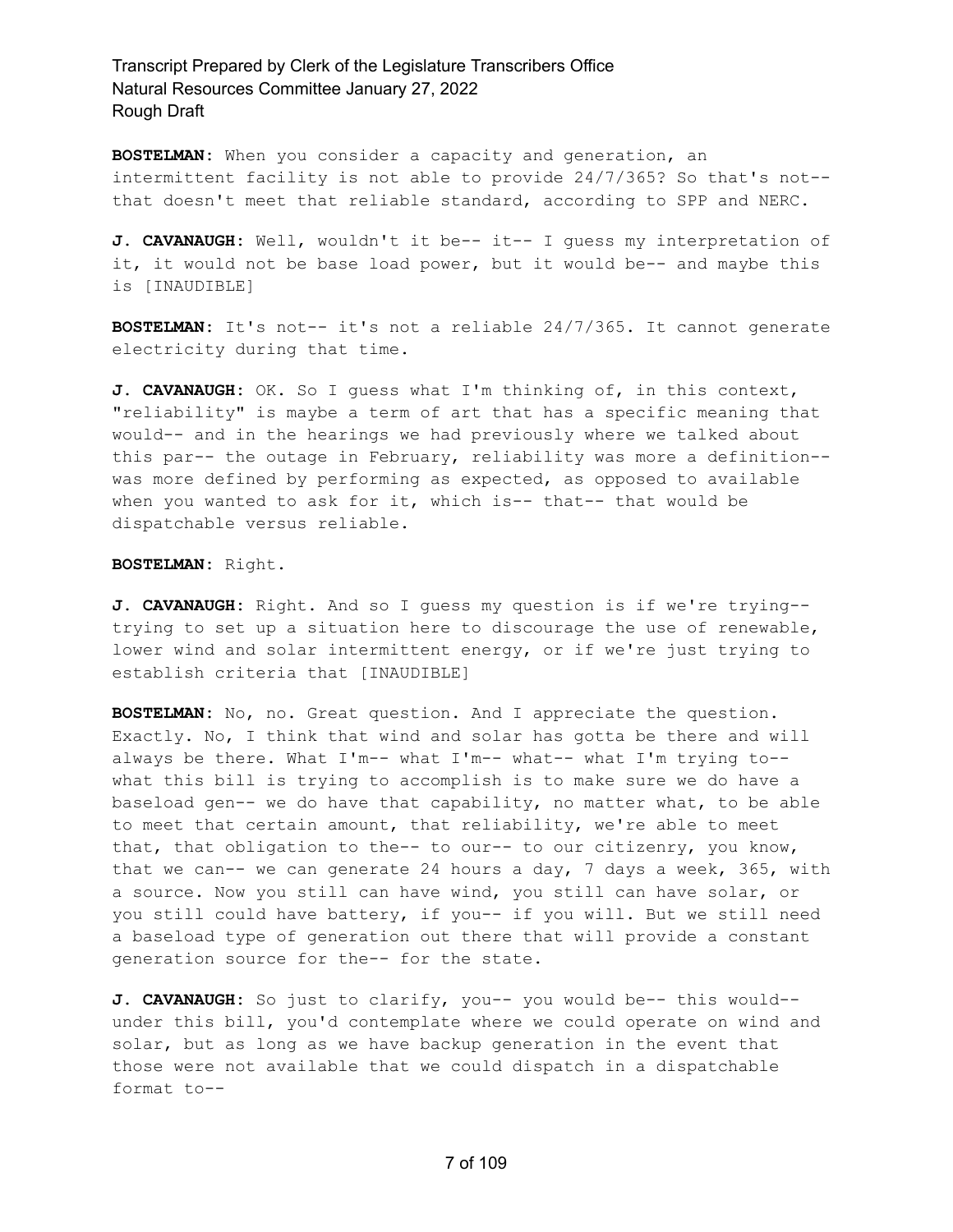**BOSTELMAN:** When you consider a capacity and generation, an intermittent facility is not able to provide 24/7/365? So that's not- that doesn't meet that reliable standard, according to SPP and NERC.

**J. CAVANAUGH:** Well, wouldn't it be-- it-- I guess my interpretation of it, it would not be base load power, but it would be-- and maybe this is [INAUDIBLE]

**BOSTELMAN:** It's not-- it's not a reliable 24/7/365. It cannot generate electricity during that time.

**J. CAVANAUGH:** OK. So I guess what I'm thinking of, in this context, "reliability" is maybe a term of art that has a specific meaning that would-- and in the hearings we had previously where we talked about this par-- the outage in February, reliability was more a definition- was more defined by performing as expected, as opposed to available when you wanted to ask for it, which is-- that-- that would be dispatchable versus reliable.

**BOSTELMAN:** Right.

**J. CAVANAUGH:** Right. And so I guess my question is if we're trying- trying to set up a situation here to discourage the use of renewable, lower wind and solar intermittent energy, or if we're just trying to establish criteria that [INAUDIBLE]

**BOSTELMAN:** No, no. Great question. And I appreciate the question. Exactly. No, I think that wind and solar has gotta be there and will always be there. What I'm-- what I'm-- what-- what I'm trying to- what this bill is trying to accomplish is to make sure we do have a baseload gen-- we do have that capability, no matter what, to be able to meet that certain amount, that reliability, we're able to meet that, that obligation to the-- to our-- to our citizenry, you know, that we can-- we can generate 24 hours a day, 7 days a week, 365, with a source. Now you still can have wind, you still can have solar, or you still could have battery, if you-- if you will. But we still need a baseload type of generation out there that will provide a constant generation source for the-- for the state.

**J. CAVANAUGH:** So just to clarify, you-- you would be-- this would- under this bill, you'd contemplate where we could operate on wind and solar, but as long as we have backup generation in the event that those were not available that we could dispatch in a dispatchable format to--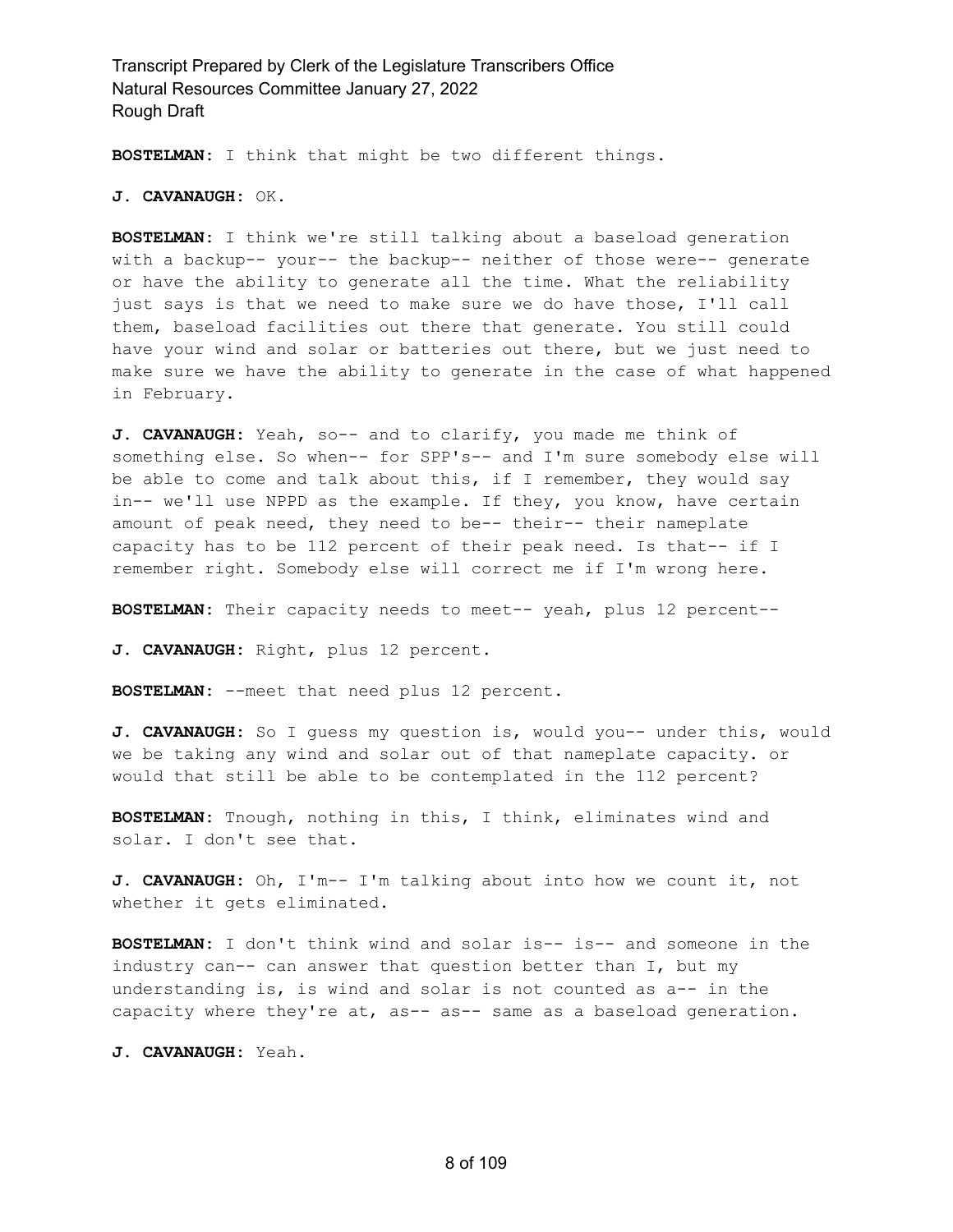**BOSTELMAN:** I think that might be two different things.

**J. CAVANAUGH:** OK.

**BOSTELMAN:** I think we're still talking about a baseload generation with a backup-- your-- the backup-- neither of those were-- generate or have the ability to generate all the time. What the reliability just says is that we need to make sure we do have those, I'll call them, baseload facilities out there that generate. You still could have your wind and solar or batteries out there, but we just need to make sure we have the ability to generate in the case of what happened in February.

**J. CAVANAUGH:** Yeah, so-- and to clarify, you made me think of something else. So when-- for SPP's-- and I'm sure somebody else will be able to come and talk about this, if I remember, they would say in-- we'll use NPPD as the example. If they, you know, have certain amount of peak need, they need to be-- their-- their nameplate capacity has to be 112 percent of their peak need. Is that-- if I remember right. Somebody else will correct me if I'm wrong here.

**BOSTELMAN:** Their capacity needs to meet-- yeah, plus 12 percent--

**J. CAVANAUGH:** Right, plus 12 percent.

**BOSTELMAN:** --meet that need plus 12 percent.

**J. CAVANAUGH:** So I guess my question is, would you-- under this, would we be taking any wind and solar out of that nameplate capacity. or would that still be able to be contemplated in the 112 percent?

**BOSTELMAN:** Tnough, nothing in this, I think, eliminates wind and solar. I don't see that.

**J. CAVANAUGH:** Oh, I'm-- I'm talking about into how we count it, not whether it gets eliminated.

**BOSTELMAN:** I don't think wind and solar is-- is-- and someone in the industry can-- can answer that question better than I, but my understanding is, is wind and solar is not counted as a-- in the capacity where they're at, as-- as-- same as a baseload generation.

**J. CAVANAUGH:** Yeah.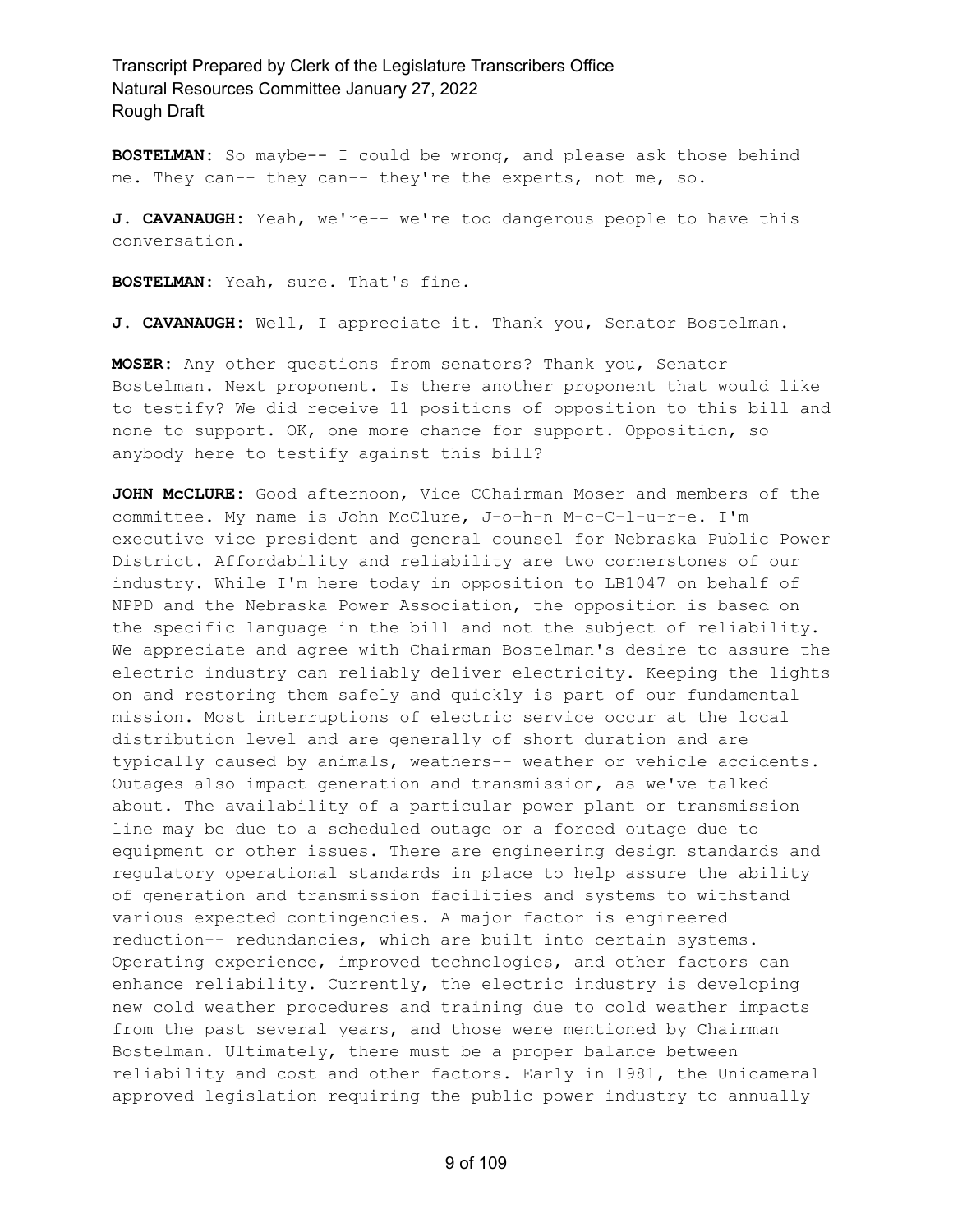**BOSTELMAN:** So maybe-- I could be wrong, and please ask those behind me. They can-- they can-- they're the experts, not me, so.

**J. CAVANAUGH:** Yeah, we're-- we're too dangerous people to have this conversation.

**BOSTELMAN:** Yeah, sure. That's fine.

**J. CAVANAUGH:** Well, I appreciate it. Thank you, Senator Bostelman.

**MOSER:** Any other questions from senators? Thank you, Senator Bostelman. Next proponent. Is there another proponent that would like to testify? We did receive 11 positions of opposition to this bill and none to support. OK, one more chance for support. Opposition, so anybody here to testify against this bill?

**JOHN McCLURE:** Good afternoon, Vice CChairman Moser and members of the committee. My name is John McClure, J-o-h-n M-c-C-l-u-r-e. I'm executive vice president and general counsel for Nebraska Public Power District. Affordability and reliability are two cornerstones of our industry. While I'm here today in opposition to LB1047 on behalf of NPPD and the Nebraska Power Association, the opposition is based on the specific language in the bill and not the subject of reliability. We appreciate and agree with Chairman Bostelman's desire to assure the electric industry can reliably deliver electricity. Keeping the lights on and restoring them safely and quickly is part of our fundamental mission. Most interruptions of electric service occur at the local distribution level and are generally of short duration and are typically caused by animals, weathers-- weather or vehicle accidents. Outages also impact generation and transmission, as we've talked about. The availability of a particular power plant or transmission line may be due to a scheduled outage or a forced outage due to equipment or other issues. There are engineering design standards and regulatory operational standards in place to help assure the ability of generation and transmission facilities and systems to withstand various expected contingencies. A major factor is engineered reduction-- redundancies, which are built into certain systems. Operating experience, improved technologies, and other factors can enhance reliability. Currently, the electric industry is developing new cold weather procedures and training due to cold weather impacts from the past several years, and those were mentioned by Chairman Bostelman. Ultimately, there must be a proper balance between reliability and cost and other factors. Early in 1981, the Unicameral approved legislation requiring the public power industry to annually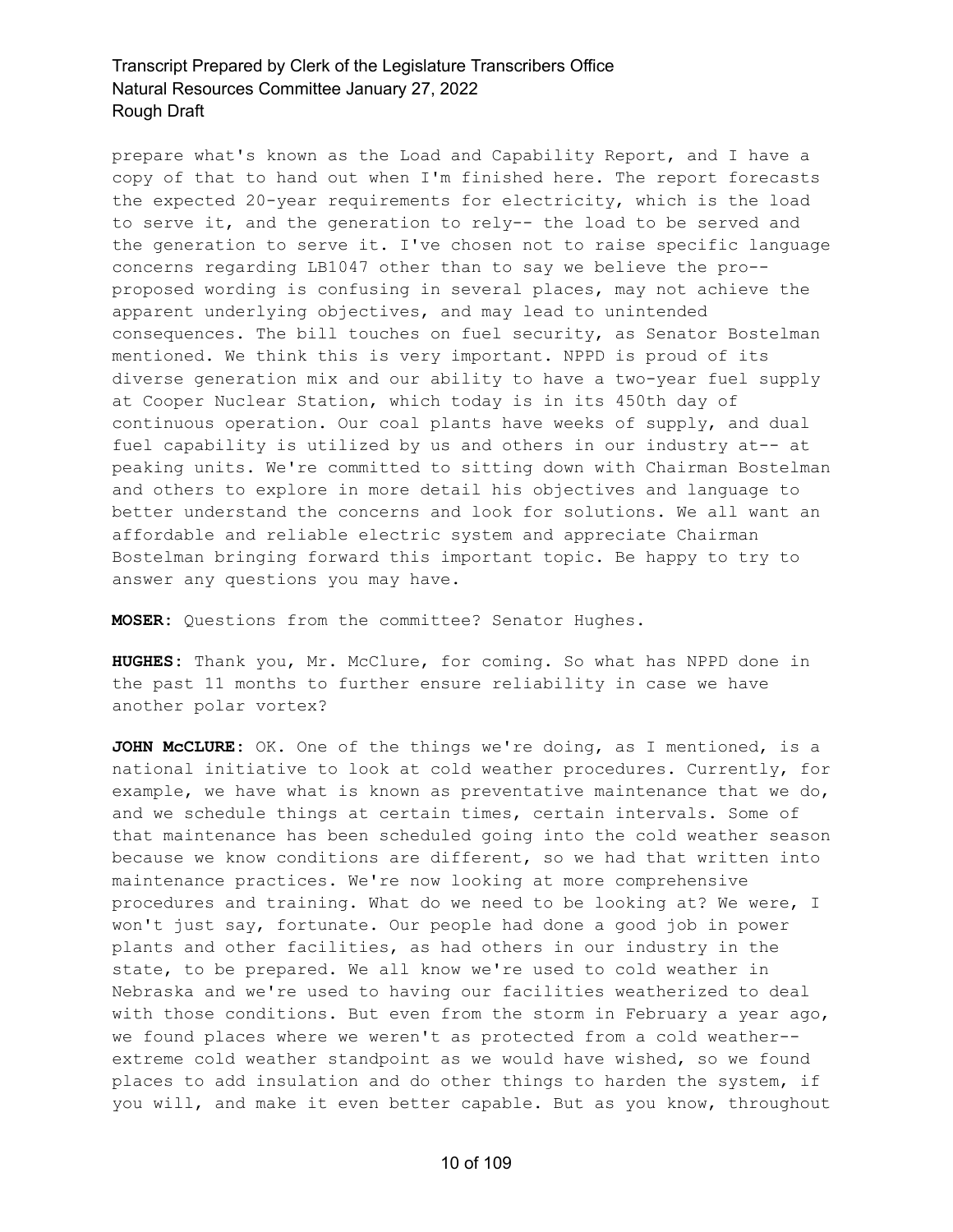prepare what's known as the Load and Capability Report, and I have a copy of that to hand out when I'm finished here. The report forecasts the expected 20-year requirements for electricity, which is the load to serve it, and the generation to rely-- the load to be served and the generation to serve it. I've chosen not to raise specific language concerns regarding LB1047 other than to say we believe the pro- proposed wording is confusing in several places, may not achieve the apparent underlying objectives, and may lead to unintended consequences. The bill touches on fuel security, as Senator Bostelman mentioned. We think this is very important. NPPD is proud of its diverse generation mix and our ability to have a two-year fuel supply at Cooper Nuclear Station, which today is in its 450th day of continuous operation. Our coal plants have weeks of supply, and dual fuel capability is utilized by us and others in our industry at-- at peaking units. We're committed to sitting down with Chairman Bostelman and others to explore in more detail his objectives and language to better understand the concerns and look for solutions. We all want an affordable and reliable electric system and appreciate Chairman Bostelman bringing forward this important topic. Be happy to try to answer any questions you may have.

**MOSER:** Questions from the committee? Senator Hughes.

**HUGHES:** Thank you, Mr. McClure, for coming. So what has NPPD done in the past 11 months to further ensure reliability in case we have another polar vortex?

**JOHN McCLURE:** OK. One of the things we're doing, as I mentioned, is a national initiative to look at cold weather procedures. Currently, for example, we have what is known as preventative maintenance that we do, and we schedule things at certain times, certain intervals. Some of that maintenance has been scheduled going into the cold weather season because we know conditions are different, so we had that written into maintenance practices. We're now looking at more comprehensive procedures and training. What do we need to be looking at? We were, I won't just say, fortunate. Our people had done a good job in power plants and other facilities, as had others in our industry in the state, to be prepared. We all know we're used to cold weather in Nebraska and we're used to having our facilities weatherized to deal with those conditions. But even from the storm in February a year ago, we found places where we weren't as protected from a cold weather- extreme cold weather standpoint as we would have wished, so we found places to add insulation and do other things to harden the system, if you will, and make it even better capable. But as you know, throughout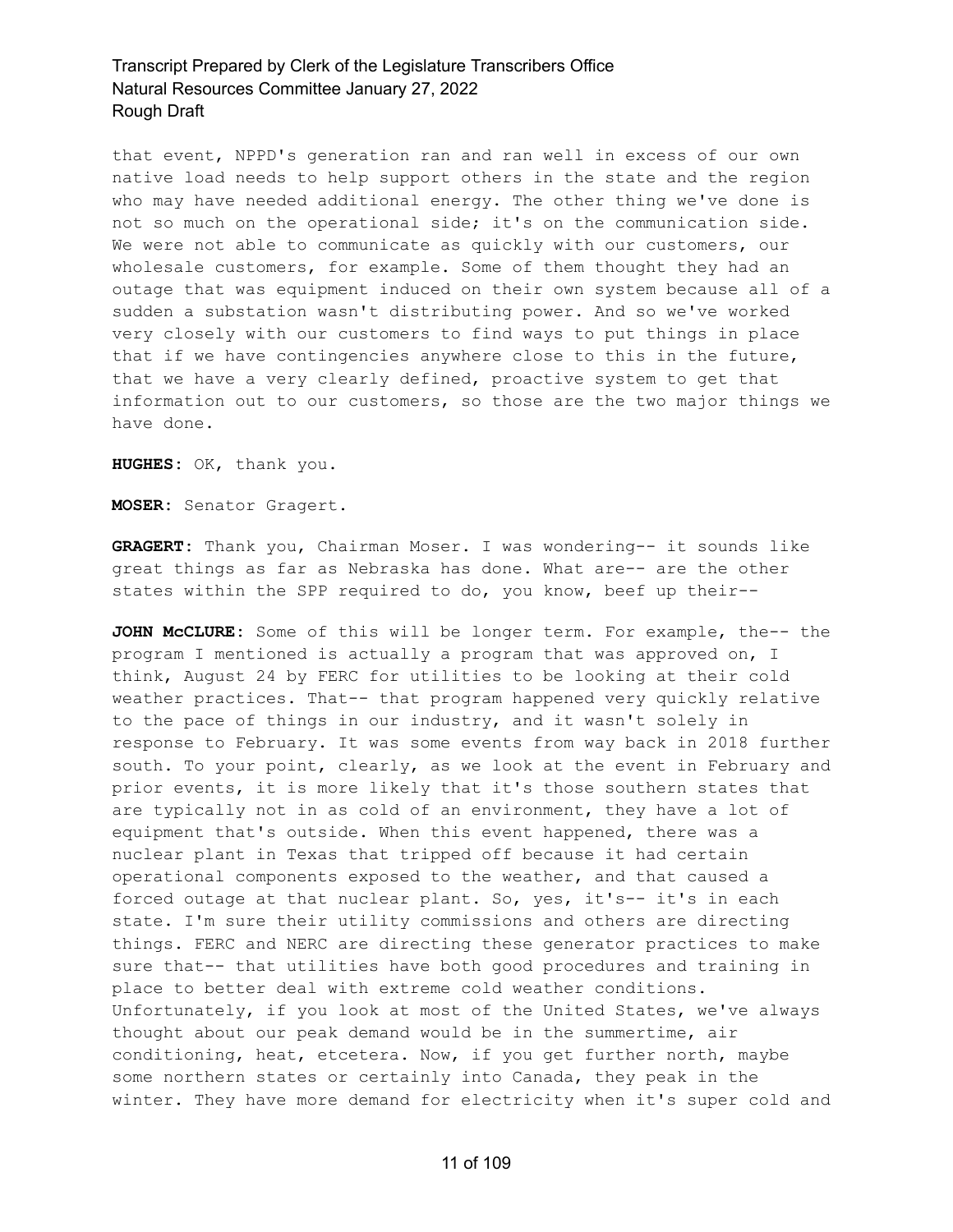that event, NPPD's generation ran and ran well in excess of our own native load needs to help support others in the state and the region who may have needed additional energy. The other thing we've done is not so much on the operational side; it's on the communication side. We were not able to communicate as quickly with our customers, our wholesale customers, for example. Some of them thought they had an outage that was equipment induced on their own system because all of a sudden a substation wasn't distributing power. And so we've worked very closely with our customers to find ways to put things in place that if we have contingencies anywhere close to this in the future, that we have a very clearly defined, proactive system to get that information out to our customers, so those are the two major things we have done.

**HUGHES:** OK, thank you.

**MOSER:** Senator Gragert.

**GRAGERT:** Thank you, Chairman Moser. I was wondering-- it sounds like great things as far as Nebraska has done. What are-- are the other states within the SPP required to do, you know, beef up their--

**JOHN McCLURE:** Some of this will be longer term. For example, the-- the program I mentioned is actually a program that was approved on, I think, August 24 by FERC for utilities to be looking at their cold weather practices. That-- that program happened very quickly relative to the pace of things in our industry, and it wasn't solely in response to February. It was some events from way back in 2018 further south. To your point, clearly, as we look at the event in February and prior events, it is more likely that it's those southern states that are typically not in as cold of an environment, they have a lot of equipment that's outside. When this event happened, there was a nuclear plant in Texas that tripped off because it had certain operational components exposed to the weather, and that caused a forced outage at that nuclear plant. So, yes, it's-- it's in each state. I'm sure their utility commissions and others are directing things. FERC and NERC are directing these generator practices to make sure that-- that utilities have both good procedures and training in place to better deal with extreme cold weather conditions. Unfortunately, if you look at most of the United States, we've always thought about our peak demand would be in the summertime, air conditioning, heat, etcetera. Now, if you get further north, maybe some northern states or certainly into Canada, they peak in the winter. They have more demand for electricity when it's super cold and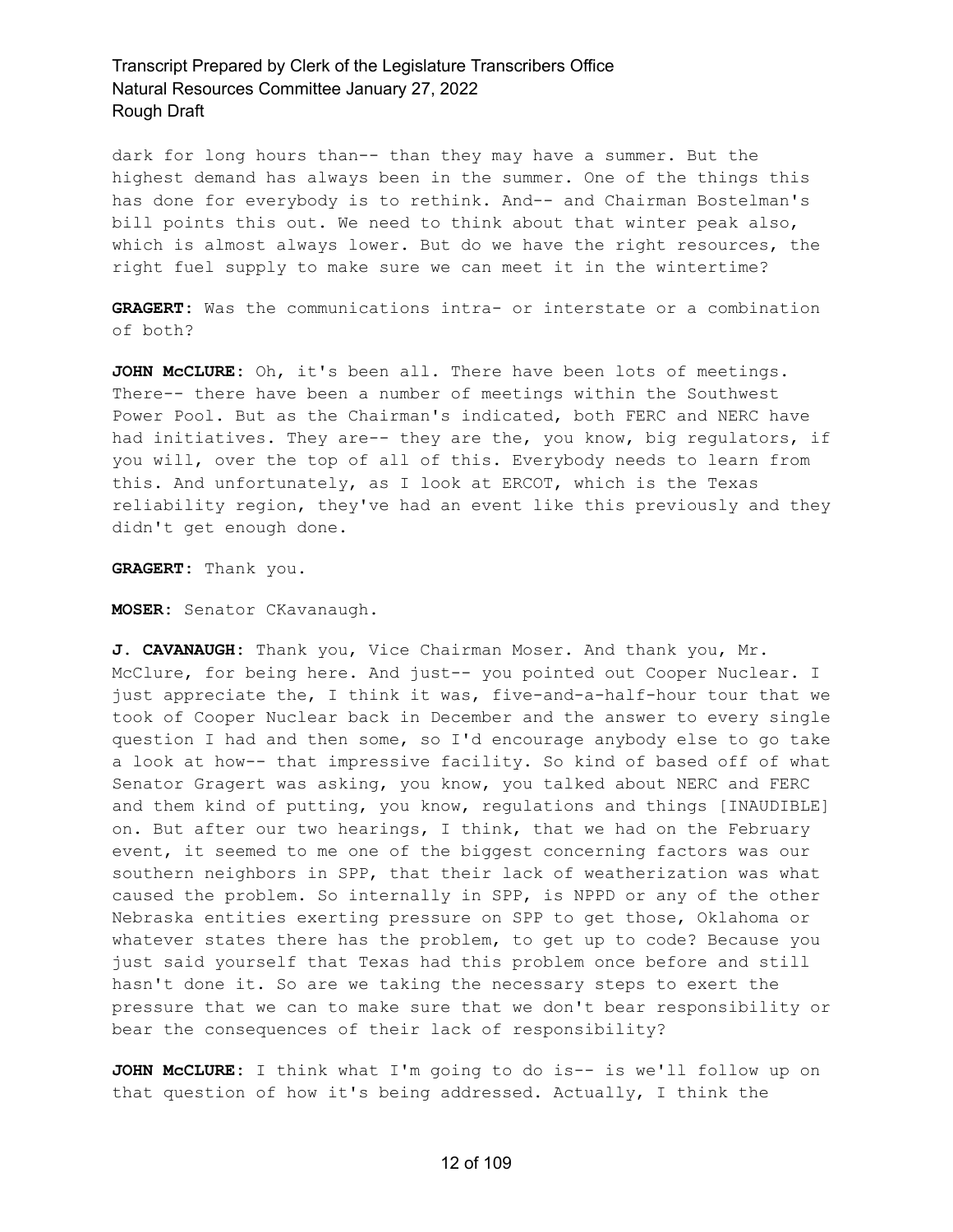dark for long hours than-- than they may have a summer. But the highest demand has always been in the summer. One of the things this has done for everybody is to rethink. And-- and Chairman Bostelman's bill points this out. We need to think about that winter peak also, which is almost always lower. But do we have the right resources, the right fuel supply to make sure we can meet it in the wintertime?

**GRAGERT:** Was the communications intra- or interstate or a combination of both?

**JOHN McCLURE:** Oh, it's been all. There have been lots of meetings. There-- there have been a number of meetings within the Southwest Power Pool. But as the Chairman's indicated, both FERC and NERC have had initiatives. They are-- they are the, you know, big regulators, if you will, over the top of all of this. Everybody needs to learn from this. And unfortunately, as I look at ERCOT, which is the Texas reliability region, they've had an event like this previously and they didn't get enough done.

**GRAGERT:** Thank you.

**MOSER:** Senator CKavanaugh.

**J. CAVANAUGH:** Thank you, Vice Chairman Moser. And thank you, Mr. McClure, for being here. And just-- you pointed out Cooper Nuclear. I just appreciate the, I think it was, five-and-a-half-hour tour that we took of Cooper Nuclear back in December and the answer to every single question I had and then some, so I'd encourage anybody else to go take a look at how-- that impressive facility. So kind of based off of what Senator Gragert was asking, you know, you talked about NERC and FERC and them kind of putting, you know, regulations and things [INAUDIBLE] on. But after our two hearings, I think, that we had on the February event, it seemed to me one of the biggest concerning factors was our southern neighbors in SPP, that their lack of weatherization was what caused the problem. So internally in SPP, is NPPD or any of the other Nebraska entities exerting pressure on SPP to get those, Oklahoma or whatever states there has the problem, to get up to code? Because you just said yourself that Texas had this problem once before and still hasn't done it. So are we taking the necessary steps to exert the pressure that we can to make sure that we don't bear responsibility or bear the consequences of their lack of responsibility?

**JOHN McCLURE:** I think what I'm going to do is-- is we'll follow up on that question of how it's being addressed. Actually, I think the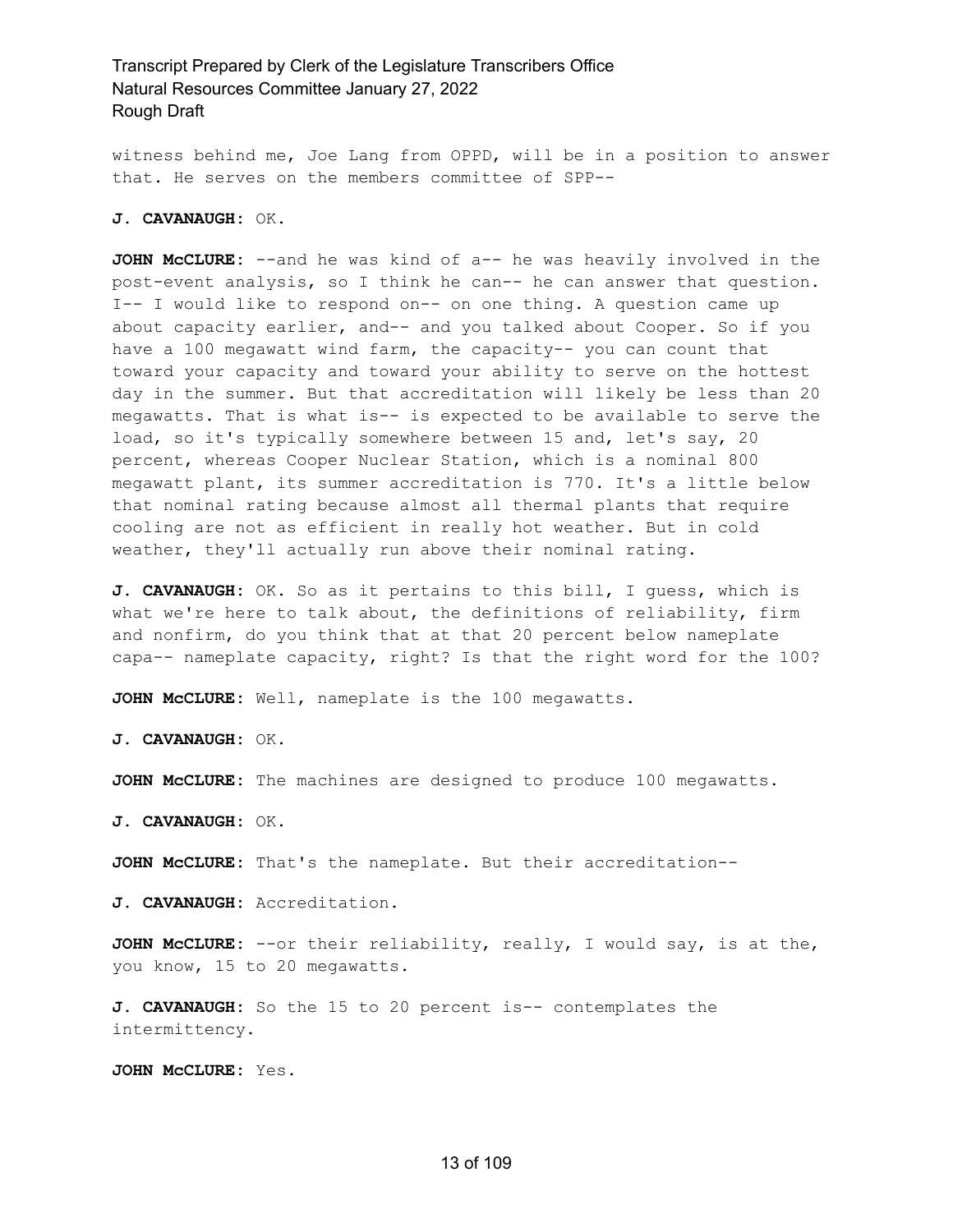witness behind me, Joe Lang from OPPD, will be in a position to answer that. He serves on the members committee of SPP--

#### **J. CAVANAUGH:** OK.

**JOHN McCLURE:** --and he was kind of a-- he was heavily involved in the post-event analysis, so I think he can-- he can answer that question. I-- I would like to respond on-- on one thing. A question came up about capacity earlier, and-- and you talked about Cooper. So if you have a 100 megawatt wind farm, the capacity-- you can count that toward your capacity and toward your ability to serve on the hottest day in the summer. But that accreditation will likely be less than 20 megawatts. That is what is-- is expected to be available to serve the load, so it's typically somewhere between 15 and, let's say, 20 percent, whereas Cooper Nuclear Station, which is a nominal 800 megawatt plant, its summer accreditation is 770. It's a little below that nominal rating because almost all thermal plants that require cooling are not as efficient in really hot weather. But in cold weather, they'll actually run above their nominal rating.

**J. CAVANAUGH:** OK. So as it pertains to this bill, I guess, which is what we're here to talk about, the definitions of reliability, firm and nonfirm, do you think that at that 20 percent below nameplate capa-- nameplate capacity, right? Is that the right word for the 100?

**JOHN McCLURE:** Well, nameplate is the 100 megawatts.

**J. CAVANAUGH:** OK.

**JOHN McCLURE:** The machines are designed to produce 100 megawatts.

**J. CAVANAUGH:** OK.

**JOHN McCLURE:** That's the nameplate. But their accreditation--

**J. CAVANAUGH:** Accreditation.

**JOHN McCLURE:** --or their reliability, really, I would say, is at the, you know, 15 to 20 megawatts.

**J. CAVANAUGH:** So the 15 to 20 percent is-- contemplates the intermittency.

**JOHN McCLURE:** Yes.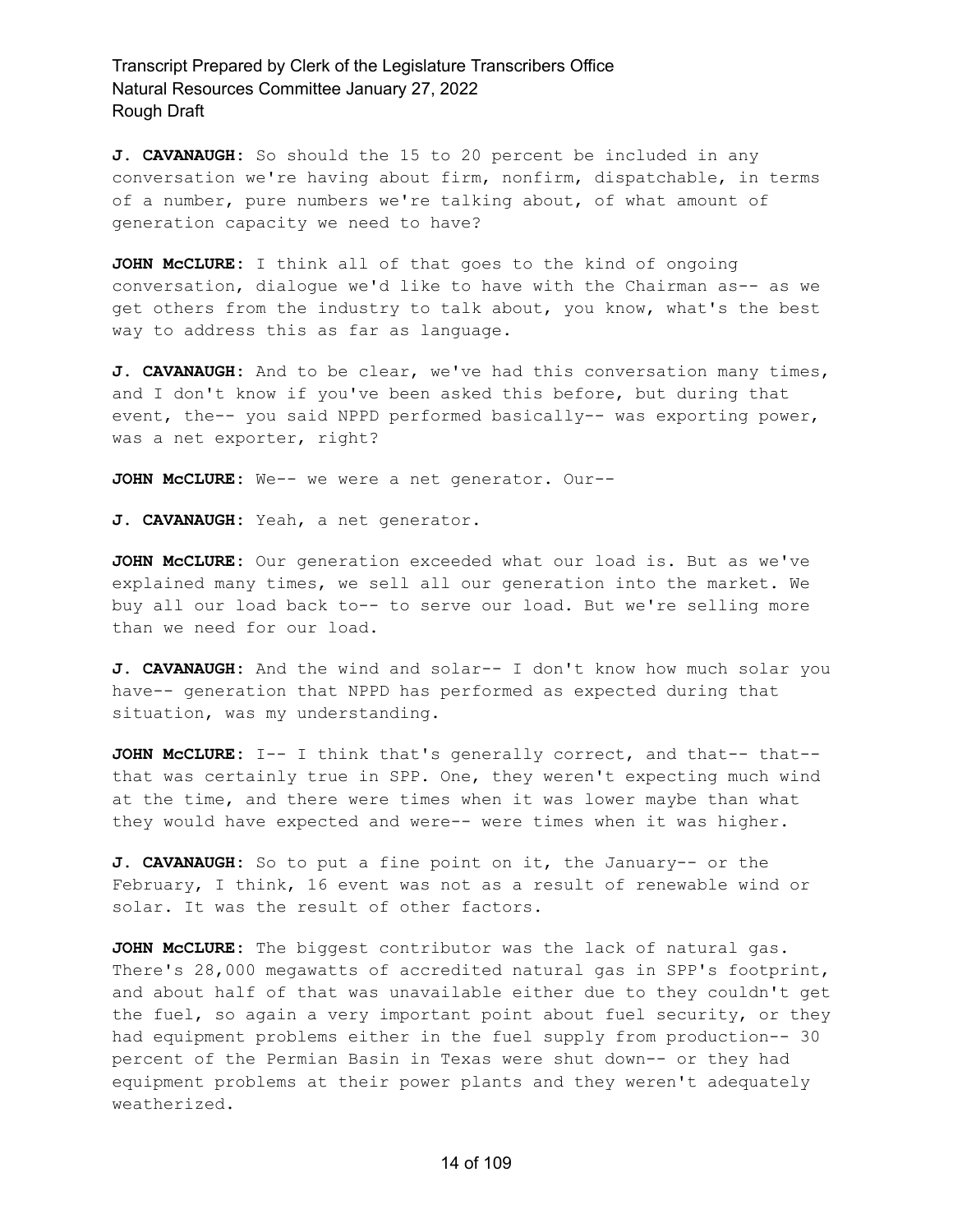**J. CAVANAUGH:** So should the 15 to 20 percent be included in any conversation we're having about firm, nonfirm, dispatchable, in terms of a number, pure numbers we're talking about, of what amount of generation capacity we need to have?

**JOHN McCLURE:** I think all of that goes to the kind of ongoing conversation, dialogue we'd like to have with the Chairman as-- as we get others from the industry to talk about, you know, what's the best way to address this as far as language.

**J. CAVANAUGH:** And to be clear, we've had this conversation many times, and I don't know if you've been asked this before, but during that event, the-- you said NPPD performed basically-- was exporting power, was a net exporter, right?

**JOHN McCLURE:** We-- we were a net generator. Our--

**J. CAVANAUGH:** Yeah, a net generator.

**JOHN McCLURE:** Our generation exceeded what our load is. But as we've explained many times, we sell all our generation into the market. We buy all our load back to-- to serve our load. But we're selling more than we need for our load.

**J. CAVANAUGH:** And the wind and solar-- I don't know how much solar you have-- generation that NPPD has performed as expected during that situation, was my understanding.

**JOHN McCLURE:** I-- I think that's generally correct, and that-- that- that was certainly true in SPP. One, they weren't expecting much wind at the time, and there were times when it was lower maybe than what they would have expected and were-- were times when it was higher.

**J. CAVANAUGH:** So to put a fine point on it, the January-- or the February, I think, 16 event was not as a result of renewable wind or solar. It was the result of other factors.

**JOHN McCLURE:** The biggest contributor was the lack of natural gas. There's 28,000 megawatts of accredited natural gas in SPP's footprint, and about half of that was unavailable either due to they couldn't get the fuel, so again a very important point about fuel security, or they had equipment problems either in the fuel supply from production-- 30 percent of the Permian Basin in Texas were shut down-- or they had equipment problems at their power plants and they weren't adequately weatherized.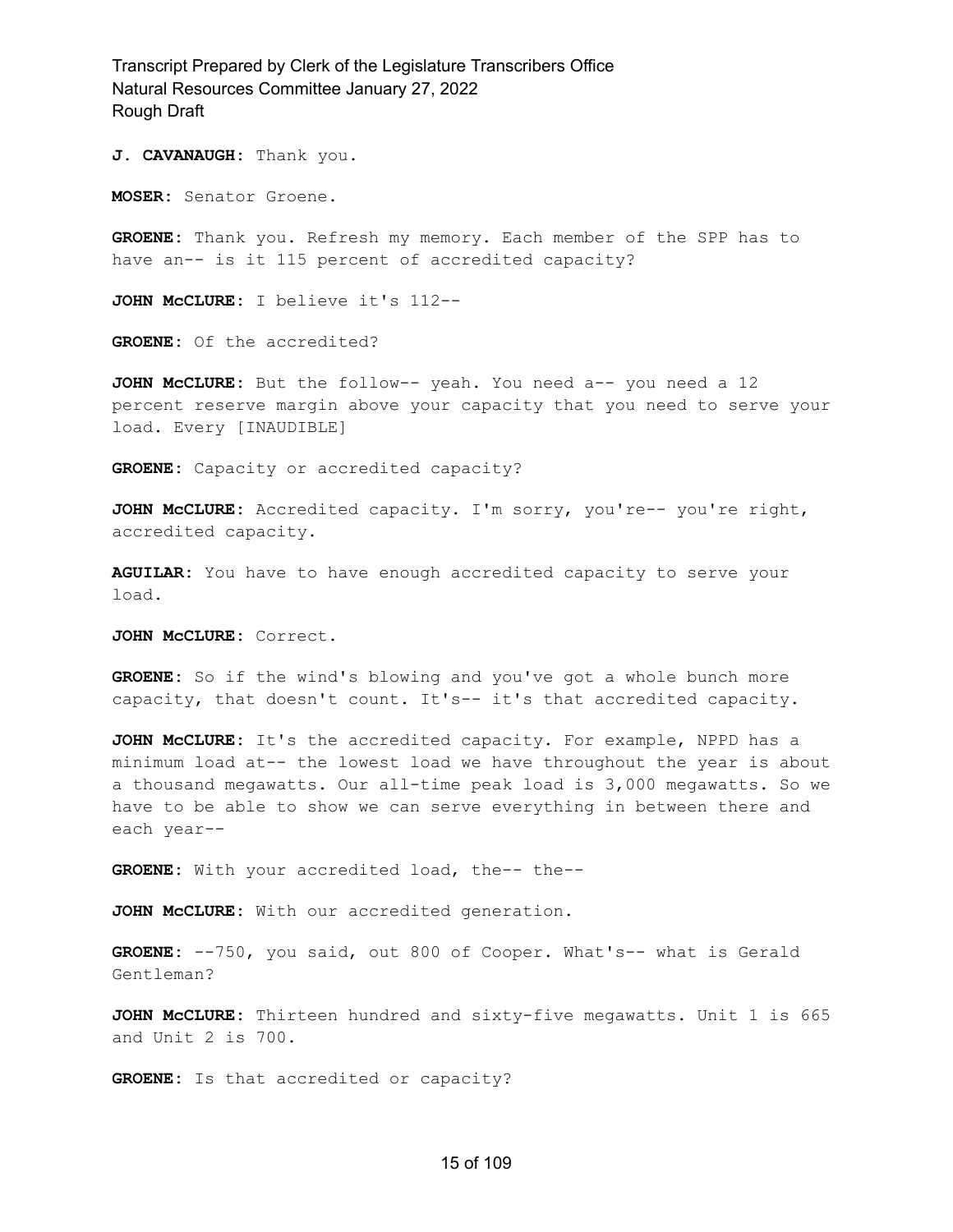**J. CAVANAUGH:** Thank you.

**MOSER:** Senator Groene.

**GROENE:** Thank you. Refresh my memory. Each member of the SPP has to have an-- is it 115 percent of accredited capacity?

**JOHN McCLURE:** I believe it's 112--

**GROENE:** Of the accredited?

**JOHN McCLURE:** But the follow-- yeah. You need a-- you need a 12 percent reserve margin above your capacity that you need to serve your load. Every [INAUDIBLE]

**GROENE:** Capacity or accredited capacity?

**JOHN McCLURE:** Accredited capacity. I'm sorry, you're-- you're right, accredited capacity.

**AGUILAR:** You have to have enough accredited capacity to serve your load.

**JOHN McCLURE:** Correct.

**GROENE:** So if the wind's blowing and you've got a whole bunch more capacity, that doesn't count. It's-- it's that accredited capacity.

**JOHN McCLURE:** It's the accredited capacity. For example, NPPD has a minimum load at-- the lowest load we have throughout the year is about a thousand megawatts. Our all-time peak load is 3,000 megawatts. So we have to be able to show we can serve everything in between there and each year--

**GROENE:** With your accredited load, the-- the--

**JOHN McCLURE:** With our accredited generation.

**GROENE:** --750, you said, out 800 of Cooper. What's-- what is Gerald Gentleman?

**JOHN McCLURE:** Thirteen hundred and sixty-five megawatts. Unit 1 is 665 and Unit 2 is 700.

**GROENE:** Is that accredited or capacity?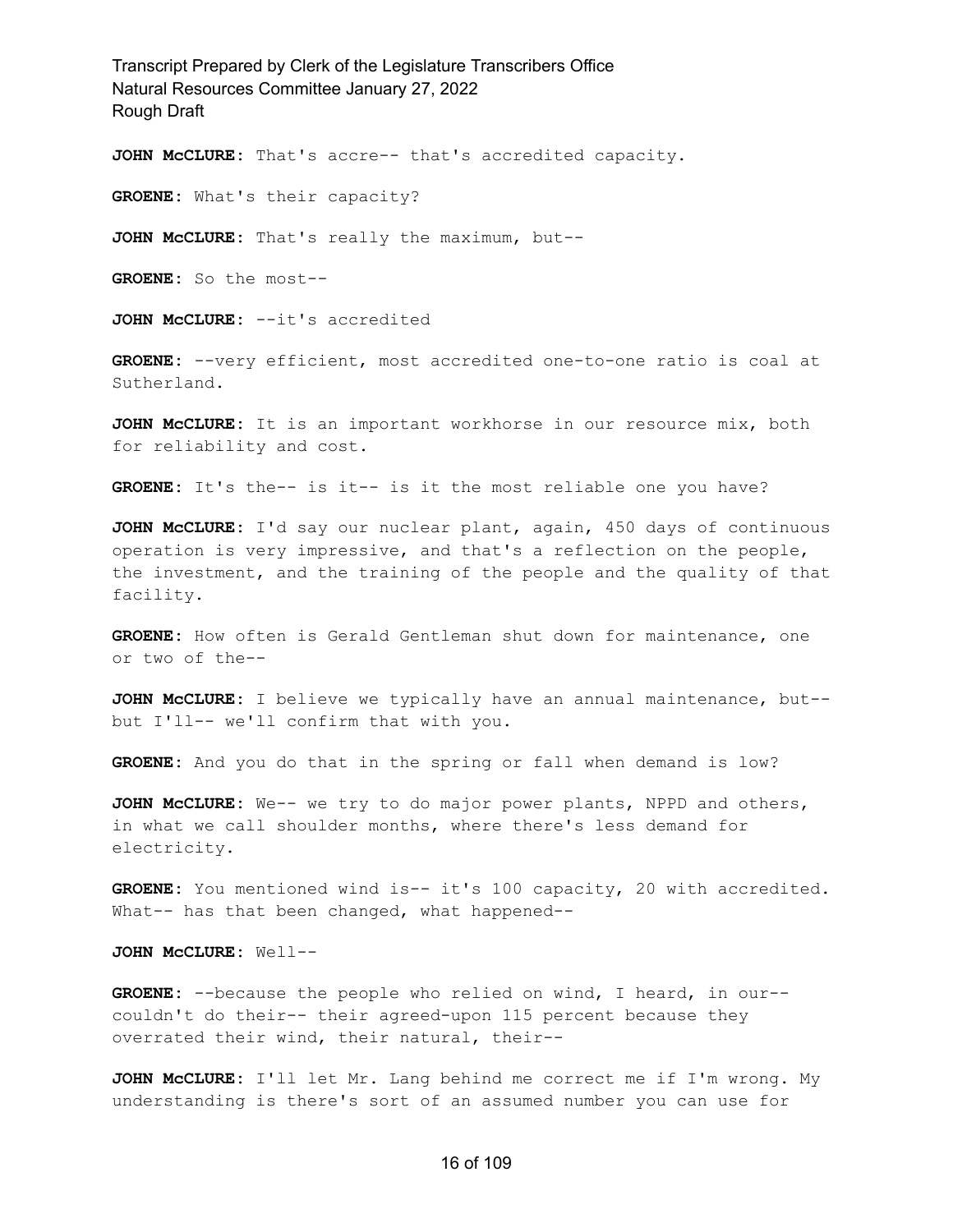**JOHN McCLURE:** That's accre-- that's accredited capacity.

**GROENE:** What's their capacity?

**JOHN McCLURE:** That's really the maximum, but--

**GROENE:** So the most--

**JOHN McCLURE:** --it's accredited

**GROENE:** --very efficient, most accredited one-to-one ratio is coal at Sutherland.

**JOHN McCLURE:** It is an important workhorse in our resource mix, both for reliability and cost.

**GROENE:** It's the-- is it-- is it the most reliable one you have?

**JOHN McCLURE:** I'd say our nuclear plant, again, 450 days of continuous operation is very impressive, and that's a reflection on the people, the investment, and the training of the people and the quality of that facility.

**GROENE:** How often is Gerald Gentleman shut down for maintenance, one or two of the--

**JOHN McCLURE:** I believe we typically have an annual maintenance, but- but I'll-- we'll confirm that with you.

**GROENE:** And you do that in the spring or fall when demand is low?

**JOHN McCLURE:** We-- we try to do major power plants, NPPD and others, in what we call shoulder months, where there's less demand for electricity.

**GROENE:** You mentioned wind is-- it's 100 capacity, 20 with accredited. What-- has that been changed, what happened--

**JOHN McCLURE:** Well--

**GROENE:** --because the people who relied on wind, I heard, in our- couldn't do their-- their agreed-upon 115 percent because they overrated their wind, their natural, their--

**JOHN McCLURE:** I'll let Mr. Lang behind me correct me if I'm wrong. My understanding is there's sort of an assumed number you can use for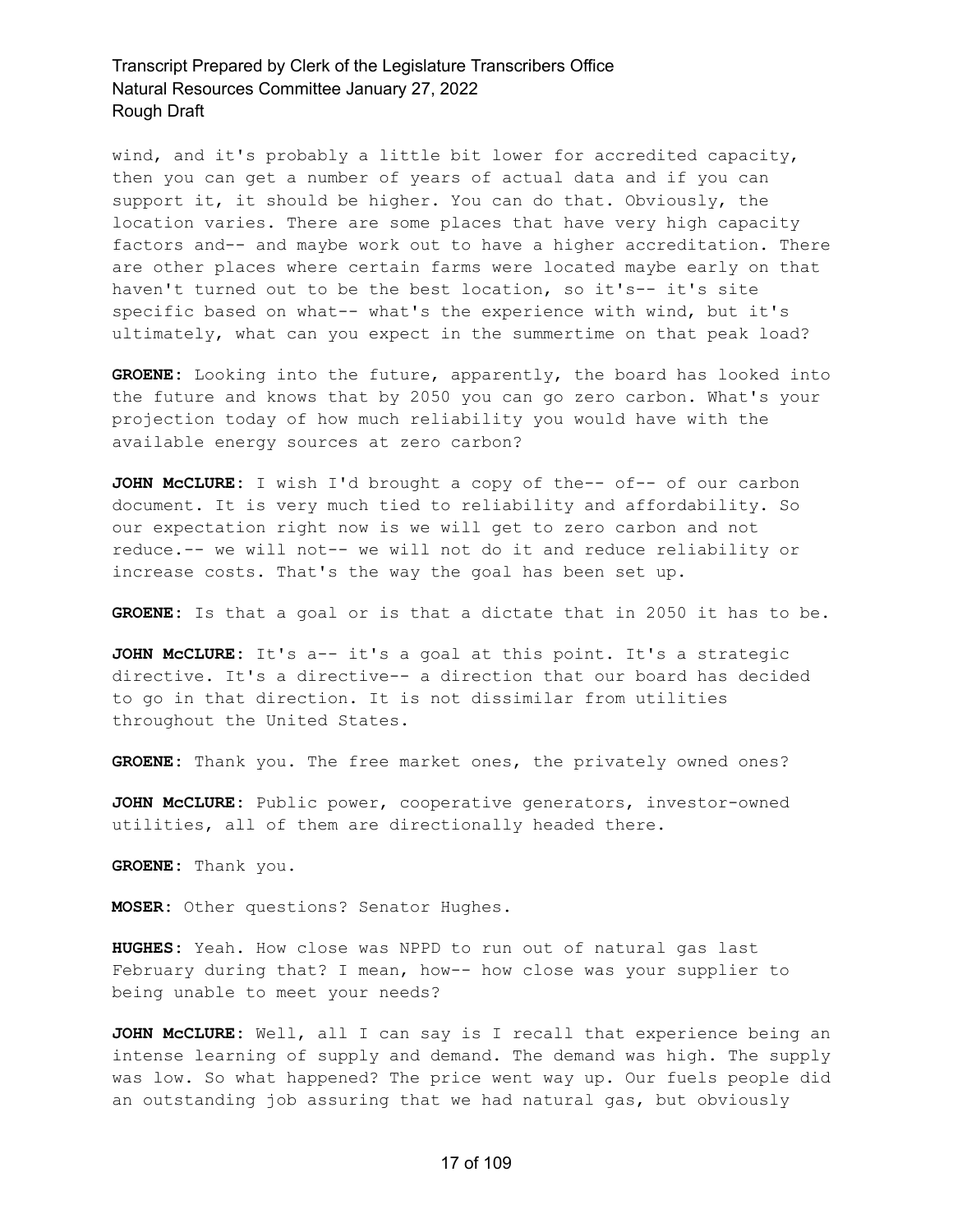wind, and it's probably a little bit lower for accredited capacity, then you can get a number of years of actual data and if you can support it, it should be higher. You can do that. Obviously, the location varies. There are some places that have very high capacity factors and-- and maybe work out to have a higher accreditation. There are other places where certain farms were located maybe early on that haven't turned out to be the best location, so it's-- it's site specific based on what-- what's the experience with wind, but it's ultimately, what can you expect in the summertime on that peak load?

**GROENE:** Looking into the future, apparently, the board has looked into the future and knows that by 2050 you can go zero carbon. What's your projection today of how much reliability you would have with the available energy sources at zero carbon?

**JOHN McCLURE:** I wish I'd brought a copy of the-- of-- of our carbon document. It is very much tied to reliability and affordability. So our expectation right now is we will get to zero carbon and not reduce.-- we will not-- we will not do it and reduce reliability or increase costs. That's the way the goal has been set up.

**GROENE:** Is that a goal or is that a dictate that in 2050 it has to be.

**JOHN McCLURE:** It's a-- it's a goal at this point. It's a strategic directive. It's a directive-- a direction that our board has decided to go in that direction. It is not dissimilar from utilities throughout the United States.

**GROENE:** Thank you. The free market ones, the privately owned ones?

**JOHN McCLURE:** Public power, cooperative generators, investor-owned utilities, all of them are directionally headed there.

**GROENE:** Thank you.

**MOSER:** Other questions? Senator Hughes.

**HUGHES:** Yeah. How close was NPPD to run out of natural gas last February during that? I mean, how-- how close was your supplier to being unable to meet your needs?

**JOHN McCLURE:** Well, all I can say is I recall that experience being an intense learning of supply and demand. The demand was high. The supply was low. So what happened? The price went way up. Our fuels people did an outstanding job assuring that we had natural gas, but obviously

#### 17 of 109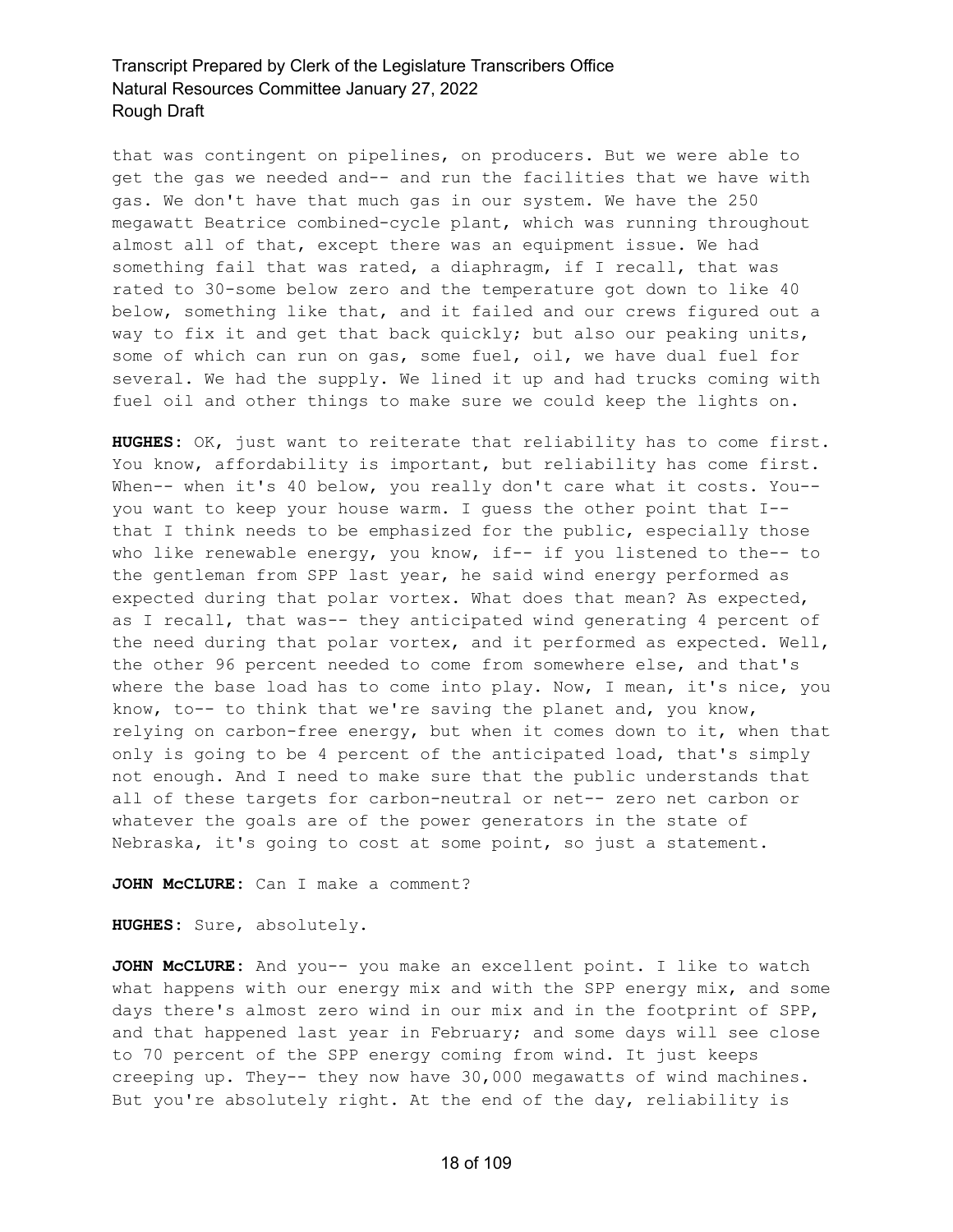that was contingent on pipelines, on producers. But we were able to get the gas we needed and-- and run the facilities that we have with gas. We don't have that much gas in our system. We have the 250 megawatt Beatrice combined-cycle plant, which was running throughout almost all of that, except there was an equipment issue. We had something fail that was rated, a diaphragm, if I recall, that was rated to 30-some below zero and the temperature got down to like 40 below, something like that, and it failed and our crews figured out a way to fix it and get that back quickly; but also our peaking units, some of which can run on gas, some fuel, oil, we have dual fuel for several. We had the supply. We lined it up and had trucks coming with fuel oil and other things to make sure we could keep the lights on.

**HUGHES:** OK, just want to reiterate that reliability has to come first. You know, affordability is important, but reliability has come first. When-- when it's 40 below, you really don't care what it costs. You-you want to keep your house warm. I guess the other point that I- that I think needs to be emphasized for the public, especially those who like renewable energy, you know, if-- if you listened to the-- to the gentleman from SPP last year, he said wind energy performed as expected during that polar vortex. What does that mean? As expected, as I recall, that was-- they anticipated wind generating 4 percent of the need during that polar vortex, and it performed as expected. Well, the other 96 percent needed to come from somewhere else, and that's where the base load has to come into play. Now, I mean, it's nice, you know, to-- to think that we're saving the planet and, you know, relying on carbon-free energy, but when it comes down to it, when that only is going to be 4 percent of the anticipated load, that's simply not enough. And I need to make sure that the public understands that all of these targets for carbon-neutral or net-- zero net carbon or whatever the goals are of the power generators in the state of Nebraska, it's going to cost at some point, so just a statement.

**JOHN McCLURE:** Can I make a comment?

**HUGHES:** Sure, absolutely.

**JOHN McCLURE:** And you-- you make an excellent point. I like to watch what happens with our energy mix and with the SPP energy mix, and some days there's almost zero wind in our mix and in the footprint of SPP, and that happened last year in February; and some days will see close to 70 percent of the SPP energy coming from wind. It just keeps creeping up. They-- they now have 30,000 megawatts of wind machines. But you're absolutely right. At the end of the day, reliability is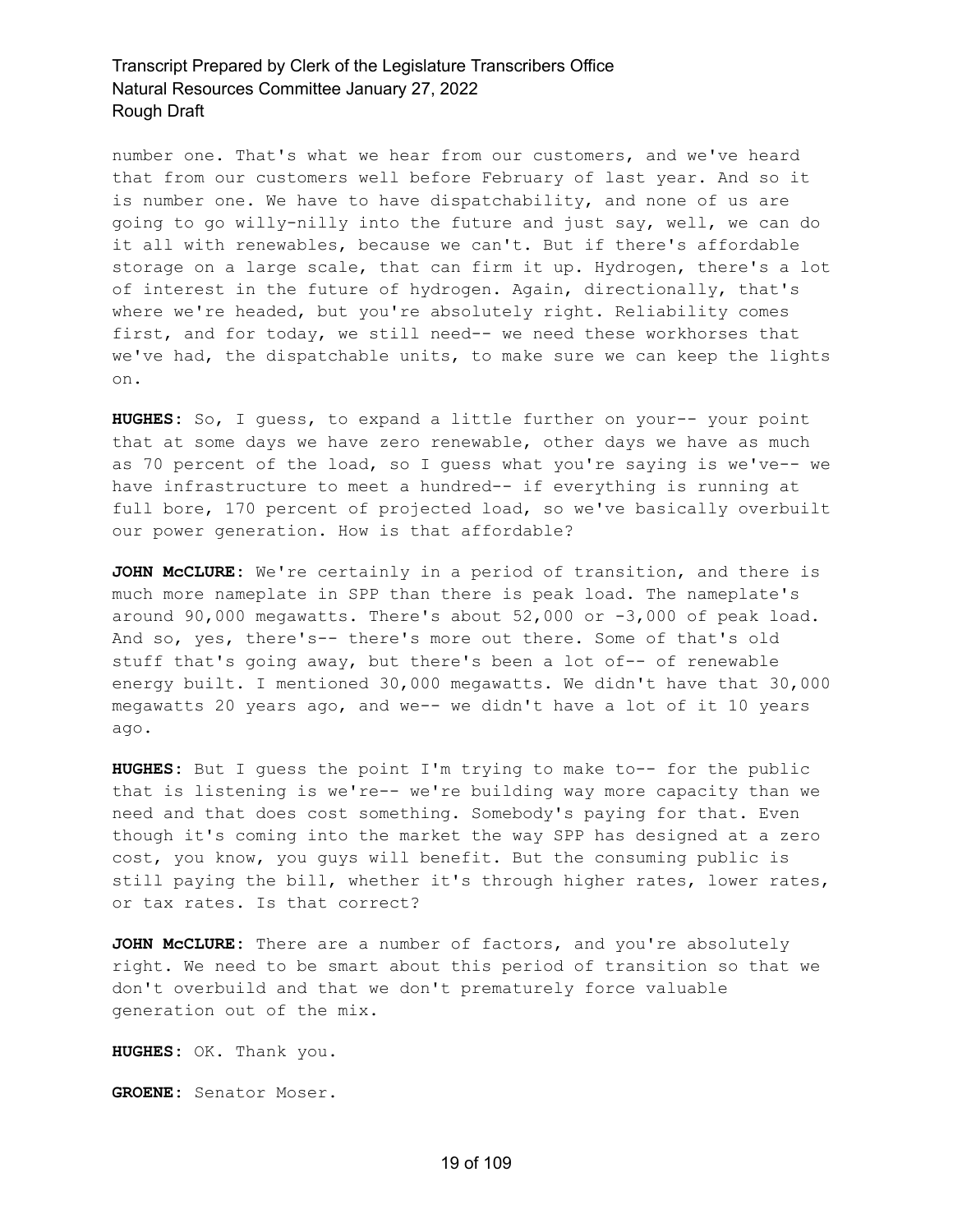number one. That's what we hear from our customers, and we've heard that from our customers well before February of last year. And so it is number one. We have to have dispatchability, and none of us are going to go willy-nilly into the future and just say, well, we can do it all with renewables, because we can't. But if there's affordable storage on a large scale, that can firm it up. Hydrogen, there's a lot of interest in the future of hydrogen. Again, directionally, that's where we're headed, but you're absolutely right. Reliability comes first, and for today, we still need-- we need these workhorses that we've had, the dispatchable units, to make sure we can keep the lights on.

**HUGHES:** So, I guess, to expand a little further on your-- your point that at some days we have zero renewable, other days we have as much as 70 percent of the load, so I guess what you're saying is we've-- we have infrastructure to meet a hundred-- if everything is running at full bore, 170 percent of projected load, so we've basically overbuilt our power generation. How is that affordable?

**JOHN McCLURE:** We're certainly in a period of transition, and there is much more nameplate in SPP than there is peak load. The nameplate's around 90,000 megawatts. There's about 52,000 or -3,000 of peak load. And so, yes, there's-- there's more out there. Some of that's old stuff that's going away, but there's been a lot of-- of renewable energy built. I mentioned 30,000 megawatts. We didn't have that 30,000 megawatts 20 years ago, and we-- we didn't have a lot of it 10 years ago.

**HUGHES:** But I guess the point I'm trying to make to-- for the public that is listening is we're-- we're building way more capacity than we need and that does cost something. Somebody's paying for that. Even though it's coming into the market the way SPP has designed at a zero cost, you know, you guys will benefit. But the consuming public is still paying the bill, whether it's through higher rates, lower rates, or tax rates. Is that correct?

**JOHN McCLURE:** There are a number of factors, and you're absolutely right. We need to be smart about this period of transition so that we don't overbuild and that we don't prematurely force valuable generation out of the mix.

**HUGHES:** OK. Thank you.

**GROENE:** Senator Moser.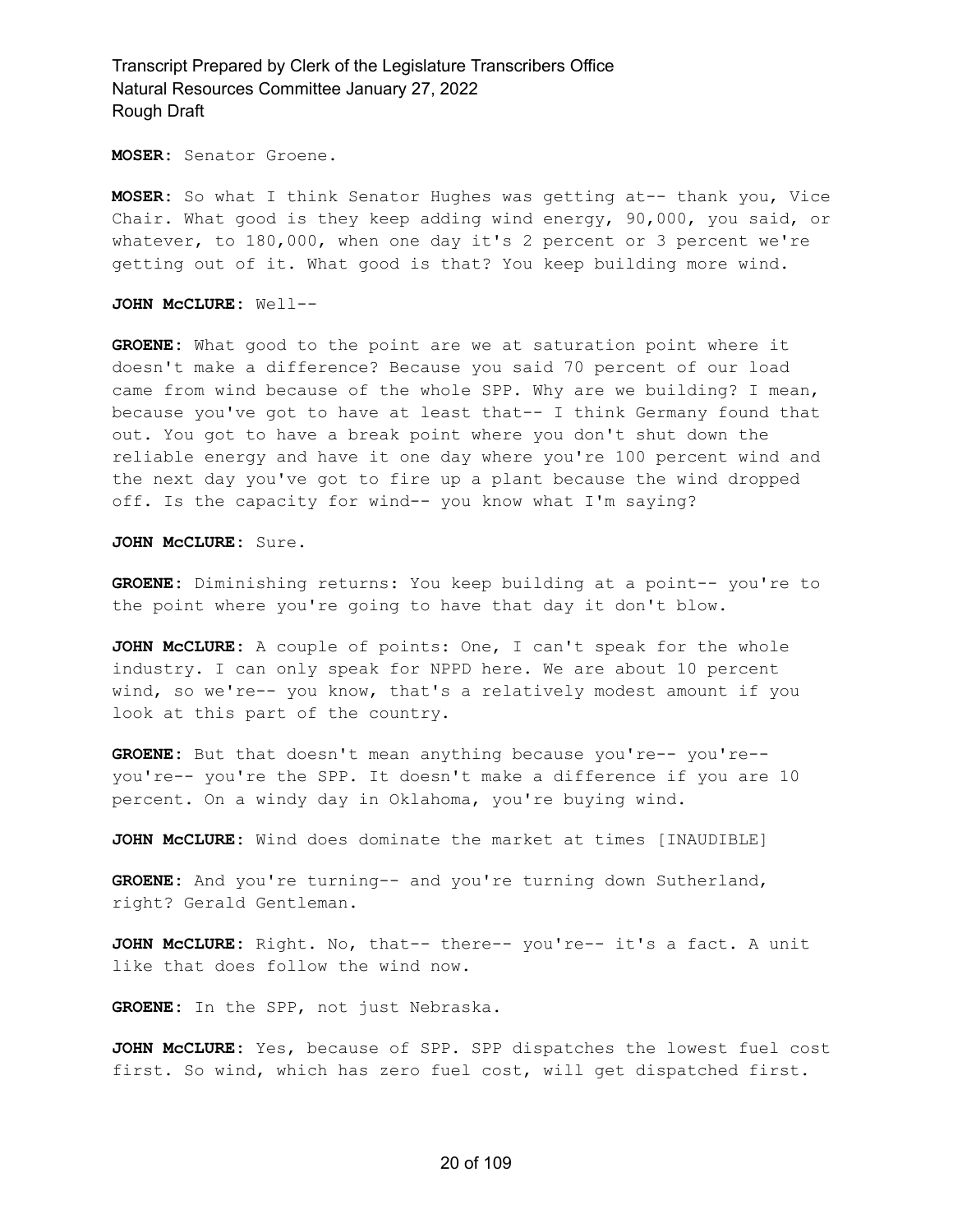**MOSER:** Senator Groene.

**MOSER:** So what I think Senator Hughes was getting at-- thank you, Vice Chair. What good is they keep adding wind energy, 90,000, you said, or whatever, to 180,000, when one day it's 2 percent or 3 percent we're getting out of it. What good is that? You keep building more wind.

**JOHN McCLURE:** Well--

**GROENE:** What good to the point are we at saturation point where it doesn't make a difference? Because you said 70 percent of our load came from wind because of the whole SPP. Why are we building? I mean, because you've got to have at least that-- I think Germany found that out. You got to have a break point where you don't shut down the reliable energy and have it one day where you're 100 percent wind and the next day you've got to fire up a plant because the wind dropped off. Is the capacity for wind-- you know what I'm saying?

**JOHN McCLURE:** Sure.

**GROENE:** Diminishing returns: You keep building at a point-- you're to the point where you're going to have that day it don't blow.

**JOHN McCLURE:** A couple of points: One, I can't speak for the whole industry. I can only speak for NPPD here. We are about 10 percent wind, so we're-- you know, that's a relatively modest amount if you look at this part of the country.

**GROENE:** But that doesn't mean anything because you're-- you're- you're-- you're the SPP. It doesn't make a difference if you are 10 percent. On a windy day in Oklahoma, you're buying wind.

**JOHN McCLURE:** Wind does dominate the market at times [INAUDIBLE]

**GROENE:** And you're turning-- and you're turning down Sutherland, right? Gerald Gentleman.

**JOHN McCLURE:** Right. No, that-- there-- you're-- it's a fact. A unit like that does follow the wind now.

**GROENE:** In the SPP, not just Nebraska.

**JOHN McCLURE:** Yes, because of SPP. SPP dispatches the lowest fuel cost first. So wind, which has zero fuel cost, will get dispatched first.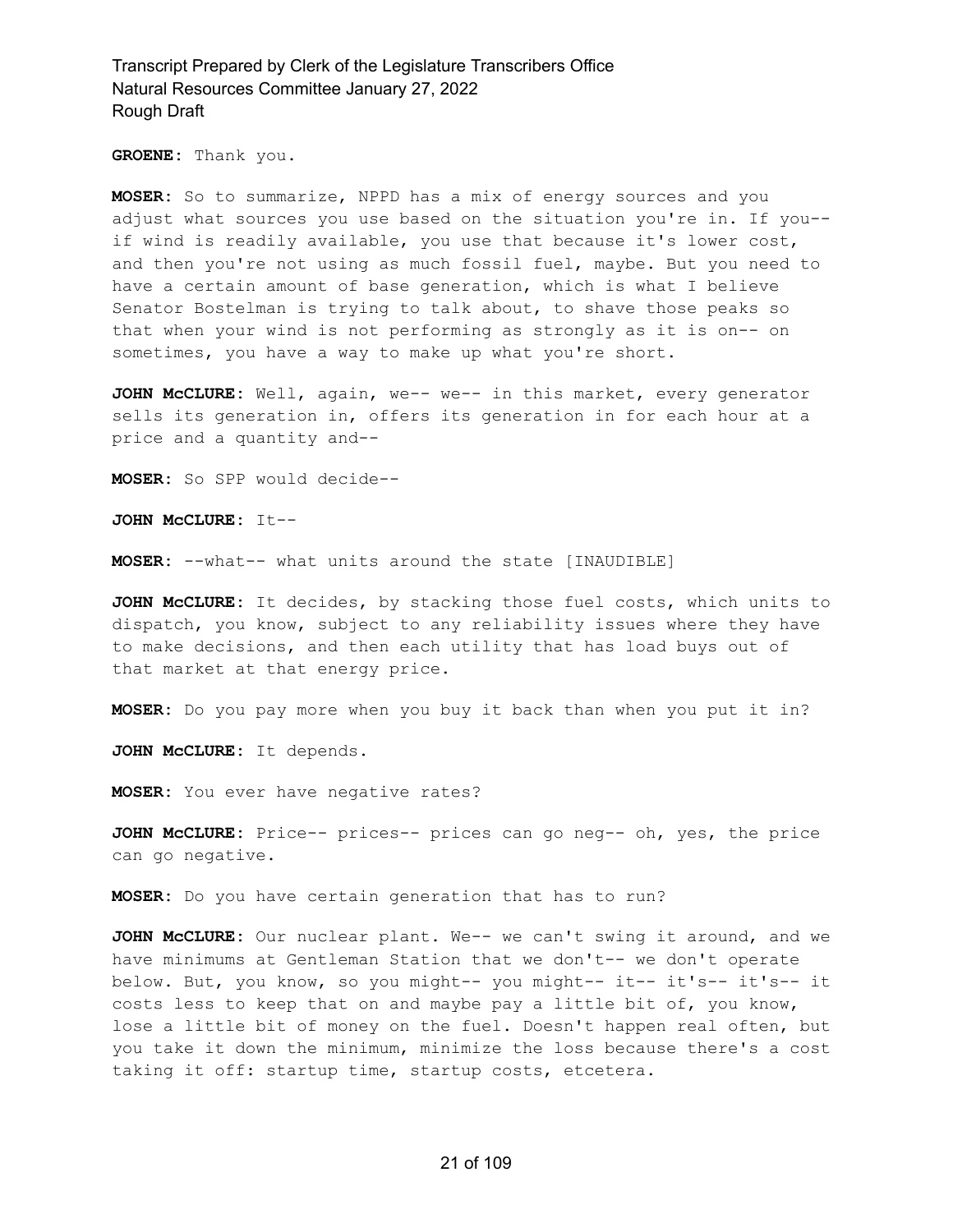**GROENE:** Thank you.

**MOSER:** So to summarize, NPPD has a mix of energy sources and you adjust what sources you use based on the situation you're in. If you- if wind is readily available, you use that because it's lower cost, and then you're not using as much fossil fuel, maybe. But you need to have a certain amount of base generation, which is what I believe Senator Bostelman is trying to talk about, to shave those peaks so that when your wind is not performing as strongly as it is on-- on sometimes, you have a way to make up what you're short.

**JOHN McCLURE:** Well, again, we-- we-- in this market, every generator sells its generation in, offers its generation in for each hour at a price and a quantity and--

**MOSER:** So SPP would decide--

**JOHN McCLURE:** It--

**MOSER:** --what-- what units around the state [INAUDIBLE]

**JOHN McCLURE:** It decides, by stacking those fuel costs, which units to dispatch, you know, subject to any reliability issues where they have to make decisions, and then each utility that has load buys out of that market at that energy price.

**MOSER:** Do you pay more when you buy it back than when you put it in?

**JOHN McCLURE:** It depends.

**MOSER:** You ever have negative rates?

**JOHN McCLURE:** Price-- prices-- prices can go neg-- oh, yes, the price can go negative.

**MOSER:** Do you have certain generation that has to run?

**JOHN McCLURE:** Our nuclear plant. We-- we can't swing it around, and we have minimums at Gentleman Station that we don't-- we don't operate below. But, you know, so you might-- you might-- it-- it's-- it's-- it costs less to keep that on and maybe pay a little bit of, you know, lose a little bit of money on the fuel. Doesn't happen real often, but you take it down the minimum, minimize the loss because there's a cost taking it off: startup time, startup costs, etcetera.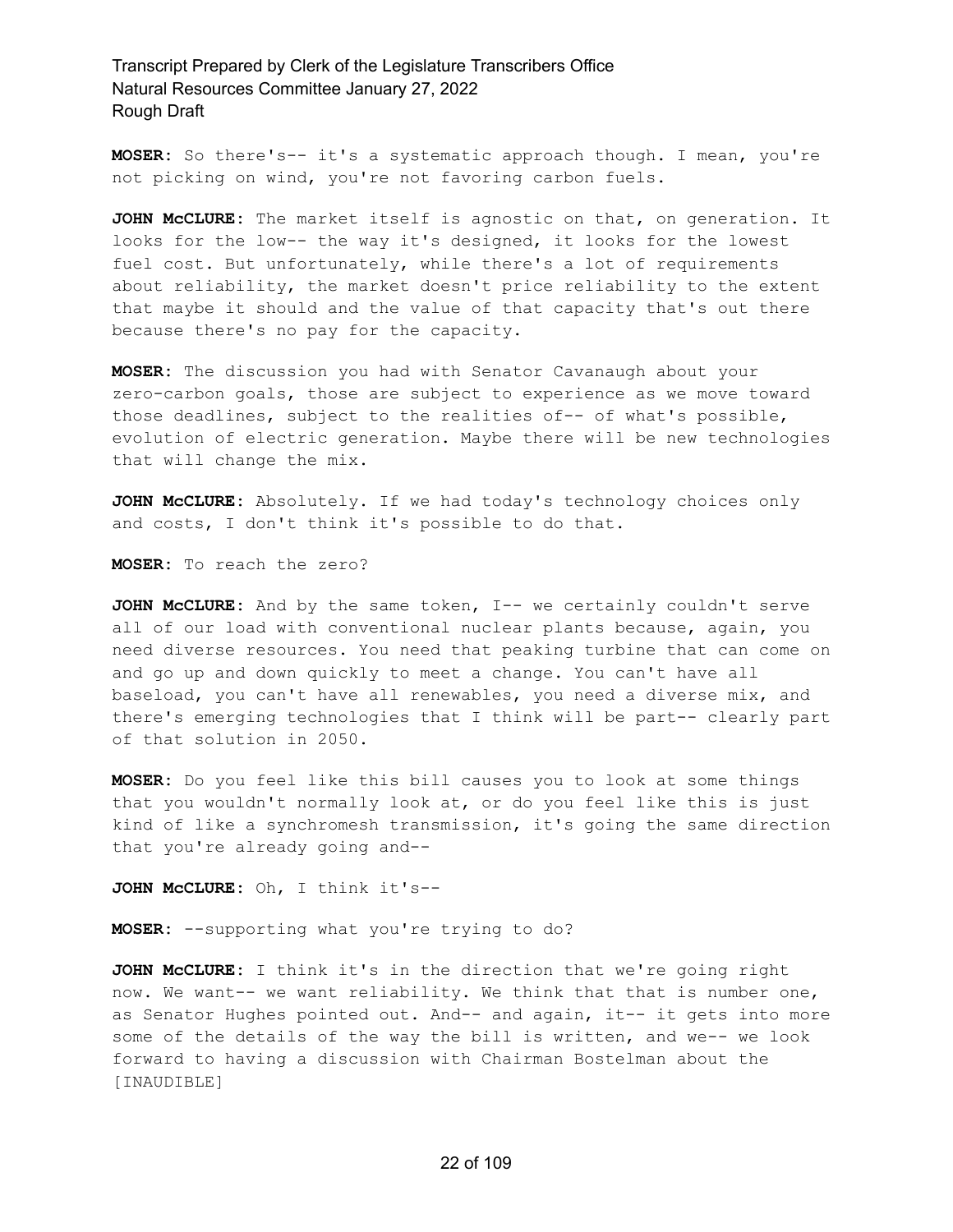**MOSER:** So there's-- it's a systematic approach though. I mean, you're not picking on wind, you're not favoring carbon fuels.

**JOHN McCLURE:** The market itself is agnostic on that, on generation. It looks for the low-- the way it's designed, it looks for the lowest fuel cost. But unfortunately, while there's a lot of requirements about reliability, the market doesn't price reliability to the extent that maybe it should and the value of that capacity that's out there because there's no pay for the capacity.

**MOSER:** The discussion you had with Senator Cavanaugh about your zero-carbon goals, those are subject to experience as we move toward those deadlines, subject to the realities of-- of what's possible, evolution of electric generation. Maybe there will be new technologies that will change the mix.

**JOHN McCLURE:** Absolutely. If we had today's technology choices only and costs, I don't think it's possible to do that.

**MOSER:** To reach the zero?

**JOHN McCLURE:** And by the same token, I-- we certainly couldn't serve all of our load with conventional nuclear plants because, again, you need diverse resources. You need that peaking turbine that can come on and go up and down quickly to meet a change. You can't have all baseload, you can't have all renewables, you need a diverse mix, and there's emerging technologies that I think will be part-- clearly part of that solution in 2050.

**MOSER:** Do you feel like this bill causes you to look at some things that you wouldn't normally look at, or do you feel like this is just kind of like a synchromesh transmission, it's going the same direction that you're already going and--

**JOHN McCLURE:** Oh, I think it's--

**MOSER:** --supporting what you're trying to do?

**JOHN McCLURE:** I think it's in the direction that we're going right now. We want-- we want reliability. We think that that is number one, as Senator Hughes pointed out. And-- and again, it-- it gets into more some of the details of the way the bill is written, and we-- we look forward to having a discussion with Chairman Bostelman about the [INAUDIBLE]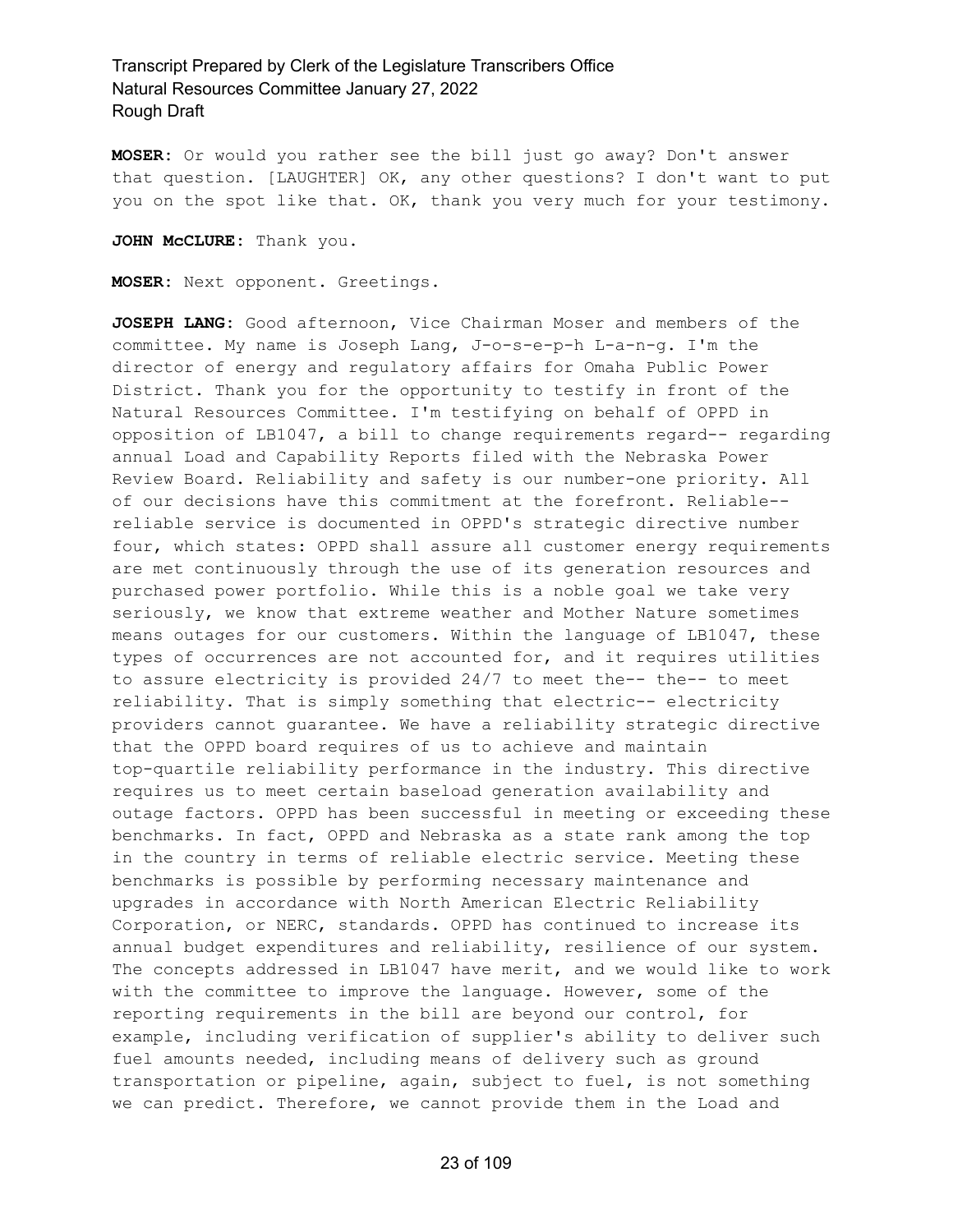**MOSER:** Or would you rather see the bill just go away? Don't answer that question. [LAUGHTER] OK, any other questions? I don't want to put you on the spot like that. OK, thank you very much for your testimony.

**JOHN McCLURE:** Thank you.

**MOSER:** Next opponent. Greetings.

**JOSEPH LANG:** Good afternoon, Vice Chairman Moser and members of the committee. My name is Joseph Lang, J-o-s-e-p-h L-a-n-g. I'm the director of energy and regulatory affairs for Omaha Public Power District. Thank you for the opportunity to testify in front of the Natural Resources Committee. I'm testifying on behalf of OPPD in opposition of LB1047, a bill to change requirements regard-- regarding annual Load and Capability Reports filed with the Nebraska Power Review Board. Reliability and safety is our number-one priority. All of our decisions have this commitment at the forefront. Reliable- reliable service is documented in OPPD's strategic directive number four, which states: OPPD shall assure all customer energy requirements are met continuously through the use of its generation resources and purchased power portfolio. While this is a noble goal we take very seriously, we know that extreme weather and Mother Nature sometimes means outages for our customers. Within the language of LB1047, these types of occurrences are not accounted for, and it requires utilities to assure electricity is provided 24/7 to meet the-- the-- to meet reliability. That is simply something that electric-- electricity providers cannot guarantee. We have a reliability strategic directive that the OPPD board requires of us to achieve and maintain top-quartile reliability performance in the industry. This directive requires us to meet certain baseload generation availability and outage factors. OPPD has been successful in meeting or exceeding these benchmarks. In fact, OPPD and Nebraska as a state rank among the top in the country in terms of reliable electric service. Meeting these benchmarks is possible by performing necessary maintenance and upgrades in accordance with North American Electric Reliability Corporation, or NERC, standards. OPPD has continued to increase its annual budget expenditures and reliability, resilience of our system. The concepts addressed in LB1047 have merit, and we would like to work with the committee to improve the language. However, some of the reporting requirements in the bill are beyond our control, for example, including verification of supplier's ability to deliver such fuel amounts needed, including means of delivery such as ground transportation or pipeline, again, subject to fuel, is not something we can predict. Therefore, we cannot provide them in the Load and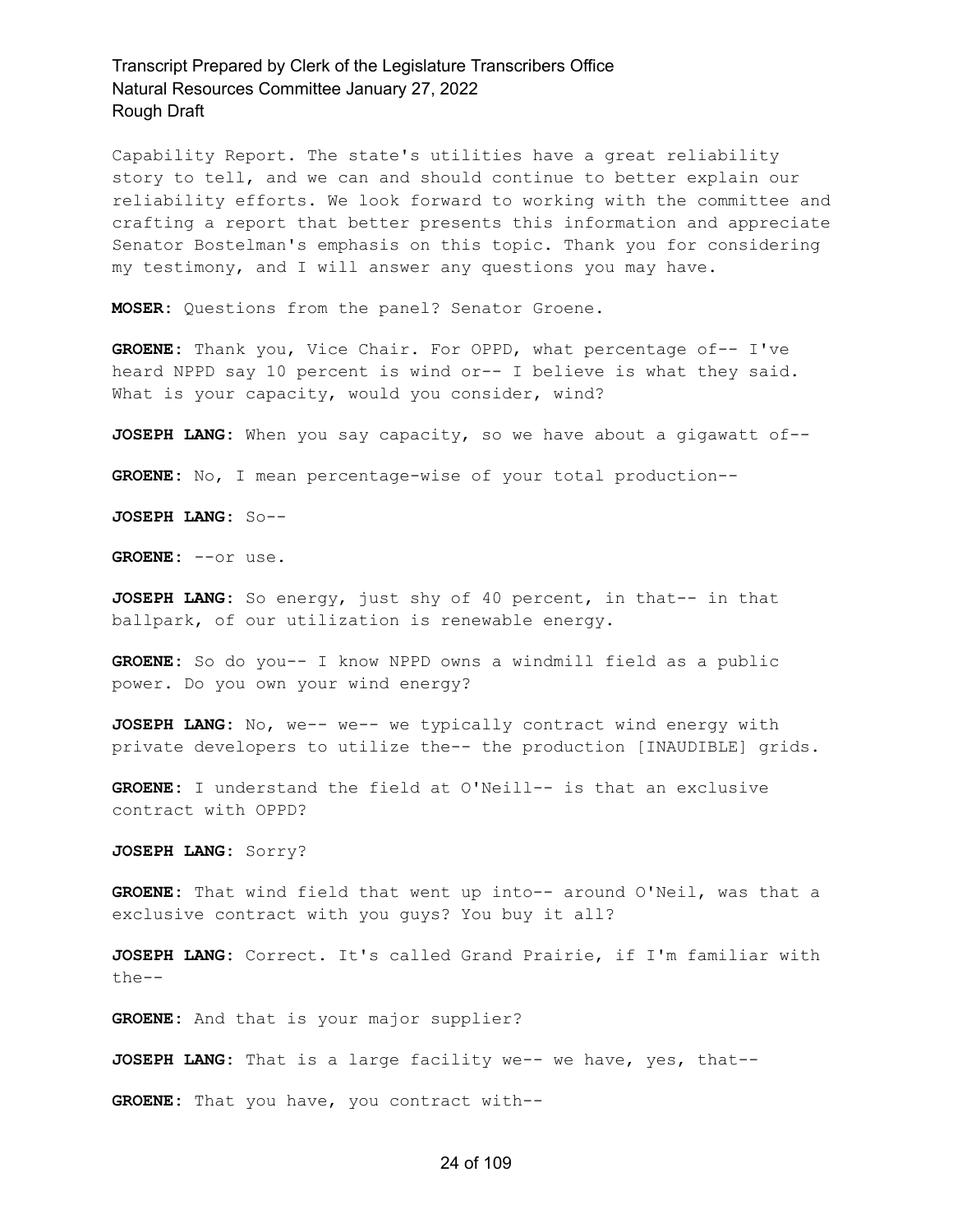Capability Report. The state's utilities have a great reliability story to tell, and we can and should continue to better explain our reliability efforts. We look forward to working with the committee and crafting a report that better presents this information and appreciate Senator Bostelman's emphasis on this topic. Thank you for considering my testimony, and I will answer any questions you may have.

**MOSER:** Questions from the panel? Senator Groene.

**GROENE:** Thank you, Vice Chair. For OPPD, what percentage of-- I've heard NPPD say 10 percent is wind or-- I believe is what they said. What is your capacity, would you consider, wind?

**JOSEPH LANG:** When you say capacity, so we have about a gigawatt of--

**GROENE:** No, I mean percentage-wise of your total production--

**JOSEPH LANG:** So--

**GROENE:** --or use.

**JOSEPH LANG:** So energy, just shy of 40 percent, in that-- in that ballpark, of our utilization is renewable energy.

**GROENE:** So do you-- I know NPPD owns a windmill field as a public power. Do you own your wind energy?

**JOSEPH LANG:** No, we-- we-- we typically contract wind energy with private developers to utilize the-- the production [INAUDIBLE] grids.

**GROENE:** I understand the field at O'Neill-- is that an exclusive contract with OPPD?

**JOSEPH LANG:** Sorry?

**GROENE:** That wind field that went up into-- around O'Neil, was that a exclusive contract with you guys? You buy it all?

**JOSEPH LANG:** Correct. It's called Grand Prairie, if I'm familiar with the--

**GROENE:** And that is your major supplier?

**JOSEPH LANG:** That is a large facility we-- we have, yes, that--

**GROENE:** That you have, you contract with--

#### 24 of 109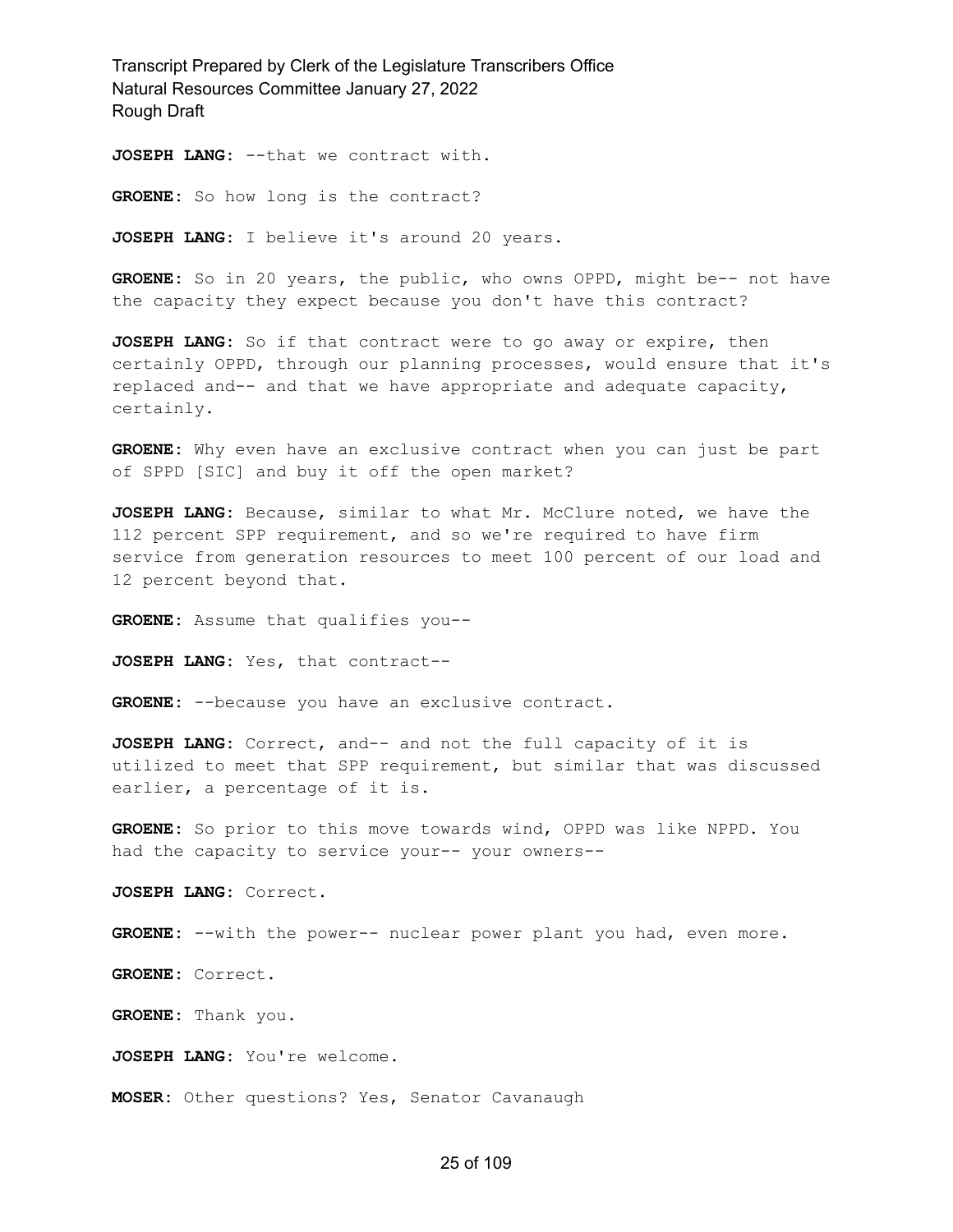**JOSEPH LANG:** --that we contract with.

GROENE: So how long is the contract?

**JOSEPH LANG:** I believe it's around 20 years.

**GROENE:** So in 20 years, the public, who owns OPPD, might be-- not have the capacity they expect because you don't have this contract?

**JOSEPH LANG:** So if that contract were to go away or expire, then certainly OPPD, through our planning processes, would ensure that it's replaced and-- and that we have appropriate and adequate capacity, certainly.

**GROENE:** Why even have an exclusive contract when you can just be part of SPPD [SIC] and buy it off the open market?

**JOSEPH LANG:** Because, similar to what Mr. McClure noted, we have the 112 percent SPP requirement, and so we're required to have firm service from generation resources to meet 100 percent of our load and 12 percent beyond that.

**GROENE:** Assume that qualifies you--

**JOSEPH LANG:** Yes, that contract--

**GROENE:** --because you have an exclusive contract.

**JOSEPH LANG:** Correct, and-- and not the full capacity of it is utilized to meet that SPP requirement, but similar that was discussed earlier, a percentage of it is.

**GROENE:** So prior to this move towards wind, OPPD was like NPPD. You had the capacity to service your-- your owners--

**JOSEPH LANG:** Correct.

**GROENE:** --with the power-- nuclear power plant you had, even more.

**GROENE:** Correct.

**GROENE:** Thank you.

**JOSEPH LANG:** You're welcome.

**MOSER:** Other questions? Yes, Senator Cavanaugh

#### 25 of 109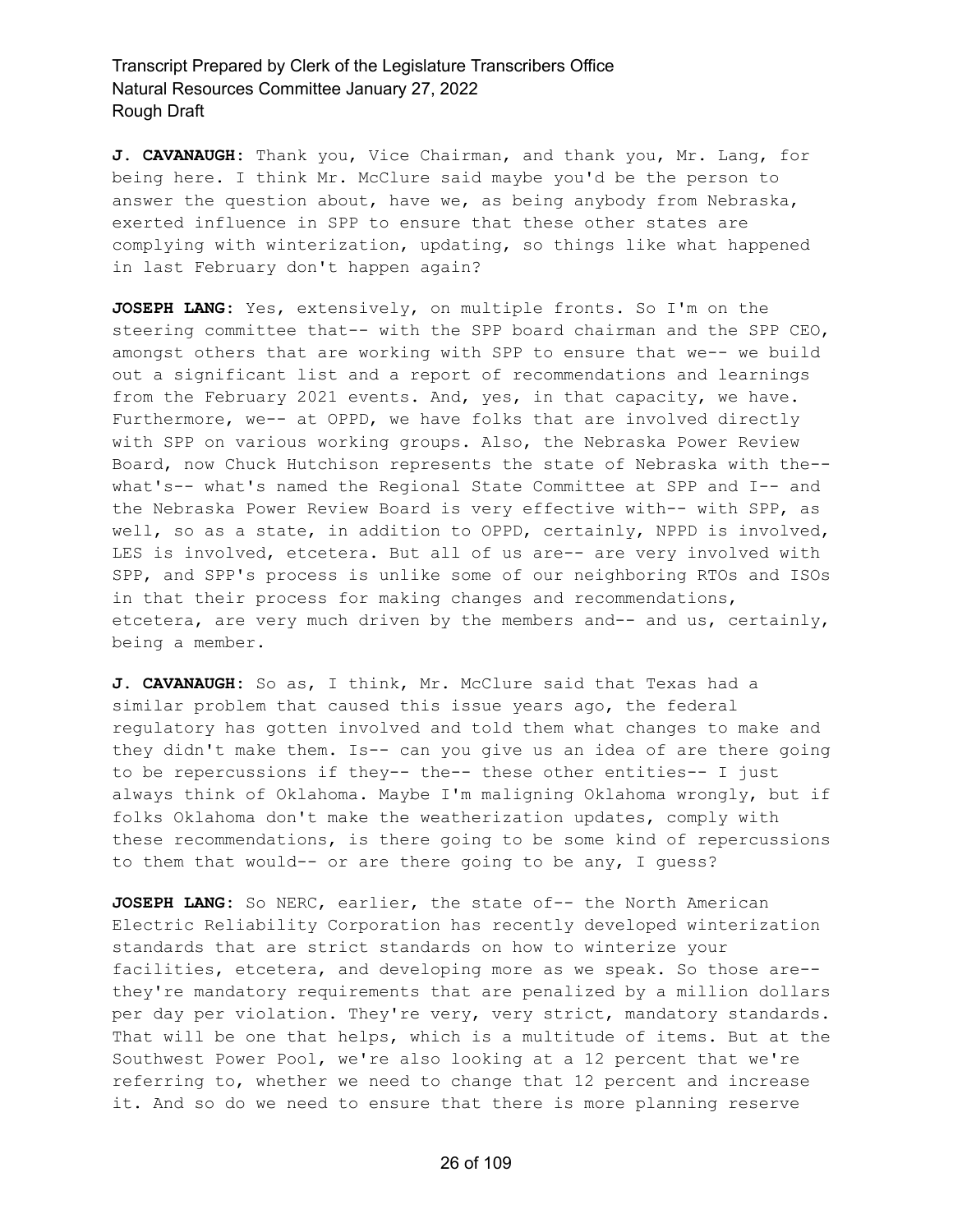**J. CAVANAUGH:** Thank you, Vice Chairman, and thank you, Mr. Lang, for being here. I think Mr. McClure said maybe you'd be the person to answer the question about, have we, as being anybody from Nebraska, exerted influence in SPP to ensure that these other states are complying with winterization, updating, so things like what happened in last February don't happen again?

**JOSEPH LANG:** Yes, extensively, on multiple fronts. So I'm on the steering committee that-- with the SPP board chairman and the SPP CEO, amongst others that are working with SPP to ensure that we-- we build out a significant list and a report of recommendations and learnings from the February 2021 events. And, yes, in that capacity, we have. Furthermore, we-- at OPPD, we have folks that are involved directly with SPP on various working groups. Also, the Nebraska Power Review Board, now Chuck Hutchison represents the state of Nebraska with the- what's-- what's named the Regional State Committee at SPP and I-- and the Nebraska Power Review Board is very effective with-- with SPP, as well, so as a state, in addition to OPPD, certainly, NPPD is involved, LES is involved, etcetera. But all of us are-- are very involved with SPP, and SPP's process is unlike some of our neighboring RTOs and ISOs in that their process for making changes and recommendations, etcetera, are very much driven by the members and-- and us, certainly, being a member.

**J. CAVANAUGH:** So as, I think, Mr. McClure said that Texas had a similar problem that caused this issue years ago, the federal regulatory has gotten involved and told them what changes to make and they didn't make them. Is-- can you give us an idea of are there going to be repercussions if they-- the-- these other entities-- I just always think of Oklahoma. Maybe I'm maligning Oklahoma wrongly, but if folks Oklahoma don't make the weatherization updates, comply with these recommendations, is there going to be some kind of repercussions to them that would-- or are there going to be any, I guess?

**JOSEPH LANG:** So NERC, earlier, the state of-- the North American Electric Reliability Corporation has recently developed winterization standards that are strict standards on how to winterize your facilities, etcetera, and developing more as we speak. So those are- they're mandatory requirements that are penalized by a million dollars per day per violation. They're very, very strict, mandatory standards. That will be one that helps, which is a multitude of items. But at the Southwest Power Pool, we're also looking at a 12 percent that we're referring to, whether we need to change that 12 percent and increase it. And so do we need to ensure that there is more planning reserve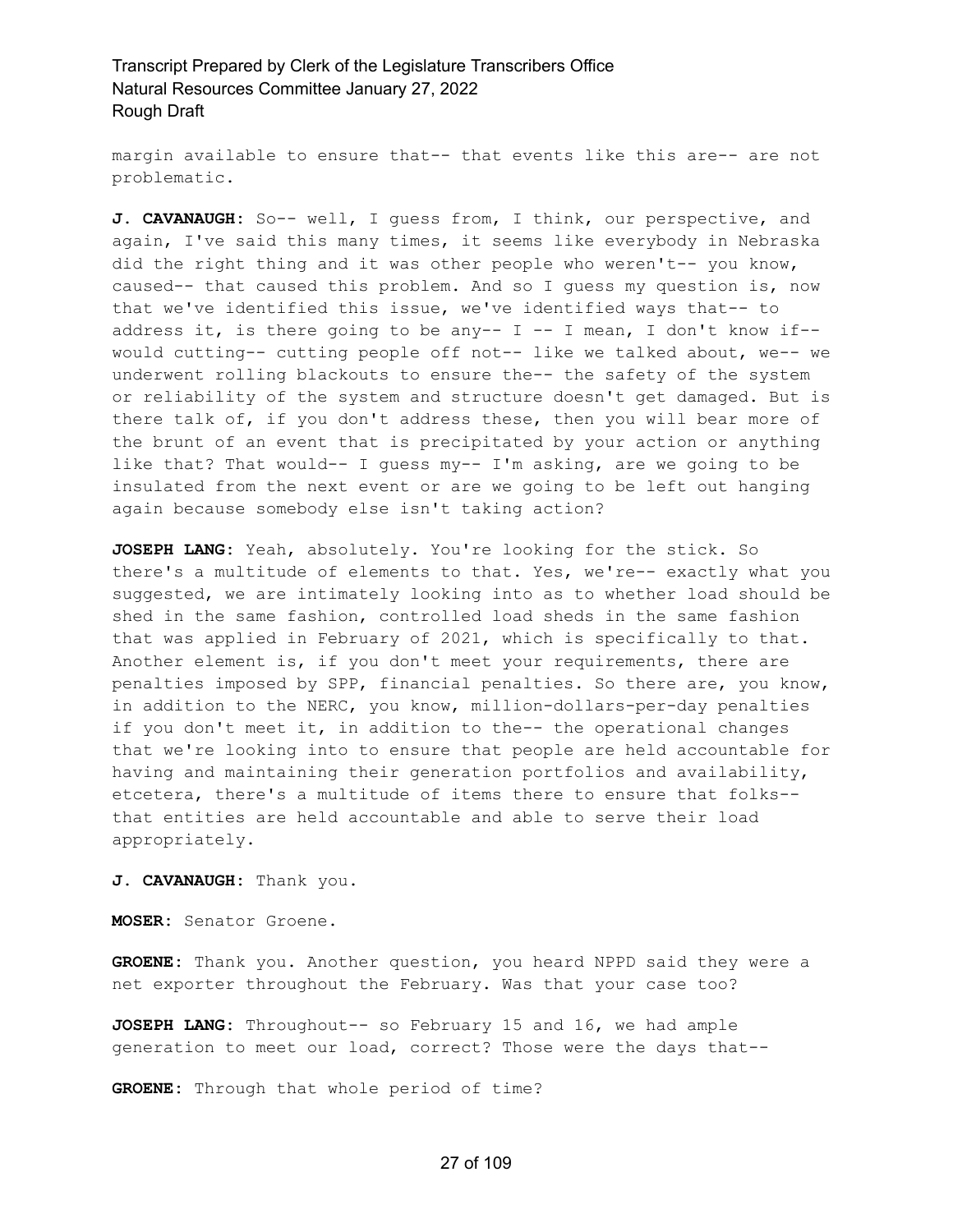margin available to ensure that-- that events like this are-- are not problematic.

**J. CAVANAUGH:** So-- well, I guess from, I think, our perspective, and again, I've said this many times, it seems like everybody in Nebraska did the right thing and it was other people who weren't-- you know, caused-- that caused this problem. And so I guess my question is, now that we've identified this issue, we've identified ways that-- to address it, is there going to be any--  $I$  -- I mean, I don't know if-would cutting-- cutting people off not-- like we talked about, we-- we underwent rolling blackouts to ensure the-- the safety of the system or reliability of the system and structure doesn't get damaged. But is there talk of, if you don't address these, then you will bear more of the brunt of an event that is precipitated by your action or anything like that? That would-- I guess my-- I'm asking, are we going to be insulated from the next event or are we going to be left out hanging again because somebody else isn't taking action?

**JOSEPH LANG:** Yeah, absolutely. You're looking for the stick. So there's a multitude of elements to that. Yes, we're-- exactly what you suggested, we are intimately looking into as to whether load should be shed in the same fashion, controlled load sheds in the same fashion that was applied in February of 2021, which is specifically to that. Another element is, if you don't meet your requirements, there are penalties imposed by SPP, financial penalties. So there are, you know, in addition to the NERC, you know, million-dollars-per-day penalties if you don't meet it, in addition to the-- the operational changes that we're looking into to ensure that people are held accountable for having and maintaining their generation portfolios and availability, etcetera, there's a multitude of items there to ensure that folks- that entities are held accountable and able to serve their load appropriately.

**J. CAVANAUGH:** Thank you.

**MOSER:** Senator Groene.

**GROENE:** Thank you. Another question, you heard NPPD said they were a net exporter throughout the February. Was that your case too?

**JOSEPH LANG:** Throughout-- so February 15 and 16, we had ample generation to meet our load, correct? Those were the days that--

**GROENE:** Through that whole period of time?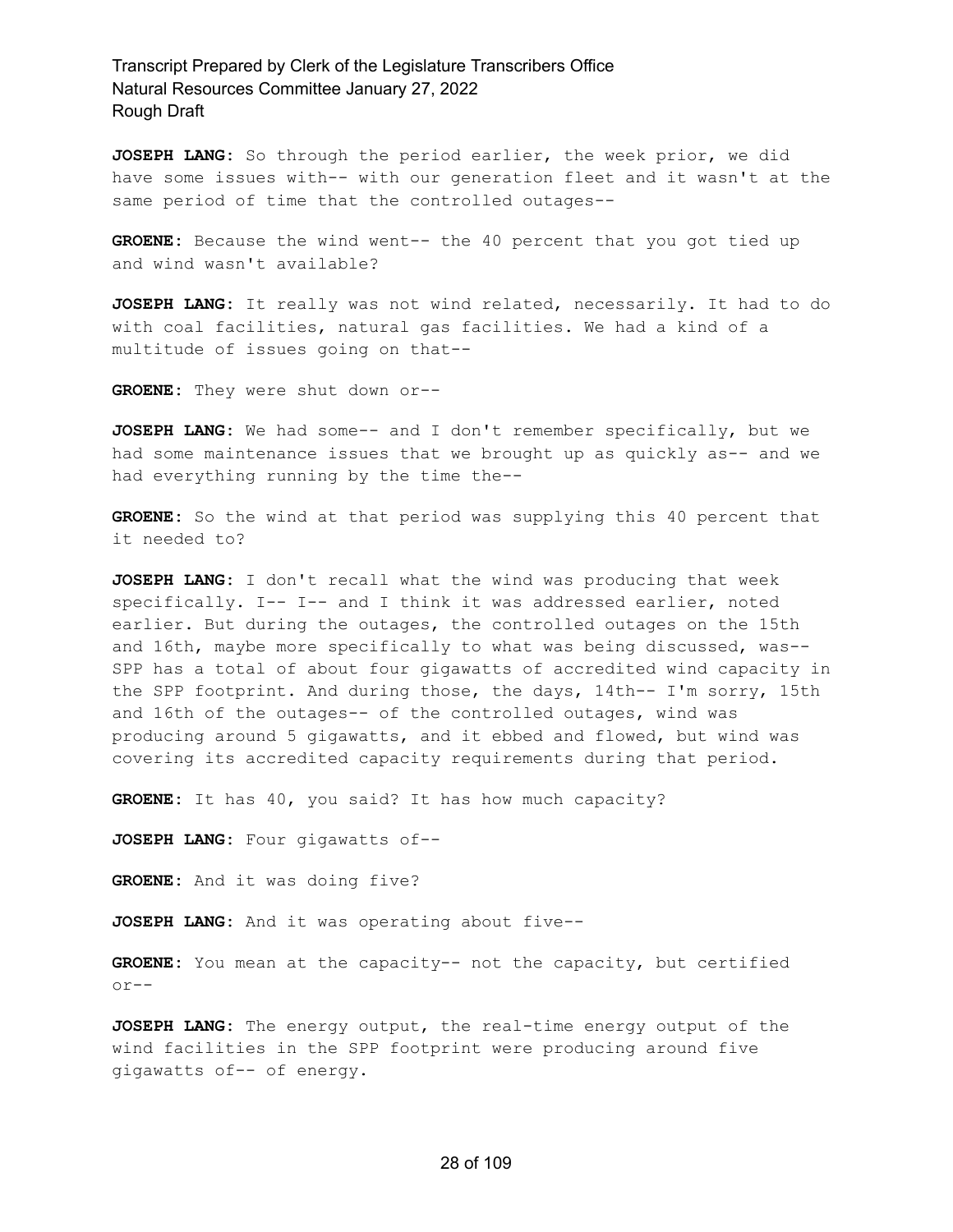**JOSEPH LANG:** So through the period earlier, the week prior, we did have some issues with-- with our generation fleet and it wasn't at the same period of time that the controlled outages--

**GROENE:** Because the wind went-- the 40 percent that you got tied up and wind wasn't available?

**JOSEPH LANG:** It really was not wind related, necessarily. It had to do with coal facilities, natural gas facilities. We had a kind of a multitude of issues going on that--

**GROENE:** They were shut down or--

**JOSEPH LANG:** We had some-- and I don't remember specifically, but we had some maintenance issues that we brought up as quickly as-- and we had everything running by the time the--

**GROENE:** So the wind at that period was supplying this 40 percent that it needed to?

**JOSEPH LANG:** I don't recall what the wind was producing that week specifically. I-- I-- and I think it was addressed earlier, noted earlier. But during the outages, the controlled outages on the 15th and 16th, maybe more specifically to what was being discussed, was-- SPP has a total of about four gigawatts of accredited wind capacity in the SPP footprint. And during those, the days, 14th-- I'm sorry, 15th and 16th of the outages-- of the controlled outages, wind was producing around 5 gigawatts, and it ebbed and flowed, but wind was covering its accredited capacity requirements during that period.

**GROENE:** It has 40, you said? It has how much capacity?

**JOSEPH LANG:** Four gigawatts of--

**GROENE:** And it was doing five?

**JOSEPH LANG:** And it was operating about five--

**GROENE:** You mean at the capacity-- not the capacity, but certified or--

**JOSEPH LANG:** The energy output, the real-time energy output of the wind facilities in the SPP footprint were producing around five gigawatts of-- of energy.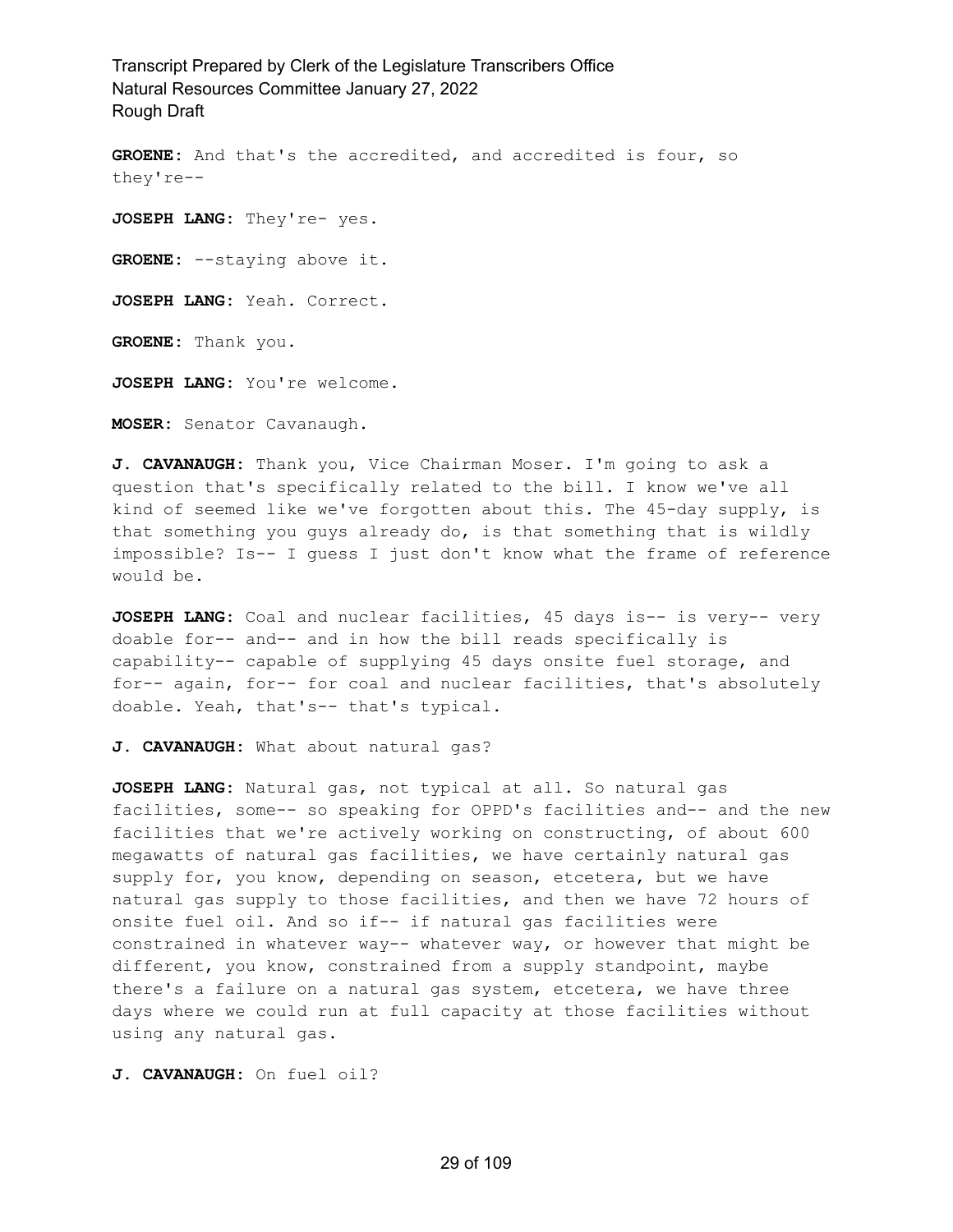**GROENE:** And that's the accredited, and accredited is four, so they're-- **JOSEPH LANG:** They're- yes. **GROENE:** --staying above it. **JOSEPH LANG:** Yeah. Correct. **GROENE:** Thank you. **JOSEPH LANG:** You're welcome.

**MOSER:** Senator Cavanaugh.

**J. CAVANAUGH:** Thank you, Vice Chairman Moser. I'm going to ask a question that's specifically related to the bill. I know we've all kind of seemed like we've forgotten about this. The 45-day supply, is that something you guys already do, is that something that is wildly impossible? Is-- I guess I just don't know what the frame of reference would be.

**JOSEPH LANG:** Coal and nuclear facilities, 45 days is-- is very-- very doable for-- and-- and in how the bill reads specifically is capability-- capable of supplying 45 days onsite fuel storage, and for-- again, for-- for coal and nuclear facilities, that's absolutely doable. Yeah, that's-- that's typical.

**J. CAVANAUGH:** What about natural gas?

**JOSEPH LANG:** Natural gas, not typical at all. So natural gas facilities, some-- so speaking for OPPD's facilities and-- and the new facilities that we're actively working on constructing, of about 600 megawatts of natural gas facilities, we have certainly natural gas supply for, you know, depending on season, etcetera, but we have natural gas supply to those facilities, and then we have 72 hours of onsite fuel oil. And so if-- if natural gas facilities were constrained in whatever way-- whatever way, or however that might be different, you know, constrained from a supply standpoint, maybe there's a failure on a natural gas system, etcetera, we have three days where we could run at full capacity at those facilities without using any natural gas.

**J. CAVANAUGH:** On fuel oil?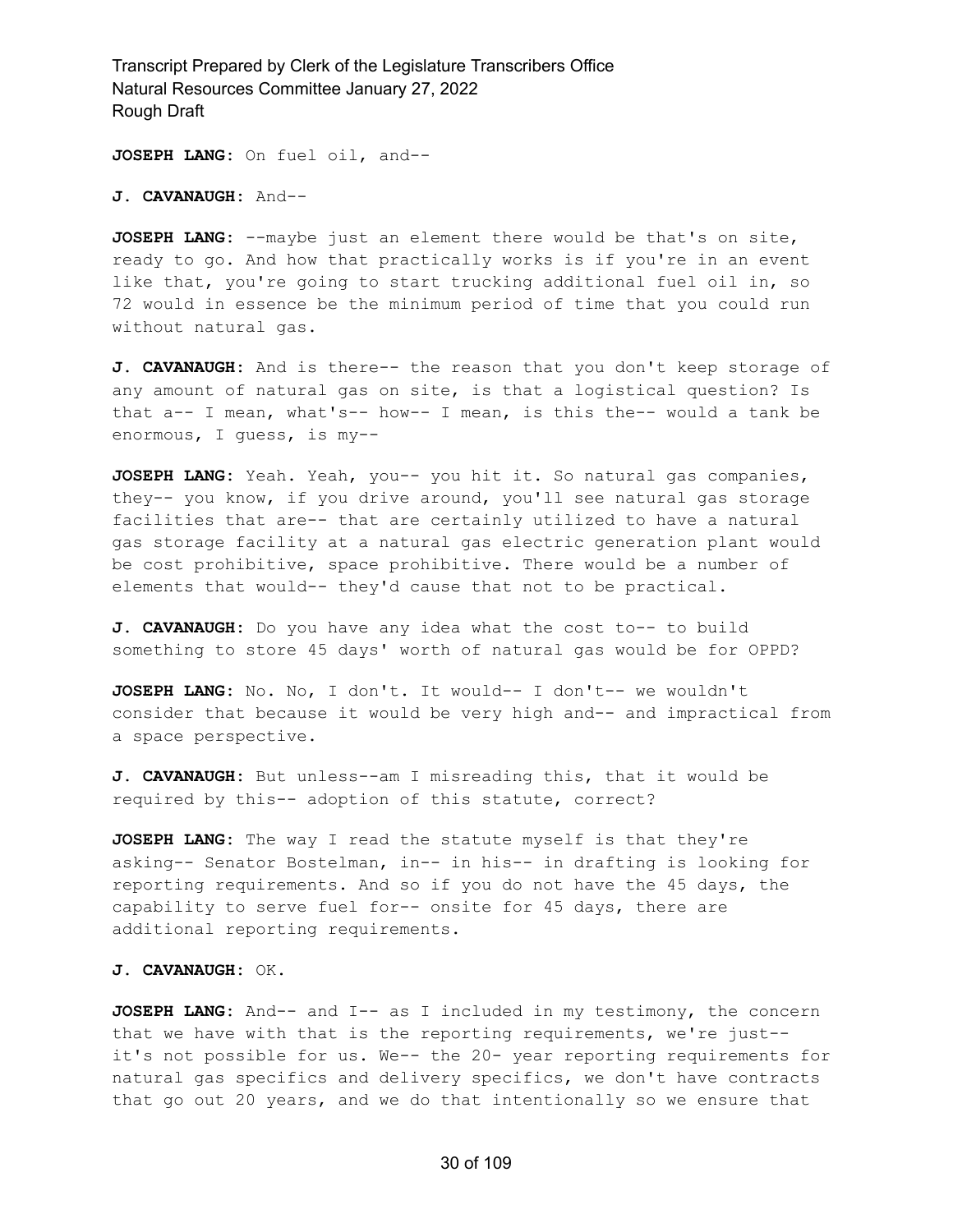**JOSEPH LANG:** On fuel oil, and--

**J. CAVANAUGH:** And--

**JOSEPH LANG:** --maybe just an element there would be that's on site, ready to go. And how that practically works is if you're in an event like that, you're going to start trucking additional fuel oil in, so 72 would in essence be the minimum period of time that you could run without natural gas.

**J. CAVANAUGH:** And is there-- the reason that you don't keep storage of any amount of natural gas on site, is that a logistical question? Is that a-- I mean, what's-- how-- I mean, is this the-- would a tank be enormous, I guess, is my--

**JOSEPH LANG:** Yeah. Yeah, you-- you hit it. So natural gas companies, they-- you know, if you drive around, you'll see natural gas storage facilities that are-- that are certainly utilized to have a natural gas storage facility at a natural gas electric generation plant would be cost prohibitive, space prohibitive. There would be a number of elements that would-- they'd cause that not to be practical.

**J. CAVANAUGH:** Do you have any idea what the cost to-- to build something to store 45 days' worth of natural gas would be for OPPD?

**JOSEPH LANG:** No. No, I don't. It would-- I don't-- we wouldn't consider that because it would be very high and-- and impractical from a space perspective.

**J. CAVANAUGH:** But unless--am I misreading this, that it would be required by this-- adoption of this statute, correct?

**JOSEPH LANG:** The way I read the statute myself is that they're asking-- Senator Bostelman, in-- in his-- in drafting is looking for reporting requirements. And so if you do not have the 45 days, the capability to serve fuel for-- onsite for 45 days, there are additional reporting requirements.

#### **J. CAVANAUGH:** OK.

**JOSEPH LANG:** And-- and I-- as I included in my testimony, the concern that we have with that is the reporting requirements, we're just- it's not possible for us. We-- the 20- year reporting requirements for natural gas specifics and delivery specifics, we don't have contracts that go out 20 years, and we do that intentionally so we ensure that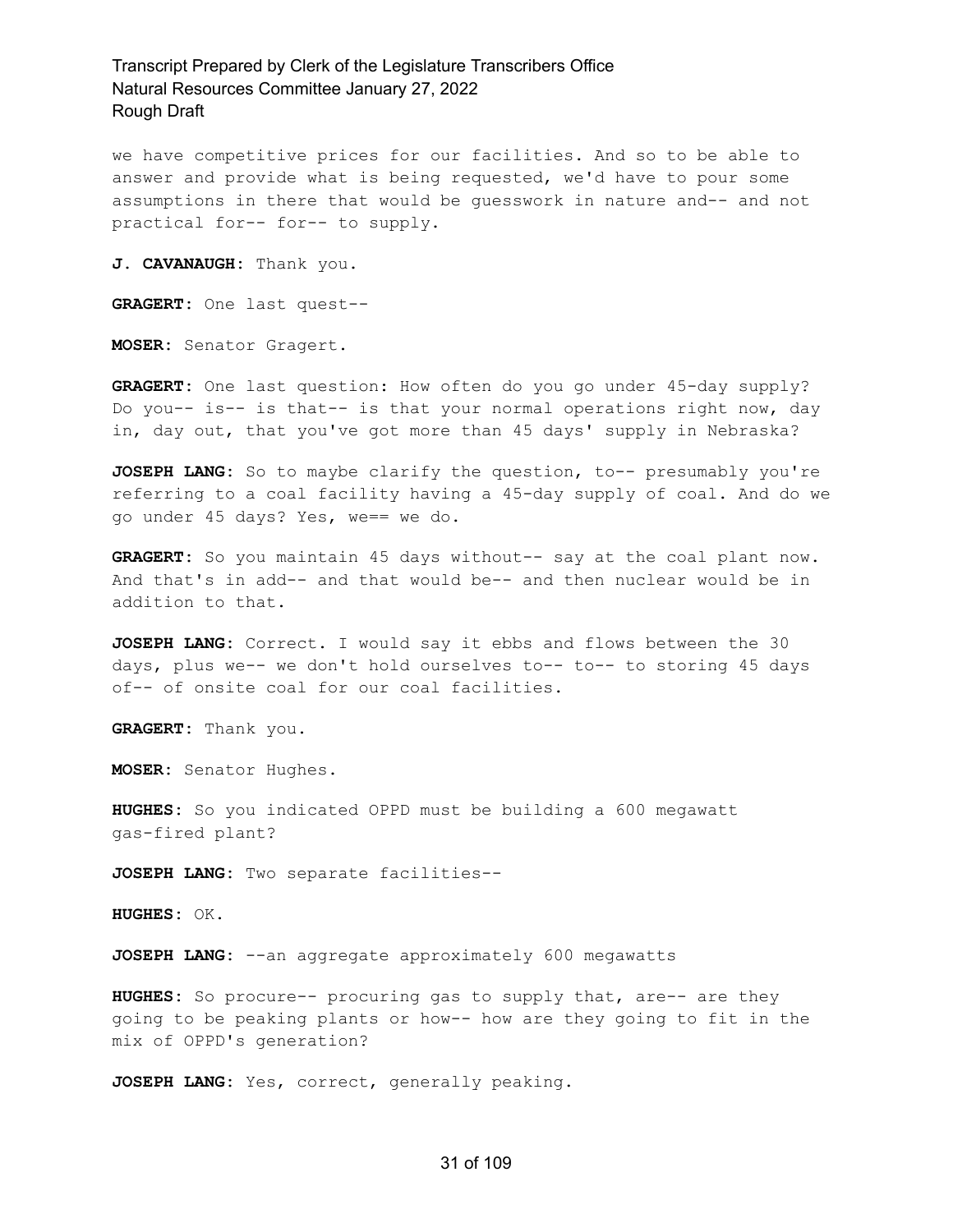we have competitive prices for our facilities. And so to be able to answer and provide what is being requested, we'd have to pour some assumptions in there that would be guesswork in nature and-- and not practical for-- for-- to supply.

**J. CAVANAUGH:** Thank you.

**GRAGERT:** One last quest--

**MOSER:** Senator Gragert.

**GRAGERT:** One last question: How often do you go under 45-day supply? Do you-- is-- is that-- is that your normal operations right now, day in, day out, that you've got more than 45 days' supply in Nebraska?

**JOSEPH LANG:** So to maybe clarify the question, to-- presumably you're referring to a coal facility having a 45-day supply of coal. And do we go under 45 days? Yes, we== we do.

**GRAGERT:** So you maintain 45 days without-- say at the coal plant now. And that's in add-- and that would be-- and then nuclear would be in addition to that.

**JOSEPH LANG:** Correct. I would say it ebbs and flows between the 30 days, plus we-- we don't hold ourselves to-- to-- to storing 45 days of-- of onsite coal for our coal facilities.

**GRAGERT:** Thank you.

**MOSER:** Senator Hughes.

**HUGHES:** So you indicated OPPD must be building a 600 megawatt gas-fired plant?

**JOSEPH LANG:** Two separate facilities--

**HUGHES:** OK.

**JOSEPH LANG:** --an aggregate approximately 600 megawatts

**HUGHES:** So procure-- procuring gas to supply that, are-- are they going to be peaking plants or how-- how are they going to fit in the mix of OPPD's generation?

**JOSEPH LANG:** Yes, correct, generally peaking.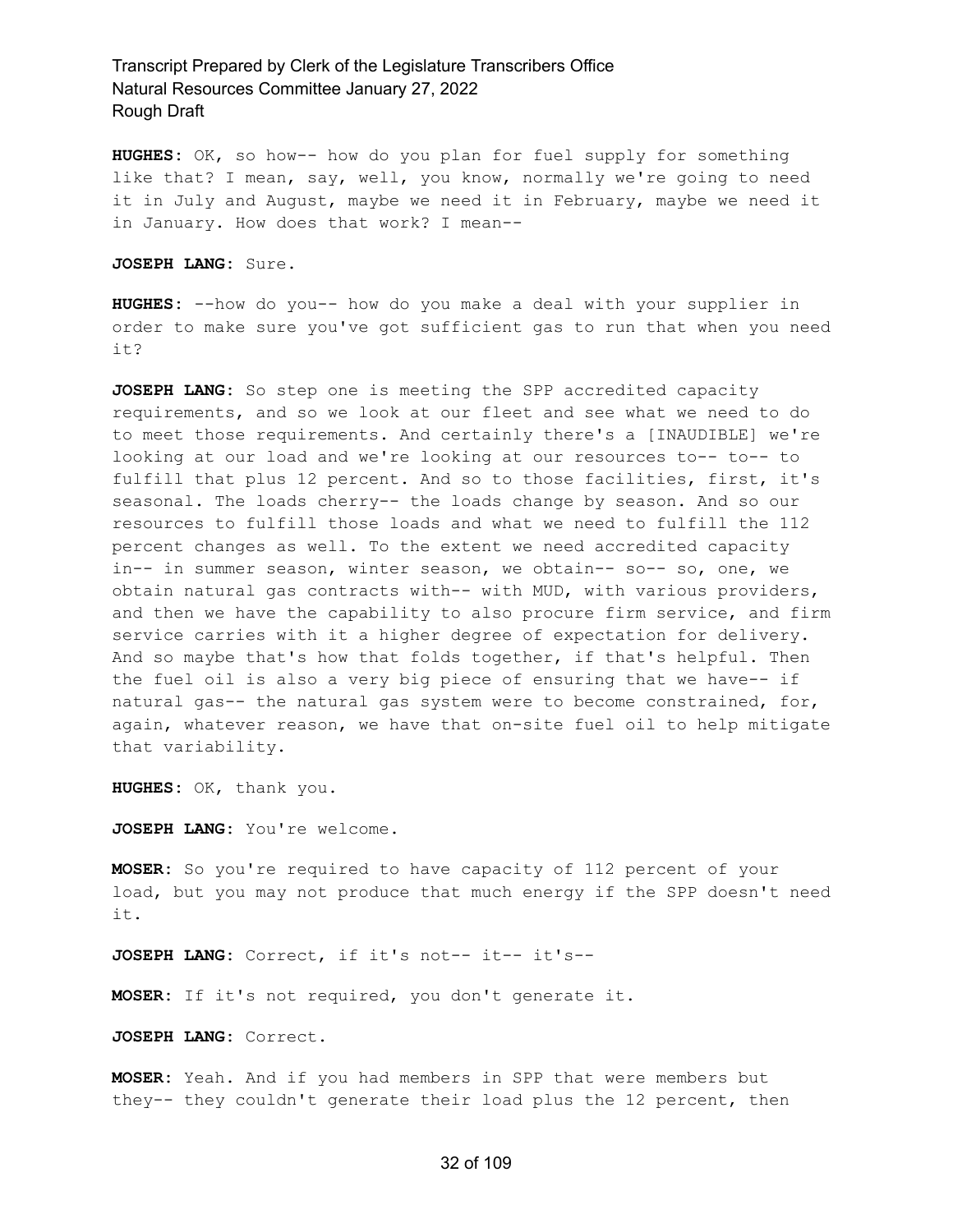**HUGHES:** OK, so how-- how do you plan for fuel supply for something like that? I mean, say, well, you know, normally we're going to need it in July and August, maybe we need it in February, maybe we need it in January. How does that work? I mean--

**JOSEPH LANG:** Sure.

**HUGHES:** --how do you-- how do you make a deal with your supplier in order to make sure you've got sufficient gas to run that when you need it?

**JOSEPH LANG:** So step one is meeting the SPP accredited capacity requirements, and so we look at our fleet and see what we need to do to meet those requirements. And certainly there's a [INAUDIBLE] we're looking at our load and we're looking at our resources to-- to-- to fulfill that plus 12 percent. And so to those facilities, first, it's seasonal. The loads cherry-- the loads change by season. And so our resources to fulfill those loads and what we need to fulfill the 112 percent changes as well. To the extent we need accredited capacity in-- in summer season, winter season, we obtain-- so-- so, one, we obtain natural gas contracts with-- with MUD, with various providers, and then we have the capability to also procure firm service, and firm service carries with it a higher degree of expectation for delivery. And so maybe that's how that folds together, if that's helpful. Then the fuel oil is also a very big piece of ensuring that we have-- if natural gas-- the natural gas system were to become constrained, for, again, whatever reason, we have that on-site fuel oil to help mitigate that variability.

**HUGHES:** OK, thank you.

**JOSEPH LANG:** You're welcome.

**MOSER:** So you're required to have capacity of 112 percent of your load, but you may not produce that much energy if the SPP doesn't need it.

**JOSEPH LANG:** Correct, if it's not-- it-- it's--

**MOSER:** If it's not required, you don't generate it.

**JOSEPH LANG:** Correct.

**MOSER:** Yeah. And if you had members in SPP that were members but they-- they couldn't generate their load plus the 12 percent, then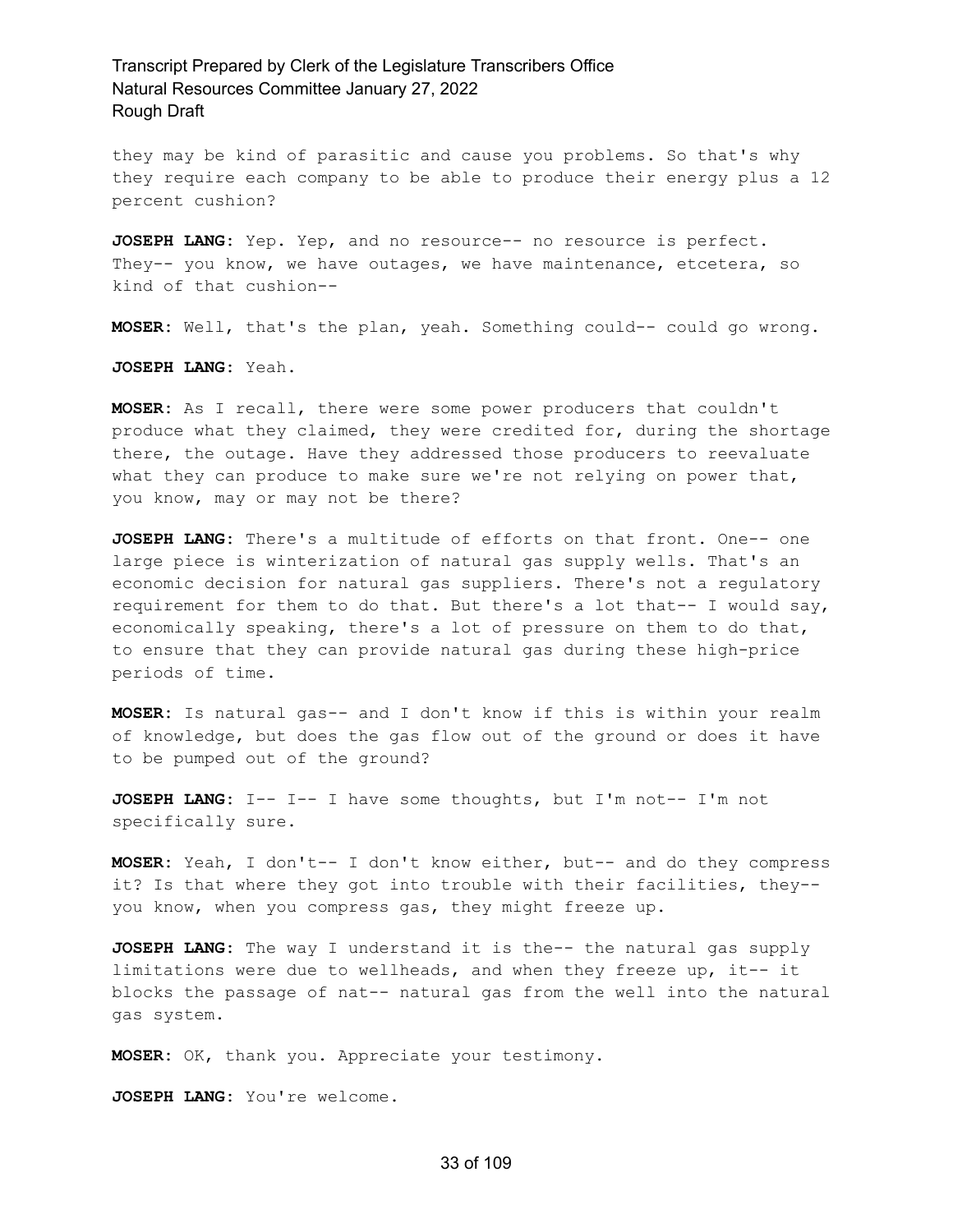they may be kind of parasitic and cause you problems. So that's why they require each company to be able to produce their energy plus a 12 percent cushion?

**JOSEPH LANG:** Yep. Yep, and no resource-- no resource is perfect. They-- you know, we have outages, we have maintenance, etcetera, so kind of that cushion--

**MOSER:** Well, that's the plan, yeah. Something could-- could go wrong.

**JOSEPH LANG:** Yeah.

**MOSER:** As I recall, there were some power producers that couldn't produce what they claimed, they were credited for, during the shortage there, the outage. Have they addressed those producers to reevaluate what they can produce to make sure we're not relying on power that, you know, may or may not be there?

**JOSEPH LANG:** There's a multitude of efforts on that front. One-- one large piece is winterization of natural gas supply wells. That's an economic decision for natural gas suppliers. There's not a regulatory requirement for them to do that. But there's a lot that-- I would say, economically speaking, there's a lot of pressure on them to do that, to ensure that they can provide natural gas during these high-price periods of time.

**MOSER:** Is natural gas-- and I don't know if this is within your realm of knowledge, but does the gas flow out of the ground or does it have to be pumped out of the ground?

**JOSEPH LANG:** I-- I-- I have some thoughts, but I'm not-- I'm not specifically sure.

**MOSER:** Yeah, I don't-- I don't know either, but-- and do they compress it? Is that where they got into trouble with their facilities, they- you know, when you compress gas, they might freeze up.

**JOSEPH LANG:** The way I understand it is the-- the natural gas supply limitations were due to wellheads, and when they freeze up, it-- it blocks the passage of nat-- natural gas from the well into the natural gas system.

**MOSER:** OK, thank you. Appreciate your testimony.

**JOSEPH LANG:** You're welcome.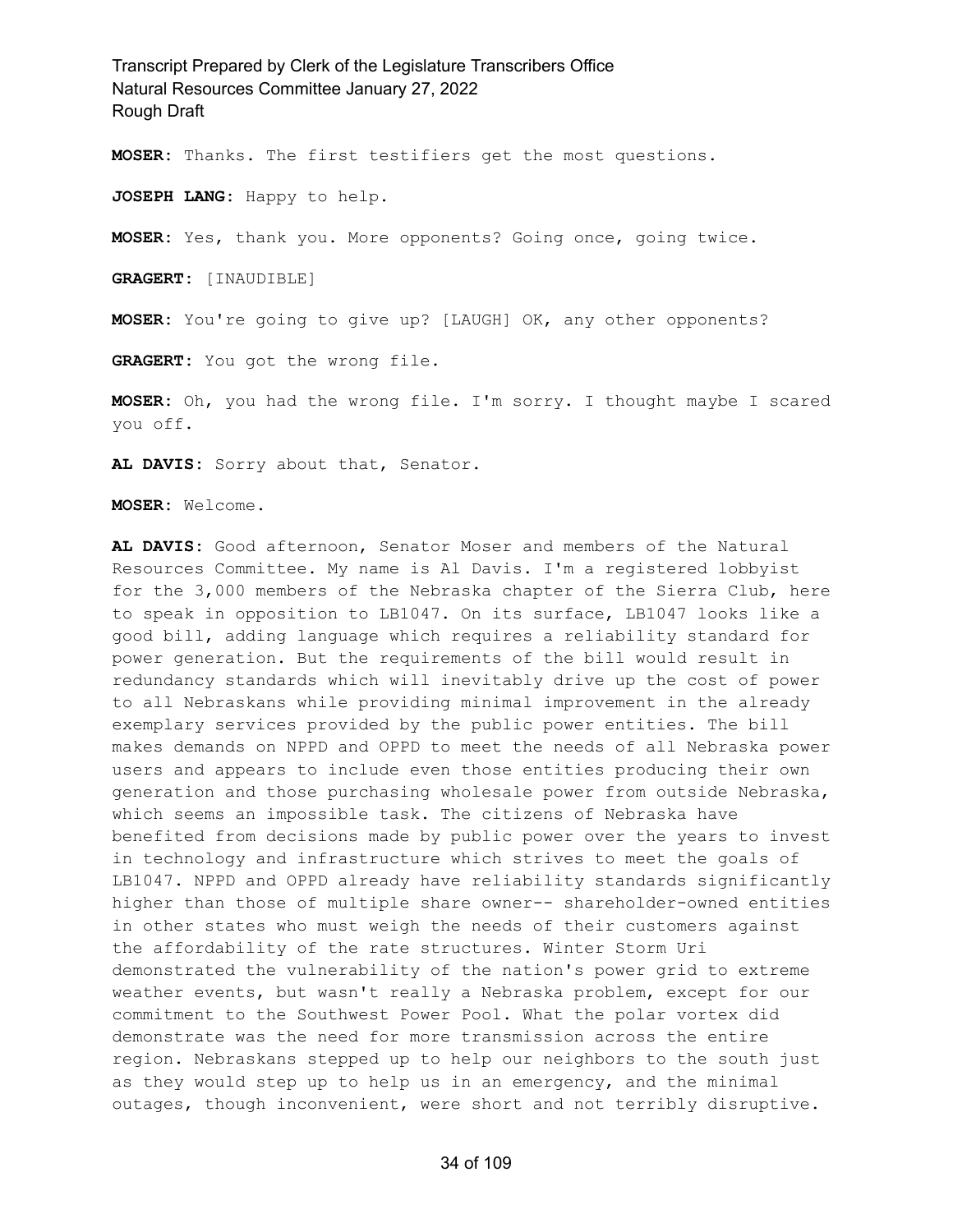**MOSER:** Thanks. The first testifiers get the most questions.

**JOSEPH LANG:** Happy to help.

**MOSER:** Yes, thank you. More opponents? Going once, going twice.

**GRAGERT:** [INAUDIBLE]

**MOSER:** You're going to give up? [LAUGH] OK, any other opponents?

**GRAGERT:** You got the wrong file.

**MOSER:** Oh, you had the wrong file. I'm sorry. I thought maybe I scared you off.

**AL DAVIS:** Sorry about that, Senator.

**MOSER:** Welcome.

**AL DAVIS:** Good afternoon, Senator Moser and members of the Natural Resources Committee. My name is Al Davis. I'm a registered lobbyist for the 3,000 members of the Nebraska chapter of the Sierra Club, here to speak in opposition to LB1047. On its surface, LB1047 looks like a good bill, adding language which requires a reliability standard for power generation. But the requirements of the bill would result in redundancy standards which will inevitably drive up the cost of power to all Nebraskans while providing minimal improvement in the already exemplary services provided by the public power entities. The bill makes demands on NPPD and OPPD to meet the needs of all Nebraska power users and appears to include even those entities producing their own generation and those purchasing wholesale power from outside Nebraska, which seems an impossible task. The citizens of Nebraska have benefited from decisions made by public power over the years to invest in technology and infrastructure which strives to meet the goals of LB1047. NPPD and OPPD already have reliability standards significantly higher than those of multiple share owner-- shareholder-owned entities in other states who must weigh the needs of their customers against the affordability of the rate structures. Winter Storm Uri demonstrated the vulnerability of the nation's power grid to extreme weather events, but wasn't really a Nebraska problem, except for our commitment to the Southwest Power Pool. What the polar vortex did demonstrate was the need for more transmission across the entire region. Nebraskans stepped up to help our neighbors to the south just as they would step up to help us in an emergency, and the minimal outages, though inconvenient, were short and not terribly disruptive.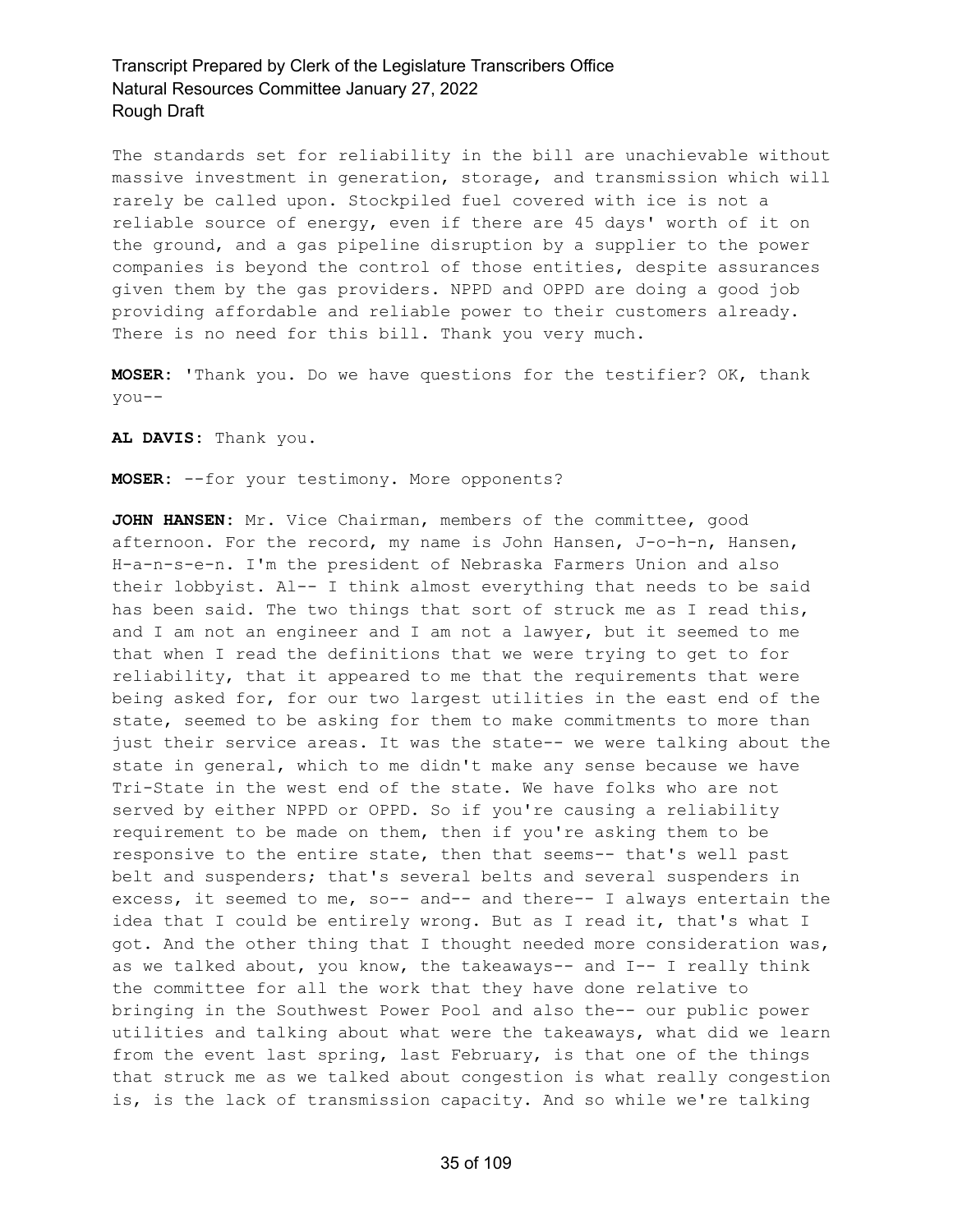The standards set for reliability in the bill are unachievable without massive investment in generation, storage, and transmission which will rarely be called upon. Stockpiled fuel covered with ice is not a reliable source of energy, even if there are 45 days' worth of it on the ground, and a gas pipeline disruption by a supplier to the power companies is beyond the control of those entities, despite assurances given them by the gas providers. NPPD and OPPD are doing a good job providing affordable and reliable power to their customers already. There is no need for this bill. Thank you very much.

**MOSER:** 'Thank you. Do we have questions for the testifier? OK, thank you--

**AL DAVIS:** Thank you.

**MOSER:** --for your testimony. More opponents?

**JOHN HANSEN:** Mr. Vice Chairman, members of the committee, good afternoon. For the record, my name is John Hansen, J-o-h-n, Hansen, H-a-n-s-e-n. I'm the president of Nebraska Farmers Union and also their lobbyist. Al-- I think almost everything that needs to be said has been said. The two things that sort of struck me as I read this, and I am not an engineer and I am not a lawyer, but it seemed to me that when I read the definitions that we were trying to get to for reliability, that it appeared to me that the requirements that were being asked for, for our two largest utilities in the east end of the state, seemed to be asking for them to make commitments to more than just their service areas. It was the state-- we were talking about the state in general, which to me didn't make any sense because we have Tri-State in the west end of the state. We have folks who are not served by either NPPD or OPPD. So if you're causing a reliability requirement to be made on them, then if you're asking them to be responsive to the entire state, then that seems-- that's well past belt and suspenders; that's several belts and several suspenders in excess, it seemed to me, so-- and-- and there-- I always entertain the idea that I could be entirely wrong. But as I read it, that's what I got. And the other thing that I thought needed more consideration was, as we talked about, you know, the takeaways-- and I-- I really think the committee for all the work that they have done relative to bringing in the Southwest Power Pool and also the-- our public power utilities and talking about what were the takeaways, what did we learn from the event last spring, last February, is that one of the things that struck me as we talked about congestion is what really congestion is, is the lack of transmission capacity. And so while we're talking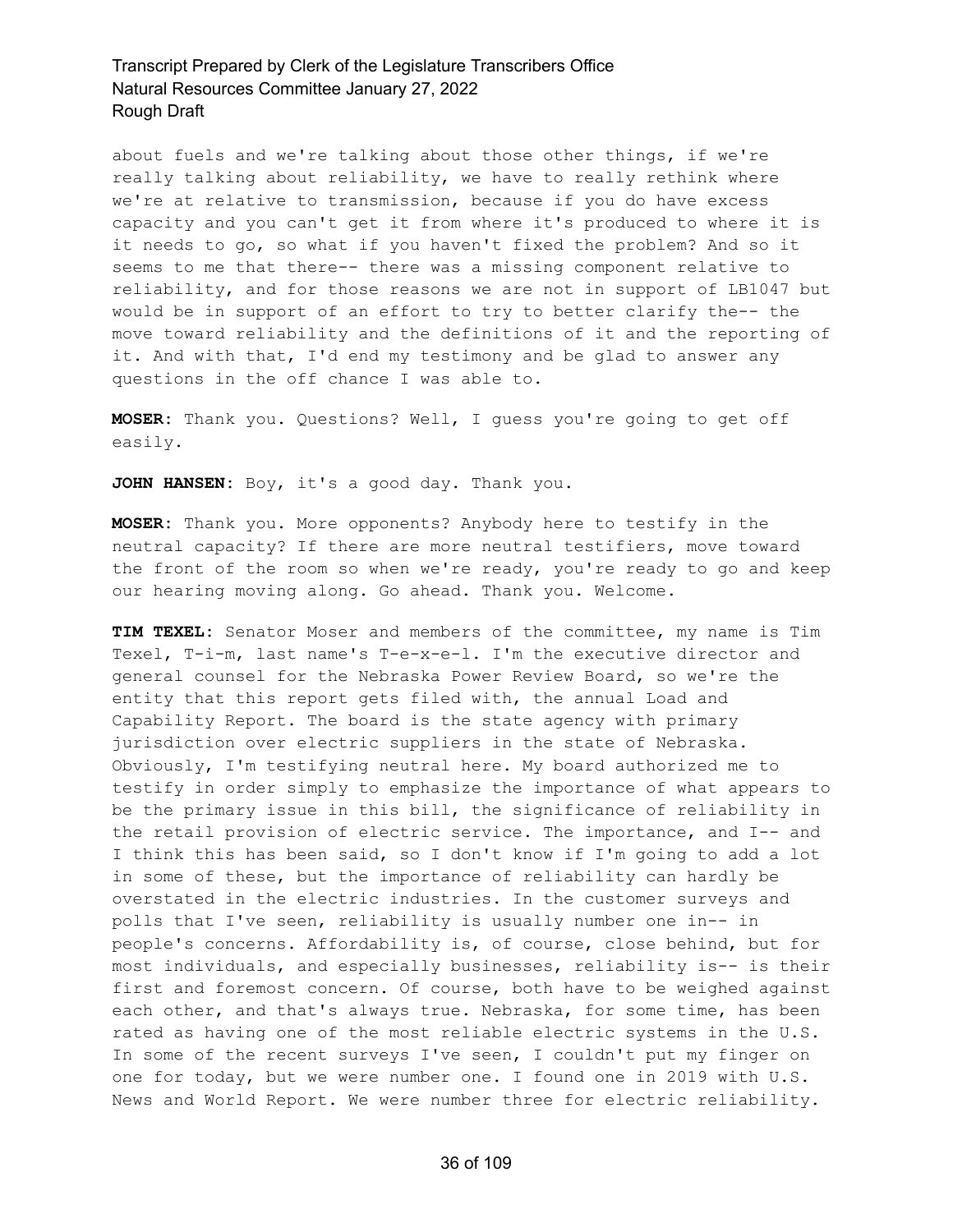about fuels and we're talking about those other things, if we're really talking about reliability, we have to really rethink where we're at relative to transmission, because if you do have excess capacity and you can't get it from where it's produced to where it is it needs to go, so what if you haven't fixed the problem? And so it seems to me that there-- there was a missing component relative to reliability, and for those reasons we are not in support of LB1047 but would be in support of an effort to try to better clarify the-- the move toward reliability and the definitions of it and the reporting of it. And with that, I'd end my testimony and be glad to answer any questions in the off chance I was able to.

**MOSER:** Thank you. Questions? Well, I guess you're going to get off easily.

**JOHN HANSEN:** Boy, it's a good day. Thank you.

**MOSER:** Thank you. More opponents? Anybody here to testify in the neutral capacity? If there are more neutral testifiers, move toward the front of the room so when we're ready, you're ready to go and keep our hearing moving along. Go ahead. Thank you. Welcome.

**TIM TEXEL:** Senator Moser and members of the committee, my name is Tim Texel, T-i-m, last name's T-e-x-e-l. I'm the executive director and general counsel for the Nebraska Power Review Board, so we're the entity that this report gets filed with, the annual Load and Capability Report. The board is the state agency with primary jurisdiction over electric suppliers in the state of Nebraska. Obviously, I'm testifying neutral here. My board authorized me to testify in order simply to emphasize the importance of what appears to be the primary issue in this bill, the significance of reliability in the retail provision of electric service. The importance, and I-- and I think this has been said, so I don't know if I'm going to add a lot in some of these, but the importance of reliability can hardly be overstated in the electric industries. In the customer surveys and polls that I've seen, reliability is usually number one in-- in people's concerns. Affordability is, of course, close behind, but for most individuals, and especially businesses, reliability is-- is their first and foremost concern. Of course, both have to be weighed against each other, and that's always true. Nebraska, for some time, has been rated as having one of the most reliable electric systems in the U.S. In some of the recent surveys I've seen, I couldn't put my finger on one for today, but we were number one. I found one in 2019 with U.S. News and World Report. We were number three for electric reliability.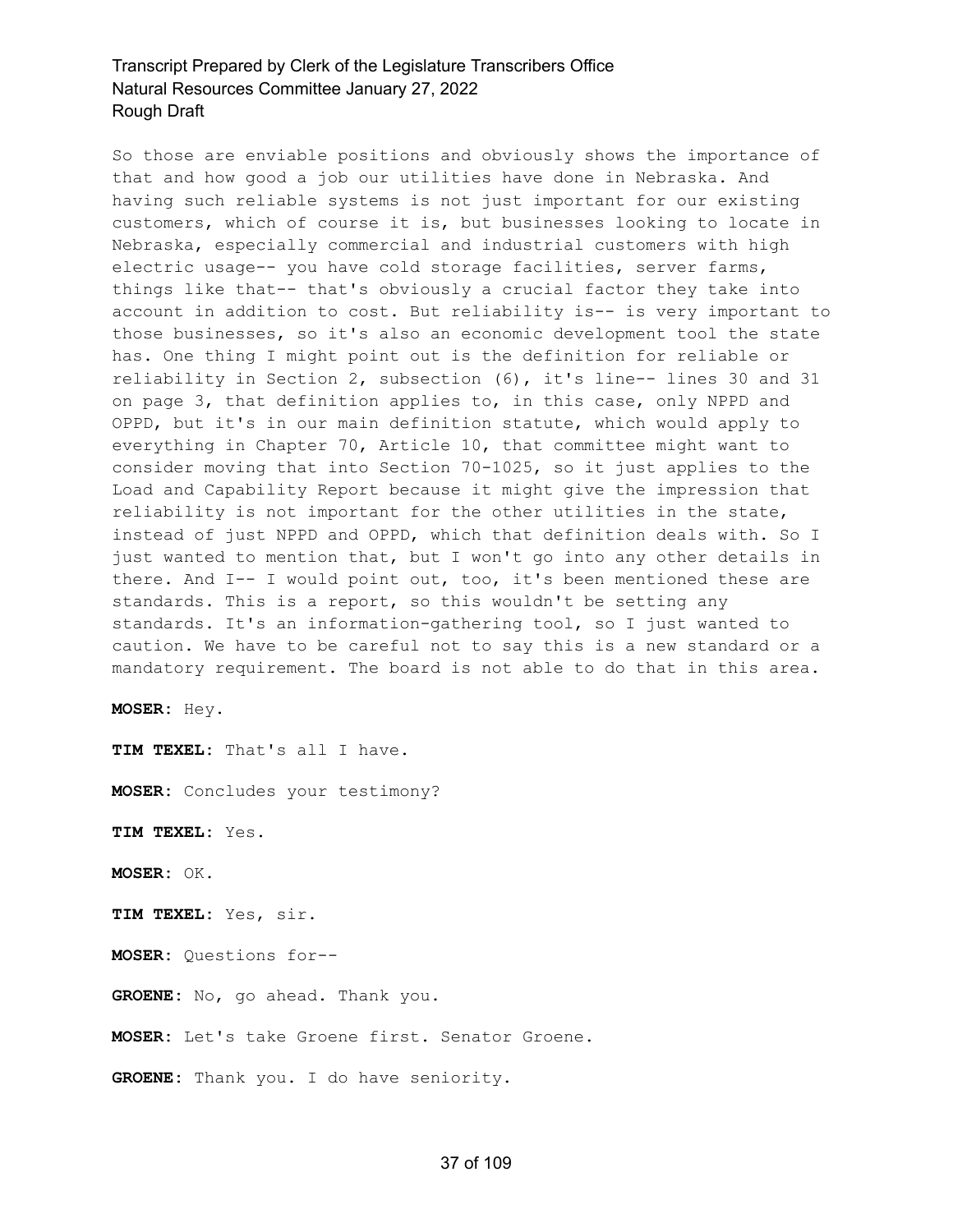So those are enviable positions and obviously shows the importance of that and how good a job our utilities have done in Nebraska. And having such reliable systems is not just important for our existing customers, which of course it is, but businesses looking to locate in Nebraska, especially commercial and industrial customers with high electric usage-- you have cold storage facilities, server farms, things like that-- that's obviously a crucial factor they take into account in addition to cost. But reliability is-- is very important to those businesses, so it's also an economic development tool the state has. One thing I might point out is the definition for reliable or reliability in Section 2, subsection (6), it's line-- lines 30 and 31 on page 3, that definition applies to, in this case, only NPPD and OPPD, but it's in our main definition statute, which would apply to everything in Chapter 70, Article 10, that committee might want to consider moving that into Section 70-1025, so it just applies to the Load and Capability Report because it might give the impression that reliability is not important for the other utilities in the state, instead of just NPPD and OPPD, which that definition deals with. So I just wanted to mention that, but I won't go into any other details in there. And I-- I would point out, too, it's been mentioned these are standards. This is a report, so this wouldn't be setting any standards. It's an information-gathering tool, so I just wanted to caution. We have to be careful not to say this is a new standard or a mandatory requirement. The board is not able to do that in this area.

**MOSER:** Hey.

**TIM TEXEL:** That's all I have.

**MOSER:** Concludes your testimony?

**TIM TEXEL:** Yes.

**MOSER:** OK.

**TIM TEXEL:** Yes, sir.

**MOSER:** Questions for--

**GROENE:** No, go ahead. Thank you.

**MOSER:** Let's take Groene first. Senator Groene.

**GROENE:** Thank you. I do have seniority.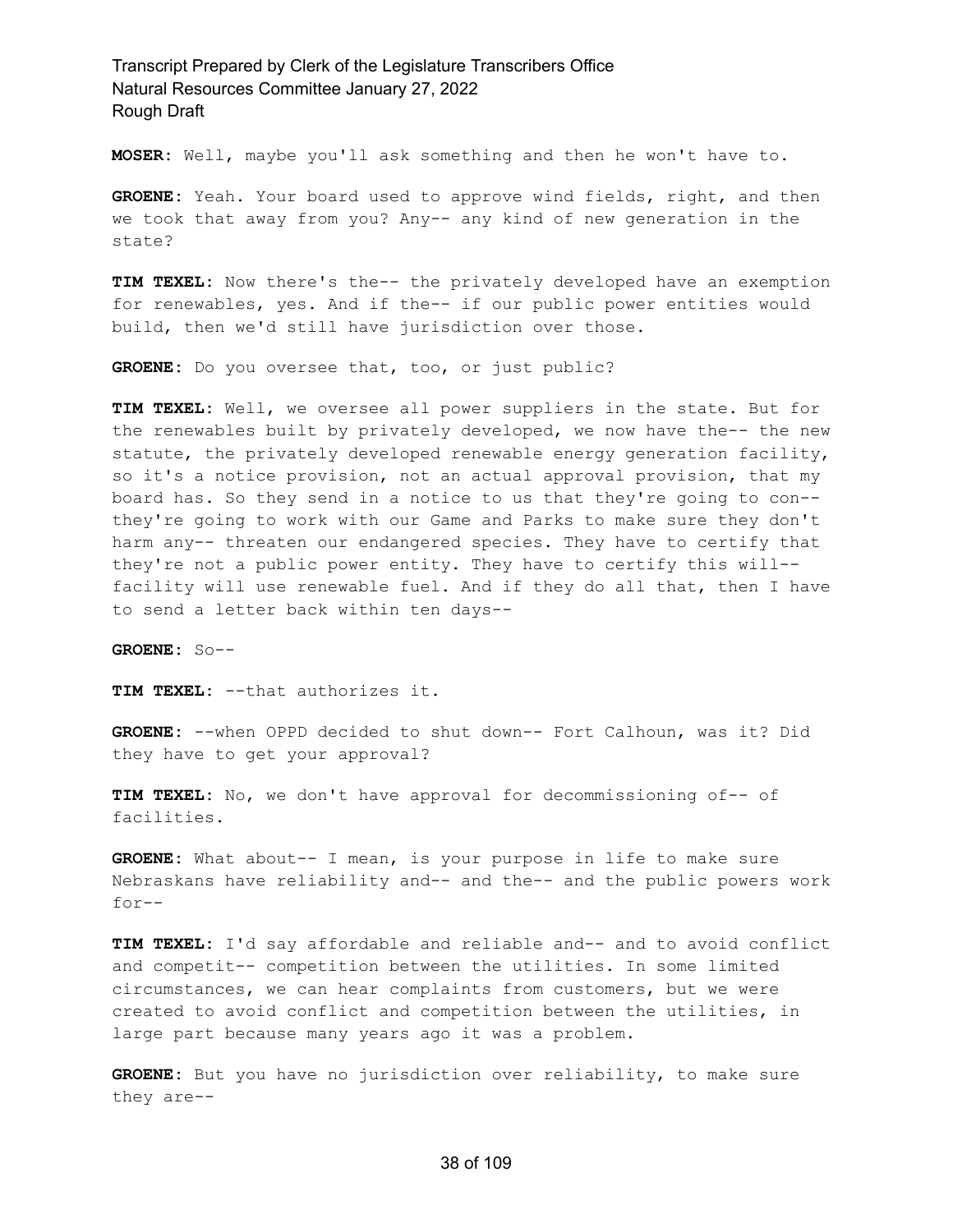**MOSER:** Well, maybe you'll ask something and then he won't have to.

**GROENE:** Yeah. Your board used to approve wind fields, right, and then we took that away from you? Any-- any kind of new generation in the state?

**TIM TEXEL:** Now there's the-- the privately developed have an exemption for renewables, yes. And if the-- if our public power entities would build, then we'd still have jurisdiction over those.

**GROENE:** Do you oversee that, too, or just public?

**TIM TEXEL:** Well, we oversee all power suppliers in the state. But for the renewables built by privately developed, we now have the-- the new statute, the privately developed renewable energy generation facility, so it's a notice provision, not an actual approval provision, that my board has. So they send in a notice to us that they're going to con- they're going to work with our Game and Parks to make sure they don't harm any-- threaten our endangered species. They have to certify that they're not a public power entity. They have to certify this will- facility will use renewable fuel. And if they do all that, then I have to send a letter back within ten days--

**GROENE:** So--

**TIM TEXEL:** --that authorizes it.

**GROENE:** --when OPPD decided to shut down-- Fort Calhoun, was it? Did they have to get your approval?

**TIM TEXEL:** No, we don't have approval for decommissioning of-- of facilities.

**GROENE:** What about-- I mean, is your purpose in life to make sure Nebraskans have reliability and-- and the-- and the public powers work for--

**TIM TEXEL:** I'd say affordable and reliable and-- and to avoid conflict and competit-- competition between the utilities. In some limited circumstances, we can hear complaints from customers, but we were created to avoid conflict and competition between the utilities, in large part because many years ago it was a problem.

**GROENE:** But you have no jurisdiction over reliability, to make sure they are--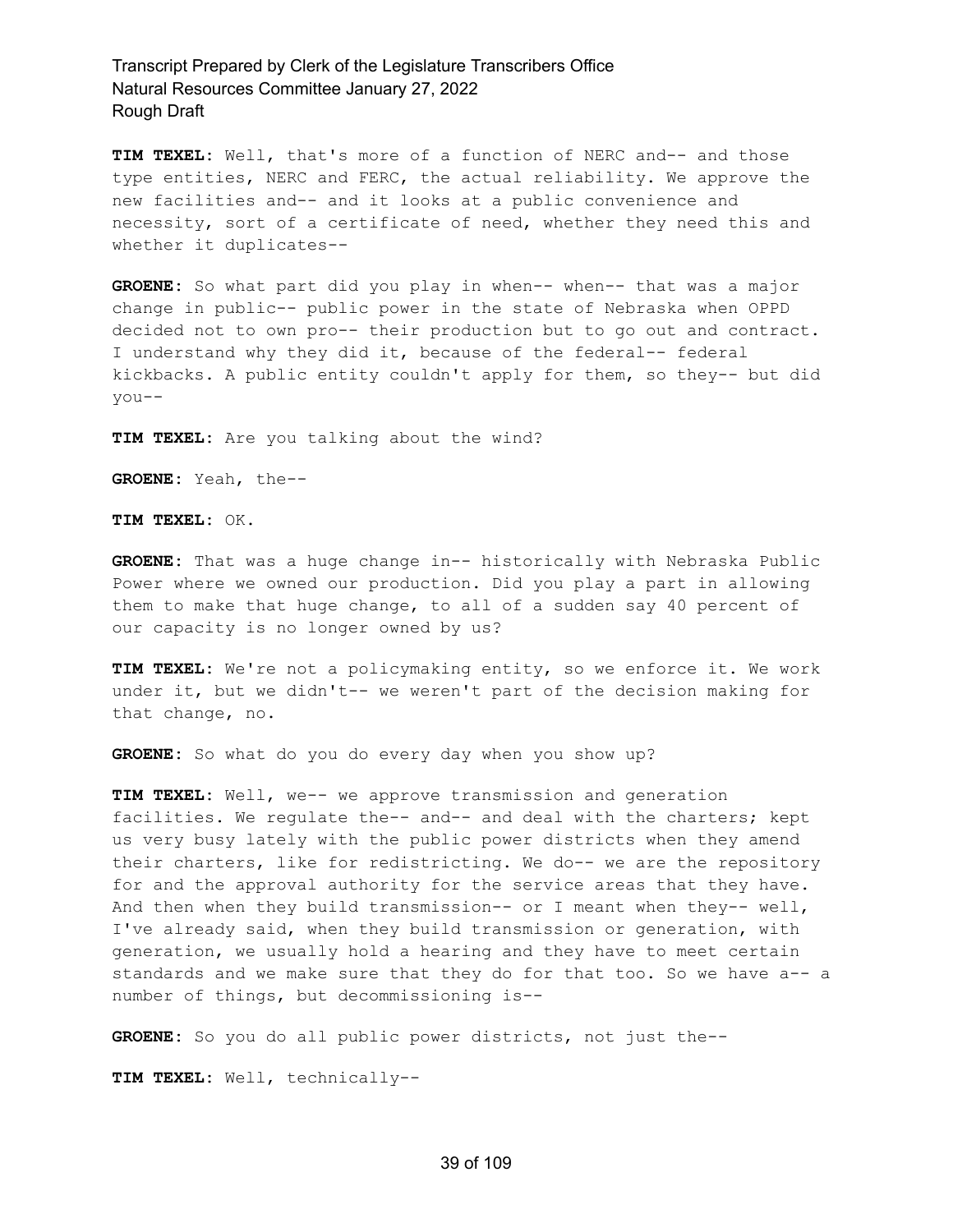**TIM TEXEL:** Well, that's more of a function of NERC and-- and those type entities, NERC and FERC, the actual reliability. We approve the new facilities and-- and it looks at a public convenience and necessity, sort of a certificate of need, whether they need this and whether it duplicates--

**GROENE:** So what part did you play in when-- when-- that was a major change in public-- public power in the state of Nebraska when OPPD decided not to own pro-- their production but to go out and contract. I understand why they did it, because of the federal-- federal kickbacks. A public entity couldn't apply for them, so they-- but did you--

**TIM TEXEL:** Are you talking about the wind?

**GROENE:** Yeah, the--

**TIM TEXEL:** OK.

**GROENE:** That was a huge change in-- historically with Nebraska Public Power where we owned our production. Did you play a part in allowing them to make that huge change, to all of a sudden say 40 percent of our capacity is no longer owned by us?

**TIM TEXEL:** We're not a policymaking entity, so we enforce it. We work under it, but we didn't-- we weren't part of the decision making for that change, no.

**GROENE:** So what do you do every day when you show up?

**TIM TEXEL:** Well, we-- we approve transmission and generation facilities. We regulate the-- and-- and deal with the charters; kept us very busy lately with the public power districts when they amend their charters, like for redistricting. We do-- we are the repository for and the approval authority for the service areas that they have. And then when they build transmission-- or I meant when they-- well, I've already said, when they build transmission or generation, with generation, we usually hold a hearing and they have to meet certain standards and we make sure that they do for that too. So we have a-- a number of things, but decommissioning is--

**GROENE:** So you do all public power districts, not just the--

**TIM TEXEL:** Well, technically--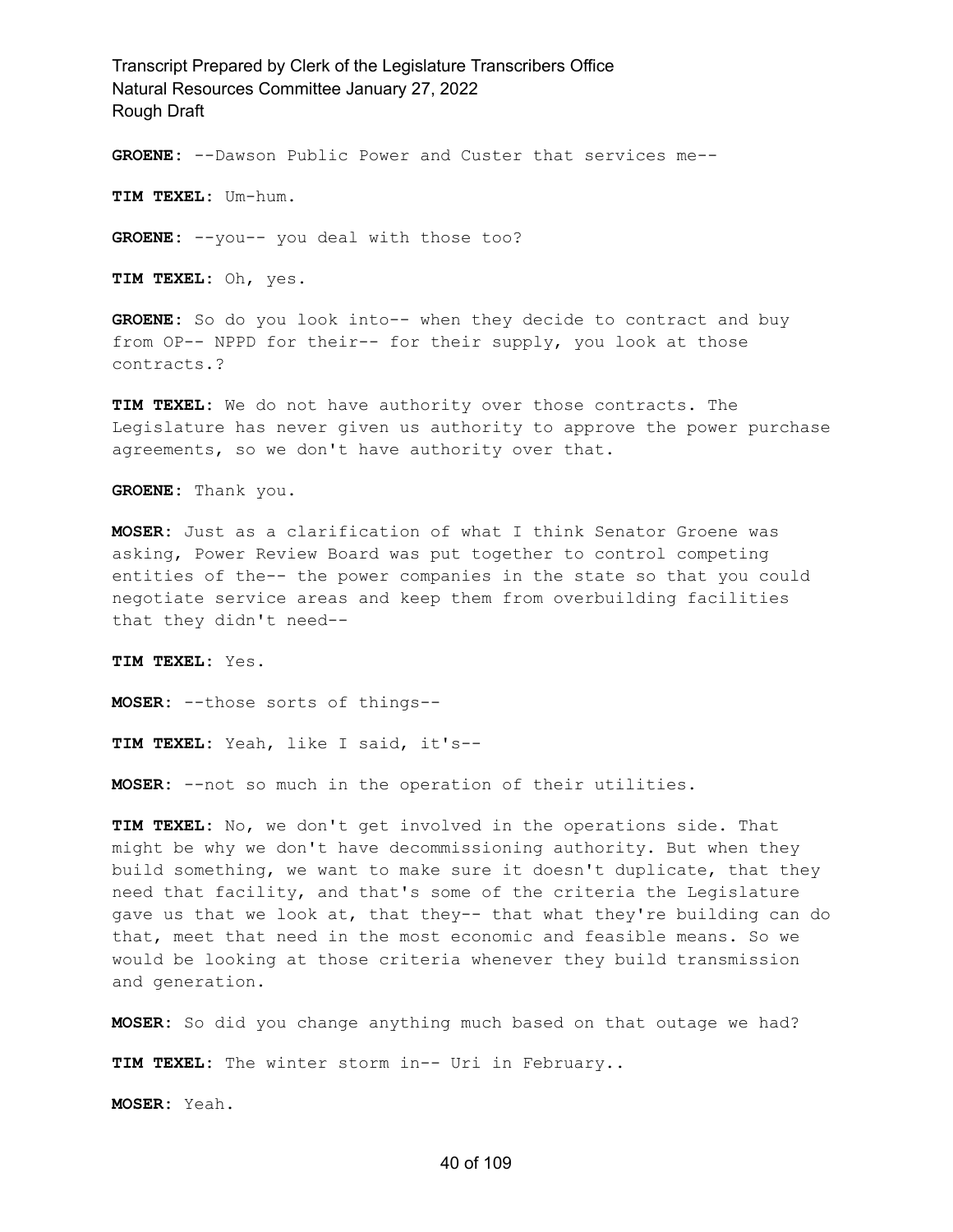**GROENE:** --Dawson Public Power and Custer that services me--

**TIM TEXEL:** Um-hum.

**GROENE:** --you-- you deal with those too?

**TIM TEXEL:** Oh, yes.

**GROENE:** So do you look into-- when they decide to contract and buy from OP-- NPPD for their-- for their supply, you look at those contracts.?

**TIM TEXEL:** We do not have authority over those contracts. The Legislature has never given us authority to approve the power purchase agreements, so we don't have authority over that.

**GROENE:** Thank you.

**MOSER:** Just as a clarification of what I think Senator Groene was asking, Power Review Board was put together to control competing entities of the-- the power companies in the state so that you could negotiate service areas and keep them from overbuilding facilities that they didn't need--

**TIM TEXEL:** Yes.

**MOSER:** --those sorts of things--

**TIM TEXEL:** Yeah, like I said, it's--

**MOSER:** --not so much in the operation of their utilities.

**TIM TEXEL:** No, we don't get involved in the operations side. That might be why we don't have decommissioning authority. But when they build something, we want to make sure it doesn't duplicate, that they need that facility, and that's some of the criteria the Legislature gave us that we look at, that they-- that what they're building can do that, meet that need in the most economic and feasible means. So we would be looking at those criteria whenever they build transmission and generation.

**MOSER:** So did you change anything much based on that outage we had?

**TIM TEXEL:** The winter storm in-- Uri in February..

**MOSER:** Yeah.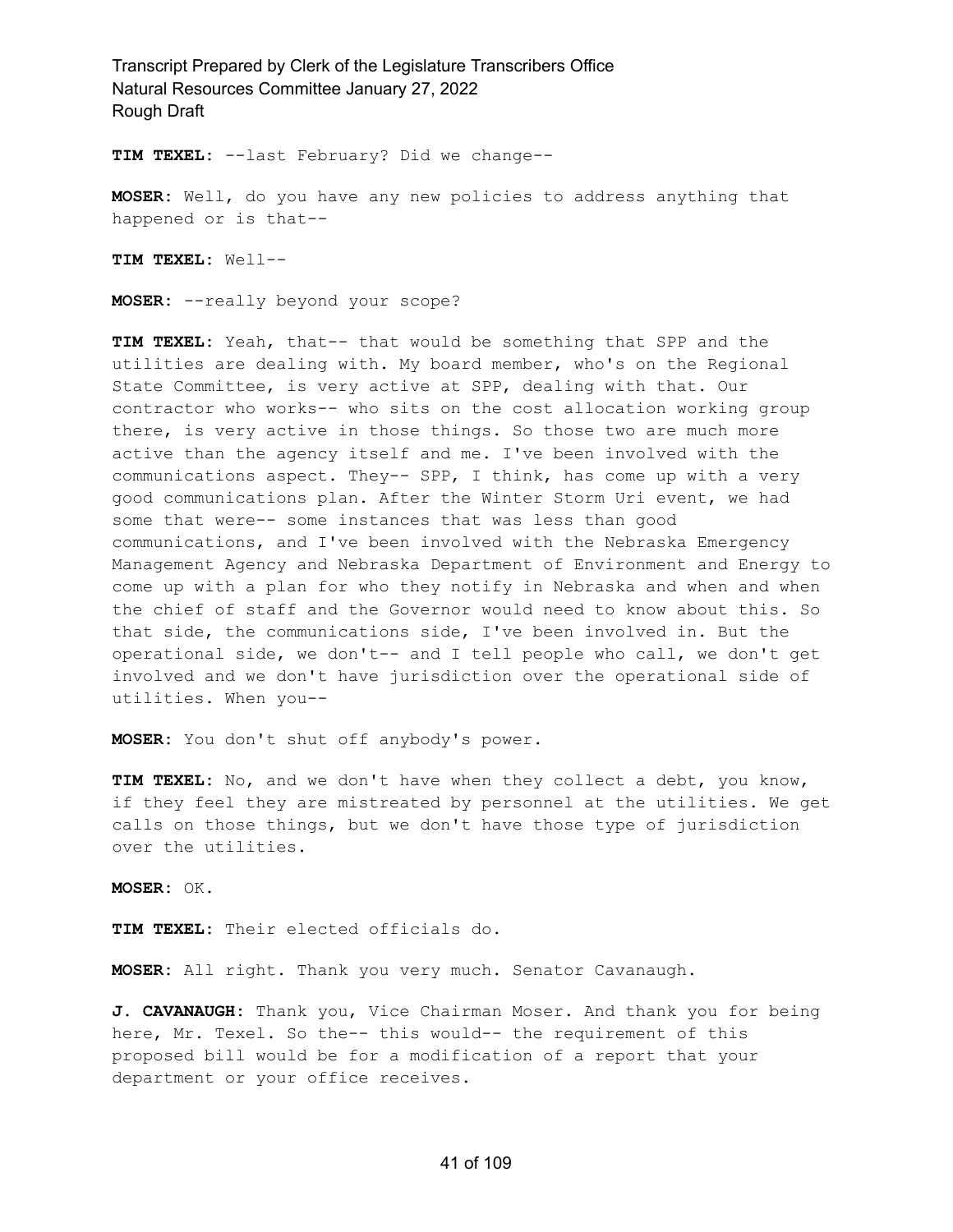**TIM TEXEL:** --last February? Did we change--

**MOSER:** Well, do you have any new policies to address anything that happened or is that--

**TIM TEXEL:** Well--

**MOSER:** --really beyond your scope?

**TIM TEXEL:** Yeah, that-- that would be something that SPP and the utilities are dealing with. My board member, who's on the Regional State Committee, is very active at SPP, dealing with that. Our contractor who works-- who sits on the cost allocation working group there, is very active in those things. So those two are much more active than the agency itself and me. I've been involved with the communications aspect. They-- SPP, I think, has come up with a very good communications plan. After the Winter Storm Uri event, we had some that were-- some instances that was less than good communications, and I've been involved with the Nebraska Emergency Management Agency and Nebraska Department of Environment and Energy to come up with a plan for who they notify in Nebraska and when and when the chief of staff and the Governor would need to know about this. So that side, the communications side, I've been involved in. But the operational side, we don't-- and I tell people who call, we don't get involved and we don't have jurisdiction over the operational side of utilities. When you--

**MOSER:** You don't shut off anybody's power.

**TIM TEXEL:** No, and we don't have when they collect a debt, you know, if they feel they are mistreated by personnel at the utilities. We get calls on those things, but we don't have those type of jurisdiction over the utilities.

**MOSER:** OK.

**TIM TEXEL:** Their elected officials do.

**MOSER:** All right. Thank you very much. Senator Cavanaugh.

**J. CAVANAUGH:** Thank you, Vice Chairman Moser. And thank you for being here, Mr. Texel. So the-- this would-- the requirement of this proposed bill would be for a modification of a report that your department or your office receives.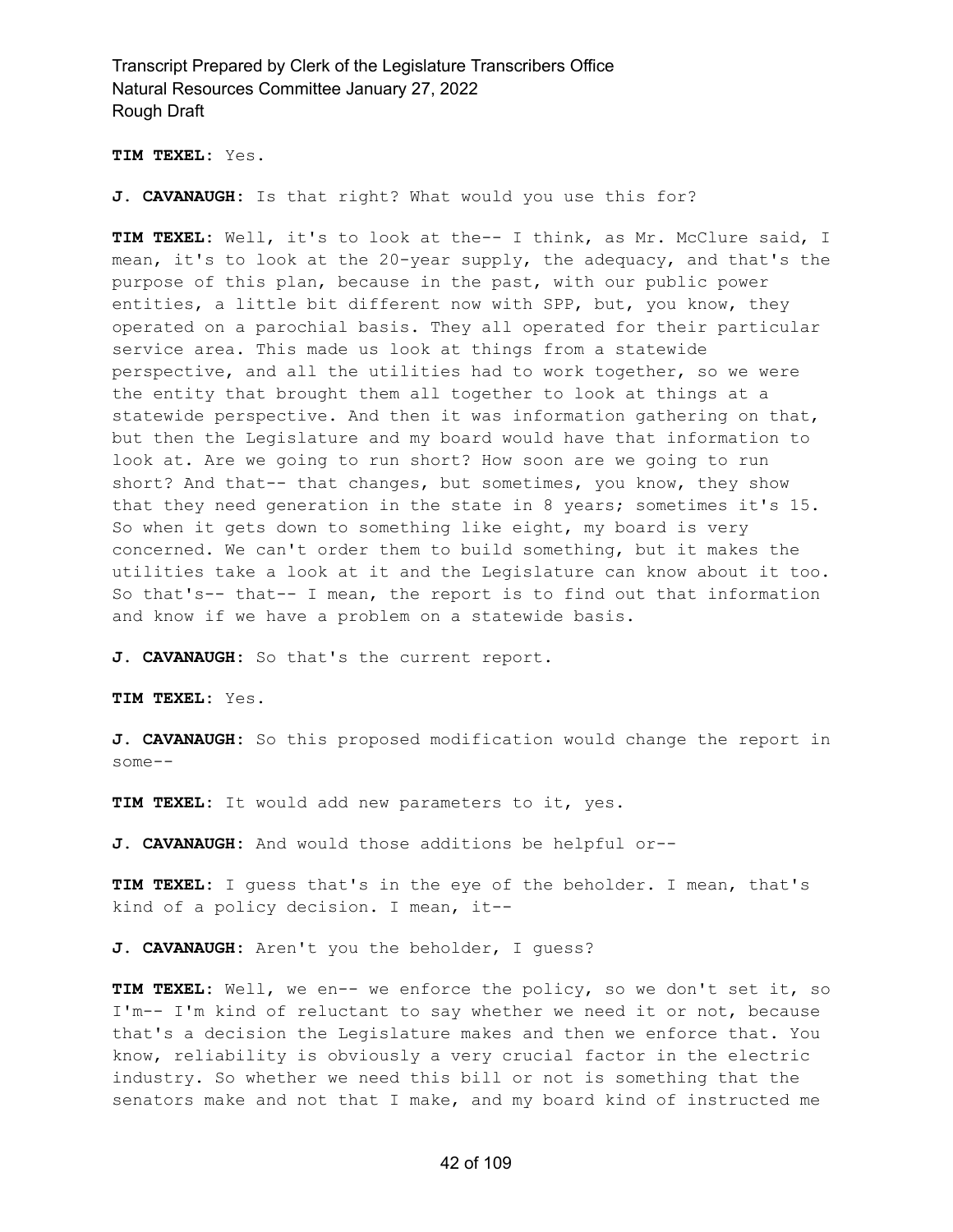**TIM TEXEL:** Yes.

**J. CAVANAUGH:** Is that right? What would you use this for?

**TIM TEXEL:** Well, it's to look at the-- I think, as Mr. McClure said, I mean, it's to look at the 20-year supply, the adequacy, and that's the purpose of this plan, because in the past, with our public power entities, a little bit different now with SPP, but, you know, they operated on a parochial basis. They all operated for their particular service area. This made us look at things from a statewide perspective, and all the utilities had to work together, so we were the entity that brought them all together to look at things at a statewide perspective. And then it was information gathering on that, but then the Legislature and my board would have that information to look at. Are we going to run short? How soon are we going to run short? And that-- that changes, but sometimes, you know, they show that they need generation in the state in 8 years; sometimes it's 15. So when it gets down to something like eight, my board is very concerned. We can't order them to build something, but it makes the utilities take a look at it and the Legislature can know about it too. So that's-- that-- I mean, the report is to find out that information and know if we have a problem on a statewide basis.

**J. CAVANAUGH:** So that's the current report.

**TIM TEXEL:** Yes.

**J. CAVANAUGH:** So this proposed modification would change the report in some--

**TIM TEXEL:** It would add new parameters to it, yes.

**J. CAVANAUGH:** And would those additions be helpful or--

**TIM TEXEL:** I guess that's in the eye of the beholder. I mean, that's kind of a policy decision. I mean, it--

**J. CAVANAUGH:** Aren't you the beholder, I guess?

**TIM TEXEL:** Well, we en-- we enforce the policy, so we don't set it, so I'm-- I'm kind of reluctant to say whether we need it or not, because that's a decision the Legislature makes and then we enforce that. You know, reliability is obviously a very crucial factor in the electric industry. So whether we need this bill or not is something that the senators make and not that I make, and my board kind of instructed me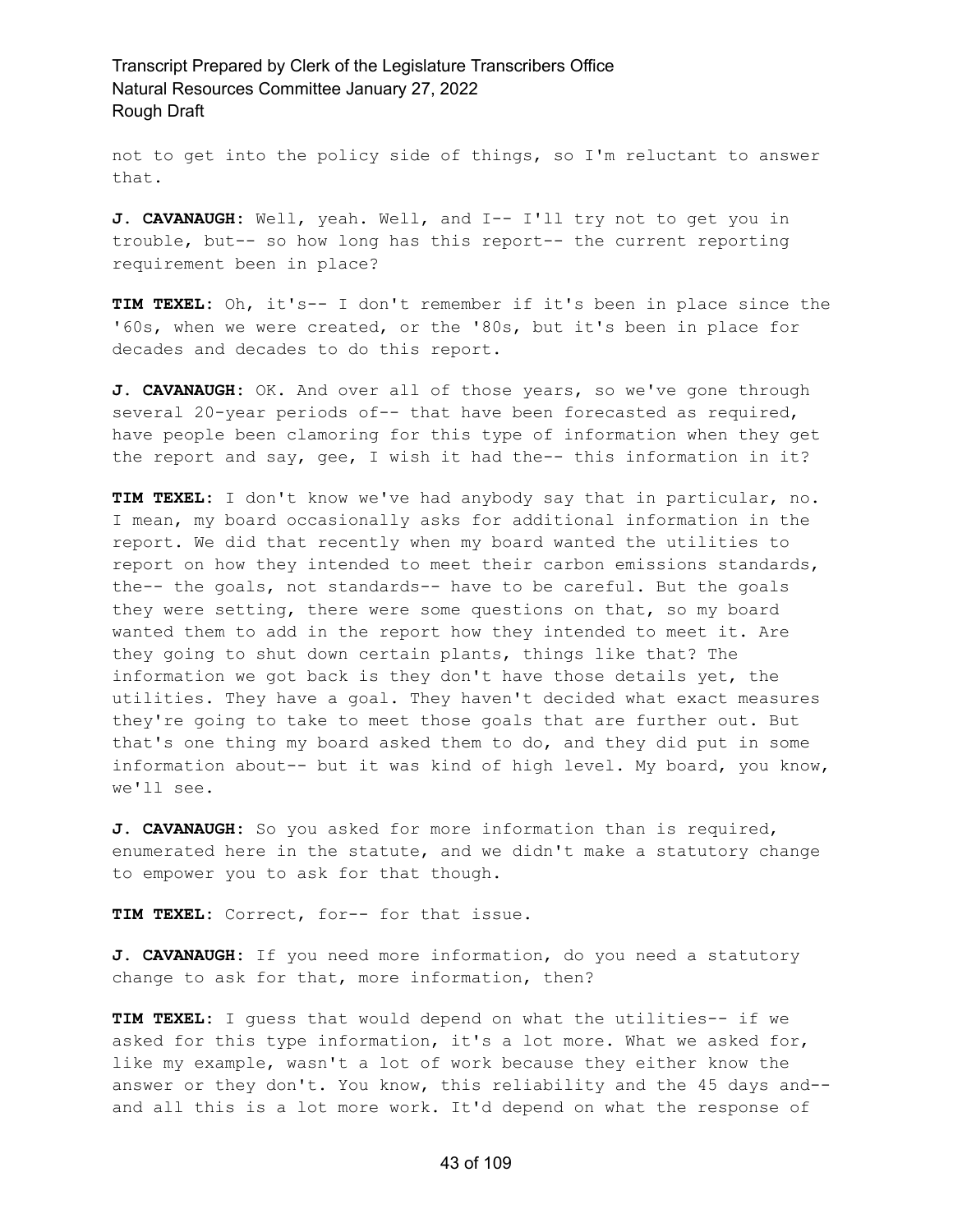not to get into the policy side of things, so I'm reluctant to answer that.

**J. CAVANAUGH:** Well, yeah. Well, and I-- I'll try not to get you in trouble, but-- so how long has this report-- the current reporting requirement been in place?

**TIM TEXEL:** Oh, it's-- I don't remember if it's been in place since the '60s, when we were created, or the '80s, but it's been in place for decades and decades to do this report.

**J. CAVANAUGH:** OK. And over all of those years, so we've gone through several 20-year periods of-- that have been forecasted as required, have people been clamoring for this type of information when they get the report and say, gee, I wish it had the-- this information in it?

**TIM TEXEL:** I don't know we've had anybody say that in particular, no. I mean, my board occasionally asks for additional information in the report. We did that recently when my board wanted the utilities to report on how they intended to meet their carbon emissions standards, the-- the goals, not standards-- have to be careful. But the goals they were setting, there were some questions on that, so my board wanted them to add in the report how they intended to meet it. Are they going to shut down certain plants, things like that? The information we got back is they don't have those details yet, the utilities. They have a goal. They haven't decided what exact measures they're going to take to meet those goals that are further out. But that's one thing my board asked them to do, and they did put in some information about-- but it was kind of high level. My board, you know, we'll see.

**J. CAVANAUGH:** So you asked for more information than is required, enumerated here in the statute, and we didn't make a statutory change to empower you to ask for that though.

**TIM TEXEL:** Correct, for-- for that issue.

**J. CAVANAUGH:** If you need more information, do you need a statutory change to ask for that, more information, then?

**TIM TEXEL:** I guess that would depend on what the utilities-- if we asked for this type information, it's a lot more. What we asked for, like my example, wasn't a lot of work because they either know the answer or they don't. You know, this reliability and the 45 days and- and all this is a lot more work. It'd depend on what the response of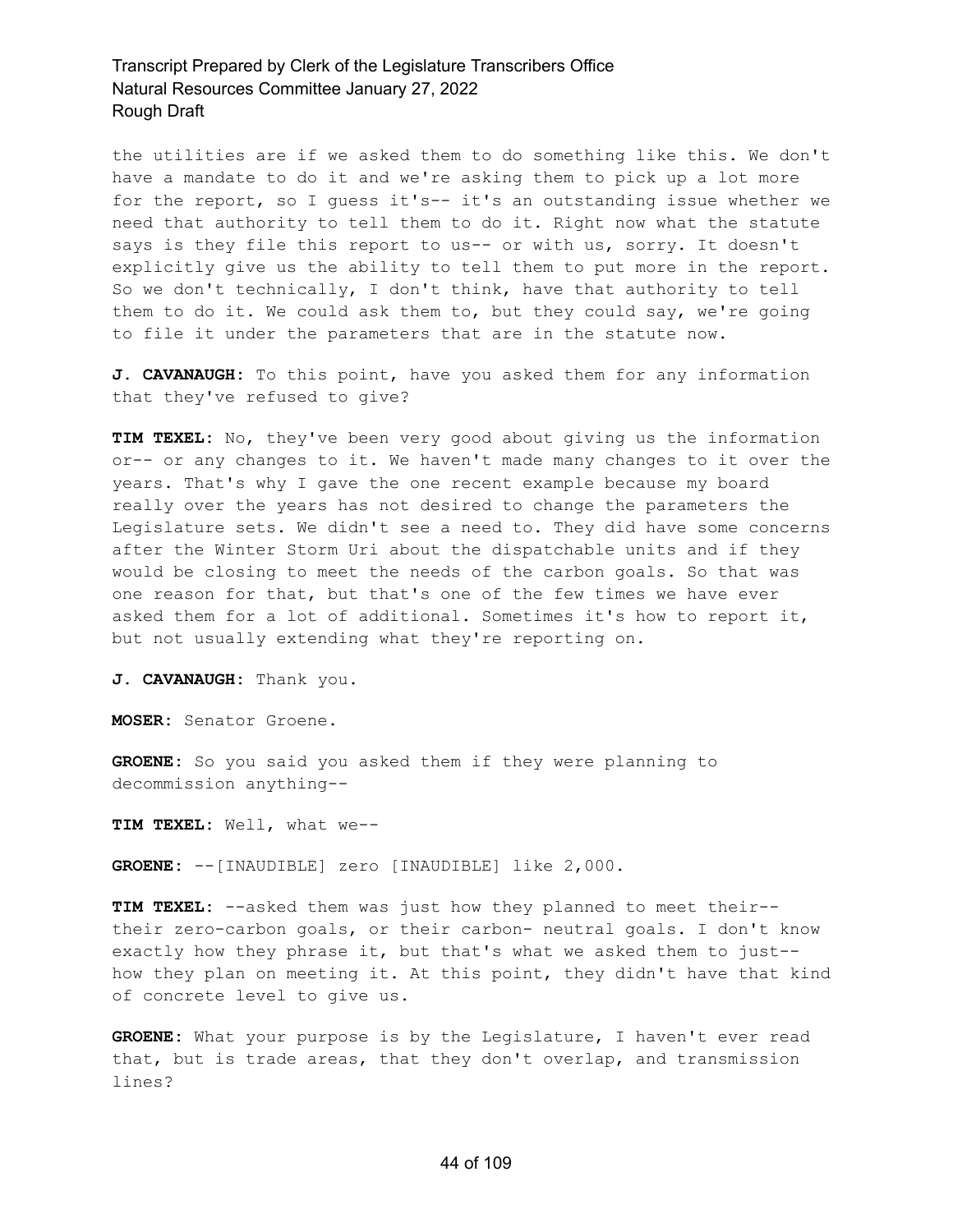the utilities are if we asked them to do something like this. We don't have a mandate to do it and we're asking them to pick up a lot more for the report, so I guess it's-- it's an outstanding issue whether we need that authority to tell them to do it. Right now what the statute says is they file this report to us-- or with us, sorry. It doesn't explicitly give us the ability to tell them to put more in the report. So we don't technically, I don't think, have that authority to tell them to do it. We could ask them to, but they could say, we're going to file it under the parameters that are in the statute now.

**J. CAVANAUGH:** To this point, have you asked them for any information that they've refused to give?

**TIM TEXEL:** No, they've been very good about giving us the information or-- or any changes to it. We haven't made many changes to it over the years. That's why I gave the one recent example because my board really over the years has not desired to change the parameters the Legislature sets. We didn't see a need to. They did have some concerns after the Winter Storm Uri about the dispatchable units and if they would be closing to meet the needs of the carbon goals. So that was one reason for that, but that's one of the few times we have ever asked them for a lot of additional. Sometimes it's how to report it, but not usually extending what they're reporting on.

**J. CAVANAUGH:** Thank you.

**MOSER:** Senator Groene.

**GROENE:** So you said you asked them if they were planning to decommission anything--

**TIM TEXEL:** Well, what we--

**GROENE:** --[INAUDIBLE] zero [INAUDIBLE] like 2,000.

**TIM TEXEL:** --asked them was just how they planned to meet their- their zero-carbon goals, or their carbon- neutral goals. I don't know exactly how they phrase it, but that's what we asked them to just- how they plan on meeting it. At this point, they didn't have that kind of concrete level to give us.

**GROENE:** What your purpose is by the Legislature, I haven't ever read that, but is trade areas, that they don't overlap, and transmission lines?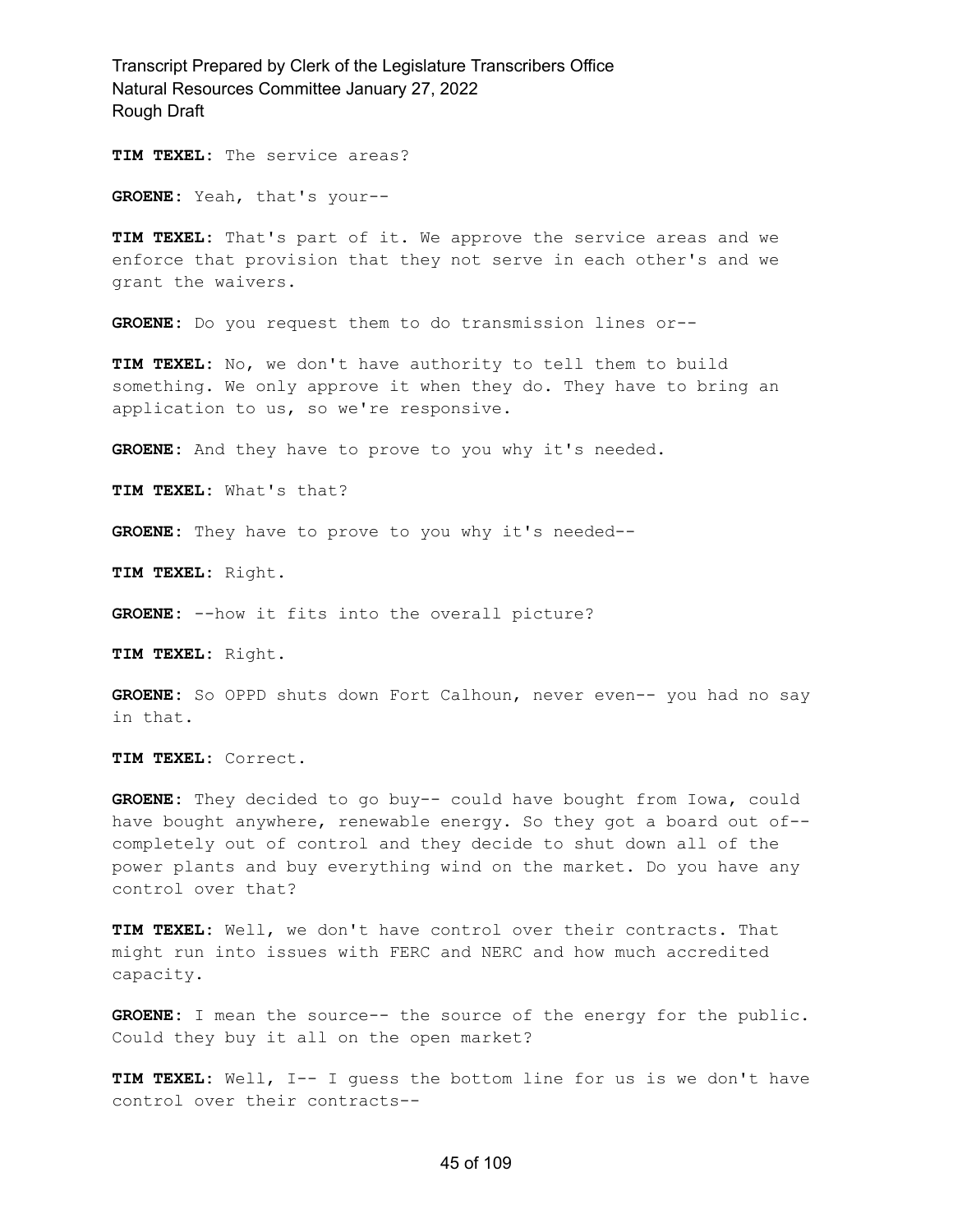**TIM TEXEL:** The service areas?

**GROENE:** Yeah, that's your--

**TIM TEXEL:** That's part of it. We approve the service areas and we enforce that provision that they not serve in each other's and we grant the waivers.

**GROENE:** Do you request them to do transmission lines or--

**TIM TEXEL:** No, we don't have authority to tell them to build something. We only approve it when they do. They have to bring an application to us, so we're responsive.

GROENE: And they have to prove to you why it's needed.

**TIM TEXEL:** What's that?

**GROENE:** They have to prove to you why it's needed--

**TIM TEXEL:** Right.

**GROENE:** --how it fits into the overall picture?

**TIM TEXEL:** Right.

**GROENE:** So OPPD shuts down Fort Calhoun, never even-- you had no say in that.

**TIM TEXEL:** Correct.

**GROENE:** They decided to go buy-- could have bought from Iowa, could have bought anywhere, renewable energy. So they got a board out of- completely out of control and they decide to shut down all of the power plants and buy everything wind on the market. Do you have any control over that?

**TIM TEXEL:** Well, we don't have control over their contracts. That might run into issues with FERC and NERC and how much accredited capacity.

**GROENE:** I mean the source-- the source of the energy for the public. Could they buy it all on the open market?

**TIM TEXEL:** Well, I-- I guess the bottom line for us is we don't have control over their contracts--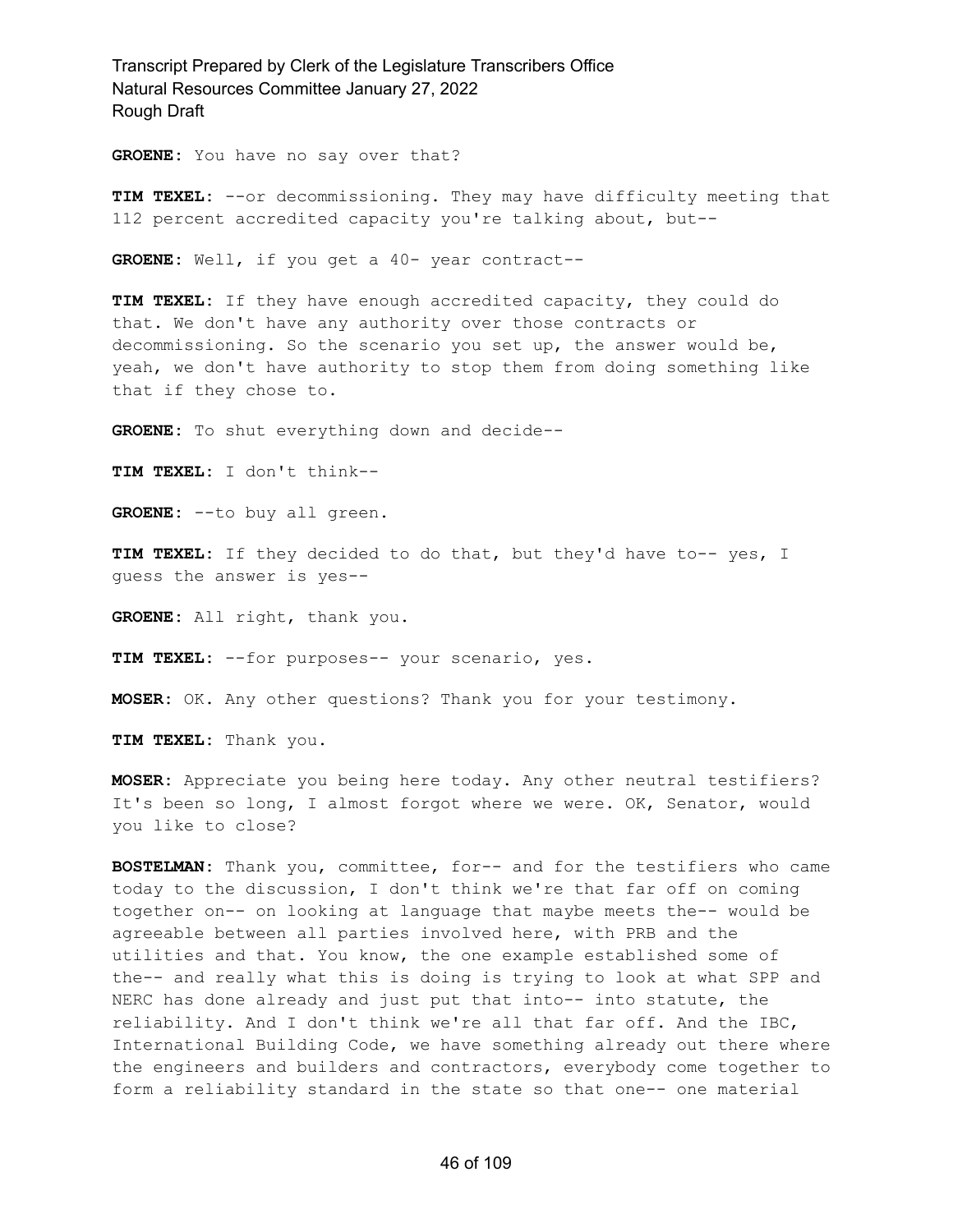**GROENE:** You have no say over that?

**TIM TEXEL:** --or decommissioning. They may have difficulty meeting that 112 percent accredited capacity you're talking about, but--

**GROENE:** Well, if you get a 40- year contract--

**TIM TEXEL:** If they have enough accredited capacity, they could do that. We don't have any authority over those contracts or decommissioning. So the scenario you set up, the answer would be, yeah, we don't have authority to stop them from doing something like that if they chose to.

**GROENE:** To shut everything down and decide--

**TIM TEXEL:** I don't think--

**GROENE:** --to buy all green.

**TIM TEXEL:** If they decided to do that, but they'd have to-- yes, I guess the answer is yes--

**GROENE:** All right, thank you.

**TIM TEXEL:** --for purposes-- your scenario, yes.

**MOSER:** OK. Any other questions? Thank you for your testimony.

**TIM TEXEL:** Thank you.

**MOSER:** Appreciate you being here today. Any other neutral testifiers? It's been so long, I almost forgot where we were. OK, Senator, would you like to close?

**BOSTELMAN:** Thank you, committee, for-- and for the testifiers who came today to the discussion, I don't think we're that far off on coming together on-- on looking at language that maybe meets the-- would be agreeable between all parties involved here, with PRB and the utilities and that. You know, the one example established some of the-- and really what this is doing is trying to look at what SPP and NERC has done already and just put that into-- into statute, the reliability. And I don't think we're all that far off. And the IBC, International Building Code, we have something already out there where the engineers and builders and contractors, everybody come together to form a reliability standard in the state so that one-- one material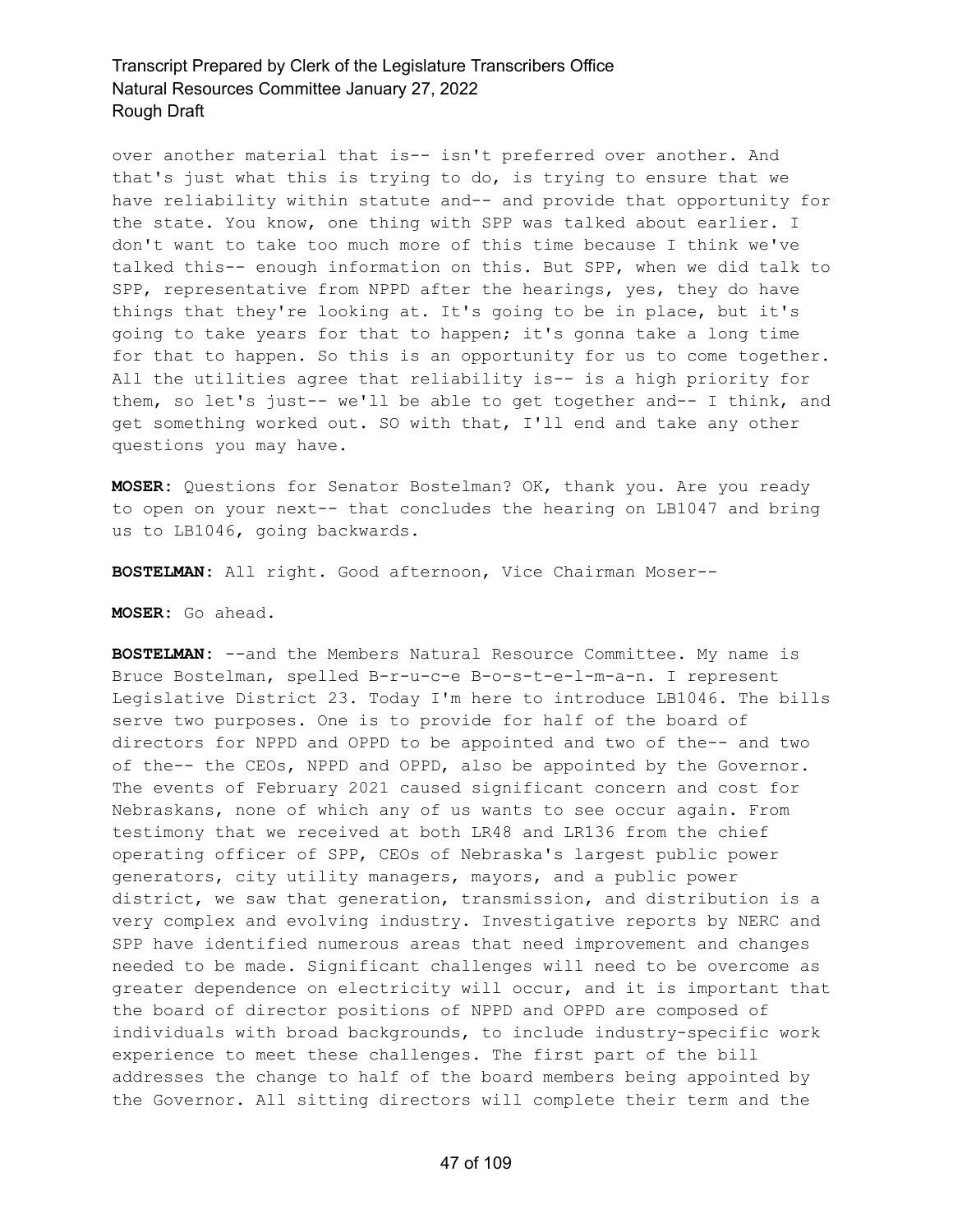over another material that is-- isn't preferred over another. And that's just what this is trying to do, is trying to ensure that we have reliability within statute and-- and provide that opportunity for the state. You know, one thing with SPP was talked about earlier. I don't want to take too much more of this time because I think we've talked this-- enough information on this. But SPP, when we did talk to SPP, representative from NPPD after the hearings, yes, they do have things that they're looking at. It's going to be in place, but it's going to take years for that to happen; it's gonna take a long time for that to happen. So this is an opportunity for us to come together. All the utilities agree that reliability is-- is a high priority for them, so let's just-- we'll be able to get together and-- I think, and get something worked out. SO with that, I'll end and take any other questions you may have.

**MOSER:** Questions for Senator Bostelman? OK, thank you. Are you ready to open on your next-- that concludes the hearing on LB1047 and bring us to LB1046, going backwards.

**BOSTELMAN:** All right. Good afternoon, Vice Chairman Moser--

#### **MOSER:** Go ahead.

**BOSTELMAN:** --and the Members Natural Resource Committee. My name is Bruce Bostelman, spelled B-r-u-c-e B-o-s-t-e-l-m-a-n. I represent Legislative District 23. Today I'm here to introduce LB1046. The bills serve two purposes. One is to provide for half of the board of directors for NPPD and OPPD to be appointed and two of the-- and two of the-- the CEOs, NPPD and OPPD, also be appointed by the Governor. The events of February 2021 caused significant concern and cost for Nebraskans, none of which any of us wants to see occur again. From testimony that we received at both LR48 and LR136 from the chief operating officer of SPP, CEOs of Nebraska's largest public power generators, city utility managers, mayors, and a public power district, we saw that generation, transmission, and distribution is a very complex and evolving industry. Investigative reports by NERC and SPP have identified numerous areas that need improvement and changes needed to be made. Significant challenges will need to be overcome as greater dependence on electricity will occur, and it is important that the board of director positions of NPPD and OPPD are composed of individuals with broad backgrounds, to include industry-specific work experience to meet these challenges. The first part of the bill addresses the change to half of the board members being appointed by the Governor. All sitting directors will complete their term and the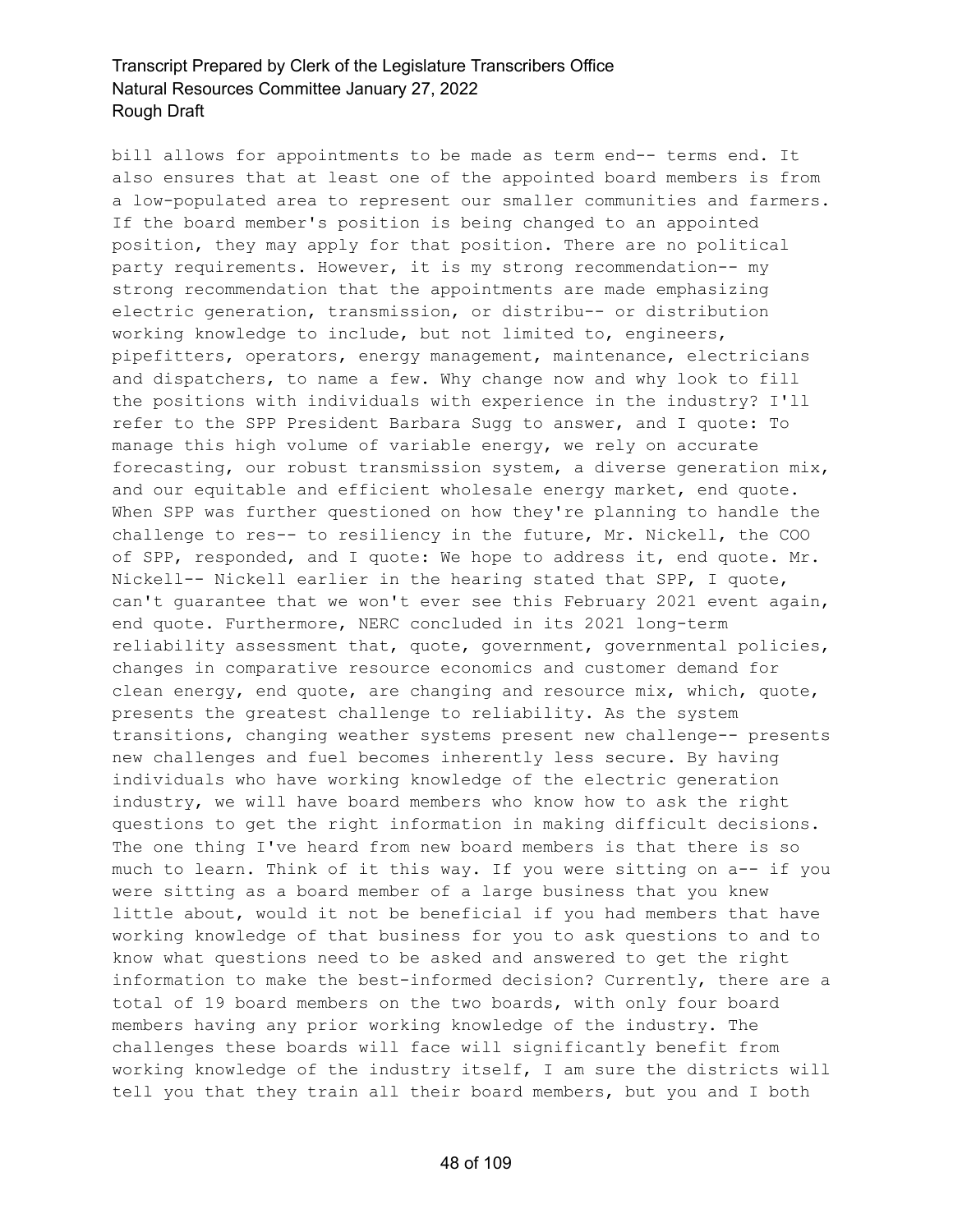bill allows for appointments to be made as term end-- terms end. It also ensures that at least one of the appointed board members is from a low-populated area to represent our smaller communities and farmers. If the board member's position is being changed to an appointed position, they may apply for that position. There are no political party requirements. However, it is my strong recommendation-- my strong recommendation that the appointments are made emphasizing electric generation, transmission, or distribu-- or distribution working knowledge to include, but not limited to, engineers, pipefitters, operators, energy management, maintenance, electricians and dispatchers, to name a few. Why change now and why look to fill the positions with individuals with experience in the industry? I'll refer to the SPP President Barbara Sugg to answer, and I quote: To manage this high volume of variable energy, we rely on accurate forecasting, our robust transmission system, a diverse generation mix, and our equitable and efficient wholesale energy market, end quote. When SPP was further questioned on how they're planning to handle the challenge to res-- to resiliency in the future, Mr. Nickell, the COO of SPP, responded, and I quote: We hope to address it, end quote. Mr. Nickell-- Nickell earlier in the hearing stated that SPP, I quote, can't guarantee that we won't ever see this February 2021 event again, end quote. Furthermore, NERC concluded in its 2021 long-term reliability assessment that, quote, government, governmental policies, changes in comparative resource economics and customer demand for clean energy, end quote, are changing and resource mix, which, quote, presents the greatest challenge to reliability. As the system transitions, changing weather systems present new challenge-- presents new challenges and fuel becomes inherently less secure. By having individuals who have working knowledge of the electric generation industry, we will have board members who know how to ask the right questions to get the right information in making difficult decisions. The one thing I've heard from new board members is that there is so much to learn. Think of it this way. If you were sitting on a-- if you were sitting as a board member of a large business that you knew little about, would it not be beneficial if you had members that have working knowledge of that business for you to ask questions to and to know what questions need to be asked and answered to get the right information to make the best-informed decision? Currently, there are a total of 19 board members on the two boards, with only four board members having any prior working knowledge of the industry. The challenges these boards will face will significantly benefit from working knowledge of the industry itself, I am sure the districts will tell you that they train all their board members, but you and I both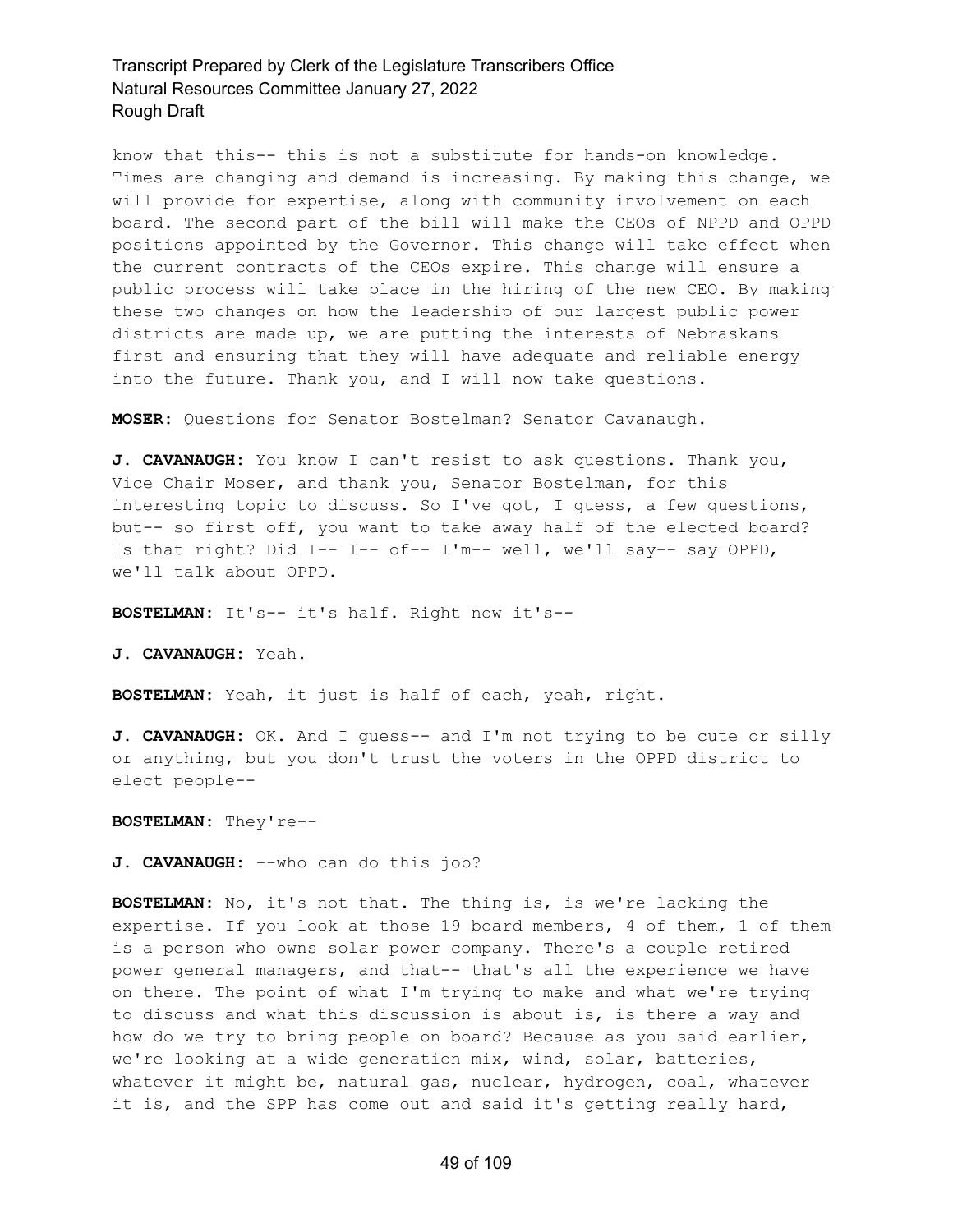know that this-- this is not a substitute for hands-on knowledge. Times are changing and demand is increasing. By making this change, we will provide for expertise, along with community involvement on each board. The second part of the bill will make the CEOs of NPPD and OPPD positions appointed by the Governor. This change will take effect when the current contracts of the CEOs expire. This change will ensure a public process will take place in the hiring of the new CEO. By making these two changes on how the leadership of our largest public power districts are made up, we are putting the interests of Nebraskans first and ensuring that they will have adequate and reliable energy into the future. Thank you, and I will now take questions.

**MOSER:** Questions for Senator Bostelman? Senator Cavanaugh.

**J. CAVANAUGH:** You know I can't resist to ask questions. Thank you, Vice Chair Moser, and thank you, Senator Bostelman, for this interesting topic to discuss. So I've got, I guess, a few questions, but-- so first off, you want to take away half of the elected board? Is that right? Did I-- I-- of-- I'm-- well, we'll say-- say OPPD, we'll talk about OPPD.

**BOSTELMAN:** It's-- it's half. Right now it's--

**J. CAVANAUGH:** Yeah.

**BOSTELMAN:** Yeah, it just is half of each, yeah, right.

**J. CAVANAUGH:** OK. And I guess-- and I'm not trying to be cute or silly or anything, but you don't trust the voters in the OPPD district to elect people--

**BOSTELMAN:** They're--

**J. CAVANAUGH:** --who can do this job?

**BOSTELMAN:** No, it's not that. The thing is, is we're lacking the expertise. If you look at those 19 board members, 4 of them, 1 of them is a person who owns solar power company. There's a couple retired power general managers, and that-- that's all the experience we have on there. The point of what I'm trying to make and what we're trying to discuss and what this discussion is about is, is there a way and how do we try to bring people on board? Because as you said earlier, we're looking at a wide generation mix, wind, solar, batteries, whatever it might be, natural gas, nuclear, hydrogen, coal, whatever it is, and the SPP has come out and said it's getting really hard,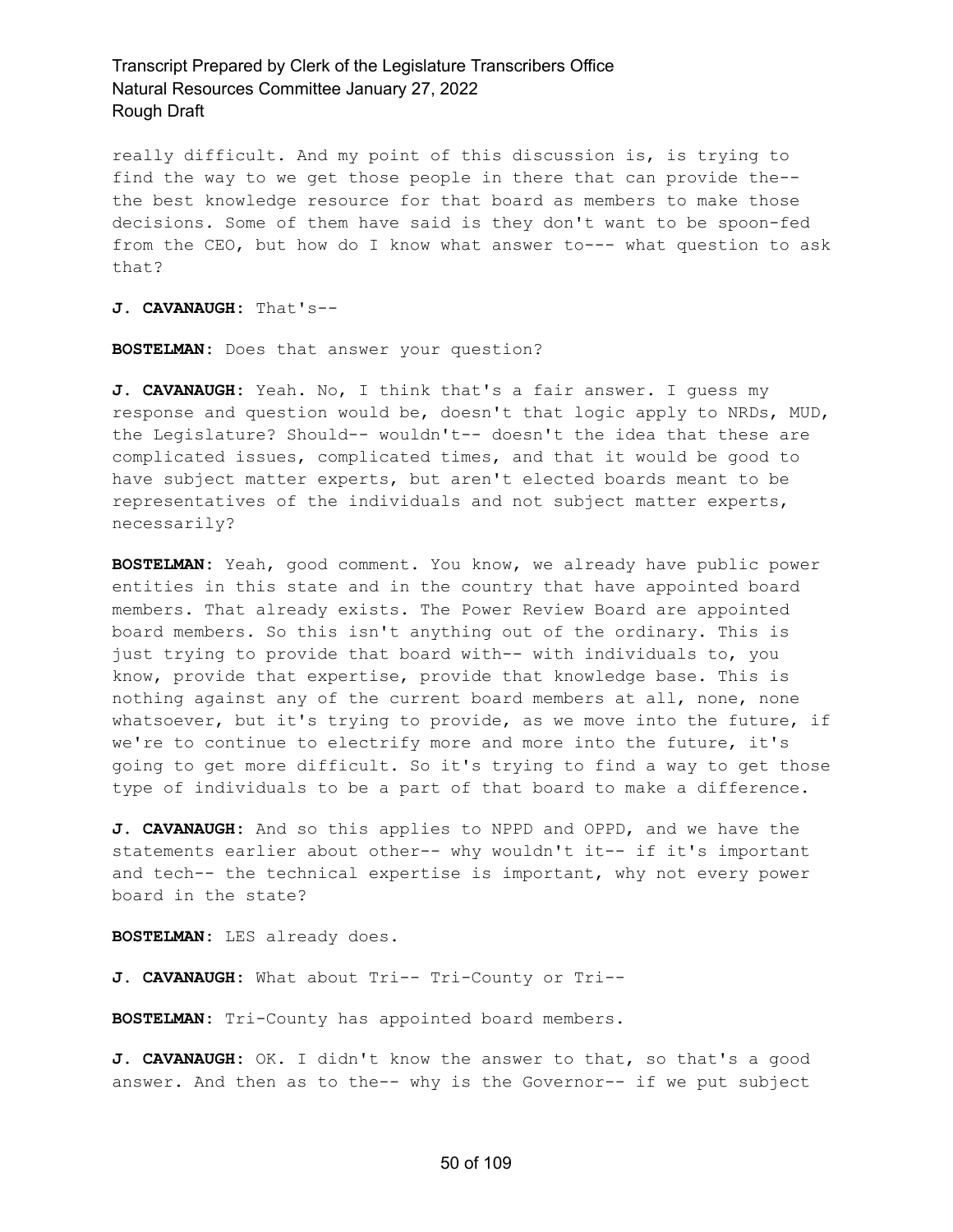really difficult. And my point of this discussion is, is trying to find the way to we get those people in there that can provide the- the best knowledge resource for that board as members to make those decisions. Some of them have said is they don't want to be spoon-fed from the CEO, but how do I know what answer to--- what question to ask that?

**J. CAVANAUGH:** That's--

**BOSTELMAN:** Does that answer your question?

**J. CAVANAUGH:** Yeah. No, I think that's a fair answer. I guess my response and question would be, doesn't that logic apply to NRDs, MUD, the Legislature? Should-- wouldn't-- doesn't the idea that these are complicated issues, complicated times, and that it would be good to have subject matter experts, but aren't elected boards meant to be representatives of the individuals and not subject matter experts, necessarily?

**BOSTELMAN:** Yeah, good comment. You know, we already have public power entities in this state and in the country that have appointed board members. That already exists. The Power Review Board are appointed board members. So this isn't anything out of the ordinary. This is just trying to provide that board with-- with individuals to, you know, provide that expertise, provide that knowledge base. This is nothing against any of the current board members at all, none, none whatsoever, but it's trying to provide, as we move into the future, if we're to continue to electrify more and more into the future, it's going to get more difficult. So it's trying to find a way to get those type of individuals to be a part of that board to make a difference.

**J. CAVANAUGH:** And so this applies to NPPD and OPPD, and we have the statements earlier about other-- why wouldn't it-- if it's important and tech-- the technical expertise is important, why not every power board in the state?

**BOSTELMAN:** LES already does.

J. CAVANAUGH: What about Tri-- Tri-County or Tri--

**BOSTELMAN:** Tri-County has appointed board members.

**J. CAVANAUGH:** OK. I didn't know the answer to that, so that's a good answer. And then as to the-- why is the Governor-- if we put subject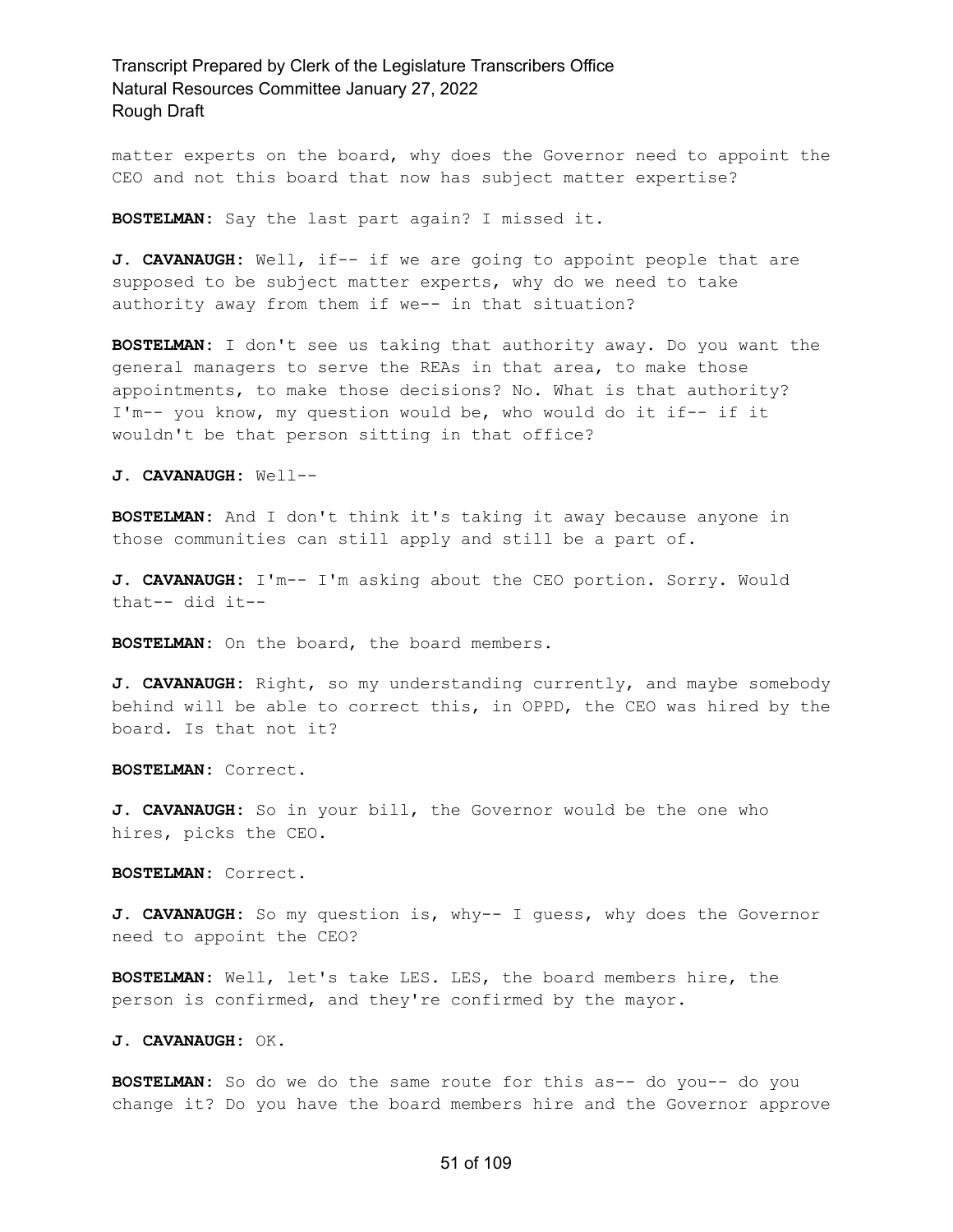matter experts on the board, why does the Governor need to appoint the CEO and not this board that now has subject matter expertise?

**BOSTELMAN:** Say the last part again? I missed it.

**J. CAVANAUGH:** Well, if-- if we are going to appoint people that are supposed to be subject matter experts, why do we need to take authority away from them if we-- in that situation?

**BOSTELMAN:** I don't see us taking that authority away. Do you want the general managers to serve the REAs in that area, to make those appointments, to make those decisions? No. What is that authority? I'm-- you know, my question would be, who would do it if-- if it wouldn't be that person sitting in that office?

**J. CAVANAUGH:** Well--

**BOSTELMAN:** And I don't think it's taking it away because anyone in those communities can still apply and still be a part of.

**J. CAVANAUGH:** I'm-- I'm asking about the CEO portion. Sorry. Would that-- did it--

**BOSTELMAN:** On the board, the board members.

**J. CAVANAUGH:** Right, so my understanding currently, and maybe somebody behind will be able to correct this, in OPPD, the CEO was hired by the board. Is that not it?

**BOSTELMAN:** Correct.

**J. CAVANAUGH:** So in your bill, the Governor would be the one who hires, picks the CEO.

**BOSTELMAN:** Correct.

**J. CAVANAUGH:** So my question is, why-- I guess, why does the Governor need to appoint the CEO?

**BOSTELMAN:** Well, let's take LES. LES, the board members hire, the person is confirmed, and they're confirmed by the mayor.

**J. CAVANAUGH:** OK.

**BOSTELMAN:** So do we do the same route for this as-- do you-- do you change it? Do you have the board members hire and the Governor approve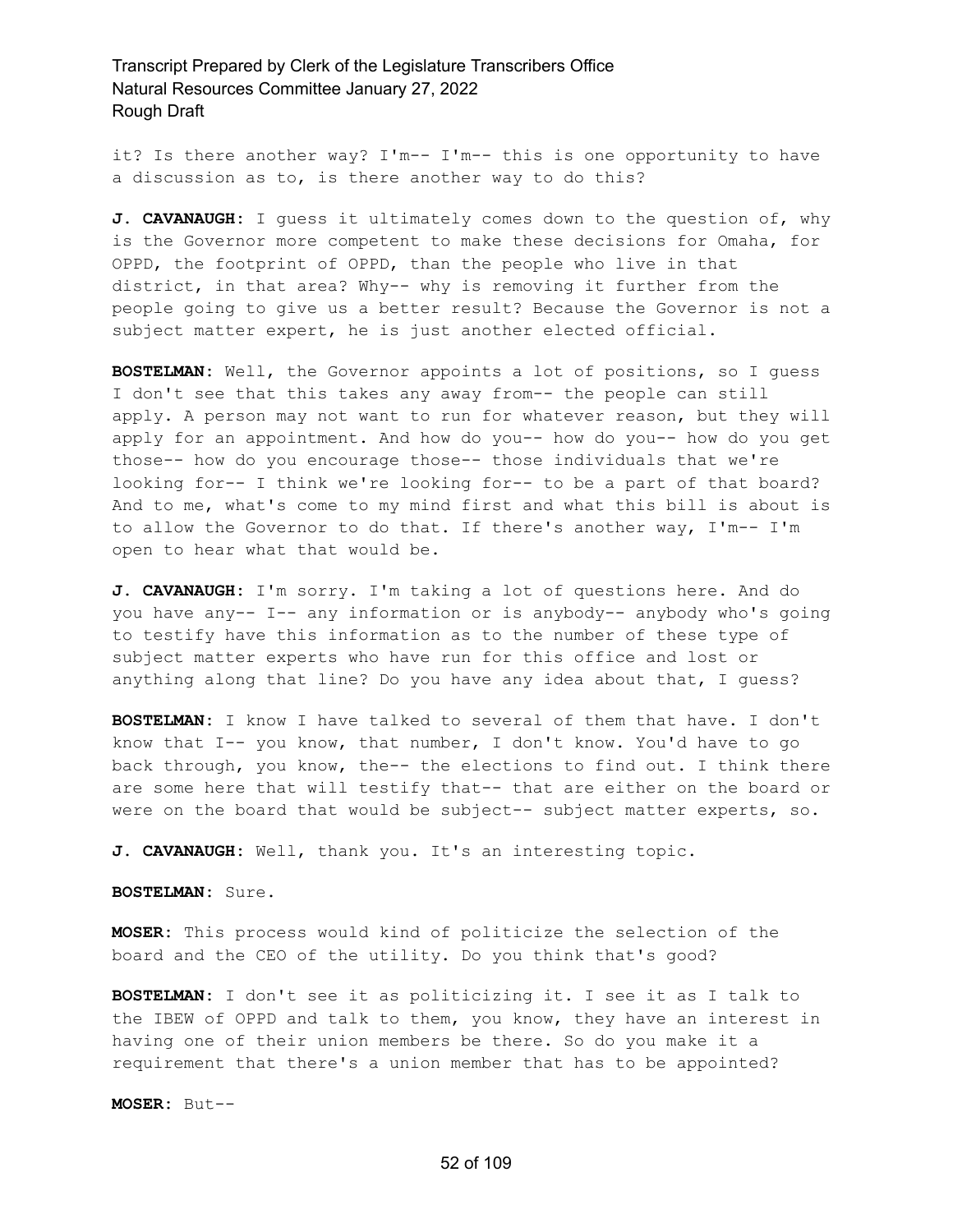it? Is there another way? I'm-- I'm-- this is one opportunity to have a discussion as to, is there another way to do this?

**J. CAVANAUGH:** I guess it ultimately comes down to the question of, why is the Governor more competent to make these decisions for Omaha, for OPPD, the footprint of OPPD, than the people who live in that district, in that area? Why-- why is removing it further from the people going to give us a better result? Because the Governor is not a subject matter expert, he is just another elected official.

**BOSTELMAN:** Well, the Governor appoints a lot of positions, so I guess I don't see that this takes any away from-- the people can still apply. A person may not want to run for whatever reason, but they will apply for an appointment. And how do you-- how do you-- how do you get those-- how do you encourage those-- those individuals that we're looking for-- I think we're looking for-- to be a part of that board? And to me, what's come to my mind first and what this bill is about is to allow the Governor to do that. If there's another way, I'm-- I'm open to hear what that would be.

**J. CAVANAUGH:** I'm sorry. I'm taking a lot of questions here. And do you have any-- I-- any information or is anybody-- anybody who's going to testify have this information as to the number of these type of subject matter experts who have run for this office and lost or anything along that line? Do you have any idea about that, I guess?

**BOSTELMAN:** I know I have talked to several of them that have. I don't know that I-- you know, that number, I don't know. You'd have to go back through, you know, the-- the elections to find out. I think there are some here that will testify that-- that are either on the board or were on the board that would be subject-- subject matter experts, so.

**J. CAVANAUGH:** Well, thank you. It's an interesting topic.

**BOSTELMAN:** Sure.

**MOSER:** This process would kind of politicize the selection of the board and the CEO of the utility. Do you think that's good?

**BOSTELMAN:** I don't see it as politicizing it. I see it as I talk to the IBEW of OPPD and talk to them, you know, they have an interest in having one of their union members be there. So do you make it a requirement that there's a union member that has to be appointed?

**MOSER:** But--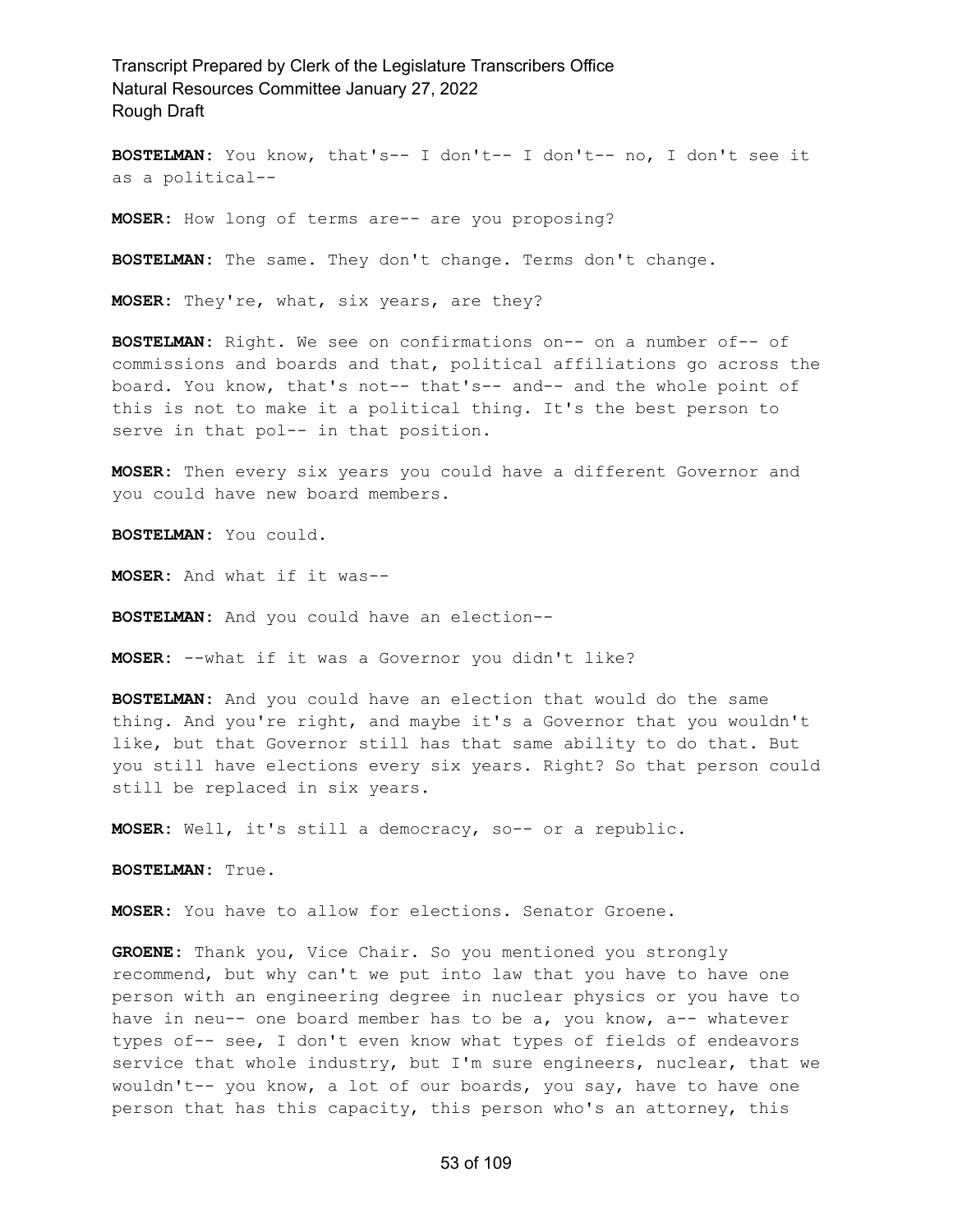**BOSTELMAN:** You know, that's-- I don't-- I don't-- no, I don't see it as a political--

**MOSER:** How long of terms are-- are you proposing?

**BOSTELMAN:** The same. They don't change. Terms don't change.

**MOSER:** They're, what, six years, are they?

**BOSTELMAN:** Right. We see on confirmations on-- on a number of-- of commissions and boards and that, political affiliations go across the board. You know, that's not-- that's-- and-- and the whole point of this is not to make it a political thing. It's the best person to serve in that pol-- in that position.

**MOSER:** Then every six years you could have a different Governor and you could have new board members.

**BOSTELMAN:** You could.

**MOSER:** And what if it was--

**BOSTELMAN:** And you could have an election--

**MOSER:** --what if it was a Governor you didn't like?

**BOSTELMAN:** And you could have an election that would do the same thing. And you're right, and maybe it's a Governor that you wouldn't like, but that Governor still has that same ability to do that. But you still have elections every six years. Right? So that person could still be replaced in six years.

**MOSER:** Well, it's still a democracy, so-- or a republic.

**BOSTELMAN:** True.

**MOSER:** You have to allow for elections. Senator Groene.

**GROENE:** Thank you, Vice Chair. So you mentioned you strongly recommend, but why can't we put into law that you have to have one person with an engineering degree in nuclear physics or you have to have in neu-- one board member has to be a, you know, a-- whatever types of-- see, I don't even know what types of fields of endeavors service that whole industry, but I'm sure engineers, nuclear, that we wouldn't-- you know, a lot of our boards, you say, have to have one person that has this capacity, this person who's an attorney, this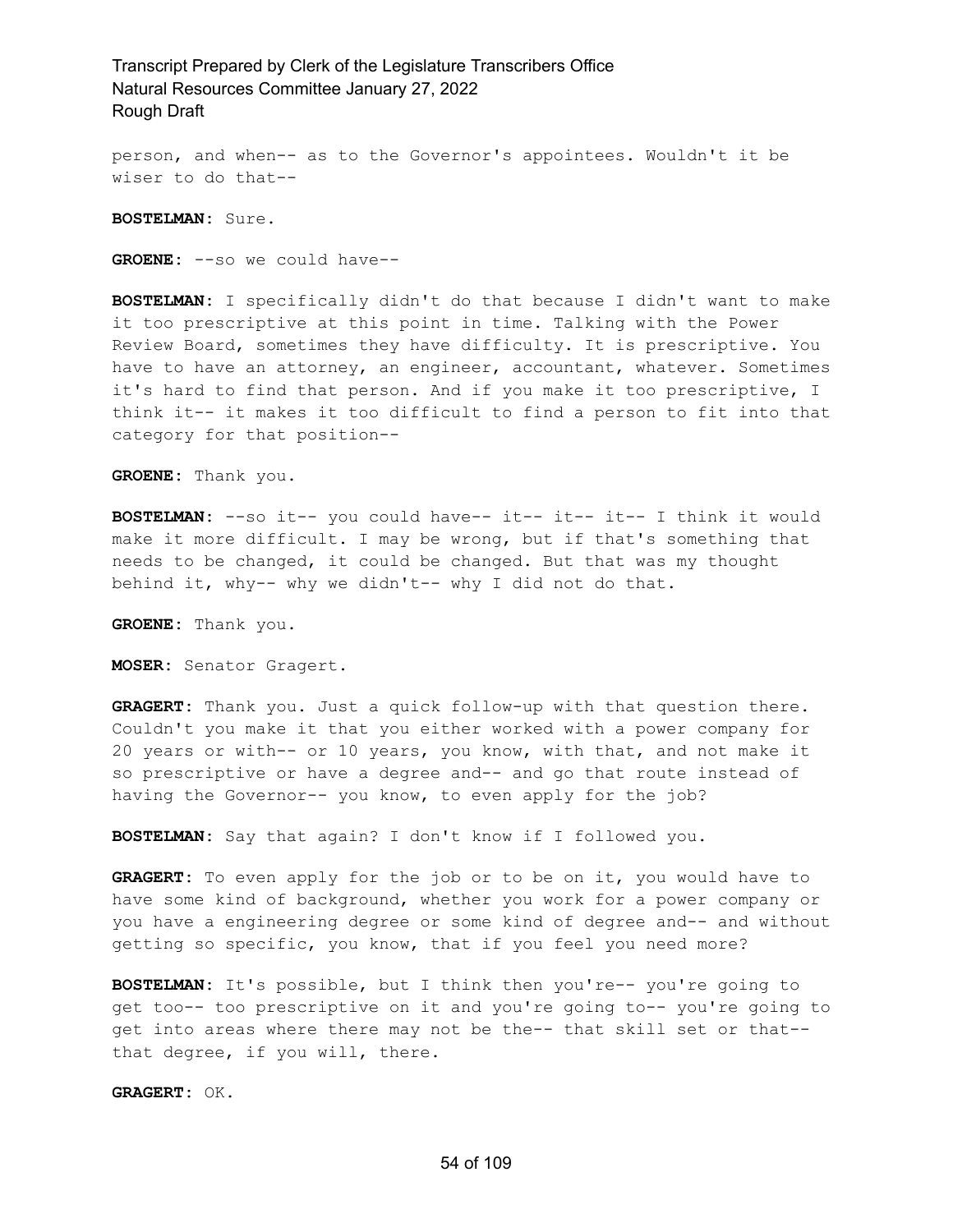person, and when-- as to the Governor's appointees. Wouldn't it be wiser to do that--

**BOSTELMAN:** Sure.

**GROENE:** --so we could have--

**BOSTELMAN:** I specifically didn't do that because I didn't want to make it too prescriptive at this point in time. Talking with the Power Review Board, sometimes they have difficulty. It is prescriptive. You have to have an attorney, an engineer, accountant, whatever. Sometimes it's hard to find that person. And if you make it too prescriptive, I think it-- it makes it too difficult to find a person to fit into that category for that position--

**GROENE:** Thank you.

**BOSTELMAN:** --so it-- you could have-- it-- it-- it-- I think it would make it more difficult. I may be wrong, but if that's something that needs to be changed, it could be changed. But that was my thought behind it, why-- why we didn't-- why I did not do that.

**GROENE:** Thank you.

**MOSER:** Senator Gragert.

**GRAGERT:** Thank you. Just a quick follow-up with that question there. Couldn't you make it that you either worked with a power company for 20 years or with-- or 10 years, you know, with that, and not make it so prescriptive or have a degree and-- and go that route instead of having the Governor-- you know, to even apply for the job?

**BOSTELMAN:** Say that again? I don't know if I followed you.

**GRAGERT:** To even apply for the job or to be on it, you would have to have some kind of background, whether you work for a power company or you have a engineering degree or some kind of degree and-- and without getting so specific, you know, that if you feel you need more?

**BOSTELMAN:** It's possible, but I think then you're-- you're going to get too-- too prescriptive on it and you're going to-- you're going to get into areas where there may not be the-- that skill set or that- that degree, if you will, there.

**GRAGERT:** OK.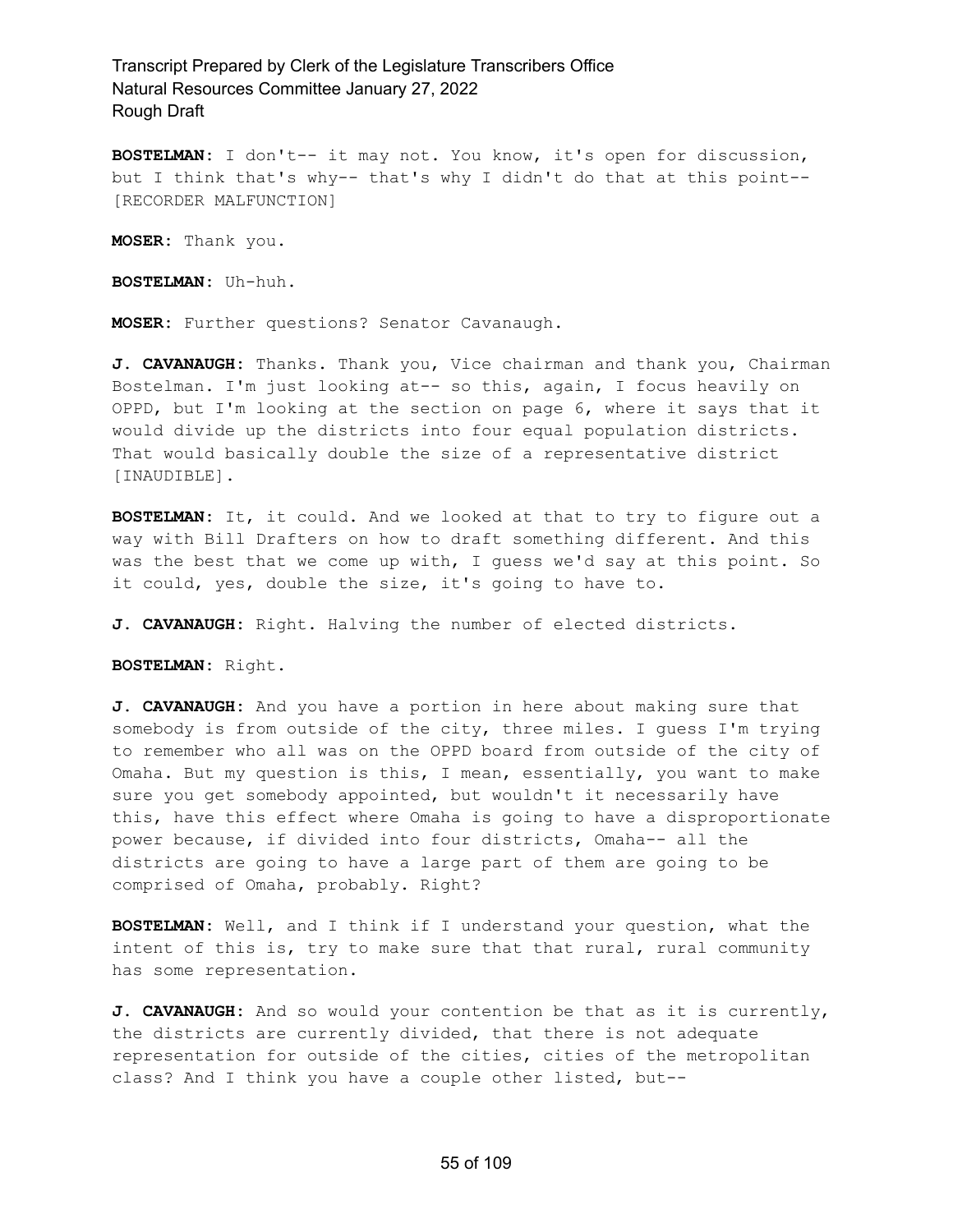**BOSTELMAN:** I don't-- it may not. You know, it's open for discussion, but I think that's why-- that's why I didn't do that at this point-- [RECORDER MALFUNCTION]

**MOSER:** Thank you.

**BOSTELMAN:** Uh-huh.

**MOSER:** Further questions? Senator Cavanaugh.

**J. CAVANAUGH:** Thanks. Thank you, Vice chairman and thank you, Chairman Bostelman. I'm just looking at-- so this, again, I focus heavily on OPPD, but I'm looking at the section on page 6, where it says that it would divide up the districts into four equal population districts. That would basically double the size of a representative district [INAUDIBLE].

**BOSTELMAN:** It, it could. And we looked at that to try to figure out a way with Bill Drafters on how to draft something different. And this was the best that we come up with, I guess we'd say at this point. So it could, yes, double the size, it's going to have to.

**J. CAVANAUGH:** Right. Halving the number of elected districts.

**BOSTELMAN:** Right.

**J. CAVANAUGH:** And you have a portion in here about making sure that somebody is from outside of the city, three miles. I guess I'm trying to remember who all was on the OPPD board from outside of the city of Omaha. But my question is this, I mean, essentially, you want to make sure you get somebody appointed, but wouldn't it necessarily have this, have this effect where Omaha is going to have a disproportionate power because, if divided into four districts, Omaha-- all the districts are going to have a large part of them are going to be comprised of Omaha, probably. Right?

**BOSTELMAN:** Well, and I think if I understand your question, what the intent of this is, try to make sure that that rural, rural community has some representation.

**J. CAVANAUGH:** And so would your contention be that as it is currently, the districts are currently divided, that there is not adequate representation for outside of the cities, cities of the metropolitan class? And I think you have a couple other listed, but--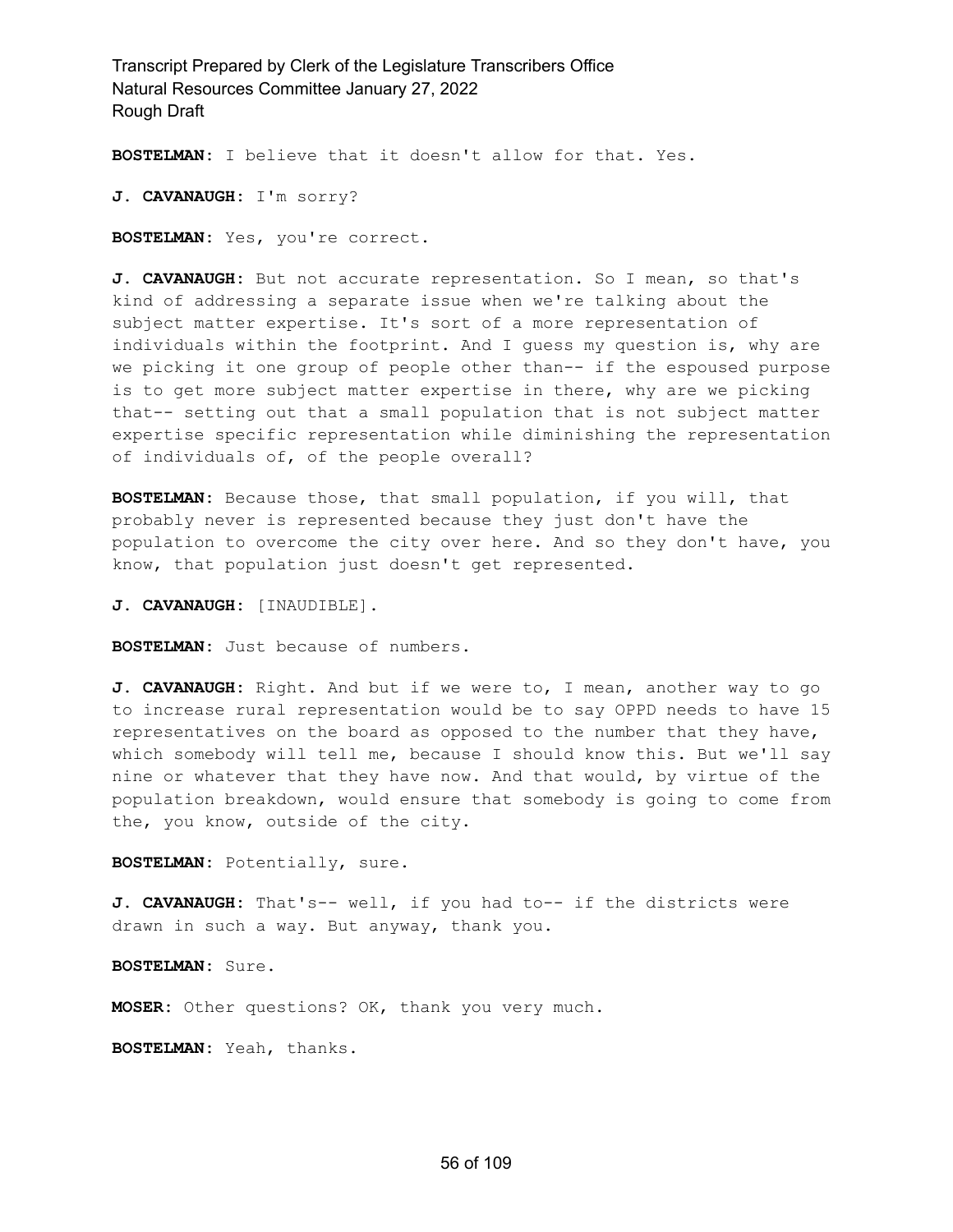**BOSTELMAN:** I believe that it doesn't allow for that. Yes.

**J. CAVANAUGH:** I'm sorry?

**BOSTELMAN:** Yes, you're correct.

**J. CAVANAUGH:** But not accurate representation. So I mean, so that's kind of addressing a separate issue when we're talking about the subject matter expertise. It's sort of a more representation of individuals within the footprint. And I guess my question is, why are we picking it one group of people other than-- if the espoused purpose is to get more subject matter expertise in there, why are we picking that-- setting out that a small population that is not subject matter expertise specific representation while diminishing the representation of individuals of, of the people overall?

**BOSTELMAN:** Because those, that small population, if you will, that probably never is represented because they just don't have the population to overcome the city over here. And so they don't have, you know, that population just doesn't get represented.

**J. CAVANAUGH:** [INAUDIBLE].

**BOSTELMAN:** Just because of numbers.

**J. CAVANAUGH:** Right. And but if we were to, I mean, another way to go to increase rural representation would be to say OPPD needs to have 15 representatives on the board as opposed to the number that they have, which somebody will tell me, because I should know this. But we'll say nine or whatever that they have now. And that would, by virtue of the population breakdown, would ensure that somebody is going to come from the, you know, outside of the city.

**BOSTELMAN:** Potentially, sure.

**J. CAVANAUGH:** That's-- well, if you had to-- if the districts were drawn in such a way. But anyway, thank you.

**BOSTELMAN:** Sure.

**MOSER:** Other questions? OK, thank you very much.

**BOSTELMAN:** Yeah, thanks.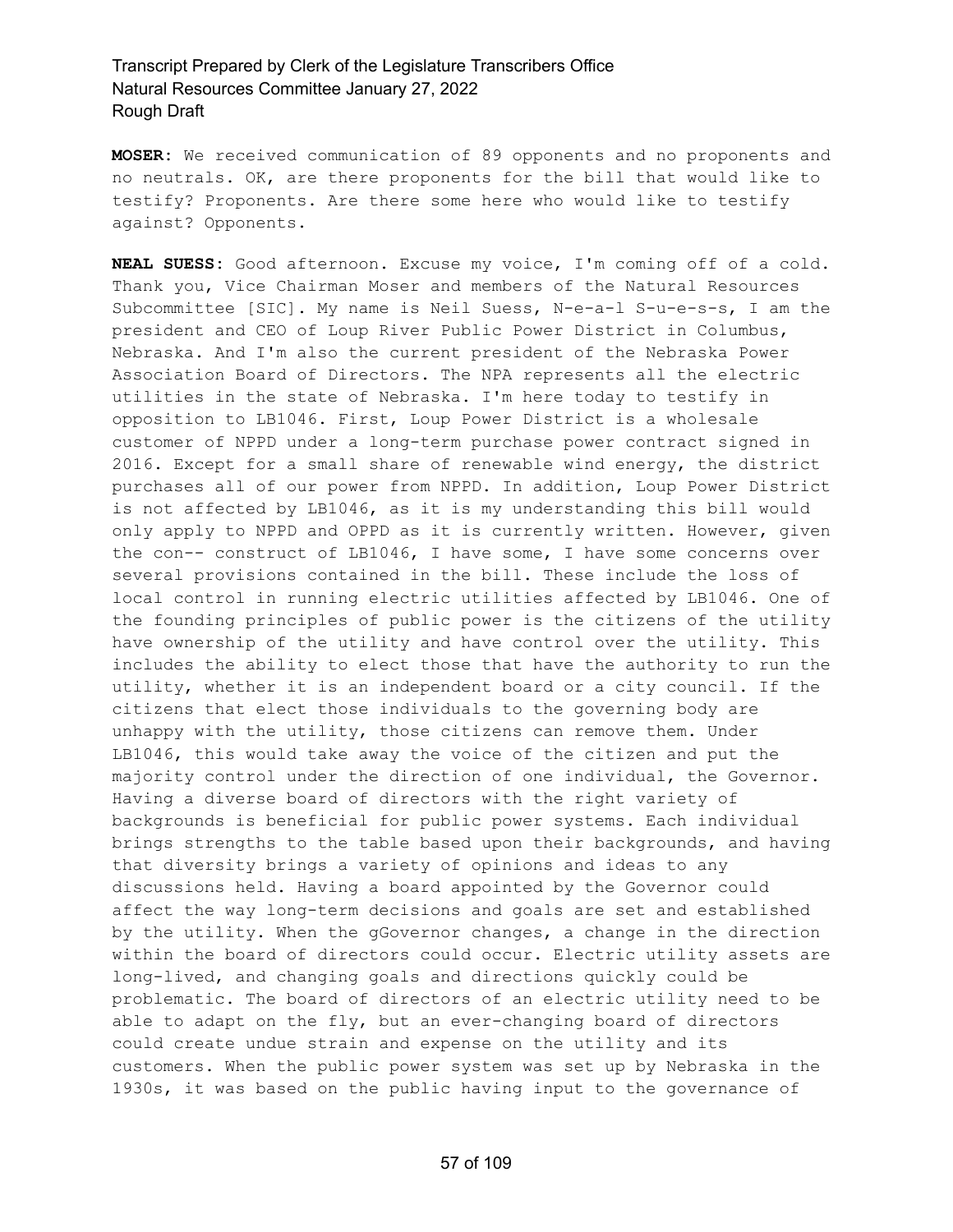**MOSER:** We received communication of 89 opponents and no proponents and no neutrals. OK, are there proponents for the bill that would like to testify? Proponents. Are there some here who would like to testify against? Opponents.

**NEAL SUESS:** Good afternoon. Excuse my voice, I'm coming off of a cold. Thank you, Vice Chairman Moser and members of the Natural Resources Subcommittee [SIC]. My name is Neil Suess, N-e-a-l S-u-e-s-s, I am the president and CEO of Loup River Public Power District in Columbus, Nebraska. And I'm also the current president of the Nebraska Power Association Board of Directors. The NPA represents all the electric utilities in the state of Nebraska. I'm here today to testify in opposition to LB1046. First, Loup Power District is a wholesale customer of NPPD under a long-term purchase power contract signed in 2016. Except for a small share of renewable wind energy, the district purchases all of our power from NPPD. In addition, Loup Power District is not affected by LB1046, as it is my understanding this bill would only apply to NPPD and OPPD as it is currently written. However, given the con-- construct of LB1046, I have some, I have some concerns over several provisions contained in the bill. These include the loss of local control in running electric utilities affected by LB1046. One of the founding principles of public power is the citizens of the utility have ownership of the utility and have control over the utility. This includes the ability to elect those that have the authority to run the utility, whether it is an independent board or a city council. If the citizens that elect those individuals to the governing body are unhappy with the utility, those citizens can remove them. Under LB1046, this would take away the voice of the citizen and put the majority control under the direction of one individual, the Governor. Having a diverse board of directors with the right variety of backgrounds is beneficial for public power systems. Each individual brings strengths to the table based upon their backgrounds, and having that diversity brings a variety of opinions and ideas to any discussions held. Having a board appointed by the Governor could affect the way long-term decisions and goals are set and established by the utility. When the gGovernor changes, a change in the direction within the board of directors could occur. Electric utility assets are long-lived, and changing goals and directions quickly could be problematic. The board of directors of an electric utility need to be able to adapt on the fly, but an ever-changing board of directors could create undue strain and expense on the utility and its customers. When the public power system was set up by Nebraska in the 1930s, it was based on the public having input to the governance of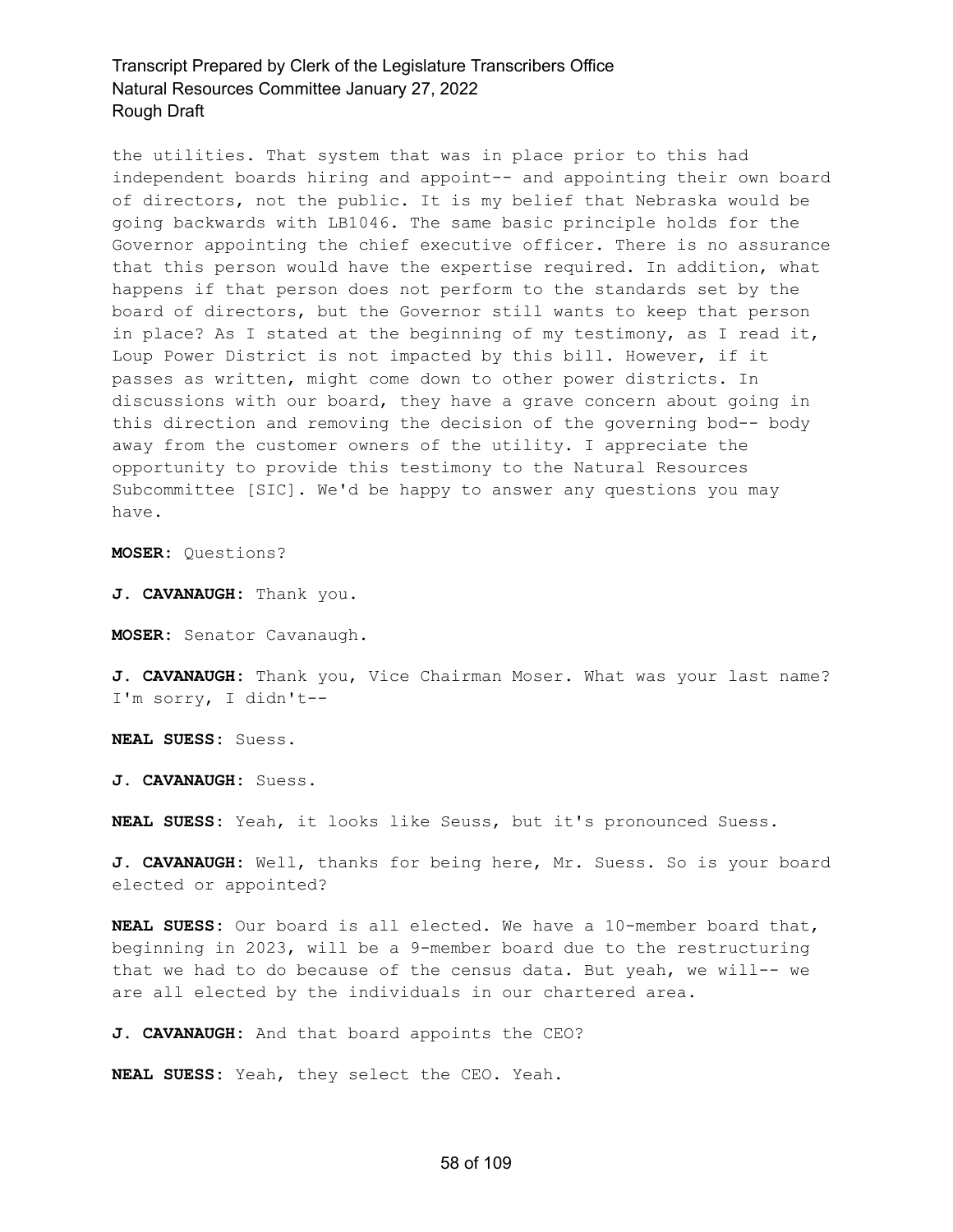the utilities. That system that was in place prior to this had independent boards hiring and appoint-- and appointing their own board of directors, not the public. It is my belief that Nebraska would be going backwards with LB1046. The same basic principle holds for the Governor appointing the chief executive officer. There is no assurance that this person would have the expertise required. In addition, what happens if that person does not perform to the standards set by the board of directors, but the Governor still wants to keep that person in place? As I stated at the beginning of my testimony, as I read it, Loup Power District is not impacted by this bill. However, if it passes as written, might come down to other power districts. In discussions with our board, they have a grave concern about going in this direction and removing the decision of the governing bod-- body away from the customer owners of the utility. I appreciate the opportunity to provide this testimony to the Natural Resources Subcommittee [SIC]. We'd be happy to answer any questions you may have.

**MOSER:** Questions?

**J. CAVANAUGH:** Thank you.

**MOSER:** Senator Cavanaugh.

**J. CAVANAUGH:** Thank you, Vice Chairman Moser. What was your last name? I'm sorry, I didn't--

**NEAL SUESS:** Suess.

**J. CAVANAUGH:** Suess.

**NEAL SUESS:** Yeah, it looks like Seuss, but it's pronounced Suess.

**J. CAVANAUGH:** Well, thanks for being here, Mr. Suess. So is your board elected or appointed?

**NEAL SUESS:** Our board is all elected. We have a 10-member board that, beginning in 2023, will be a 9-member board due to the restructuring that we had to do because of the census data. But yeah, we will-- we are all elected by the individuals in our chartered area.

**J. CAVANAUGH:** And that board appoints the CEO?

**NEAL SUESS:** Yeah, they select the CEO. Yeah.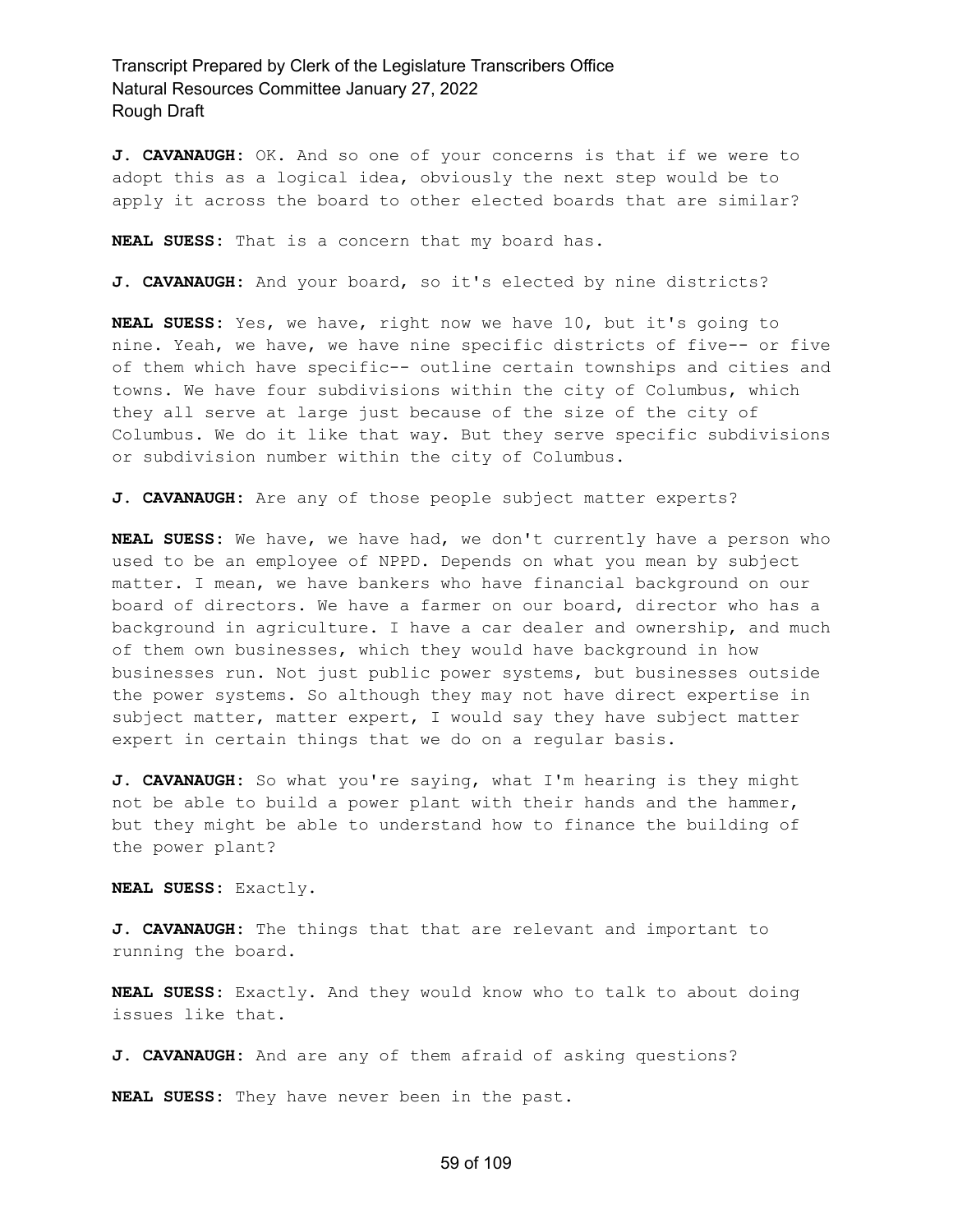**J. CAVANAUGH:** OK. And so one of your concerns is that if we were to adopt this as a logical idea, obviously the next step would be to apply it across the board to other elected boards that are similar?

**NEAL SUESS:** That is a concern that my board has.

**J. CAVANAUGH:** And your board, so it's elected by nine districts?

**NEAL SUESS:** Yes, we have, right now we have 10, but it's going to nine. Yeah, we have, we have nine specific districts of five-- or five of them which have specific-- outline certain townships and cities and towns. We have four subdivisions within the city of Columbus, which they all serve at large just because of the size of the city of Columbus. We do it like that way. But they serve specific subdivisions or subdivision number within the city of Columbus.

**J. CAVANAUGH:** Are any of those people subject matter experts?

**NEAL SUESS:** We have, we have had, we don't currently have a person who used to be an employee of NPPD. Depends on what you mean by subject matter. I mean, we have bankers who have financial background on our board of directors. We have a farmer on our board, director who has a background in agriculture. I have a car dealer and ownership, and much of them own businesses, which they would have background in how businesses run. Not just public power systems, but businesses outside the power systems. So although they may not have direct expertise in subject matter, matter expert, I would say they have subject matter expert in certain things that we do on a regular basis.

**J. CAVANAUGH:** So what you're saying, what I'm hearing is they might not be able to build a power plant with their hands and the hammer, but they might be able to understand how to finance the building of the power plant?

**NEAL SUESS:** Exactly.

**J. CAVANAUGH:** The things that that are relevant and important to running the board.

**NEAL SUESS:** Exactly. And they would know who to talk to about doing issues like that.

**J. CAVANAUGH:** And are any of them afraid of asking questions?

**NEAL SUESS:** They have never been in the past.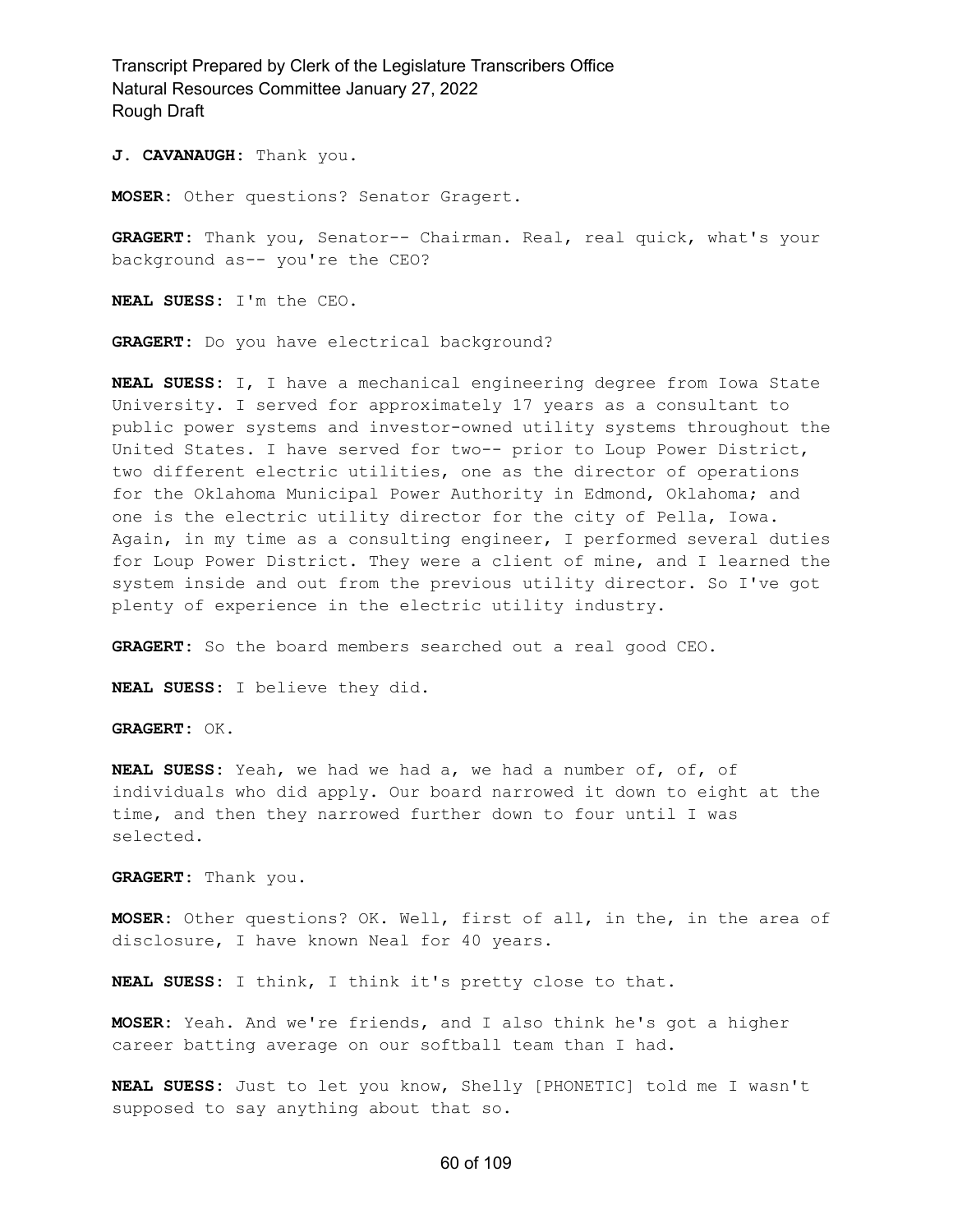**J. CAVANAUGH:** Thank you.

**MOSER:** Other questions? Senator Gragert.

**GRAGERT:** Thank you, Senator-- Chairman. Real, real quick, what's your background as-- you're the CEO?

**NEAL SUESS:** I'm the CEO.

**GRAGERT:** Do you have electrical background?

**NEAL SUESS:** I, I have a mechanical engineering degree from Iowa State University. I served for approximately 17 years as a consultant to public power systems and investor-owned utility systems throughout the United States. I have served for two-- prior to Loup Power District, two different electric utilities, one as the director of operations for the Oklahoma Municipal Power Authority in Edmond, Oklahoma; and one is the electric utility director for the city of Pella, Iowa. Again, in my time as a consulting engineer, I performed several duties for Loup Power District. They were a client of mine, and I learned the system inside and out from the previous utility director. So I've got plenty of experience in the electric utility industry.

**GRAGERT:** So the board members searched out a real good CEO.

**NEAL SUESS:** I believe they did.

**GRAGERT:** OK.

**NEAL SUESS:** Yeah, we had we had a, we had a number of, of, of individuals who did apply. Our board narrowed it down to eight at the time, and then they narrowed further down to four until I was selected.

**GRAGERT:** Thank you.

**MOSER:** Other questions? OK. Well, first of all, in the, in the area of disclosure, I have known Neal for 40 years.

**NEAL SUESS:** I think, I think it's pretty close to that.

**MOSER:** Yeah. And we're friends, and I also think he's got a higher career batting average on our softball team than I had.

**NEAL SUESS:** Just to let you know, Shelly [PHONETIC] told me I wasn't supposed to say anything about that so.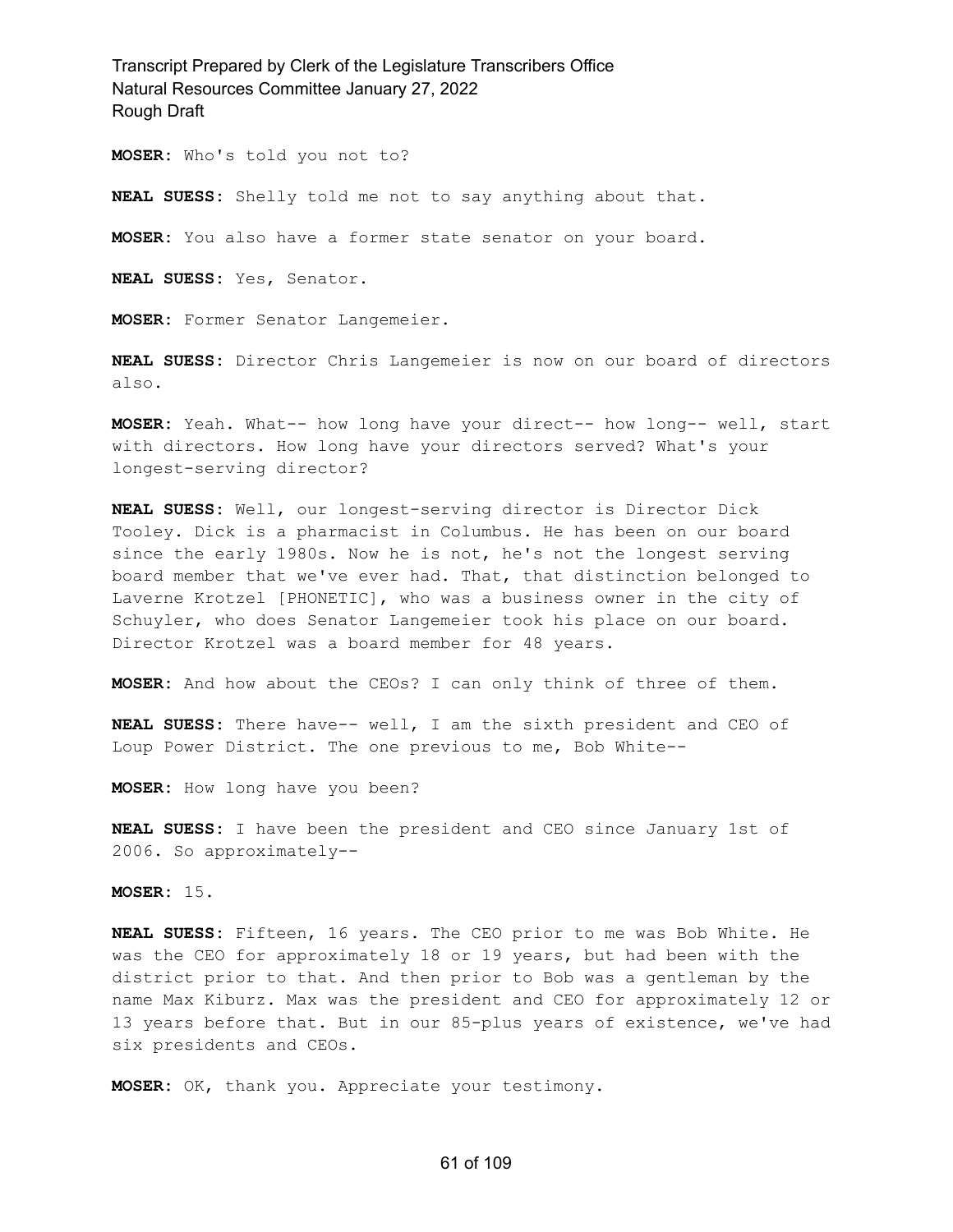**MOSER:** Who's told you not to?

**NEAL SUESS:** Shelly told me not to say anything about that.

**MOSER:** You also have a former state senator on your board.

**NEAL SUESS:** Yes, Senator.

**MOSER:** Former Senator Langemeier.

**NEAL SUESS:** Director Chris Langemeier is now on our board of directors also.

**MOSER:** Yeah. What-- how long have your direct-- how long-- well, start with directors. How long have your directors served? What's your longest-serving director?

**NEAL SUESS:** Well, our longest-serving director is Director Dick Tooley. Dick is a pharmacist in Columbus. He has been on our board since the early 1980s. Now he is not, he's not the longest serving board member that we've ever had. That, that distinction belonged to Laverne Krotzel [PHONETIC], who was a business owner in the city of Schuyler, who does Senator Langemeier took his place on our board. Director Krotzel was a board member for 48 years.

**MOSER:** And how about the CEOs? I can only think of three of them.

**NEAL SUESS:** There have-- well, I am the sixth president and CEO of Loup Power District. The one previous to me, Bob White--

**MOSER:** How long have you been?

**NEAL SUESS:** I have been the president and CEO since January 1st of 2006. So approximately--

**MOSER:** 15.

**NEAL SUESS:** Fifteen, 16 years. The CEO prior to me was Bob White. He was the CEO for approximately 18 or 19 years, but had been with the district prior to that. And then prior to Bob was a gentleman by the name Max Kiburz. Max was the president and CEO for approximately 12 or 13 years before that. But in our 85-plus years of existence, we've had six presidents and CEOs.

**MOSER:** OK, thank you. Appreciate your testimony.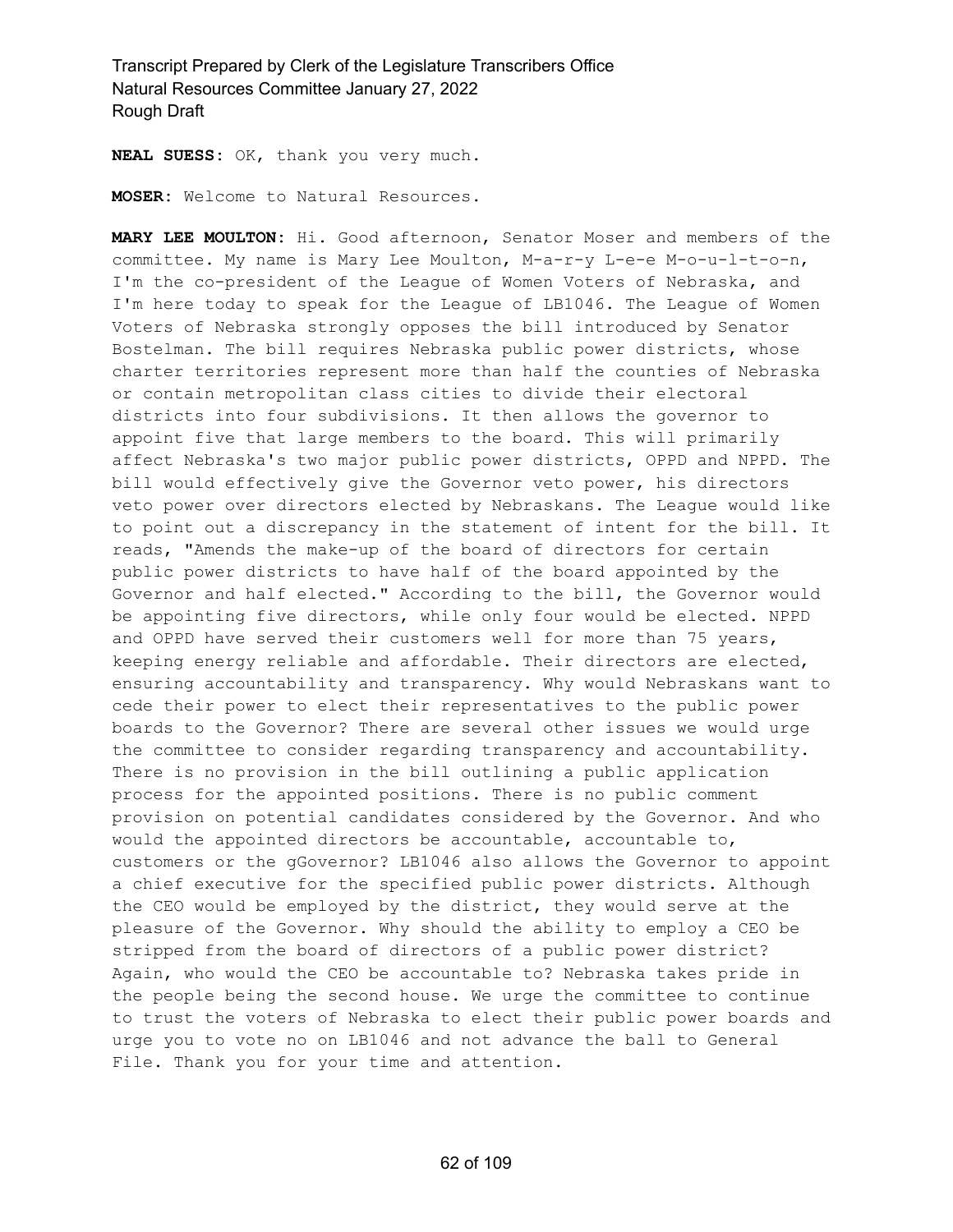**NEAL SUESS:** OK, thank you very much.

**MOSER:** Welcome to Natural Resources.

**MARY LEE MOULTON:** Hi. Good afternoon, Senator Moser and members of the committee. My name is Mary Lee Moulton, M-a-r-y L-e-e M-o-u-l-t-o-n, I'm the co-president of the League of Women Voters of Nebraska, and I'm here today to speak for the League of LB1046. The League of Women Voters of Nebraska strongly opposes the bill introduced by Senator Bostelman. The bill requires Nebraska public power districts, whose charter territories represent more than half the counties of Nebraska or contain metropolitan class cities to divide their electoral districts into four subdivisions. It then allows the governor to appoint five that large members to the board. This will primarily affect Nebraska's two major public power districts, OPPD and NPPD. The bill would effectively give the Governor veto power, his directors veto power over directors elected by Nebraskans. The League would like to point out a discrepancy in the statement of intent for the bill. It reads, "Amends the make-up of the board of directors for certain public power districts to have half of the board appointed by the Governor and half elected." According to the bill, the Governor would be appointing five directors, while only four would be elected. NPPD and OPPD have served their customers well for more than 75 years, keeping energy reliable and affordable. Their directors are elected, ensuring accountability and transparency. Why would Nebraskans want to cede their power to elect their representatives to the public power boards to the Governor? There are several other issues we would urge the committee to consider regarding transparency and accountability. There is no provision in the bill outlining a public application process for the appointed positions. There is no public comment provision on potential candidates considered by the Governor. And who would the appointed directors be accountable, accountable to, customers or the gGovernor? LB1046 also allows the Governor to appoint a chief executive for the specified public power districts. Although the CEO would be employed by the district, they would serve at the pleasure of the Governor. Why should the ability to employ a CEO be stripped from the board of directors of a public power district? Again, who would the CEO be accountable to? Nebraska takes pride in the people being the second house. We urge the committee to continue to trust the voters of Nebraska to elect their public power boards and urge you to vote no on LB1046 and not advance the ball to General File. Thank you for your time and attention.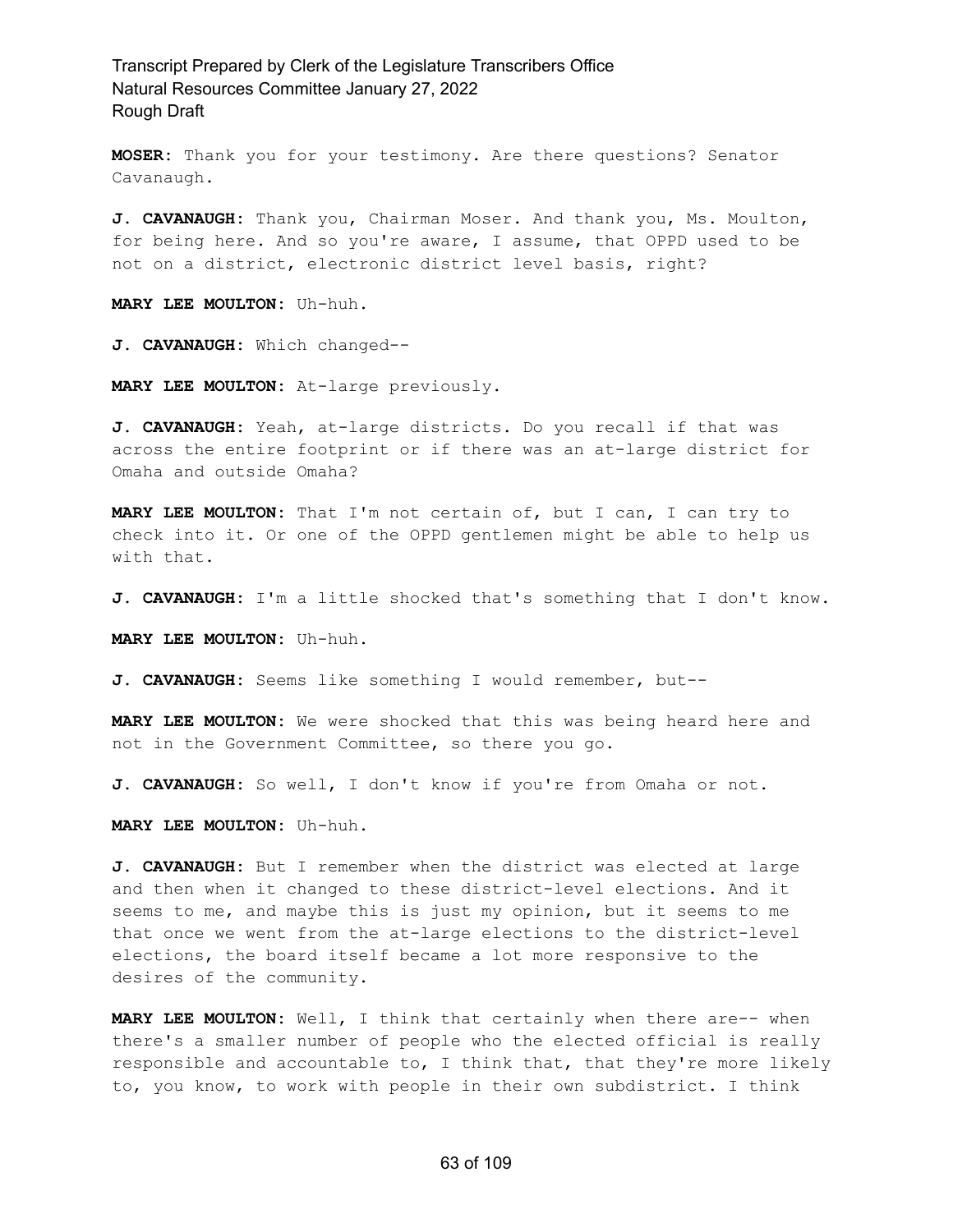**MOSER:** Thank you for your testimony. Are there questions? Senator Cavanaugh.

**J. CAVANAUGH:** Thank you, Chairman Moser. And thank you, Ms. Moulton, for being here. And so you're aware, I assume, that OPPD used to be not on a district, electronic district level basis, right?

**MARY LEE MOULTON:** Uh-huh.

**J. CAVANAUGH:** Which changed--

**MARY LEE MOULTON:** At-large previously.

**J. CAVANAUGH:** Yeah, at-large districts. Do you recall if that was across the entire footprint or if there was an at-large district for Omaha and outside Omaha?

**MARY LEE MOULTON:** That I'm not certain of, but I can, I can try to check into it. Or one of the OPPD gentlemen might be able to help us with that.

**J. CAVANAUGH:** I'm a little shocked that's something that I don't know.

**MARY LEE MOULTON:** Uh-huh.

**J. CAVANAUGH:** Seems like something I would remember, but--

**MARY LEE MOULTON:** We were shocked that this was being heard here and not in the Government Committee, so there you go.

**J. CAVANAUGH:** So well, I don't know if you're from Omaha or not.

**MARY LEE MOULTON:** Uh-huh.

**J. CAVANAUGH:** But I remember when the district was elected at large and then when it changed to these district-level elections. And it seems to me, and maybe this is just my opinion, but it seems to me that once we went from the at-large elections to the district-level elections, the board itself became a lot more responsive to the desires of the community.

**MARY LEE MOULTON:** Well, I think that certainly when there are-- when there's a smaller number of people who the elected official is really responsible and accountable to, I think that, that they're more likely to, you know, to work with people in their own subdistrict. I think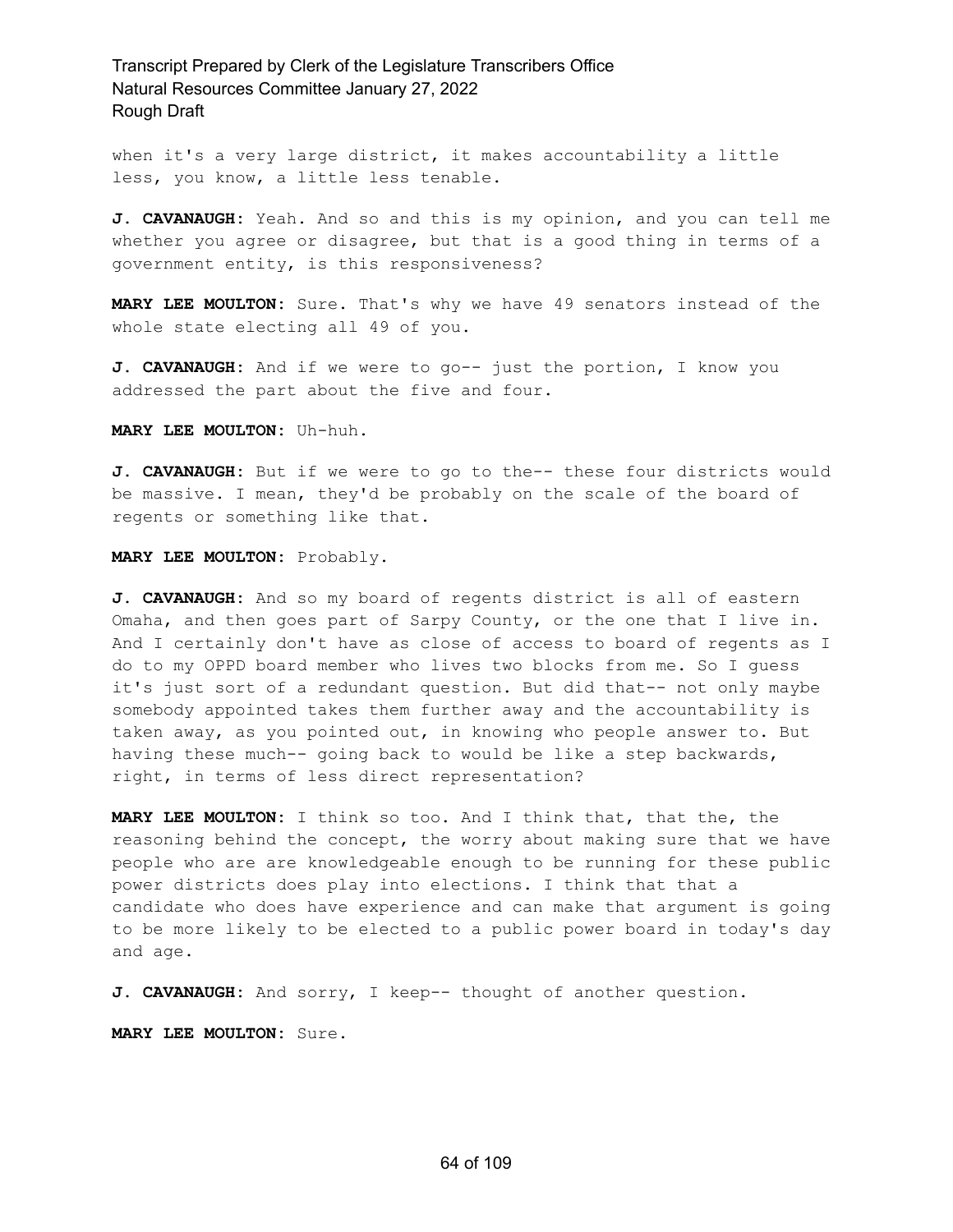when it's a very large district, it makes accountability a little less, you know, a little less tenable.

**J. CAVANAUGH:** Yeah. And so and this is my opinion, and you can tell me whether you agree or disagree, but that is a good thing in terms of a government entity, is this responsiveness?

**MARY LEE MOULTON:** Sure. That's why we have 49 senators instead of the whole state electing all 49 of you.

**J. CAVANAUGH:** And if we were to go-- just the portion, I know you addressed the part about the five and four.

**MARY LEE MOULTON:** Uh-huh.

**J. CAVANAUGH:** But if we were to go to the-- these four districts would be massive. I mean, they'd be probably on the scale of the board of regents or something like that.

**MARY LEE MOULTON:** Probably.

**J. CAVANAUGH:** And so my board of regents district is all of eastern Omaha, and then goes part of Sarpy County, or the one that I live in. And I certainly don't have as close of access to board of regents as I do to my OPPD board member who lives two blocks from me. So I guess it's just sort of a redundant question. But did that-- not only maybe somebody appointed takes them further away and the accountability is taken away, as you pointed out, in knowing who people answer to. But having these much-- going back to would be like a step backwards, right, in terms of less direct representation?

**MARY LEE MOULTON:** I think so too. And I think that, that the, the reasoning behind the concept, the worry about making sure that we have people who are are knowledgeable enough to be running for these public power districts does play into elections. I think that that a candidate who does have experience and can make that argument is going to be more likely to be elected to a public power board in today's day and age.

**J. CAVANAUGH:** And sorry, I keep-- thought of another question.

**MARY LEE MOULTON:** Sure.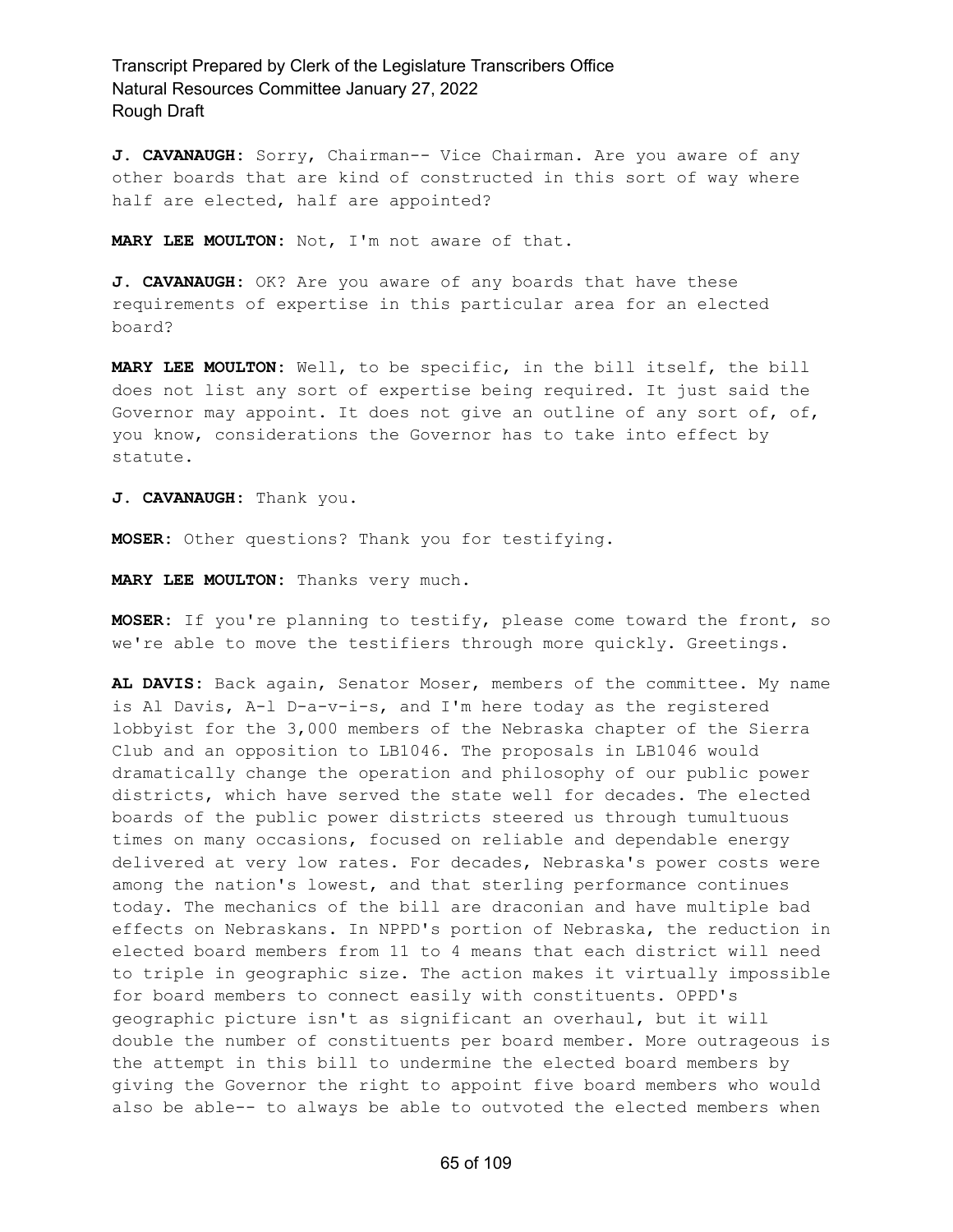**J. CAVANAUGH:** Sorry, Chairman-- Vice Chairman. Are you aware of any other boards that are kind of constructed in this sort of way where half are elected, half are appointed?

**MARY LEE MOULTON:** Not, I'm not aware of that.

**J. CAVANAUGH:** OK? Are you aware of any boards that have these requirements of expertise in this particular area for an elected board?

**MARY LEE MOULTON:** Well, to be specific, in the bill itself, the bill does not list any sort of expertise being required. It just said the Governor may appoint. It does not give an outline of any sort of, of, you know, considerations the Governor has to take into effect by statute.

**J. CAVANAUGH:** Thank you.

**MOSER:** Other questions? Thank you for testifying.

**MARY LEE MOULTON:** Thanks very much.

**MOSER:** If you're planning to testify, please come toward the front, so we're able to move the testifiers through more quickly. Greetings.

**AL DAVIS:** Back again, Senator Moser, members of the committee. My name is Al Davis, A-l D-a-v-i-s, and I'm here today as the registered lobbyist for the 3,000 members of the Nebraska chapter of the Sierra Club and an opposition to LB1046. The proposals in LB1046 would dramatically change the operation and philosophy of our public power districts, which have served the state well for decades. The elected boards of the public power districts steered us through tumultuous times on many occasions, focused on reliable and dependable energy delivered at very low rates. For decades, Nebraska's power costs were among the nation's lowest, and that sterling performance continues today. The mechanics of the bill are draconian and have multiple bad effects on Nebraskans. In NPPD's portion of Nebraska, the reduction in elected board members from 11 to 4 means that each district will need to triple in geographic size. The action makes it virtually impossible for board members to connect easily with constituents. OPPD's geographic picture isn't as significant an overhaul, but it will double the number of constituents per board member. More outrageous is the attempt in this bill to undermine the elected board members by giving the Governor the right to appoint five board members who would also be able-- to always be able to outvoted the elected members when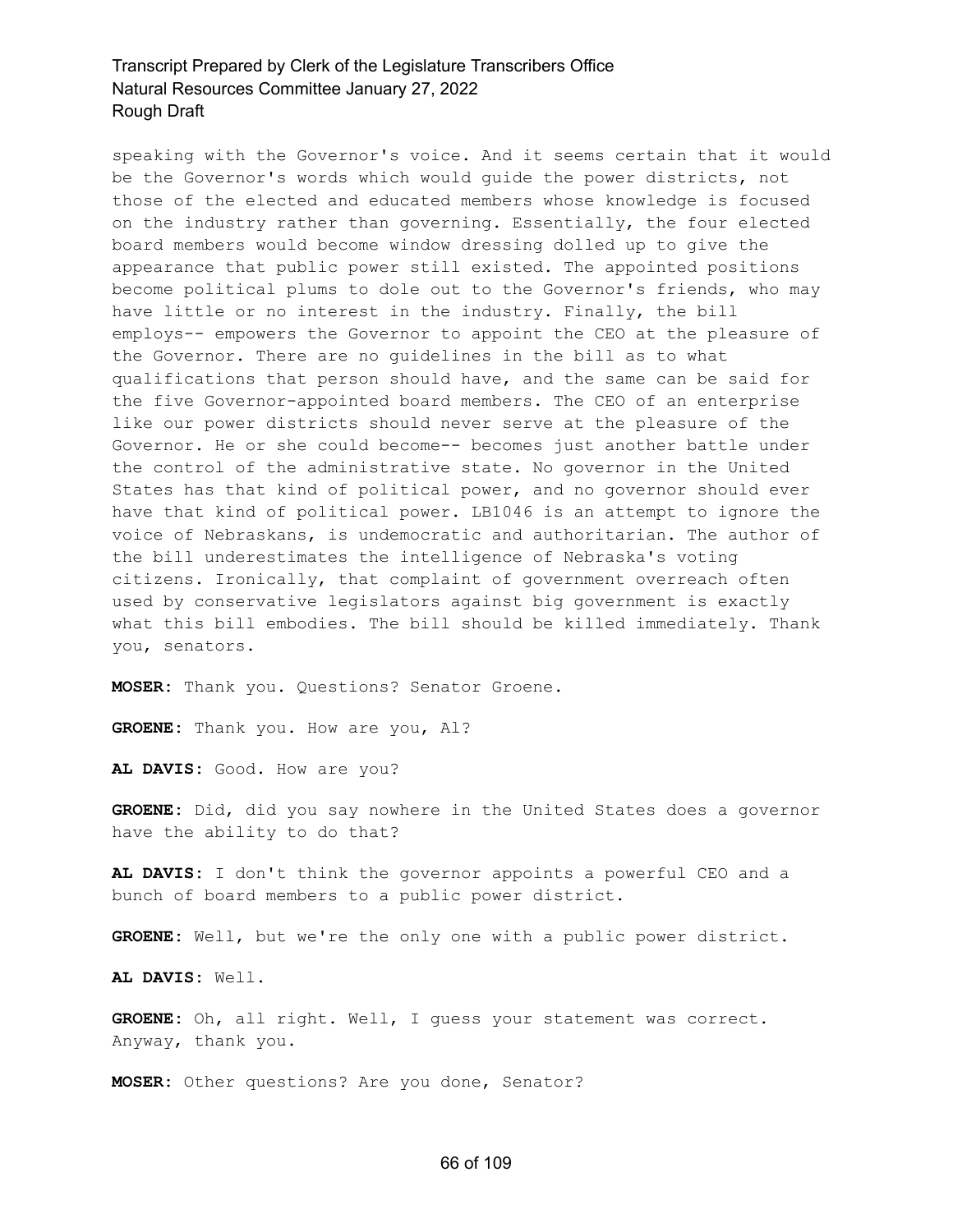speaking with the Governor's voice. And it seems certain that it would be the Governor's words which would guide the power districts, not those of the elected and educated members whose knowledge is focused on the industry rather than governing. Essentially, the four elected board members would become window dressing dolled up to give the appearance that public power still existed. The appointed positions become political plums to dole out to the Governor's friends, who may have little or no interest in the industry. Finally, the bill employs-- empowers the Governor to appoint the CEO at the pleasure of the Governor. There are no guidelines in the bill as to what qualifications that person should have, and the same can be said for the five Governor-appointed board members. The CEO of an enterprise like our power districts should never serve at the pleasure of the Governor. He or she could become-- becomes just another battle under the control of the administrative state. No governor in the United States has that kind of political power, and no governor should ever have that kind of political power. LB1046 is an attempt to ignore the voice of Nebraskans, is undemocratic and authoritarian. The author of the bill underestimates the intelligence of Nebraska's voting citizens. Ironically, that complaint of government overreach often used by conservative legislators against big government is exactly what this bill embodies. The bill should be killed immediately. Thank you, senators.

**MOSER:** Thank you. Questions? Senator Groene.

**GROENE:** Thank you. How are you, Al?

**AL DAVIS:** Good. How are you?

**GROENE:** Did, did you say nowhere in the United States does a governor have the ability to do that?

**AL DAVIS:** I don't think the governor appoints a powerful CEO and a bunch of board members to a public power district.

**GROENE:** Well, but we're the only one with a public power district.

**AL DAVIS:** Well.

**GROENE:** Oh, all right. Well, I guess your statement was correct. Anyway, thank you.

**MOSER:** Other questions? Are you done, Senator?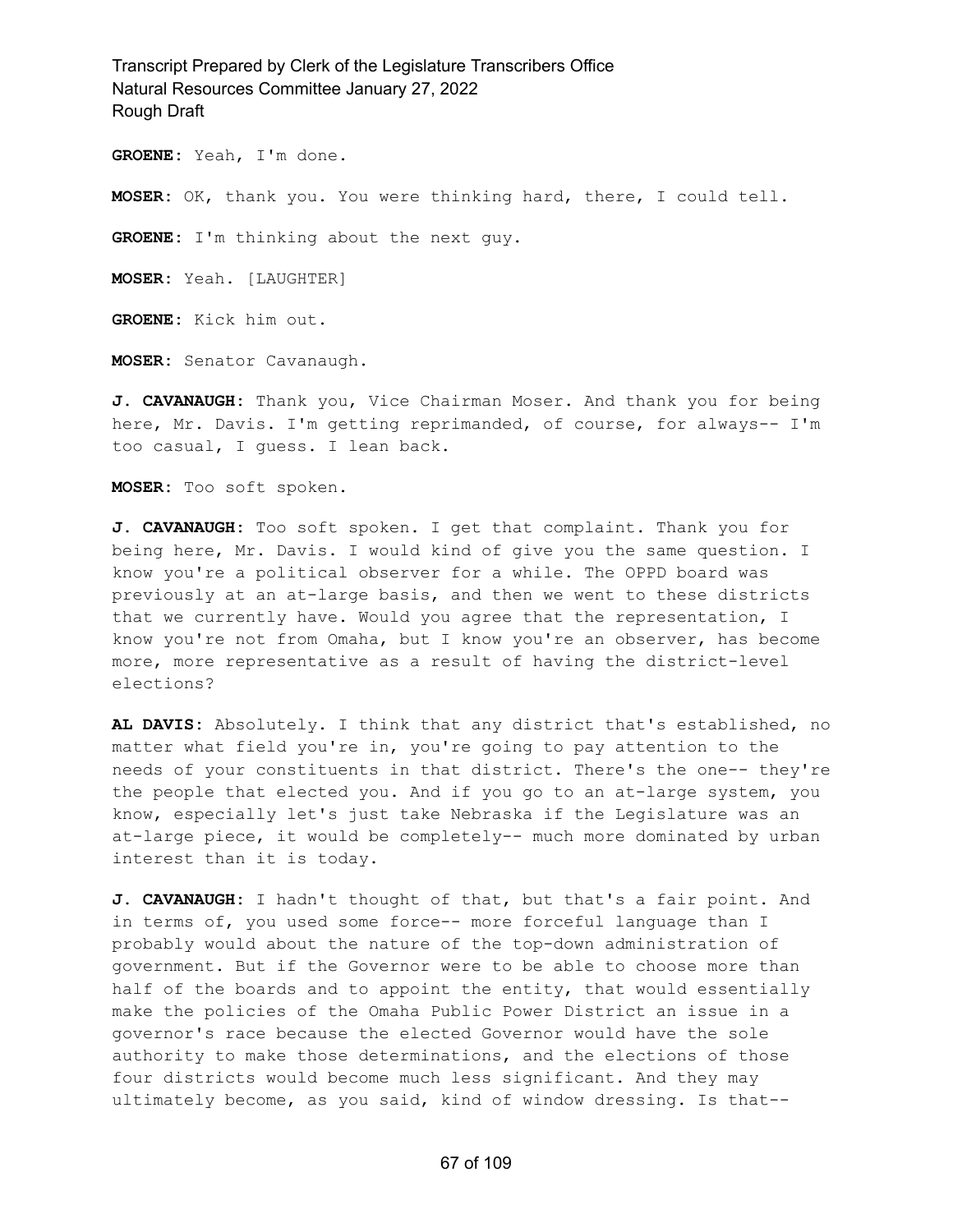**GROENE:** Yeah, I'm done.

**MOSER:** OK, thank you. You were thinking hard, there, I could tell.

**GROENE:** I'm thinking about the next guy.

**MOSER:** Yeah. [LAUGHTER]

**GROENE:** Kick him out.

**MOSER:** Senator Cavanaugh.

**J. CAVANAUGH:** Thank you, Vice Chairman Moser. And thank you for being here, Mr. Davis. I'm getting reprimanded, of course, for always-- I'm too casual, I guess. I lean back.

**MOSER:** Too soft spoken.

**J. CAVANAUGH:** Too soft spoken. I get that complaint. Thank you for being here, Mr. Davis. I would kind of give you the same question. I know you're a political observer for a while. The OPPD board was previously at an at-large basis, and then we went to these districts that we currently have. Would you agree that the representation, I know you're not from Omaha, but I know you're an observer, has become more, more representative as a result of having the district-level elections?

**AL DAVIS:** Absolutely. I think that any district that's established, no matter what field you're in, you're going to pay attention to the needs of your constituents in that district. There's the one-- they're the people that elected you. And if you go to an at-large system, you know, especially let's just take Nebraska if the Legislature was an at-large piece, it would be completely-- much more dominated by urban interest than it is today.

**J. CAVANAUGH:** I hadn't thought of that, but that's a fair point. And in terms of, you used some force-- more forceful language than I probably would about the nature of the top-down administration of government. But if the Governor were to be able to choose more than half of the boards and to appoint the entity, that would essentially make the policies of the Omaha Public Power District an issue in a governor's race because the elected Governor would have the sole authority to make those determinations, and the elections of those four districts would become much less significant. And they may ultimately become, as you said, kind of window dressing. Is that--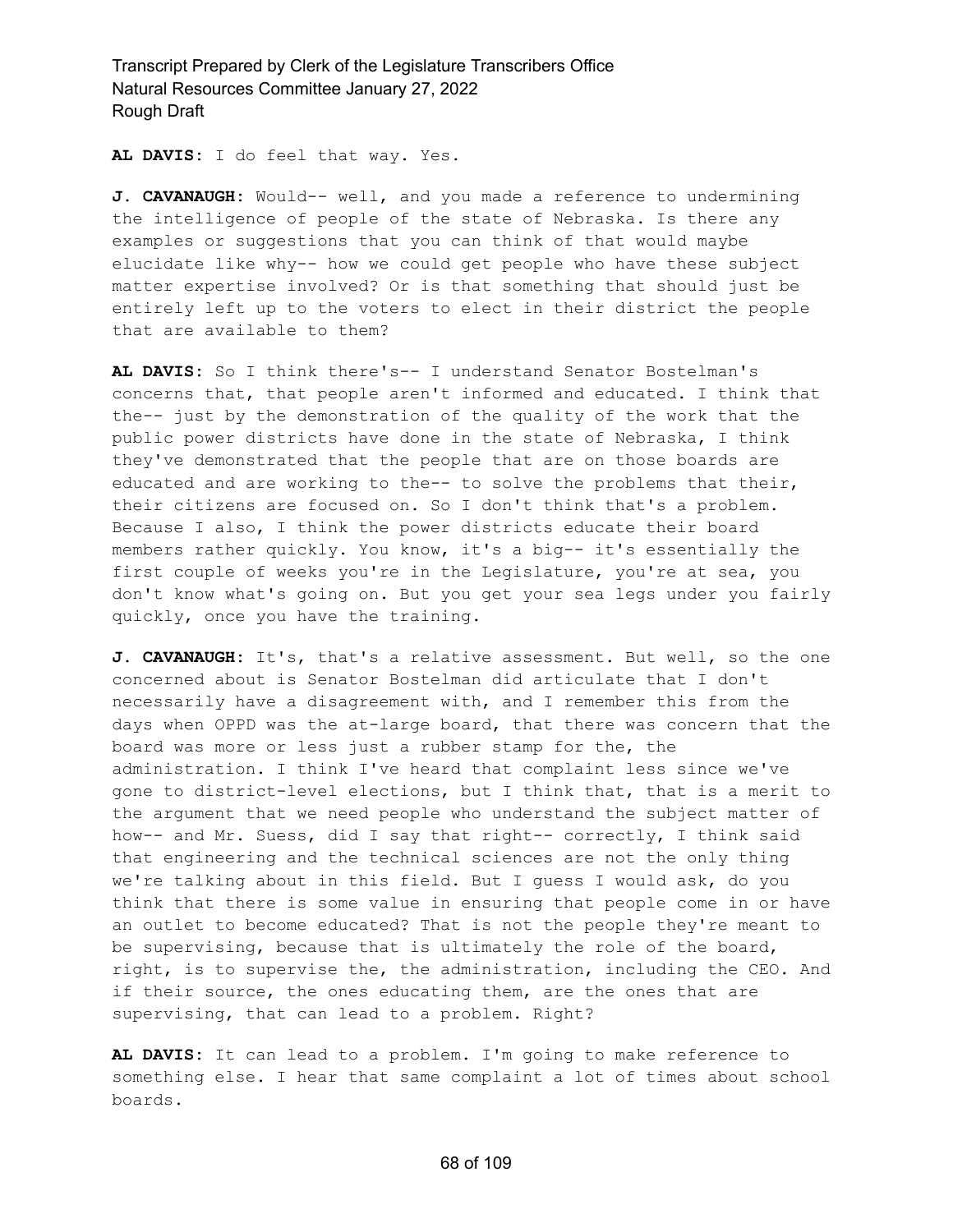**AL DAVIS:** I do feel that way. Yes.

**J. CAVANAUGH:** Would-- well, and you made a reference to undermining the intelligence of people of the state of Nebraska. Is there any examples or suggestions that you can think of that would maybe elucidate like why-- how we could get people who have these subject matter expertise involved? Or is that something that should just be entirely left up to the voters to elect in their district the people that are available to them?

**AL DAVIS:** So I think there's-- I understand Senator Bostelman's concerns that, that people aren't informed and educated. I think that the-- just by the demonstration of the quality of the work that the public power districts have done in the state of Nebraska, I think they've demonstrated that the people that are on those boards are educated and are working to the-- to solve the problems that their, their citizens are focused on. So I don't think that's a problem. Because I also, I think the power districts educate their board members rather quickly. You know, it's a big-- it's essentially the first couple of weeks you're in the Legislature, you're at sea, you don't know what's going on. But you get your sea legs under you fairly quickly, once you have the training.

**J. CAVANAUGH:** It's, that's a relative assessment. But well, so the one concerned about is Senator Bostelman did articulate that I don't necessarily have a disagreement with, and I remember this from the days when OPPD was the at-large board, that there was concern that the board was more or less just a rubber stamp for the, the administration. I think I've heard that complaint less since we've gone to district-level elections, but I think that, that is a merit to the argument that we need people who understand the subject matter of how-- and Mr. Suess, did I say that right-- correctly, I think said that engineering and the technical sciences are not the only thing we're talking about in this field. But I guess I would ask, do you think that there is some value in ensuring that people come in or have an outlet to become educated? That is not the people they're meant to be supervising, because that is ultimately the role of the board, right, is to supervise the, the administration, including the CEO. And if their source, the ones educating them, are the ones that are supervising, that can lead to a problem. Right?

**AL DAVIS:** It can lead to a problem. I'm going to make reference to something else. I hear that same complaint a lot of times about school boards.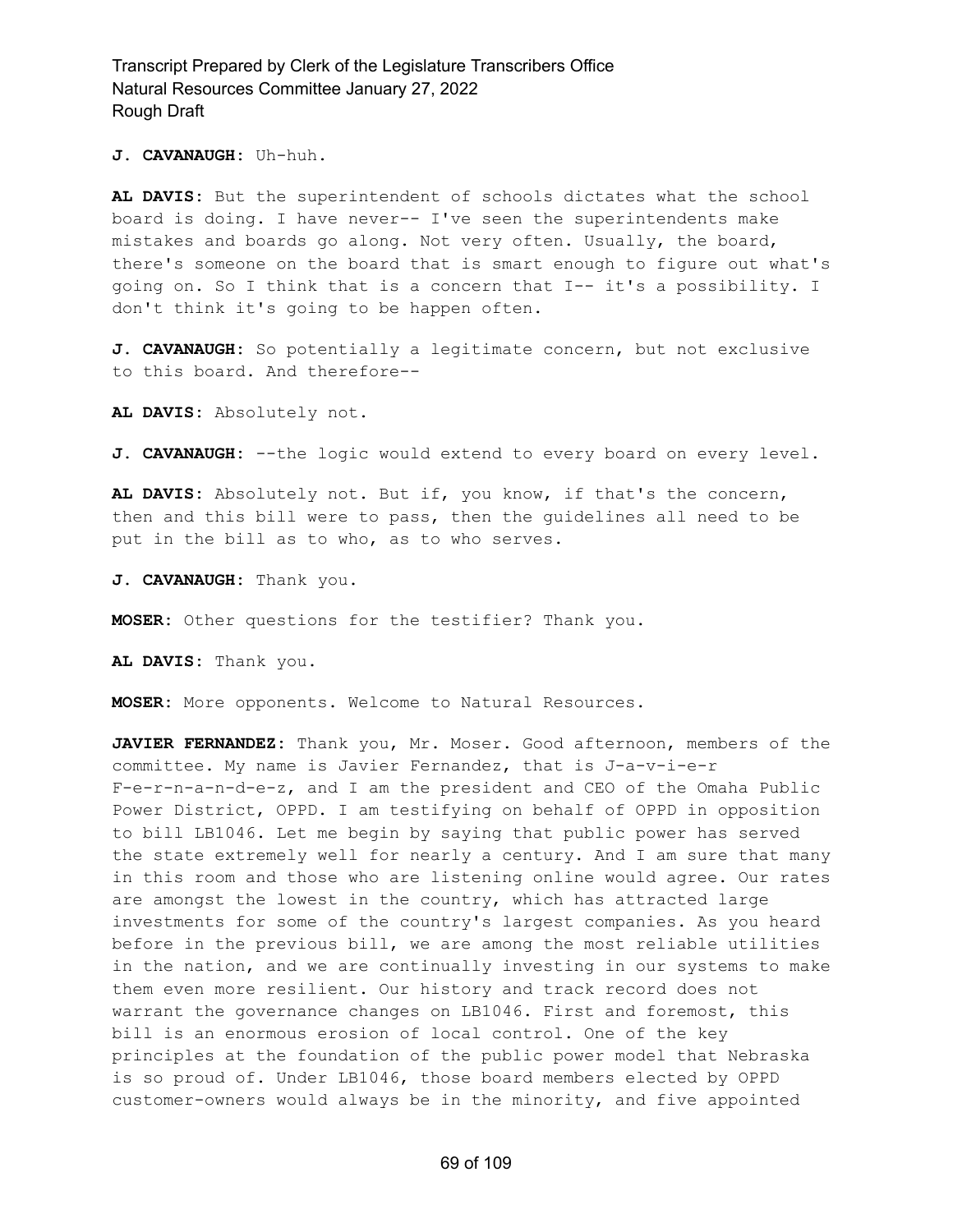**J. CAVANAUGH:** Uh-huh.

**AL DAVIS:** But the superintendent of schools dictates what the school board is doing. I have never-- I've seen the superintendents make mistakes and boards go along. Not very often. Usually, the board, there's someone on the board that is smart enough to figure out what's going on. So I think that is a concern that I-- it's a possibility. I don't think it's going to be happen often.

**J. CAVANAUGH:** So potentially a legitimate concern, but not exclusive to this board. And therefore--

**AL DAVIS:** Absolutely not.

J. CAVANAUGH: --the logic would extend to every board on every level.

**AL DAVIS:** Absolutely not. But if, you know, if that's the concern, then and this bill were to pass, then the guidelines all need to be put in the bill as to who, as to who serves.

**J. CAVANAUGH:** Thank you.

**MOSER:** Other questions for the testifier? Thank you.

**AL DAVIS:** Thank you.

**MOSER:** More opponents. Welcome to Natural Resources.

**JAVIER FERNANDEZ:** Thank you, Mr. Moser. Good afternoon, members of the committee. My name is Javier Fernandez, that is J-a-v-i-e-r F-e-r-n-a-n-d-e-z, and I am the president and CEO of the Omaha Public Power District, OPPD. I am testifying on behalf of OPPD in opposition to bill LB1046. Let me begin by saying that public power has served the state extremely well for nearly a century. And I am sure that many in this room and those who are listening online would agree. Our rates are amongst the lowest in the country, which has attracted large investments for some of the country's largest companies. As you heard before in the previous bill, we are among the most reliable utilities in the nation, and we are continually investing in our systems to make them even more resilient. Our history and track record does not warrant the governance changes on LB1046. First and foremost, this bill is an enormous erosion of local control. One of the key principles at the foundation of the public power model that Nebraska is so proud of. Under LB1046, those board members elected by OPPD customer-owners would always be in the minority, and five appointed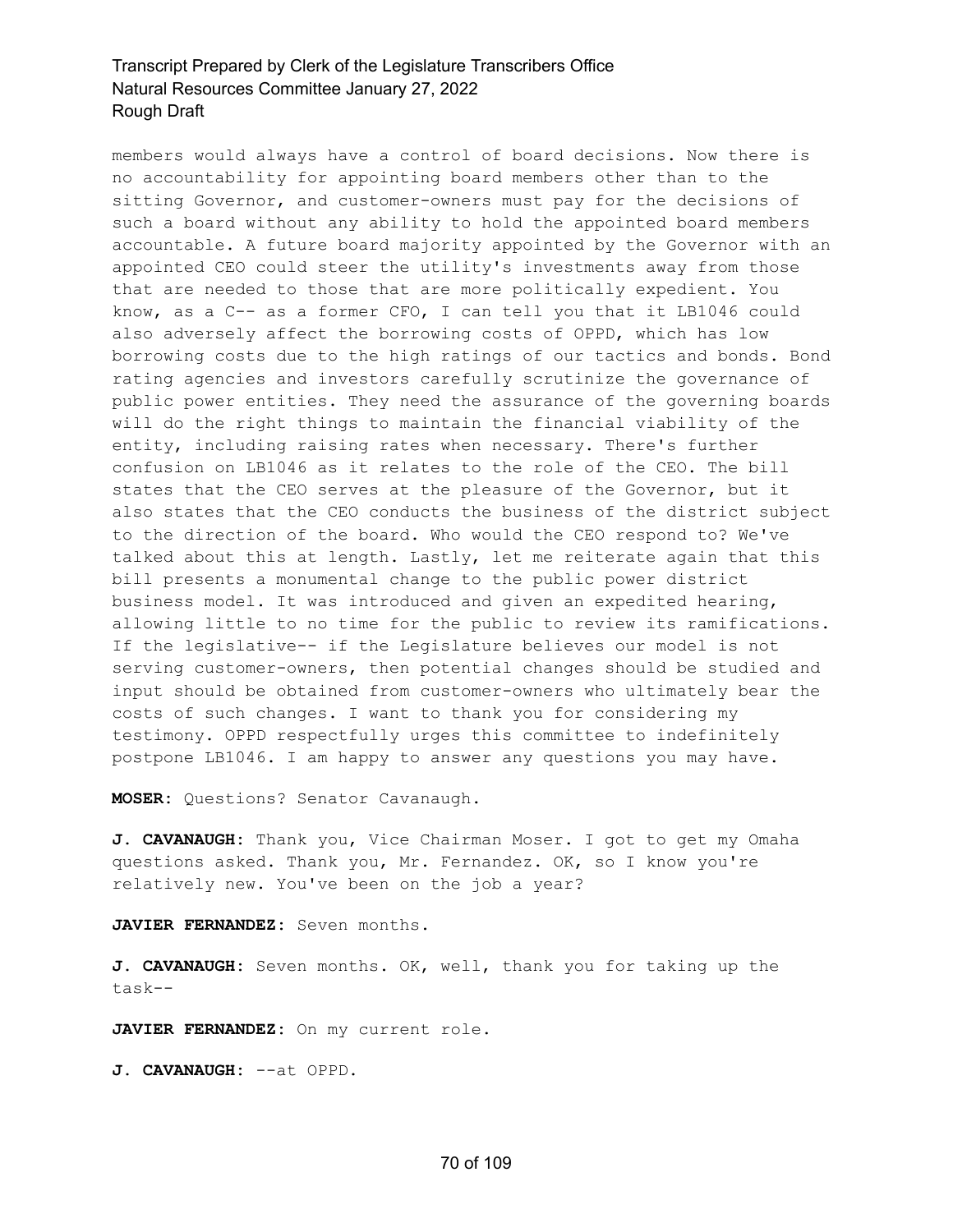members would always have a control of board decisions. Now there is no accountability for appointing board members other than to the sitting Governor, and customer-owners must pay for the decisions of such a board without any ability to hold the appointed board members accountable. A future board majority appointed by the Governor with an appointed CEO could steer the utility's investments away from those that are needed to those that are more politically expedient. You know, as a C-- as a former CFO, I can tell you that it LB1046 could also adversely affect the borrowing costs of OPPD, which has low borrowing costs due to the high ratings of our tactics and bonds. Bond rating agencies and investors carefully scrutinize the governance of public power entities. They need the assurance of the governing boards will do the right things to maintain the financial viability of the entity, including raising rates when necessary. There's further confusion on LB1046 as it relates to the role of the CEO. The bill states that the CEO serves at the pleasure of the Governor, but it also states that the CEO conducts the business of the district subject to the direction of the board. Who would the CEO respond to? We've talked about this at length. Lastly, let me reiterate again that this bill presents a monumental change to the public power district business model. It was introduced and given an expedited hearing, allowing little to no time for the public to review its ramifications. If the legislative-- if the Legislature believes our model is not serving customer-owners, then potential changes should be studied and input should be obtained from customer-owners who ultimately bear the costs of such changes. I want to thank you for considering my testimony. OPPD respectfully urges this committee to indefinitely postpone LB1046. I am happy to answer any questions you may have.

**MOSER:** Questions? Senator Cavanaugh.

**J. CAVANAUGH:** Thank you, Vice Chairman Moser. I got to get my Omaha questions asked. Thank you, Mr. Fernandez. OK, so I know you're relatively new. You've been on the job a year?

**JAVIER FERNANDEZ:** Seven months.

**J. CAVANAUGH:** Seven months. OK, well, thank you for taking up the task--

**JAVIER FERNANDEZ:** On my current role.

**J. CAVANAUGH:** --at OPPD.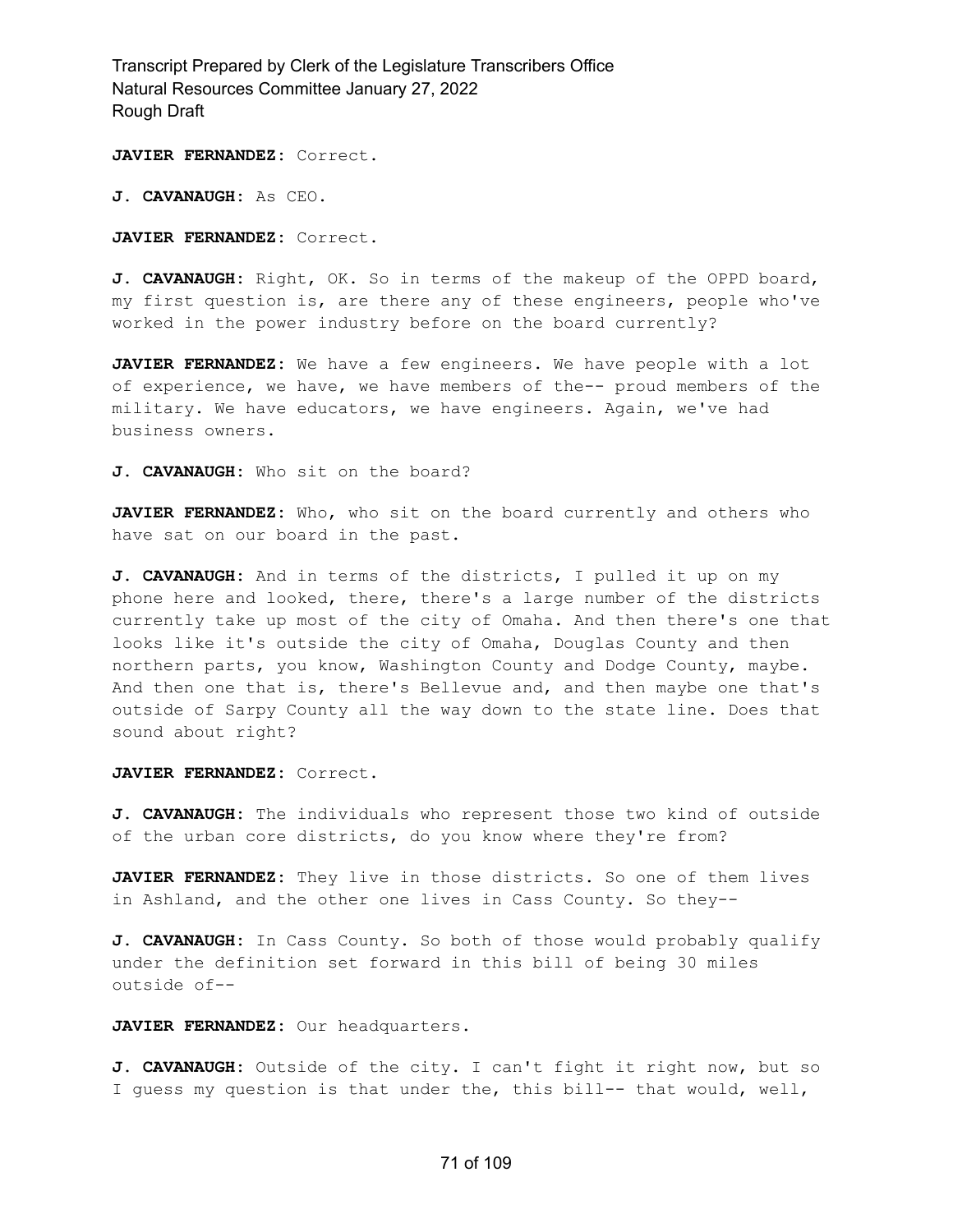**JAVIER FERNANDEZ:** Correct.

**J. CAVANAUGH:** As CEO.

**JAVIER FERNANDEZ:** Correct.

**J. CAVANAUGH:** Right, OK. So in terms of the makeup of the OPPD board, my first question is, are there any of these engineers, people who've worked in the power industry before on the board currently?

**JAVIER FERNANDEZ:** We have a few engineers. We have people with a lot of experience, we have, we have members of the-- proud members of the military. We have educators, we have engineers. Again, we've had business owners.

**J. CAVANAUGH:** Who sit on the board?

**JAVIER FERNANDEZ:** Who, who sit on the board currently and others who have sat on our board in the past.

**J. CAVANAUGH:** And in terms of the districts, I pulled it up on my phone here and looked, there, there's a large number of the districts currently take up most of the city of Omaha. And then there's one that looks like it's outside the city of Omaha, Douglas County and then northern parts, you know, Washington County and Dodge County, maybe. And then one that is, there's Bellevue and, and then maybe one that's outside of Sarpy County all the way down to the state line. Does that sound about right?

**JAVIER FERNANDEZ:** Correct.

**J. CAVANAUGH:** The individuals who represent those two kind of outside of the urban core districts, do you know where they're from?

**JAVIER FERNANDEZ:** They live in those districts. So one of them lives in Ashland, and the other one lives in Cass County. So they--

**J. CAVANAUGH:** In Cass County. So both of those would probably qualify under the definition set forward in this bill of being 30 miles outside of--

**JAVIER FERNANDEZ:** Our headquarters.

**J. CAVANAUGH:** Outside of the city. I can't fight it right now, but so I guess my question is that under the, this bill-- that would, well,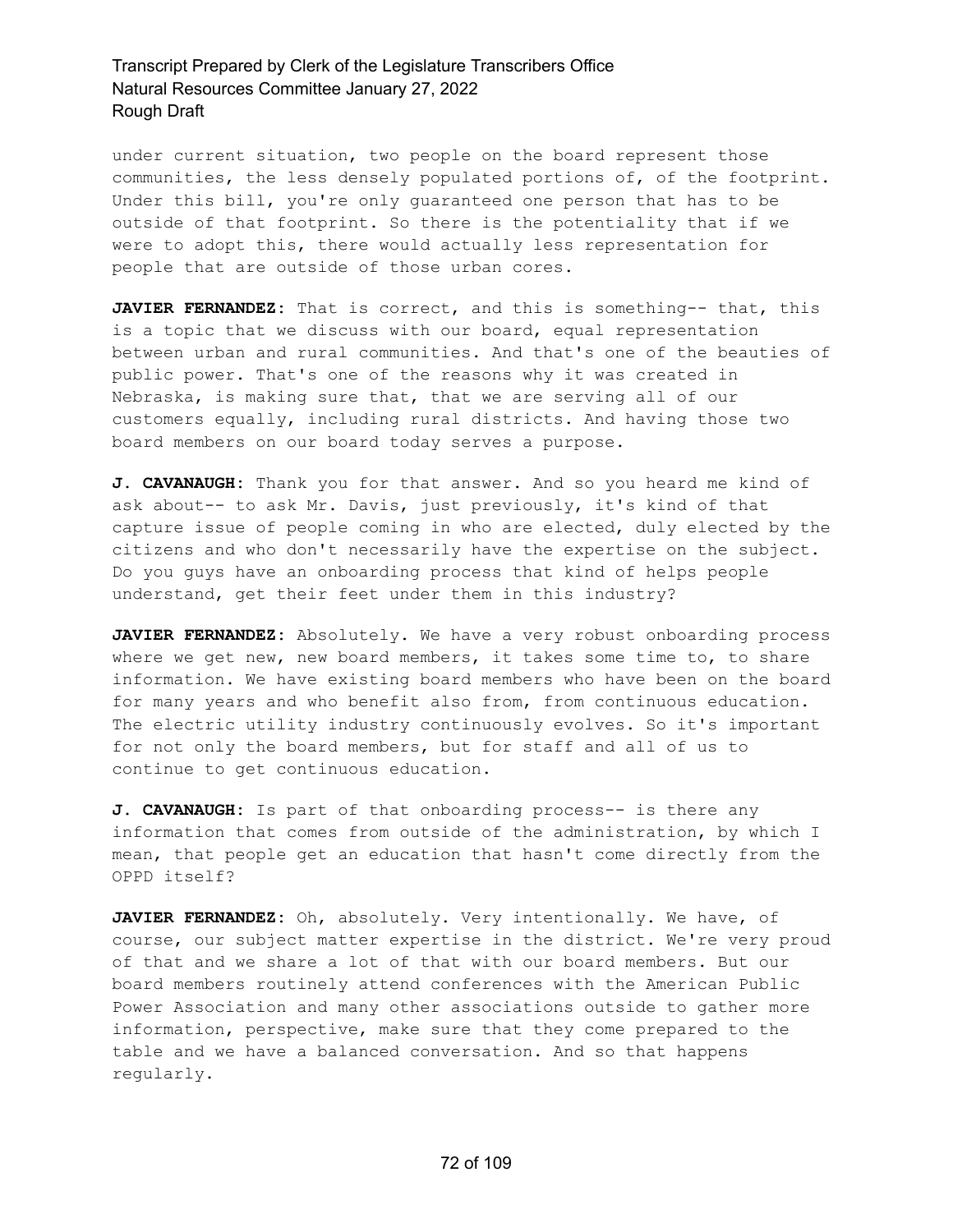under current situation, two people on the board represent those communities, the less densely populated portions of, of the footprint. Under this bill, you're only guaranteed one person that has to be outside of that footprint. So there is the potentiality that if we were to adopt this, there would actually less representation for people that are outside of those urban cores.

**JAVIER FERNANDEZ:** That is correct, and this is something-- that, this is a topic that we discuss with our board, equal representation between urban and rural communities. And that's one of the beauties of public power. That's one of the reasons why it was created in Nebraska, is making sure that, that we are serving all of our customers equally, including rural districts. And having those two board members on our board today serves a purpose.

**J. CAVANAUGH:** Thank you for that answer. And so you heard me kind of ask about-- to ask Mr. Davis, just previously, it's kind of that capture issue of people coming in who are elected, duly elected by the citizens and who don't necessarily have the expertise on the subject. Do you guys have an onboarding process that kind of helps people understand, get their feet under them in this industry?

**JAVIER FERNANDEZ:** Absolutely. We have a very robust onboarding process where we get new, new board members, it takes some time to, to share information. We have existing board members who have been on the board for many years and who benefit also from, from continuous education. The electric utility industry continuously evolves. So it's important for not only the board members, but for staff and all of us to continue to get continuous education.

**J. CAVANAUGH:** Is part of that onboarding process-- is there any information that comes from outside of the administration, by which I mean, that people get an education that hasn't come directly from the OPPD itself?

**JAVIER FERNANDEZ:** Oh, absolutely. Very intentionally. We have, of course, our subject matter expertise in the district. We're very proud of that and we share a lot of that with our board members. But our board members routinely attend conferences with the American Public Power Association and many other associations outside to gather more information, perspective, make sure that they come prepared to the table and we have a balanced conversation. And so that happens regularly.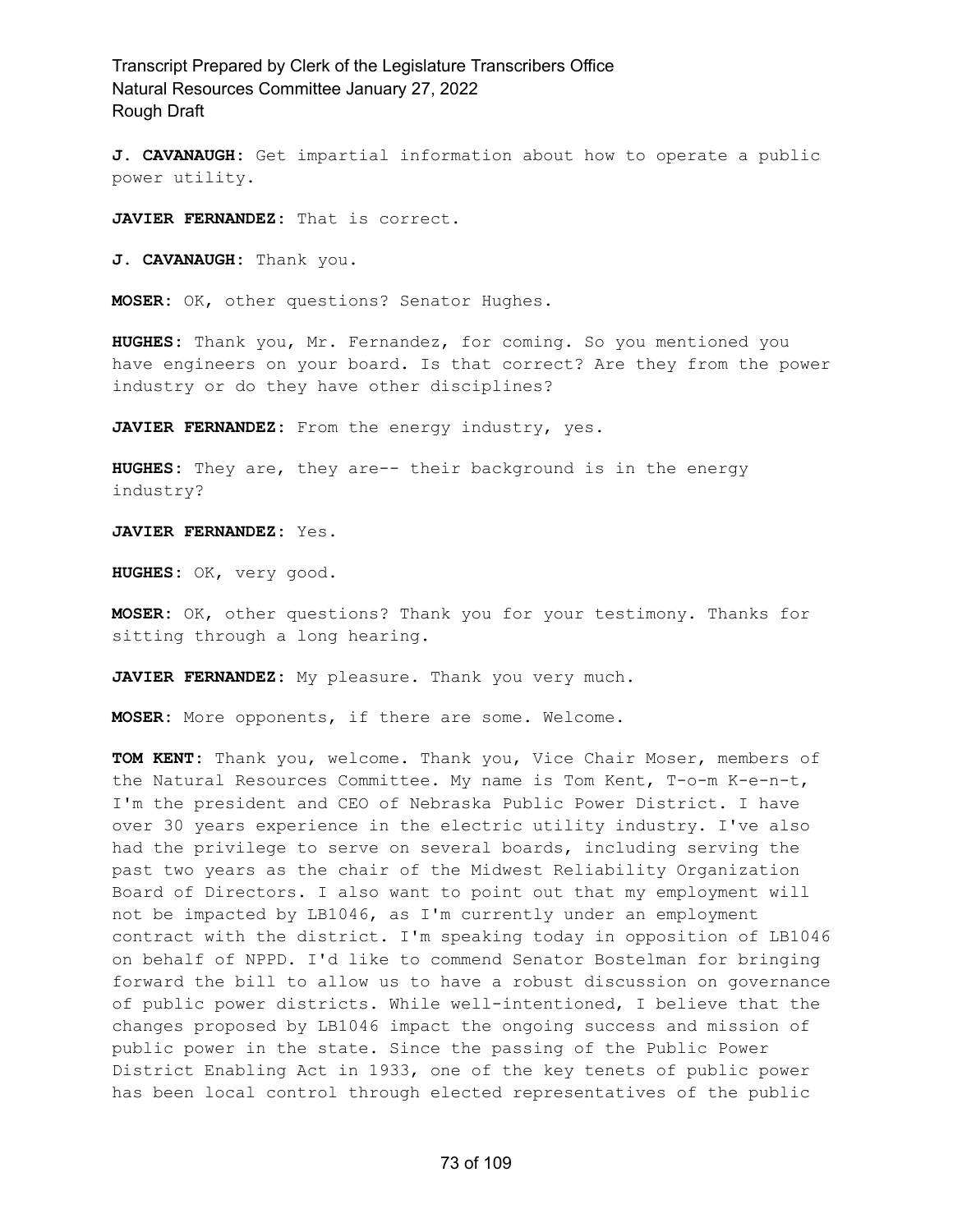**J. CAVANAUGH:** Get impartial information about how to operate a public power utility.

**JAVIER FERNANDEZ:** That is correct.

**J. CAVANAUGH:** Thank you.

**MOSER:** OK, other questions? Senator Hughes.

**HUGHES:** Thank you, Mr. Fernandez, for coming. So you mentioned you have engineers on your board. Is that correct? Are they from the power industry or do they have other disciplines?

**JAVIER FERNANDEZ:** From the energy industry, yes.

**HUGHES:** They are, they are-- their background is in the energy industry?

**JAVIER FERNANDEZ:** Yes.

**HUGHES:** OK, very good.

**MOSER:** OK, other questions? Thank you for your testimony. Thanks for sitting through a long hearing.

**JAVIER FERNANDEZ:** My pleasure. Thank you very much.

**MOSER:** More opponents, if there are some. Welcome.

**TOM KENT:** Thank you, welcome. Thank you, Vice Chair Moser, members of the Natural Resources Committee. My name is Tom Kent, T-o-m K-e-n-t, I'm the president and CEO of Nebraska Public Power District. I have over 30 years experience in the electric utility industry. I've also had the privilege to serve on several boards, including serving the past two years as the chair of the Midwest Reliability Organization Board of Directors. I also want to point out that my employment will not be impacted by LB1046, as I'm currently under an employment contract with the district. I'm speaking today in opposition of LB1046 on behalf of NPPD. I'd like to commend Senator Bostelman for bringing forward the bill to allow us to have a robust discussion on governance of public power districts. While well-intentioned, I believe that the changes proposed by LB1046 impact the ongoing success and mission of public power in the state. Since the passing of the Public Power District Enabling Act in 1933, one of the key tenets of public power has been local control through elected representatives of the public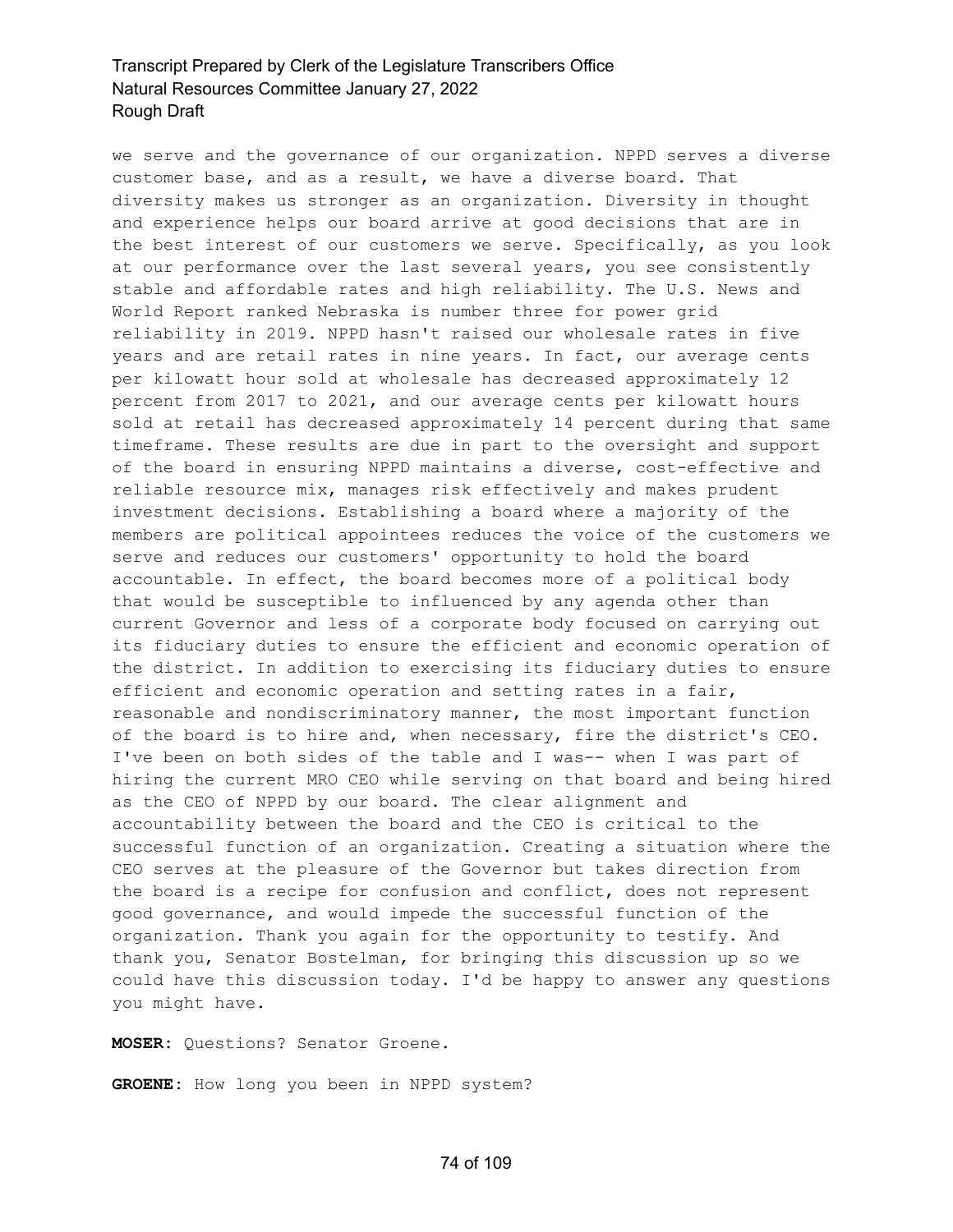we serve and the governance of our organization. NPPD serves a diverse customer base, and as a result, we have a diverse board. That diversity makes us stronger as an organization. Diversity in thought and experience helps our board arrive at good decisions that are in the best interest of our customers we serve. Specifically, as you look at our performance over the last several years, you see consistently stable and affordable rates and high reliability. The U.S. News and World Report ranked Nebraska is number three for power grid reliability in 2019. NPPD hasn't raised our wholesale rates in five years and are retail rates in nine years. In fact, our average cents per kilowatt hour sold at wholesale has decreased approximately 12 percent from 2017 to 2021, and our average cents per kilowatt hours sold at retail has decreased approximately 14 percent during that same timeframe. These results are due in part to the oversight and support of the board in ensuring NPPD maintains a diverse, cost-effective and reliable resource mix, manages risk effectively and makes prudent investment decisions. Establishing a board where a majority of the members are political appointees reduces the voice of the customers we serve and reduces our customers' opportunity to hold the board accountable. In effect, the board becomes more of a political body that would be susceptible to influenced by any agenda other than current Governor and less of a corporate body focused on carrying out its fiduciary duties to ensure the efficient and economic operation of the district. In addition to exercising its fiduciary duties to ensure efficient and economic operation and setting rates in a fair, reasonable and nondiscriminatory manner, the most important function of the board is to hire and, when necessary, fire the district's CEO. I've been on both sides of the table and I was-- when I was part of hiring the current MRO CEO while serving on that board and being hired as the CEO of NPPD by our board. The clear alignment and accountability between the board and the CEO is critical to the successful function of an organization. Creating a situation where the CEO serves at the pleasure of the Governor but takes direction from the board is a recipe for confusion and conflict, does not represent good governance, and would impede the successful function of the organization. Thank you again for the opportunity to testify. And thank you, Senator Bostelman, for bringing this discussion up so we could have this discussion today. I'd be happy to answer any questions you might have.

**MOSER:** Questions? Senator Groene.

**GROENE:** How long you been in NPPD system?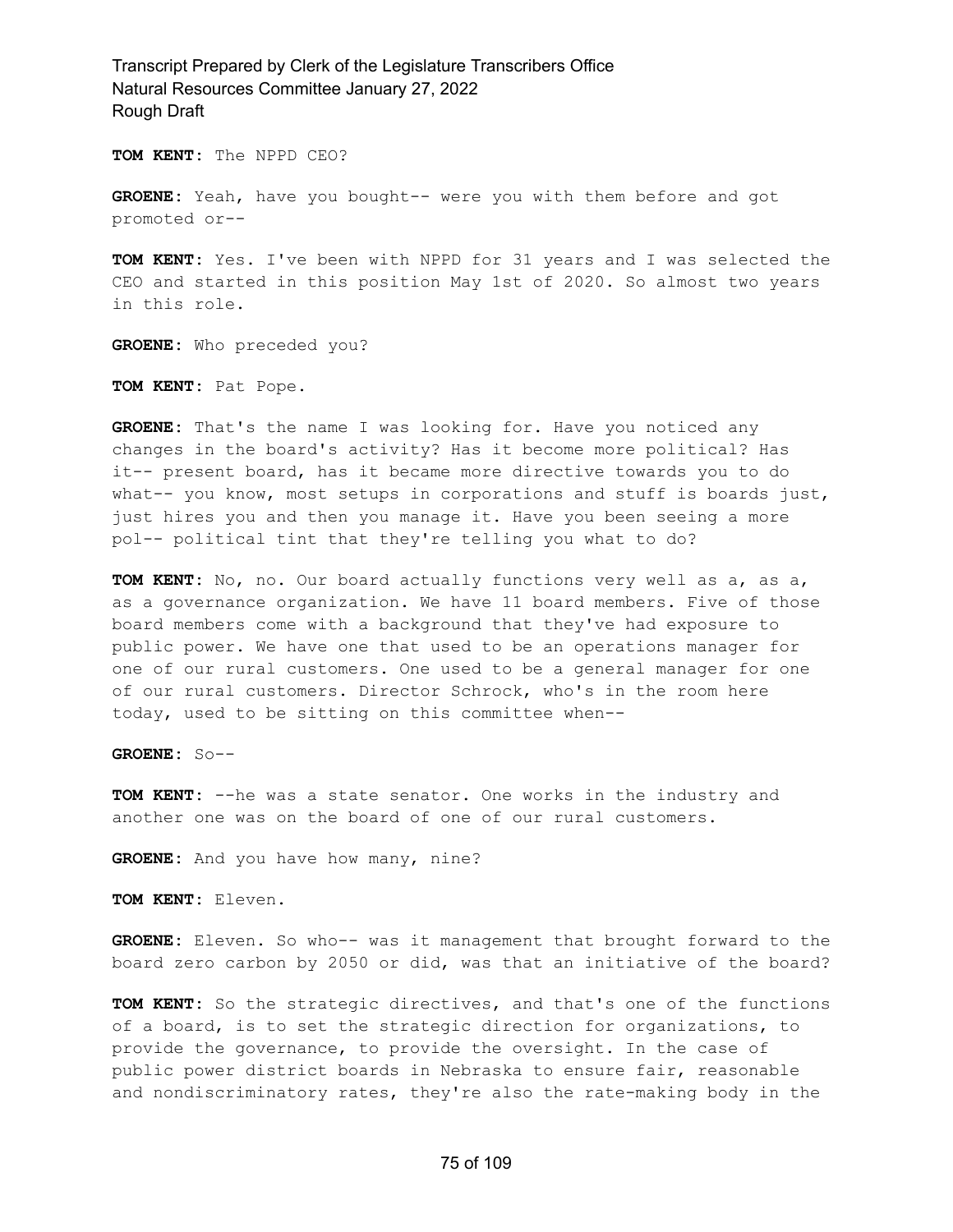**TOM KENT:** The NPPD CEO?

**GROENE:** Yeah, have you bought-- were you with them before and got promoted or--

**TOM KENT:** Yes. I've been with NPPD for 31 years and I was selected the CEO and started in this position May 1st of 2020. So almost two years in this role.

**GROENE:** Who preceded you?

**TOM KENT:** Pat Pope.

**GROENE:** That's the name I was looking for. Have you noticed any changes in the board's activity? Has it become more political? Has it-- present board, has it became more directive towards you to do what-- you know, most setups in corporations and stuff is boards just, just hires you and then you manage it. Have you been seeing a more pol-- political tint that they're telling you what to do?

**TOM KENT:** No, no. Our board actually functions very well as a, as a, as a governance organization. We have 11 board members. Five of those board members come with a background that they've had exposure to public power. We have one that used to be an operations manager for one of our rural customers. One used to be a general manager for one of our rural customers. Director Schrock, who's in the room here today, used to be sitting on this committee when--

**GROENE:** So--

**TOM KENT:** --he was a state senator. One works in the industry and another one was on the board of one of our rural customers.

**GROENE:** And you have how many, nine?

**TOM KENT:** Eleven.

**GROENE:** Eleven. So who-- was it management that brought forward to the board zero carbon by 2050 or did, was that an initiative of the board?

**TOM KENT:** So the strategic directives, and that's one of the functions of a board, is to set the strategic direction for organizations, to provide the governance, to provide the oversight. In the case of public power district boards in Nebraska to ensure fair, reasonable and nondiscriminatory rates, they're also the rate-making body in the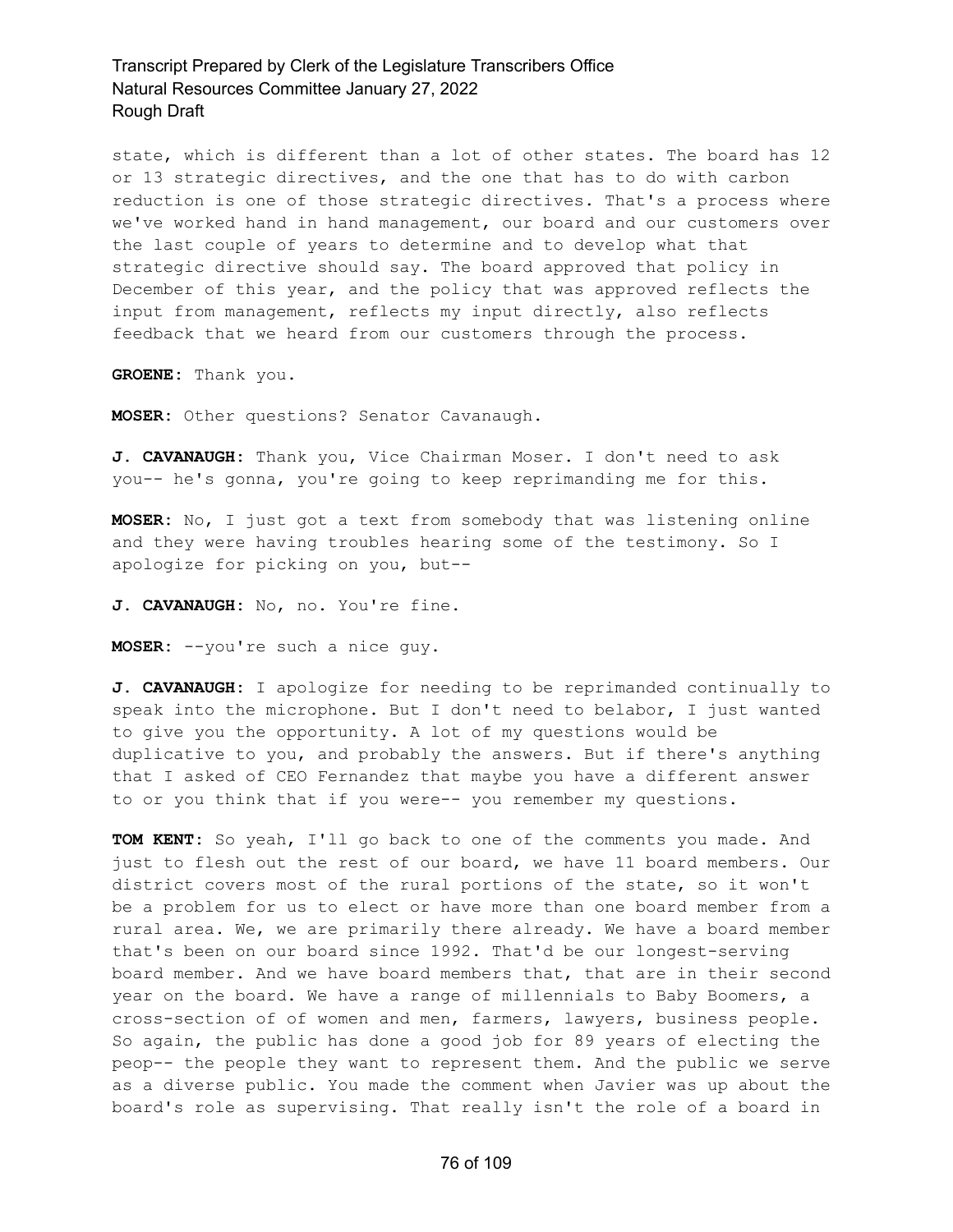state, which is different than a lot of other states. The board has 12 or 13 strategic directives, and the one that has to do with carbon reduction is one of those strategic directives. That's a process where we've worked hand in hand management, our board and our customers over the last couple of years to determine and to develop what that strategic directive should say. The board approved that policy in December of this year, and the policy that was approved reflects the input from management, reflects my input directly, also reflects feedback that we heard from our customers through the process.

**GROENE:** Thank you.

**MOSER:** Other questions? Senator Cavanaugh.

**J. CAVANAUGH:** Thank you, Vice Chairman Moser. I don't need to ask you-- he's gonna, you're going to keep reprimanding me for this.

**MOSER:** No, I just got a text from somebody that was listening online and they were having troubles hearing some of the testimony. So I apologize for picking on you, but--

**J. CAVANAUGH:** No, no. You're fine.

**MOSER:** --you're such a nice guy.

**J. CAVANAUGH:** I apologize for needing to be reprimanded continually to speak into the microphone. But I don't need to belabor, I just wanted to give you the opportunity. A lot of my questions would be duplicative to you, and probably the answers. But if there's anything that I asked of CEO Fernandez that maybe you have a different answer to or you think that if you were-- you remember my questions.

**TOM KENT:** So yeah, I'll go back to one of the comments you made. And just to flesh out the rest of our board, we have 11 board members. Our district covers most of the rural portions of the state, so it won't be a problem for us to elect or have more than one board member from a rural area. We, we are primarily there already. We have a board member that's been on our board since 1992. That'd be our longest-serving board member. And we have board members that, that are in their second year on the board. We have a range of millennials to Baby Boomers, a cross-section of of women and men, farmers, lawyers, business people. So again, the public has done a good job for 89 years of electing the peop-- the people they want to represent them. And the public we serve as a diverse public. You made the comment when Javier was up about the board's role as supervising. That really isn't the role of a board in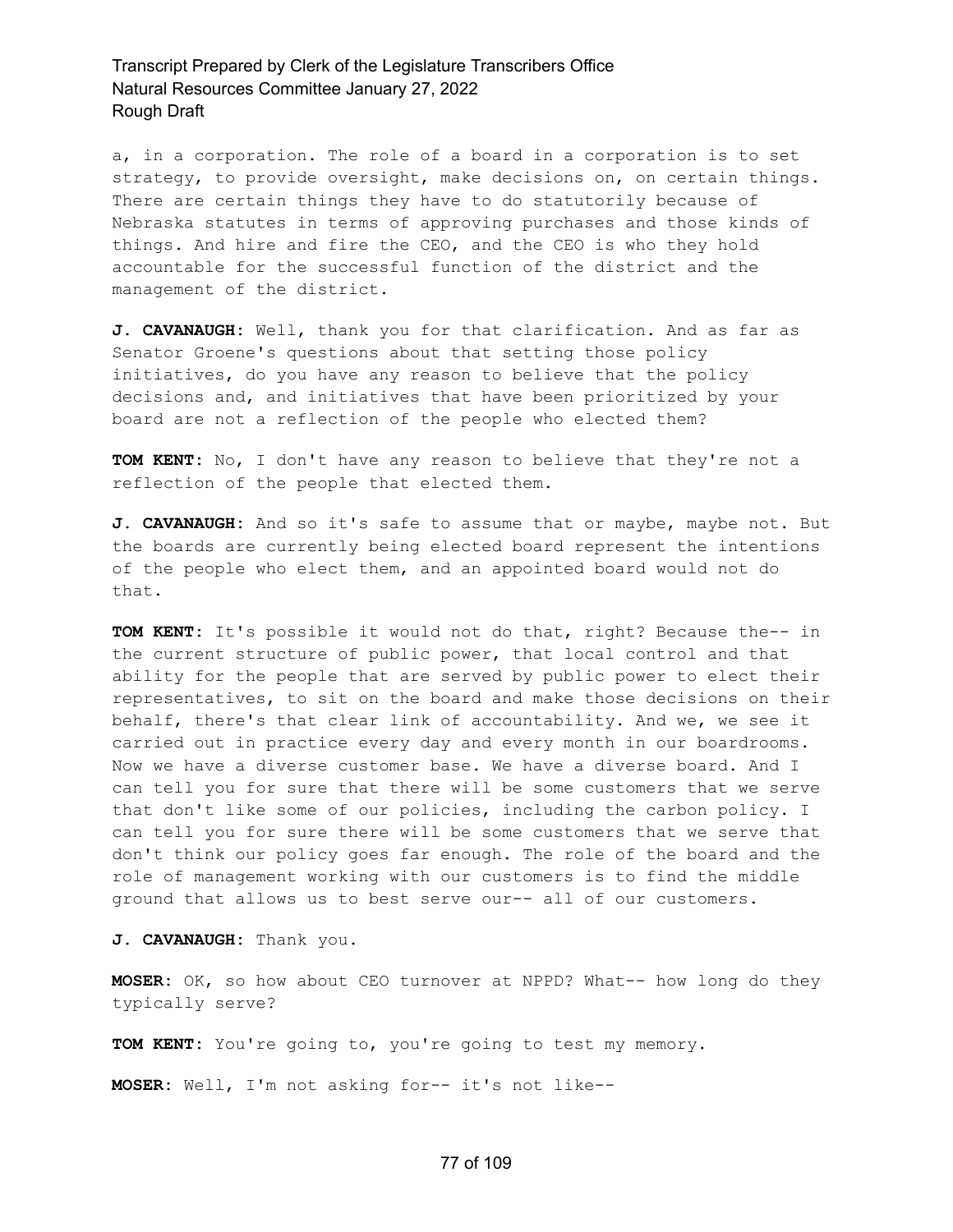a, in a corporation. The role of a board in a corporation is to set strategy, to provide oversight, make decisions on, on certain things. There are certain things they have to do statutorily because of Nebraska statutes in terms of approving purchases and those kinds of things. And hire and fire the CEO, and the CEO is who they hold accountable for the successful function of the district and the management of the district.

**J. CAVANAUGH:** Well, thank you for that clarification. And as far as Senator Groene's questions about that setting those policy initiatives, do you have any reason to believe that the policy decisions and, and initiatives that have been prioritized by your board are not a reflection of the people who elected them?

**TOM KENT:** No, I don't have any reason to believe that they're not a reflection of the people that elected them.

**J. CAVANAUGH:** And so it's safe to assume that or maybe, maybe not. But the boards are currently being elected board represent the intentions of the people who elect them, and an appointed board would not do that.

**TOM KENT:** It's possible it would not do that, right? Because the-- in the current structure of public power, that local control and that ability for the people that are served by public power to elect their representatives, to sit on the board and make those decisions on their behalf, there's that clear link of accountability. And we, we see it carried out in practice every day and every month in our boardrooms. Now we have a diverse customer base. We have a diverse board. And I can tell you for sure that there will be some customers that we serve that don't like some of our policies, including the carbon policy. I can tell you for sure there will be some customers that we serve that don't think our policy goes far enough. The role of the board and the role of management working with our customers is to find the middle ground that allows us to best serve our-- all of our customers.

**J. CAVANAUGH:** Thank you.

**MOSER:** OK, so how about CEO turnover at NPPD? What-- how long do they typically serve?

**TOM KENT:** You're going to, you're going to test my memory.

**MOSER:** Well, I'm not asking for-- it's not like--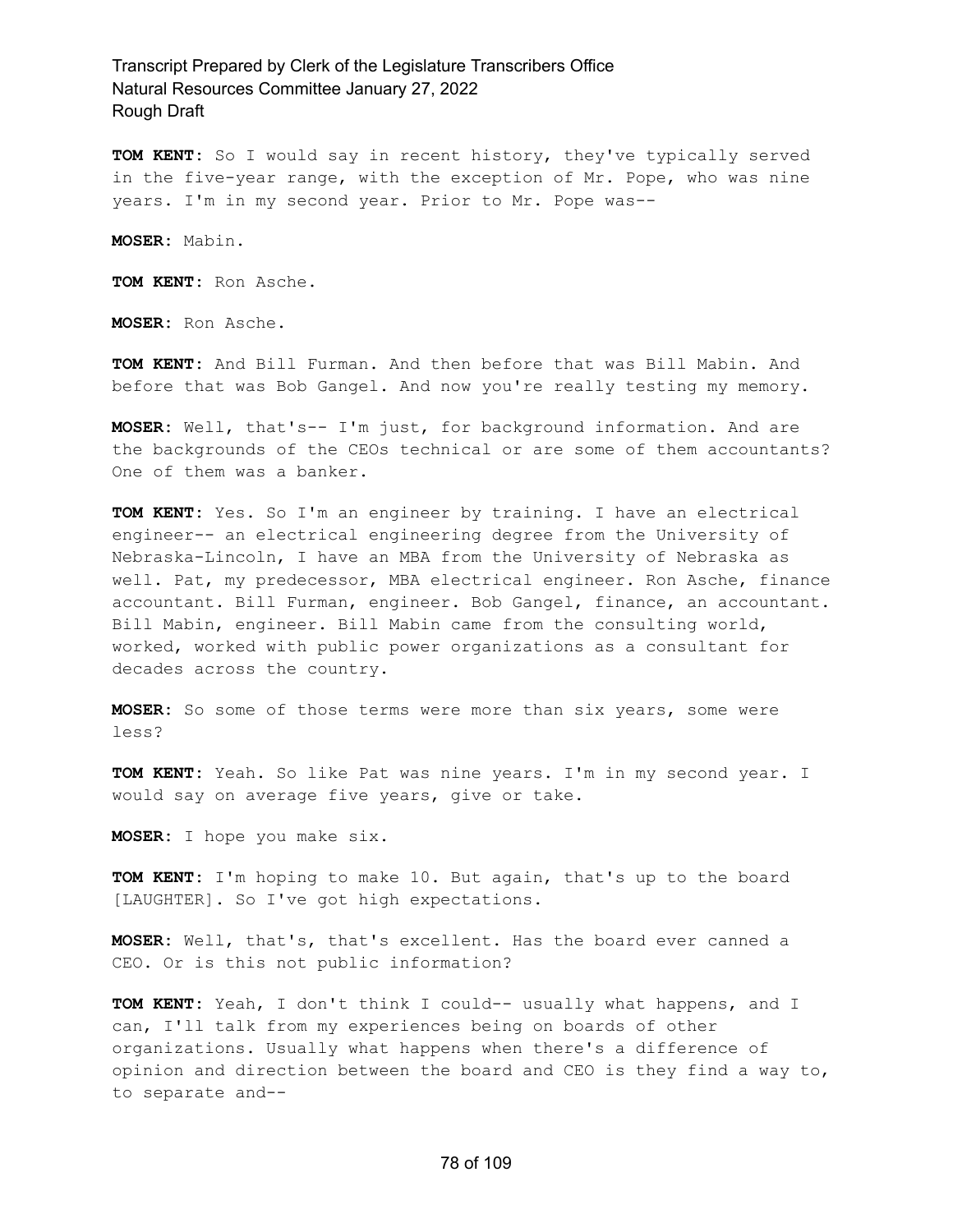**TOM KENT:** So I would say in recent history, they've typically served in the five-year range, with the exception of Mr. Pope, who was nine years. I'm in my second year. Prior to Mr. Pope was--

**MOSER:** Mabin.

**TOM KENT:** Ron Asche.

**MOSER:** Ron Asche.

**TOM KENT:** And Bill Furman. And then before that was Bill Mabin. And before that was Bob Gangel. And now you're really testing my memory.

**MOSER:** Well, that's-- I'm just, for background information. And are the backgrounds of the CEOs technical or are some of them accountants? One of them was a banker.

**TOM KENT:** Yes. So I'm an engineer by training. I have an electrical engineer-- an electrical engineering degree from the University of Nebraska-Lincoln, I have an MBA from the University of Nebraska as well. Pat, my predecessor, MBA electrical engineer. Ron Asche, finance accountant. Bill Furman, engineer. Bob Gangel, finance, an accountant. Bill Mabin, engineer. Bill Mabin came from the consulting world, worked, worked with public power organizations as a consultant for decades across the country.

**MOSER:** So some of those terms were more than six years, some were less?

**TOM KENT:** Yeah. So like Pat was nine years. I'm in my second year. I would say on average five years, give or take.

**MOSER:** I hope you make six.

**TOM KENT:** I'm hoping to make 10. But again, that's up to the board [LAUGHTER]. So I've got high expectations.

**MOSER:** Well, that's, that's excellent. Has the board ever canned a CEO. Or is this not public information?

**TOM KENT:** Yeah, I don't think I could-- usually what happens, and I can, I'll talk from my experiences being on boards of other organizations. Usually what happens when there's a difference of opinion and direction between the board and CEO is they find a way to, to separate and--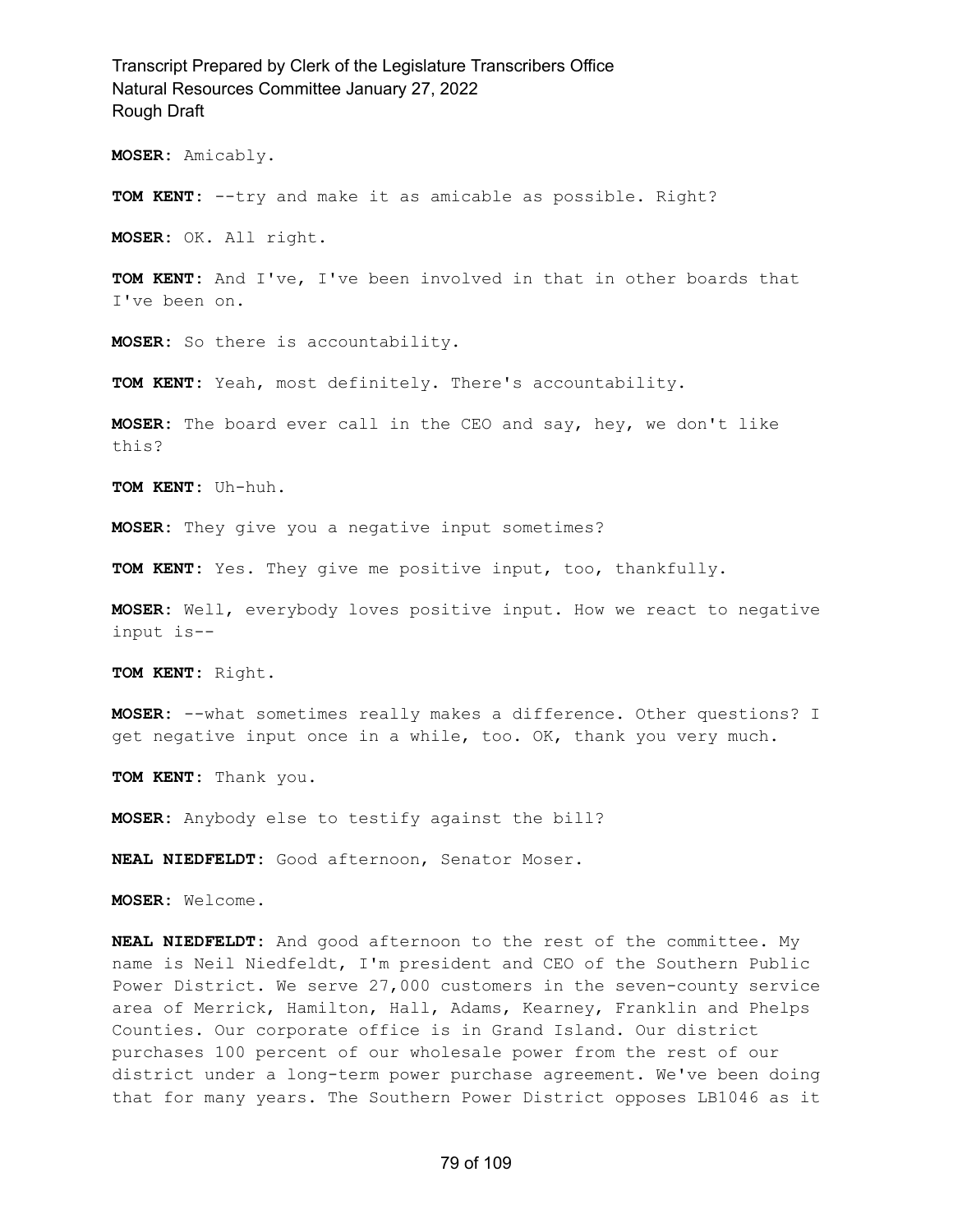**MOSER:** Amicably.

**TOM KENT:** --try and make it as amicable as possible. Right?

**MOSER:** OK. All right.

**TOM KENT:** And I've, I've been involved in that in other boards that I've been on.

**MOSER:** So there is accountability.

**TOM KENT:** Yeah, most definitely. There's accountability.

**MOSER:** The board ever call in the CEO and say, hey, we don't like this?

**TOM KENT:** Uh-huh.

**MOSER:** They give you a negative input sometimes?

**TOM KENT:** Yes. They give me positive input, too, thankfully.

**MOSER:** Well, everybody loves positive input. How we react to negative input is--

**TOM KENT:** Right.

**MOSER:** --what sometimes really makes a difference. Other questions? I get negative input once in a while, too. OK, thank you very much.

**TOM KENT:** Thank you.

**MOSER:** Anybody else to testify against the bill?

**NEAL NIEDFELDT:** Good afternoon, Senator Moser.

**MOSER:** Welcome.

**NEAL NIEDFELDT:** And good afternoon to the rest of the committee. My name is Neil Niedfeldt, I'm president and CEO of the Southern Public Power District. We serve 27,000 customers in the seven-county service area of Merrick, Hamilton, Hall, Adams, Kearney, Franklin and Phelps Counties. Our corporate office is in Grand Island. Our district purchases 100 percent of our wholesale power from the rest of our district under a long-term power purchase agreement. We've been doing that for many years. The Southern Power District opposes LB1046 as it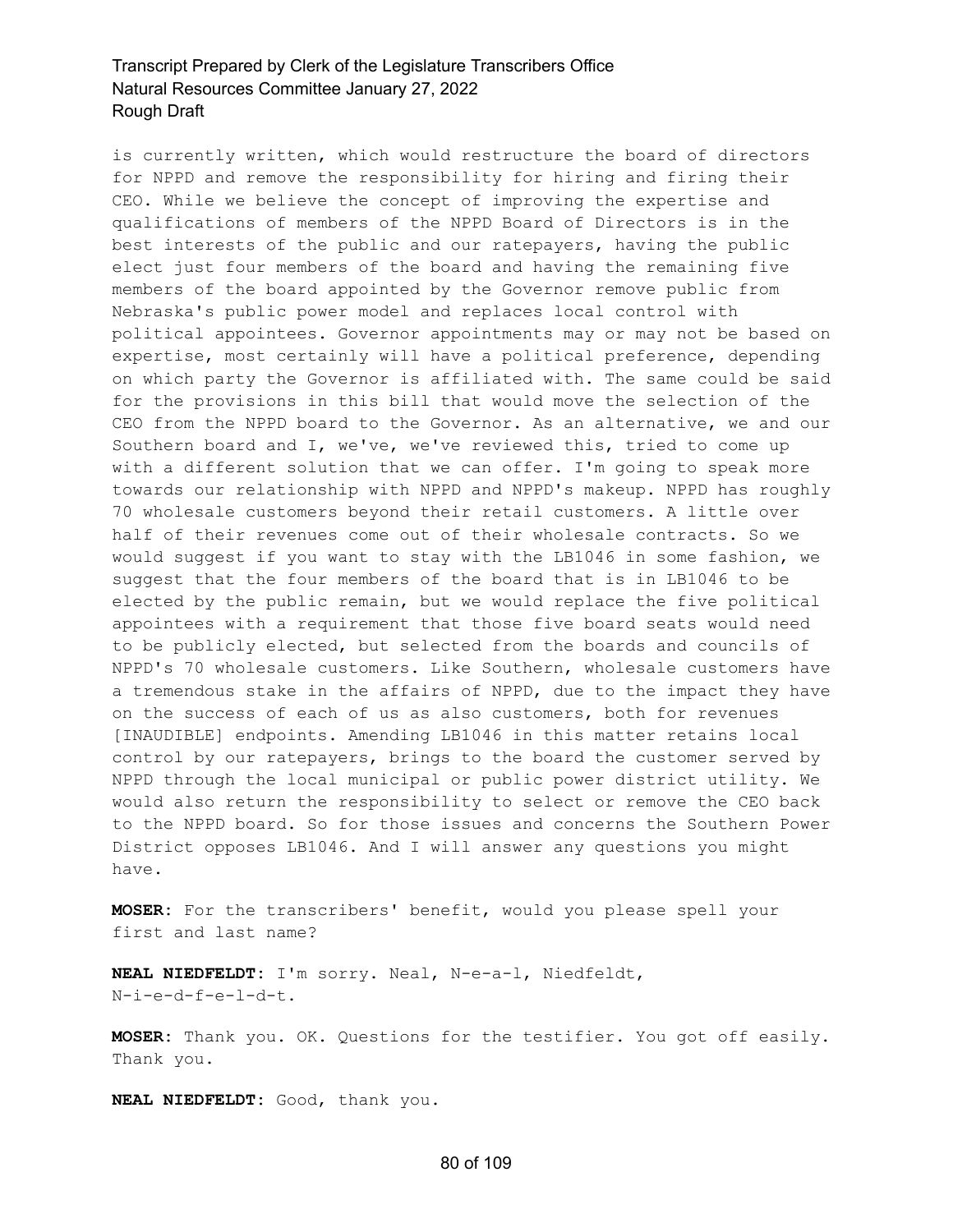is currently written, which would restructure the board of directors for NPPD and remove the responsibility for hiring and firing their CEO. While we believe the concept of improving the expertise and qualifications of members of the NPPD Board of Directors is in the best interests of the public and our ratepayers, having the public elect just four members of the board and having the remaining five members of the board appointed by the Governor remove public from Nebraska's public power model and replaces local control with political appointees. Governor appointments may or may not be based on expertise, most certainly will have a political preference, depending on which party the Governor is affiliated with. The same could be said for the provisions in this bill that would move the selection of the CEO from the NPPD board to the Governor. As an alternative, we and our Southern board and I, we've, we've reviewed this, tried to come up with a different solution that we can offer. I'm going to speak more towards our relationship with NPPD and NPPD's makeup. NPPD has roughly 70 wholesale customers beyond their retail customers. A little over half of their revenues come out of their wholesale contracts. So we would suggest if you want to stay with the LB1046 in some fashion, we suggest that the four members of the board that is in LB1046 to be elected by the public remain, but we would replace the five political appointees with a requirement that those five board seats would need to be publicly elected, but selected from the boards and councils of NPPD's 70 wholesale customers. Like Southern, wholesale customers have a tremendous stake in the affairs of NPPD, due to the impact they have on the success of each of us as also customers, both for revenues [INAUDIBLE] endpoints. Amending LB1046 in this matter retains local control by our ratepayers, brings to the board the customer served by NPPD through the local municipal or public power district utility. We would also return the responsibility to select or remove the CEO back to the NPPD board. So for those issues and concerns the Southern Power District opposes LB1046. And I will answer any questions you might have.

**MOSER:** For the transcribers' benefit, would you please spell your first and last name?

**NEAL NIEDFELDT:** I'm sorry. Neal, N-e-a-l, Niedfeldt, N-i-e-d-f-e-l-d-t.

**MOSER:** Thank you. OK. Questions for the testifier. You got off easily. Thank you.

**NEAL NIEDFELDT:** Good, thank you.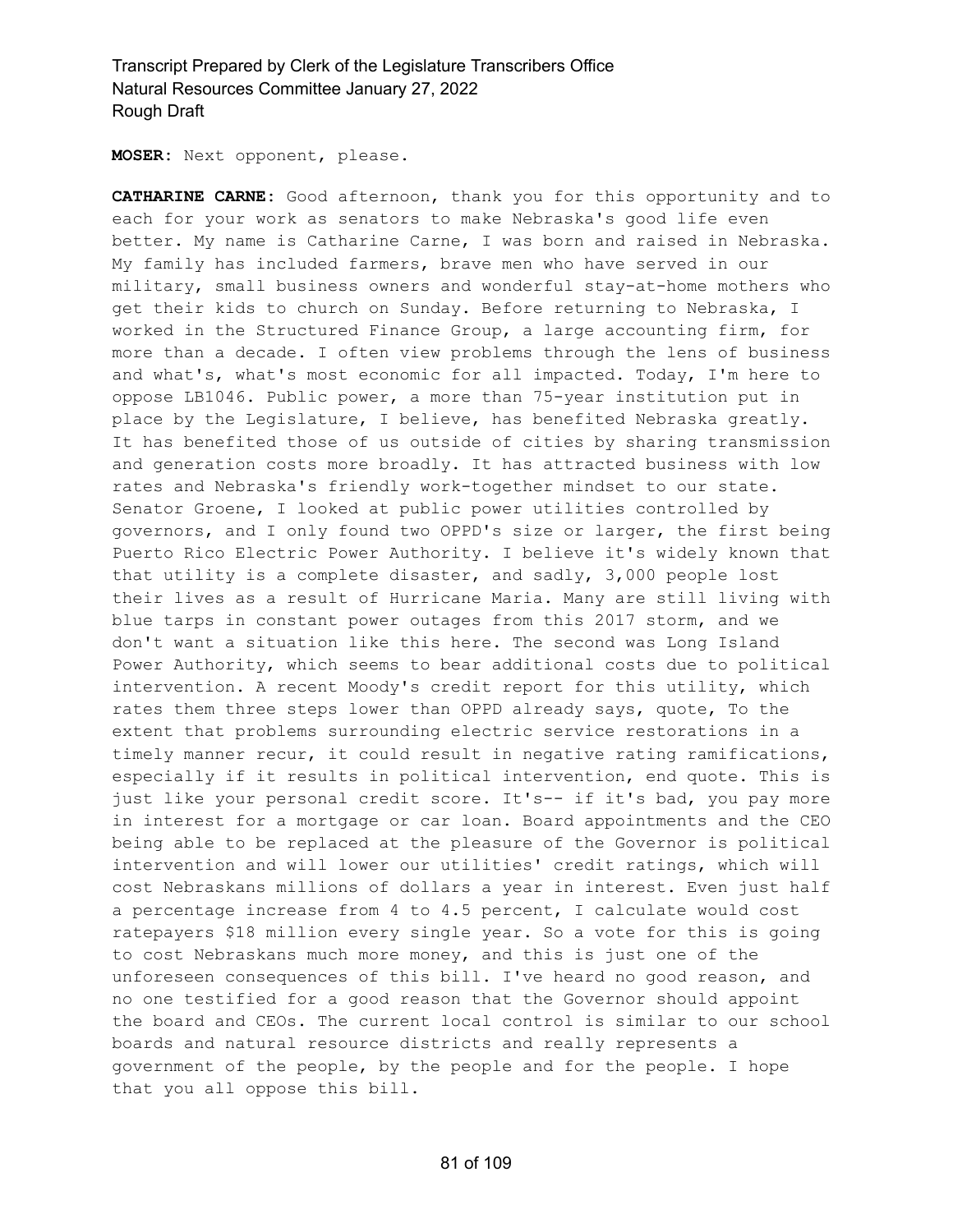**MOSER:** Next opponent, please.

**CATHARINE CARNE:** Good afternoon, thank you for this opportunity and to each for your work as senators to make Nebraska's good life even better. My name is Catharine Carne, I was born and raised in Nebraska. My family has included farmers, brave men who have served in our military, small business owners and wonderful stay-at-home mothers who get their kids to church on Sunday. Before returning to Nebraska, I worked in the Structured Finance Group, a large accounting firm, for more than a decade. I often view problems through the lens of business and what's, what's most economic for all impacted. Today, I'm here to oppose LB1046. Public power, a more than 75-year institution put in place by the Legislature, I believe, has benefited Nebraska greatly. It has benefited those of us outside of cities by sharing transmission and generation costs more broadly. It has attracted business with low rates and Nebraska's friendly work-together mindset to our state. Senator Groene, I looked at public power utilities controlled by governors, and I only found two OPPD's size or larger, the first being Puerto Rico Electric Power Authority. I believe it's widely known that that utility is a complete disaster, and sadly, 3,000 people lost their lives as a result of Hurricane Maria. Many are still living with blue tarps in constant power outages from this 2017 storm, and we don't want a situation like this here. The second was Long Island Power Authority, which seems to bear additional costs due to political intervention. A recent Moody's credit report for this utility, which rates them three steps lower than OPPD already says, quote, To the extent that problems surrounding electric service restorations in a timely manner recur, it could result in negative rating ramifications, especially if it results in political intervention, end quote. This is just like your personal credit score. It's-- if it's bad, you pay more in interest for a mortgage or car loan. Board appointments and the CEO being able to be replaced at the pleasure of the Governor is political intervention and will lower our utilities' credit ratings, which will cost Nebraskans millions of dollars a year in interest. Even just half a percentage increase from 4 to 4.5 percent, I calculate would cost ratepayers \$18 million every single year. So a vote for this is going to cost Nebraskans much more money, and this is just one of the unforeseen consequences of this bill. I've heard no good reason, and no one testified for a good reason that the Governor should appoint the board and CEOs. The current local control is similar to our school boards and natural resource districts and really represents a government of the people, by the people and for the people. I hope that you all oppose this bill.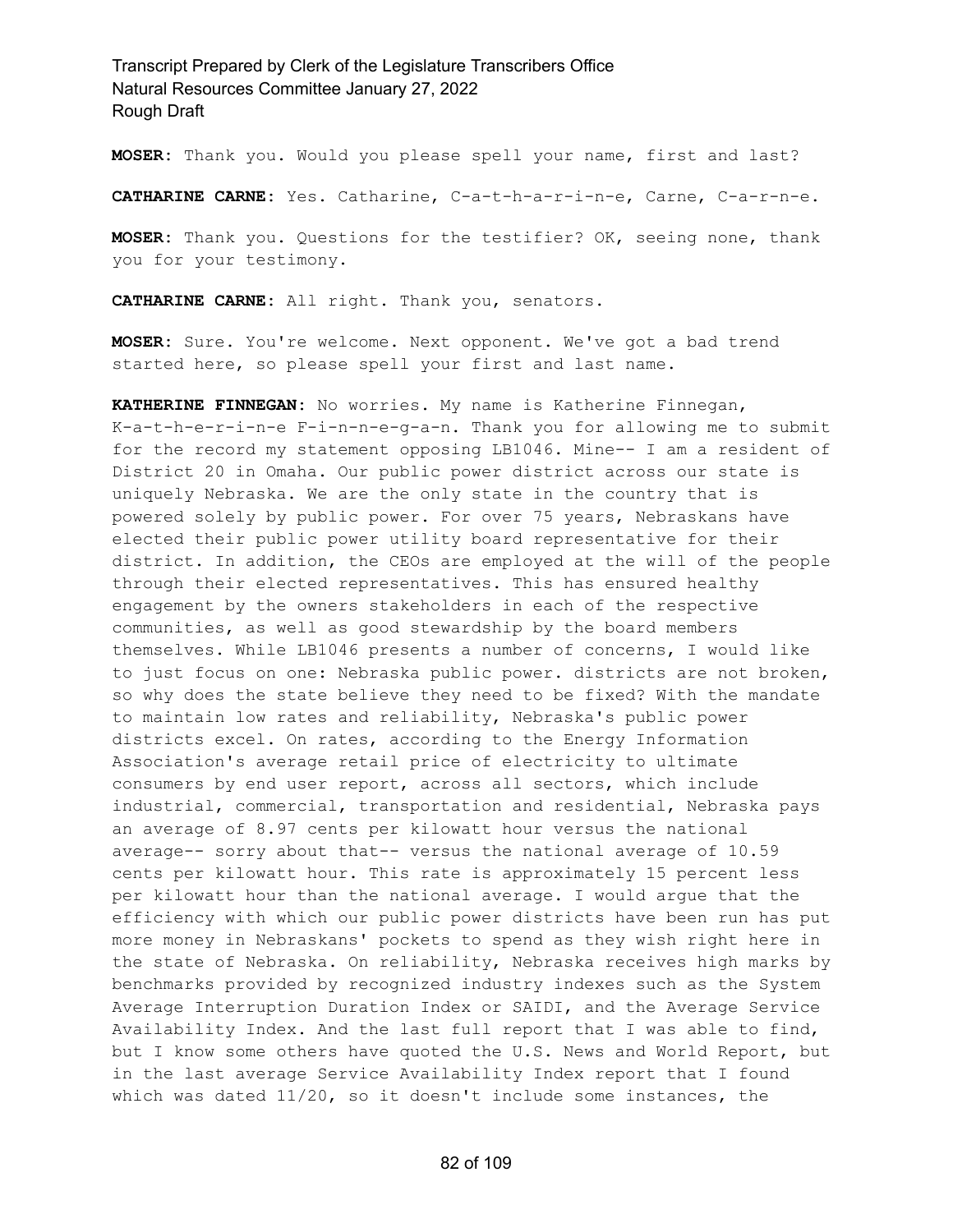**MOSER:** Thank you. Would you please spell your name, first and last?

**CATHARINE CARNE:** Yes. Catharine, C-a-t-h-a-r-i-n-e, Carne, C-a-r-n-e.

**MOSER:** Thank you. Questions for the testifier? OK, seeing none, thank you for your testimony.

**CATHARINE CARNE:** All right. Thank you, senators.

**MOSER:** Sure. You're welcome. Next opponent. We've got a bad trend started here, so please spell your first and last name.

**KATHERINE FINNEGAN:** No worries. My name is Katherine Finnegan, K-a-t-h-e-r-i-n-e F-i-n-n-e-g-a-n. Thank you for allowing me to submit for the record my statement opposing LB1046. Mine-- I am a resident of District 20 in Omaha. Our public power district across our state is uniquely Nebraska. We are the only state in the country that is powered solely by public power. For over 75 years, Nebraskans have elected their public power utility board representative for their district. In addition, the CEOs are employed at the will of the people through their elected representatives. This has ensured healthy engagement by the owners stakeholders in each of the respective communities, as well as good stewardship by the board members themselves. While LB1046 presents a number of concerns, I would like to just focus on one: Nebraska public power. districts are not broken, so why does the state believe they need to be fixed? With the mandate to maintain low rates and reliability, Nebraska's public power districts excel. On rates, according to the Energy Information Association's average retail price of electricity to ultimate consumers by end user report, across all sectors, which include industrial, commercial, transportation and residential, Nebraska pays an average of 8.97 cents per kilowatt hour versus the national average-- sorry about that-- versus the national average of 10.59 cents per kilowatt hour. This rate is approximately 15 percent less per kilowatt hour than the national average. I would argue that the efficiency with which our public power districts have been run has put more money in Nebraskans' pockets to spend as they wish right here in the state of Nebraska. On reliability, Nebraska receives high marks by benchmarks provided by recognized industry indexes such as the System Average Interruption Duration Index or SAIDI, and the Average Service Availability Index. And the last full report that I was able to find, but I know some others have quoted the U.S. News and World Report, but in the last average Service Availability Index report that I found which was dated 11/20, so it doesn't include some instances, the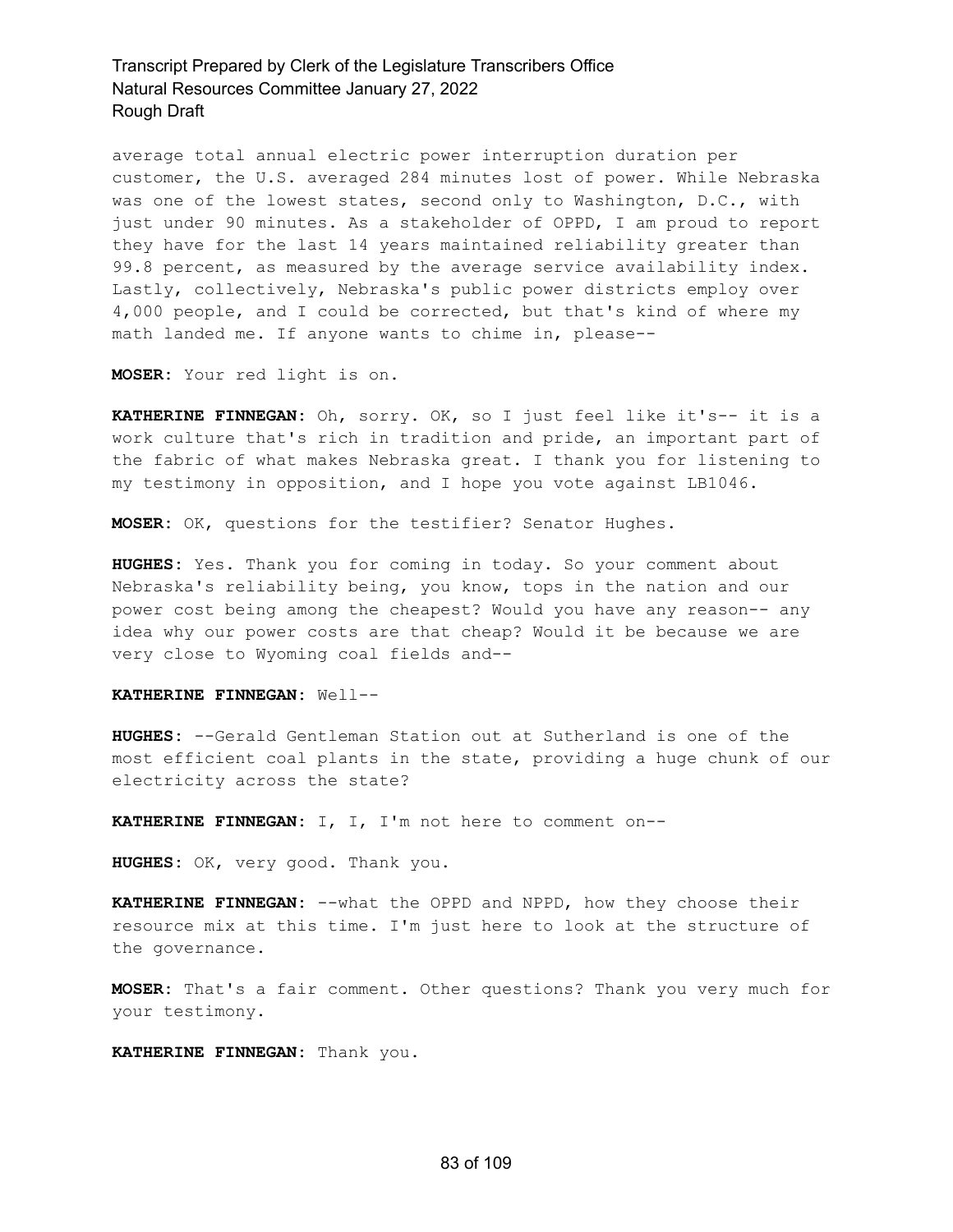average total annual electric power interruption duration per customer, the U.S. averaged 284 minutes lost of power. While Nebraska was one of the lowest states, second only to Washington, D.C., with just under 90 minutes. As a stakeholder of OPPD, I am proud to report they have for the last 14 years maintained reliability greater than 99.8 percent, as measured by the average service availability index. Lastly, collectively, Nebraska's public power districts employ over 4,000 people, and I could be corrected, but that's kind of where my math landed me. If anyone wants to chime in, please--

**MOSER:** Your red light is on.

**KATHERINE FINNEGAN:** Oh, sorry. OK, so I just feel like it's-- it is a work culture that's rich in tradition and pride, an important part of the fabric of what makes Nebraska great. I thank you for listening to my testimony in opposition, and I hope you vote against LB1046.

**MOSER:** OK, questions for the testifier? Senator Hughes.

**HUGHES:** Yes. Thank you for coming in today. So your comment about Nebraska's reliability being, you know, tops in the nation and our power cost being among the cheapest? Would you have any reason-- any idea why our power costs are that cheap? Would it be because we are very close to Wyoming coal fields and--

#### **KATHERINE FINNEGAN:** Well--

**HUGHES:** --Gerald Gentleman Station out at Sutherland is one of the most efficient coal plants in the state, providing a huge chunk of our electricity across the state?

**KATHERINE FINNEGAN:** I, I, I'm not here to comment on--

**HUGHES:** OK, very good. Thank you.

**KATHERINE FINNEGAN:** --what the OPPD and NPPD, how they choose their resource mix at this time. I'm just here to look at the structure of the governance.

**MOSER:** That's a fair comment. Other questions? Thank you very much for your testimony.

**KATHERINE FINNEGAN:** Thank you.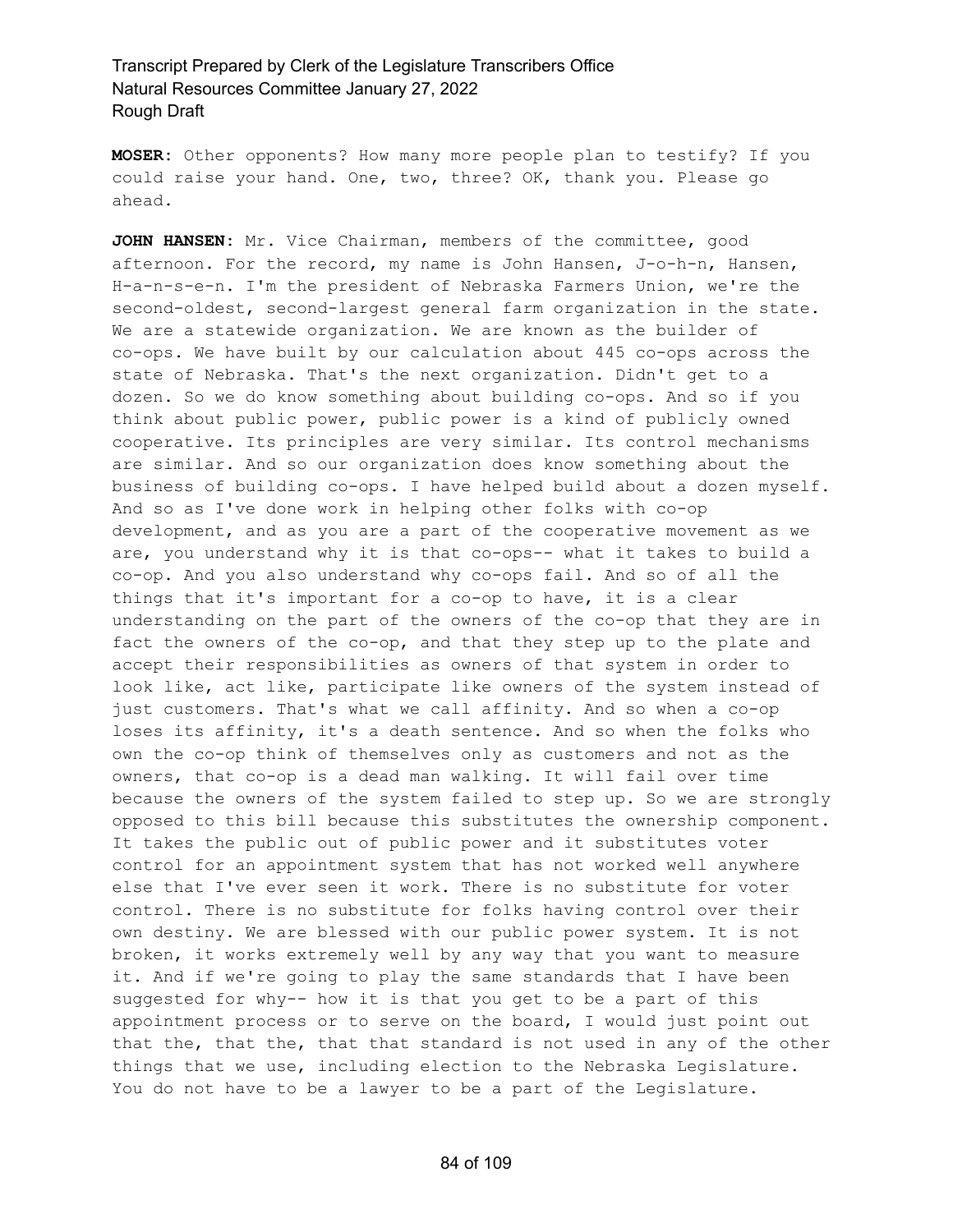**MOSER:** Other opponents? How many more people plan to testify? If you could raise your hand. One, two, three? OK, thank you. Please go ahead.

**JOHN HANSEN:** Mr. Vice Chairman, members of the committee, good afternoon. For the record, my name is John Hansen, J-o-h-n, Hansen, H-a-n-s-e-n. I'm the president of Nebraska Farmers Union, we're the second-oldest, second-largest general farm organization in the state. We are a statewide organization. We are known as the builder of co-ops. We have built by our calculation about 445 co-ops across the state of Nebraska. That's the next organization. Didn't get to a dozen. So we do know something about building co-ops. And so if you think about public power, public power is a kind of publicly owned cooperative. Its principles are very similar. Its control mechanisms are similar. And so our organization does know something about the business of building co-ops. I have helped build about a dozen myself. And so as I've done work in helping other folks with co-op development, and as you are a part of the cooperative movement as we are, you understand why it is that co-ops-- what it takes to build a co-op. And you also understand why co-ops fail. And so of all the things that it's important for a co-op to have, it is a clear understanding on the part of the owners of the co-op that they are in fact the owners of the co-op, and that they step up to the plate and accept their responsibilities as owners of that system in order to look like, act like, participate like owners of the system instead of just customers. That's what we call affinity. And so when a co-op loses its affinity, it's a death sentence. And so when the folks who own the co-op think of themselves only as customers and not as the owners, that co-op is a dead man walking. It will fail over time because the owners of the system failed to step up. So we are strongly opposed to this bill because this substitutes the ownership component. It takes the public out of public power and it substitutes voter control for an appointment system that has not worked well anywhere else that I've ever seen it work. There is no substitute for voter control. There is no substitute for folks having control over their own destiny. We are blessed with our public power system. It is not broken, it works extremely well by any way that you want to measure it. And if we're going to play the same standards that I have been suggested for why-- how it is that you get to be a part of this appointment process or to serve on the board, I would just point out that the, that the, that that standard is not used in any of the other things that we use, including election to the Nebraska Legislature. You do not have to be a lawyer to be a part of the Legislature.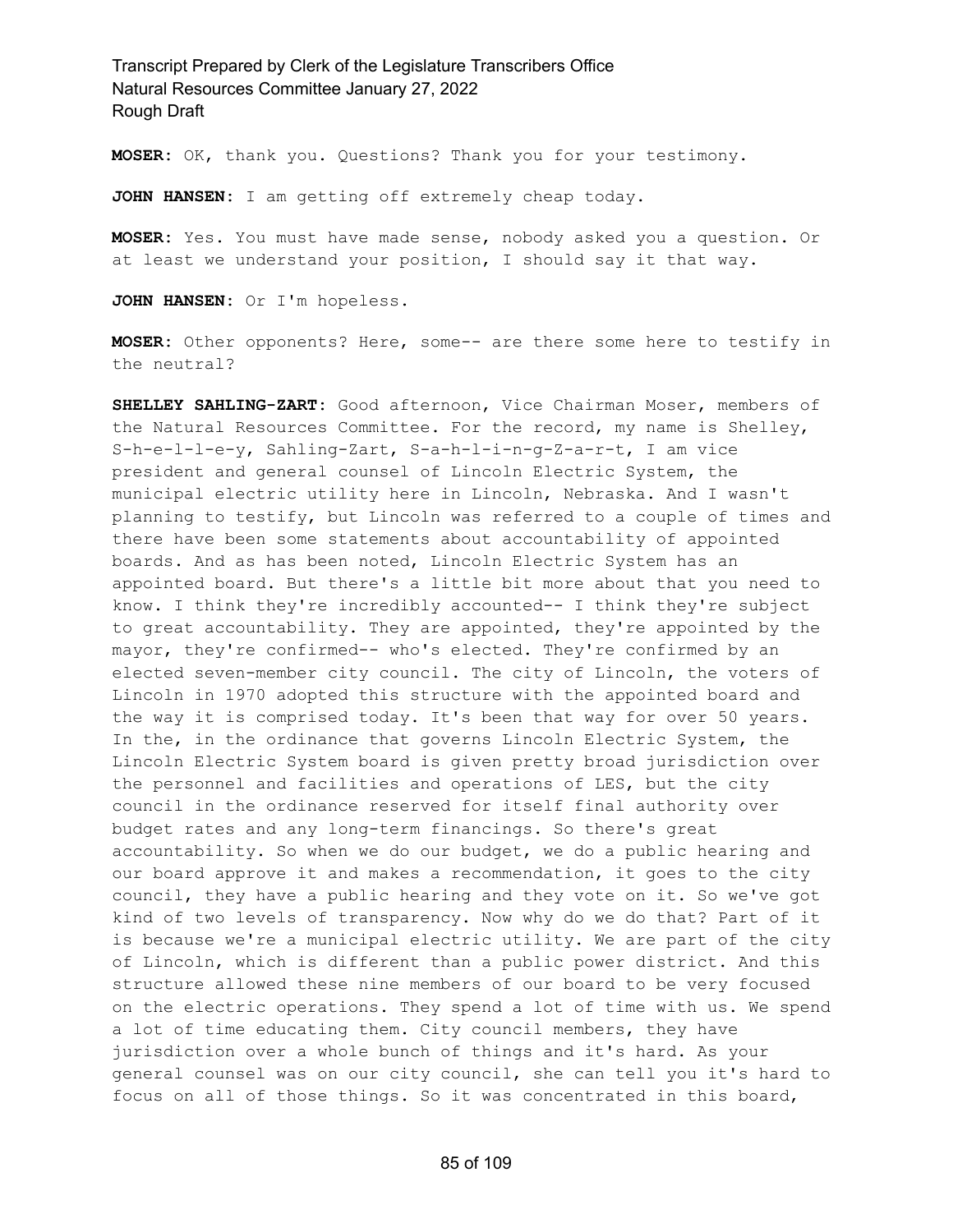**MOSER:** OK, thank you. Questions? Thank you for your testimony.

**JOHN HANSEN:** I am getting off extremely cheap today.

**MOSER:** Yes. You must have made sense, nobody asked you a question. Or at least we understand your position, I should say it that way.

**JOHN HANSEN:** Or I'm hopeless.

**MOSER:** Other opponents? Here, some-- are there some here to testify in the neutral?

**SHELLEY SAHLING-ZART:** Good afternoon, Vice Chairman Moser, members of the Natural Resources Committee. For the record, my name is Shelley, S-h-e-l-l-e-y, Sahling-Zart, S-a-h-l-i-n-g-Z-a-r-t, I am vice president and general counsel of Lincoln Electric System, the municipal electric utility here in Lincoln, Nebraska. And I wasn't planning to testify, but Lincoln was referred to a couple of times and there have been some statements about accountability of appointed boards. And as has been noted, Lincoln Electric System has an appointed board. But there's a little bit more about that you need to know. I think they're incredibly accounted-- I think they're subject to great accountability. They are appointed, they're appointed by the mayor, they're confirmed-- who's elected. They're confirmed by an elected seven-member city council. The city of Lincoln, the voters of Lincoln in 1970 adopted this structure with the appointed board and the way it is comprised today. It's been that way for over 50 years. In the, in the ordinance that governs Lincoln Electric System, the Lincoln Electric System board is given pretty broad jurisdiction over the personnel and facilities and operations of LES, but the city council in the ordinance reserved for itself final authority over budget rates and any long-term financings. So there's great accountability. So when we do our budget, we do a public hearing and our board approve it and makes a recommendation, it goes to the city council, they have a public hearing and they vote on it. So we've got kind of two levels of transparency. Now why do we do that? Part of it is because we're a municipal electric utility. We are part of the city of Lincoln, which is different than a public power district. And this structure allowed these nine members of our board to be very focused on the electric operations. They spend a lot of time with us. We spend a lot of time educating them. City council members, they have jurisdiction over a whole bunch of things and it's hard. As your general counsel was on our city council, she can tell you it's hard to focus on all of those things. So it was concentrated in this board,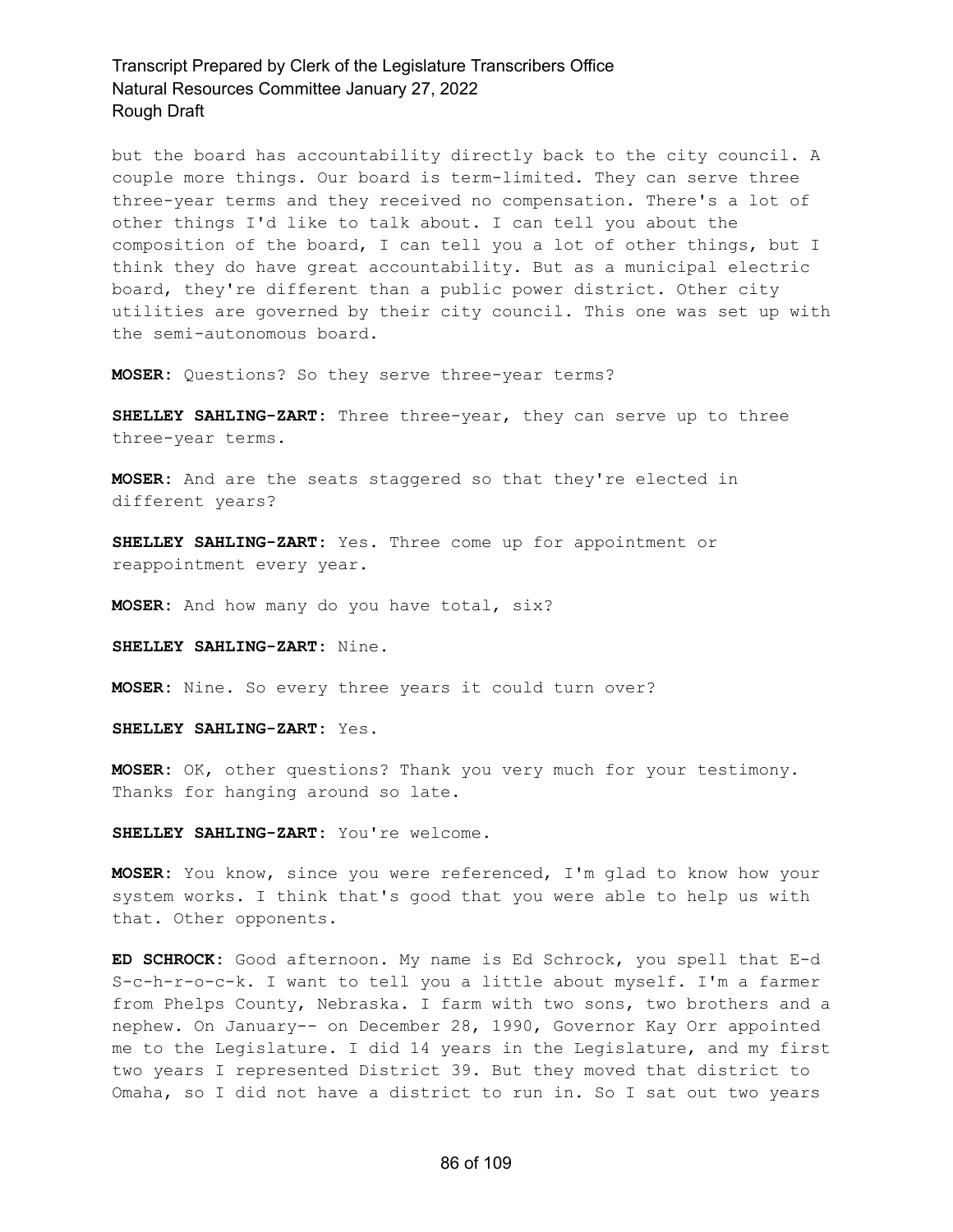but the board has accountability directly back to the city council. A couple more things. Our board is term-limited. They can serve three three-year terms and they received no compensation. There's a lot of other things I'd like to talk about. I can tell you about the composition of the board, I can tell you a lot of other things, but I think they do have great accountability. But as a municipal electric board, they're different than a public power district. Other city utilities are governed by their city council. This one was set up with the semi-autonomous board.

**MOSER:** Questions? So they serve three-year terms?

**SHELLEY SAHLING-ZART:** Three three-year, they can serve up to three three-year terms.

**MOSER:** And are the seats staggered so that they're elected in different years?

**SHELLEY SAHLING-ZART:** Yes. Three come up for appointment or reappointment every year.

**MOSER:** And how many do you have total, six?

**SHELLEY SAHLING-ZART:** Nine.

**MOSER:** Nine. So every three years it could turn over?

**SHELLEY SAHLING-ZART:** Yes.

**MOSER:** OK, other questions? Thank you very much for your testimony. Thanks for hanging around so late.

**SHELLEY SAHLING-ZART:** You're welcome.

**MOSER:** You know, since you were referenced, I'm glad to know how your system works. I think that's good that you were able to help us with that. Other opponents.

**ED SCHROCK:** Good afternoon. My name is Ed Schrock, you spell that E-d S-c-h-r-o-c-k. I want to tell you a little about myself. I'm a farmer from Phelps County, Nebraska. I farm with two sons, two brothers and a nephew. On January-- on December 28, 1990, Governor Kay Orr appointed me to the Legislature. I did 14 years in the Legislature, and my first two years I represented District 39. But they moved that district to Omaha, so I did not have a district to run in. So I sat out two years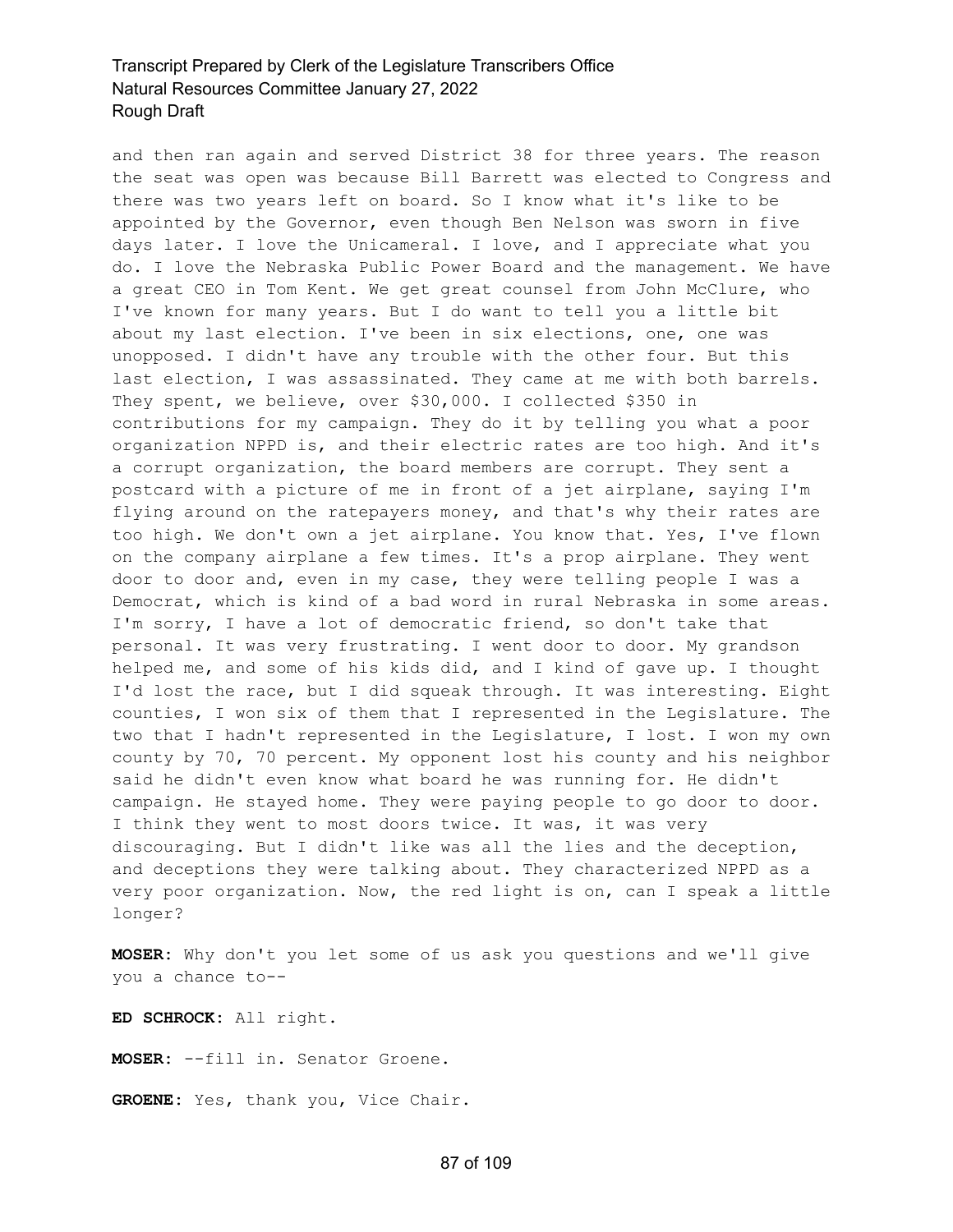and then ran again and served District 38 for three years. The reason the seat was open was because Bill Barrett was elected to Congress and there was two years left on board. So I know what it's like to be appointed by the Governor, even though Ben Nelson was sworn in five days later. I love the Unicameral. I love, and I appreciate what you do. I love the Nebraska Public Power Board and the management. We have a great CEO in Tom Kent. We get great counsel from John McClure, who I've known for many years. But I do want to tell you a little bit about my last election. I've been in six elections, one, one was unopposed. I didn't have any trouble with the other four. But this last election, I was assassinated. They came at me with both barrels. They spent, we believe, over \$30,000. I collected \$350 in contributions for my campaign. They do it by telling you what a poor organization NPPD is, and their electric rates are too high. And it's a corrupt organization, the board members are corrupt. They sent a postcard with a picture of me in front of a jet airplane, saying I'm flying around on the ratepayers money, and that's why their rates are too high. We don't own a jet airplane. You know that. Yes, I've flown on the company airplane a few times. It's a prop airplane. They went door to door and, even in my case, they were telling people I was a Democrat, which is kind of a bad word in rural Nebraska in some areas. I'm sorry, I have a lot of democratic friend, so don't take that personal. It was very frustrating. I went door to door. My grandson helped me, and some of his kids did, and I kind of gave up. I thought I'd lost the race, but I did squeak through. It was interesting. Eight counties, I won six of them that I represented in the Legislature. The two that I hadn't represented in the Legislature, I lost. I won my own county by 70, 70 percent. My opponent lost his county and his neighbor said he didn't even know what board he was running for. He didn't campaign. He stayed home. They were paying people to go door to door. I think they went to most doors twice. It was, it was very discouraging. But I didn't like was all the lies and the deception, and deceptions they were talking about. They characterized NPPD as a very poor organization. Now, the red light is on, can I speak a little longer?

**MOSER:** Why don't you let some of us ask you questions and we'll give you a chance to--

**ED SCHROCK:** All right.

**MOSER:** --fill in. Senator Groene.

**GROENE:** Yes, thank you, Vice Chair.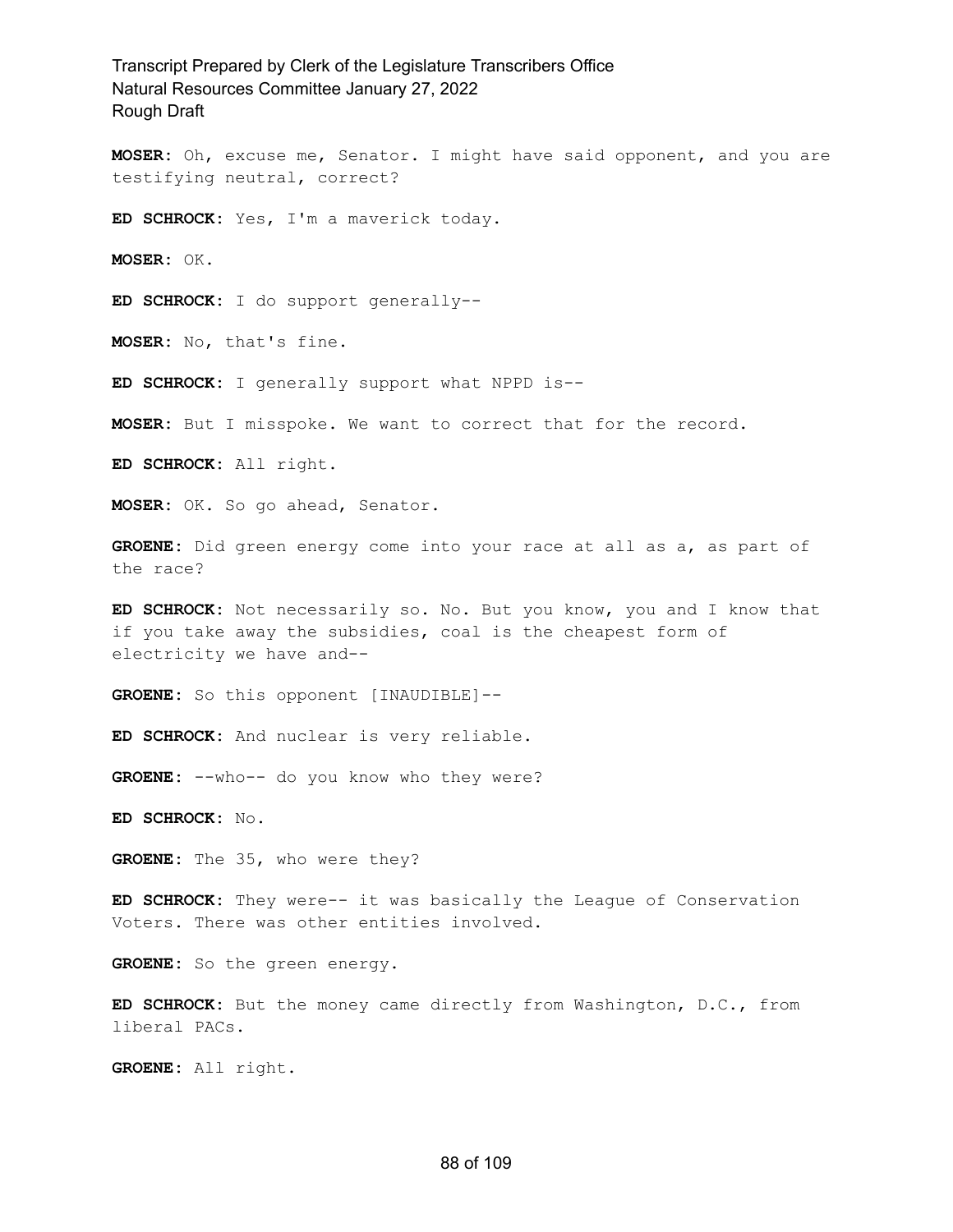**MOSER:** Oh, excuse me, Senator. I might have said opponent, and you are testifying neutral, correct?

**ED SCHROCK:** Yes, I'm a maverick today.

**MOSER:** OK.

**ED SCHROCK:** I do support generally--

**MOSER:** No, that's fine.

**ED SCHROCK:** I generally support what NPPD is--

**MOSER:** But I misspoke. We want to correct that for the record.

**ED SCHROCK:** All right.

**MOSER:** OK. So go ahead, Senator.

**GROENE:** Did green energy come into your race at all as a, as part of the race?

**ED SCHROCK:** Not necessarily so. No. But you know, you and I know that if you take away the subsidies, coal is the cheapest form of electricity we have and--

**GROENE:** So this opponent [INAUDIBLE]--

**ED SCHROCK:** And nuclear is very reliable.

GROENE: --who-- do you know who they were?

**ED SCHROCK:** No.

**GROENE:** The 35, who were they?

**ED SCHROCK:** They were-- it was basically the League of Conservation Voters. There was other entities involved.

**GROENE:** So the green energy.

**ED SCHROCK:** But the money came directly from Washington, D.C., from liberal PACs.

**GROENE:** All right.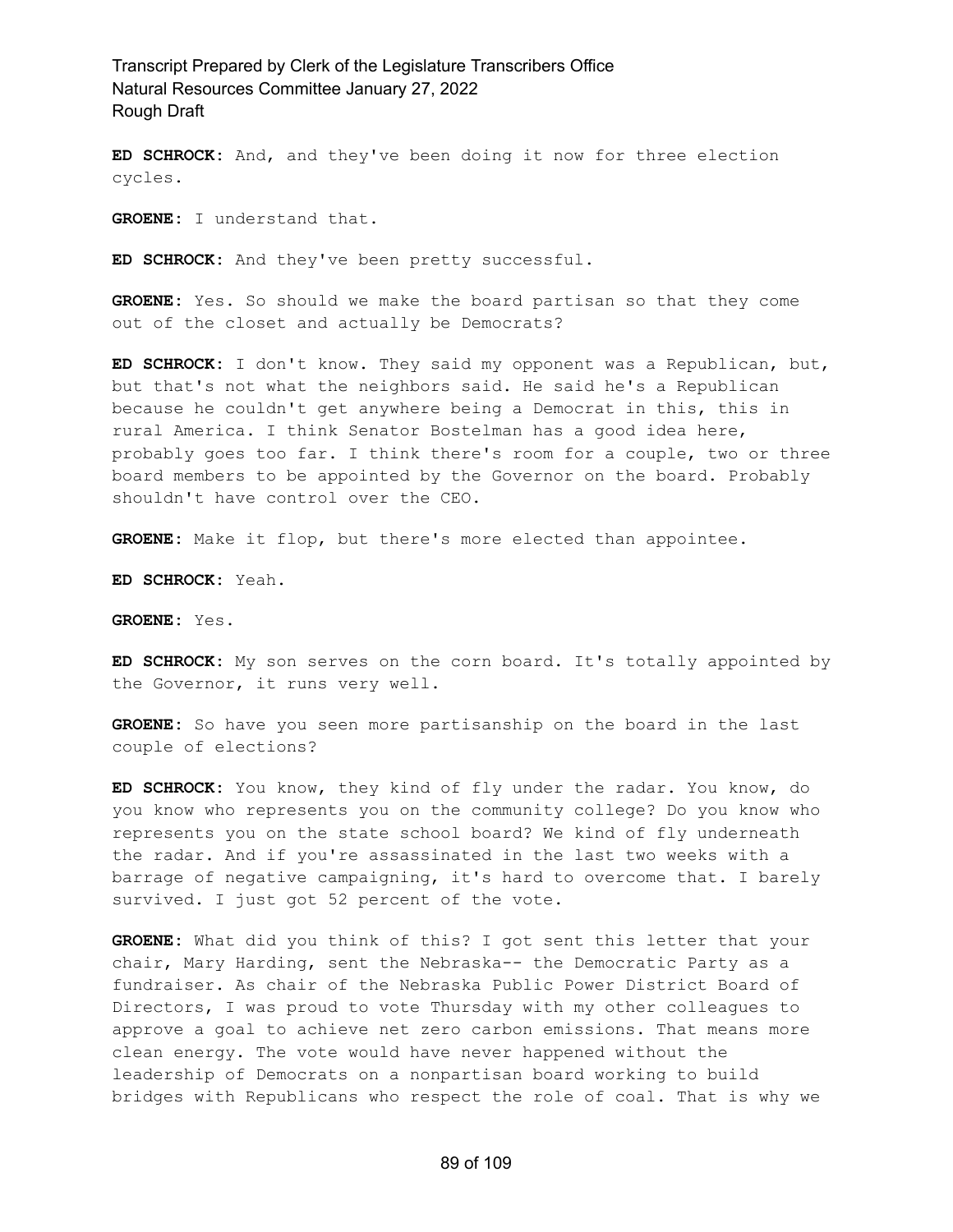**ED SCHROCK:** And, and they've been doing it now for three election cycles.

**GROENE:** I understand that.

**ED SCHROCK:** And they've been pretty successful.

**GROENE:** Yes. So should we make the board partisan so that they come out of the closet and actually be Democrats?

**ED SCHROCK:** I don't know. They said my opponent was a Republican, but, but that's not what the neighbors said. He said he's a Republican because he couldn't get anywhere being a Democrat in this, this in rural America. I think Senator Bostelman has a good idea here, probably goes too far. I think there's room for a couple, two or three board members to be appointed by the Governor on the board. Probably shouldn't have control over the CEO.

**GROENE:** Make it flop, but there's more elected than appointee.

**ED SCHROCK:** Yeah.

**GROENE:** Yes.

**ED SCHROCK:** My son serves on the corn board. It's totally appointed by the Governor, it runs very well.

**GROENE:** So have you seen more partisanship on the board in the last couple of elections?

**ED SCHROCK:** You know, they kind of fly under the radar. You know, do you know who represents you on the community college? Do you know who represents you on the state school board? We kind of fly underneath the radar. And if you're assassinated in the last two weeks with a barrage of negative campaigning, it's hard to overcome that. I barely survived. I just got 52 percent of the vote.

**GROENE:** What did you think of this? I got sent this letter that your chair, Mary Harding, sent the Nebraska-- the Democratic Party as a fundraiser. As chair of the Nebraska Public Power District Board of Directors, I was proud to vote Thursday with my other colleagues to approve a goal to achieve net zero carbon emissions. That means more clean energy. The vote would have never happened without the leadership of Democrats on a nonpartisan board working to build bridges with Republicans who respect the role of coal. That is why we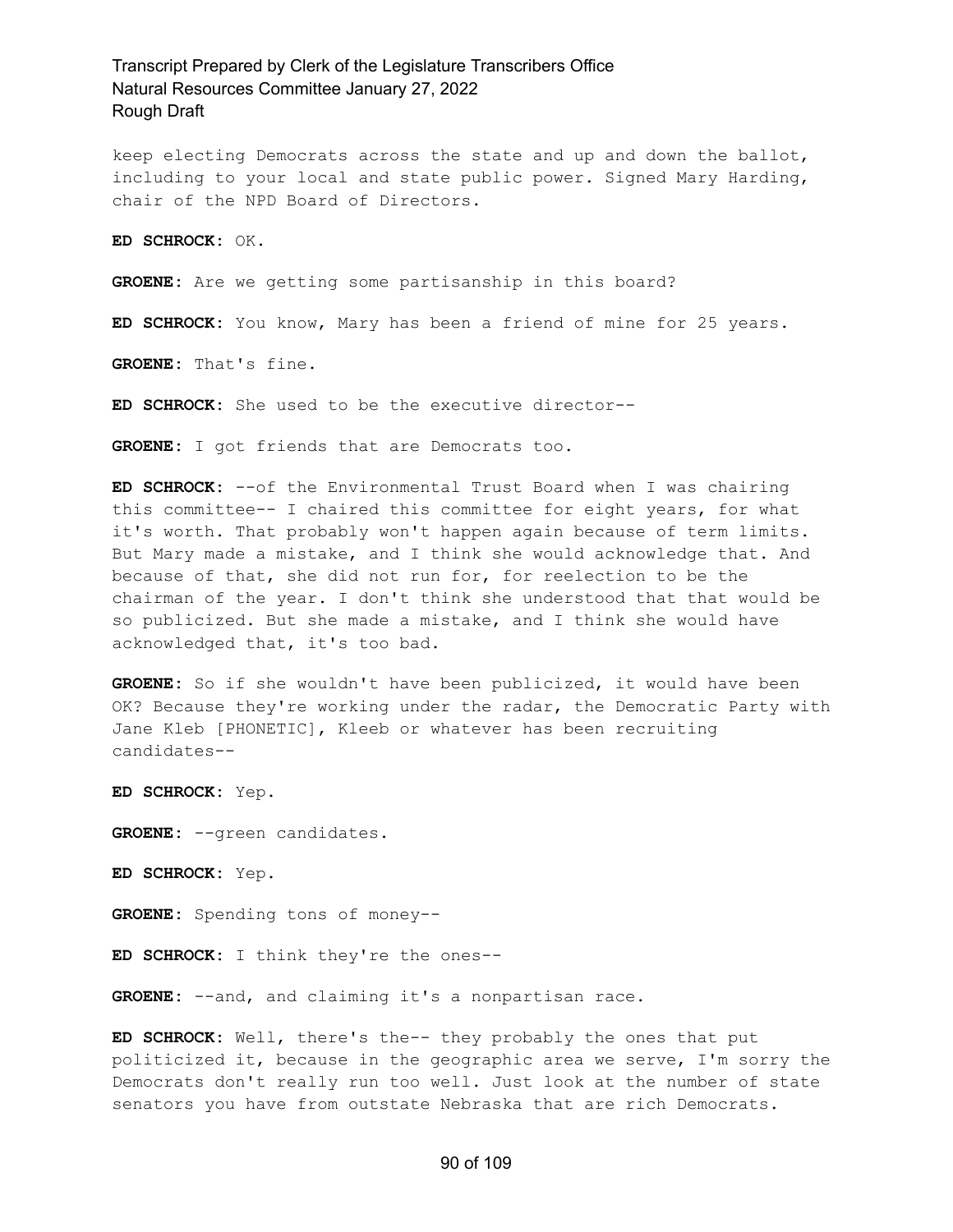keep electing Democrats across the state and up and down the ballot, including to your local and state public power. Signed Mary Harding, chair of the NPD Board of Directors.

**ED SCHROCK:** OK.

**GROENE:** Are we getting some partisanship in this board?

**ED SCHROCK:** You know, Mary has been a friend of mine for 25 years.

**GROENE:** That's fine.

**ED SCHROCK:** She used to be the executive director--

**GROENE:** I got friends that are Democrats too.

**ED SCHROCK:** --of the Environmental Trust Board when I was chairing this committee-- I chaired this committee for eight years, for what it's worth. That probably won't happen again because of term limits. But Mary made a mistake, and I think she would acknowledge that. And because of that, she did not run for, for reelection to be the chairman of the year. I don't think she understood that that would be so publicized. But she made a mistake, and I think she would have acknowledged that, it's too bad.

**GROENE:** So if she wouldn't have been publicized, it would have been OK? Because they're working under the radar, the Democratic Party with Jane Kleb [PHONETIC], Kleeb or whatever has been recruiting candidates--

**ED SCHROCK:** Yep.

**GROENE:** --green candidates.

**ED SCHROCK:** Yep.

**GROENE:** Spending tons of money--

**ED SCHROCK:** I think they're the ones--

GROENE: --and, and claiming it's a nonpartisan race.

**ED SCHROCK:** Well, there's the-- they probably the ones that put politicized it, because in the geographic area we serve, I'm sorry the Democrats don't really run too well. Just look at the number of state senators you have from outstate Nebraska that are rich Democrats.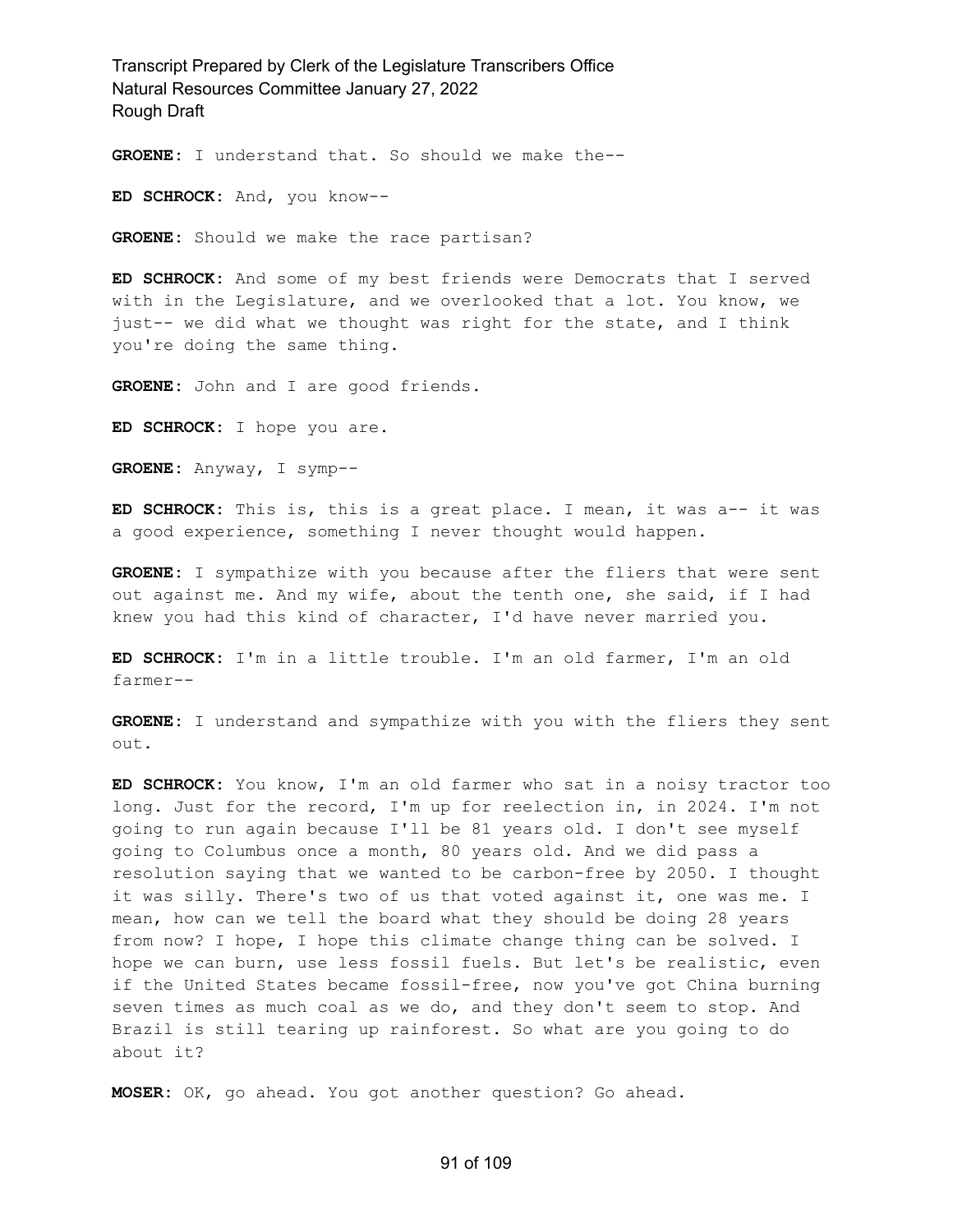**GROENE:** I understand that. So should we make the--

**ED SCHROCK:** And, you know--

**GROENE:** Should we make the race partisan?

**ED SCHROCK:** And some of my best friends were Democrats that I served with in the Legislature, and we overlooked that a lot. You know, we just-- we did what we thought was right for the state, and I think you're doing the same thing.

**GROENE:** John and I are good friends.

**ED SCHROCK:** I hope you are.

**GROENE:** Anyway, I symp--

**ED SCHROCK:** This is, this is a great place. I mean, it was a-- it was a good experience, something I never thought would happen.

**GROENE:** I sympathize with you because after the fliers that were sent out against me. And my wife, about the tenth one, she said, if I had knew you had this kind of character, I'd have never married you.

**ED SCHROCK:** I'm in a little trouble. I'm an old farmer, I'm an old farmer--

**GROENE:** I understand and sympathize with you with the fliers they sent out.

**ED SCHROCK:** You know, I'm an old farmer who sat in a noisy tractor too long. Just for the record, I'm up for reelection in, in 2024. I'm not going to run again because I'll be 81 years old. I don't see myself going to Columbus once a month, 80 years old. And we did pass a resolution saying that we wanted to be carbon-free by 2050. I thought it was silly. There's two of us that voted against it, one was me. I mean, how can we tell the board what they should be doing 28 years from now? I hope, I hope this climate change thing can be solved. I hope we can burn, use less fossil fuels. But let's be realistic, even if the United States became fossil-free, now you've got China burning seven times as much coal as we do, and they don't seem to stop. And Brazil is still tearing up rainforest. So what are you going to do about it?

**MOSER:** OK, go ahead. You got another question? Go ahead.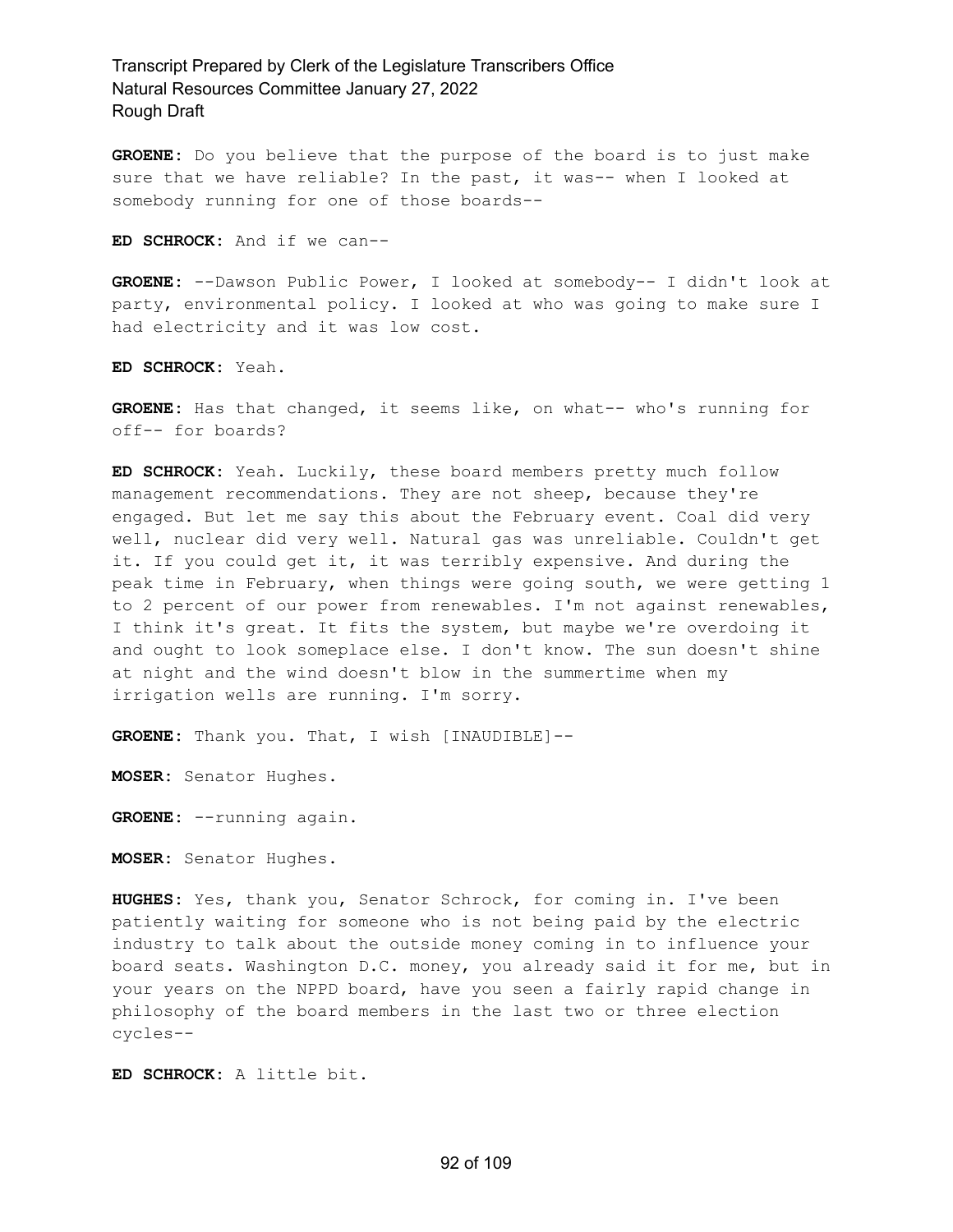**GROENE:** Do you believe that the purpose of the board is to just make sure that we have reliable? In the past, it was-- when I looked at somebody running for one of those boards--

**ED SCHROCK:** And if we can--

**GROENE:** --Dawson Public Power, I looked at somebody-- I didn't look at party, environmental policy. I looked at who was going to make sure I had electricity and it was low cost.

**ED SCHROCK:** Yeah.

**GROENE:** Has that changed, it seems like, on what-- who's running for off-- for boards?

**ED SCHROCK:** Yeah. Luckily, these board members pretty much follow management recommendations. They are not sheep, because they're engaged. But let me say this about the February event. Coal did very well, nuclear did very well. Natural gas was unreliable. Couldn't get it. If you could get it, it was terribly expensive. And during the peak time in February, when things were going south, we were getting 1 to 2 percent of our power from renewables. I'm not against renewables, I think it's great. It fits the system, but maybe we're overdoing it and ought to look someplace else. I don't know. The sun doesn't shine at night and the wind doesn't blow in the summertime when my irrigation wells are running. I'm sorry.

**GROENE:** Thank you. That, I wish [INAUDIBLE]--

**MOSER:** Senator Hughes.

**GROENE:** --running again.

**MOSER:** Senator Hughes.

**HUGHES:** Yes, thank you, Senator Schrock, for coming in. I've been patiently waiting for someone who is not being paid by the electric industry to talk about the outside money coming in to influence your board seats. Washington D.C. money, you already said it for me, but in your years on the NPPD board, have you seen a fairly rapid change in philosophy of the board members in the last two or three election cycles--

**ED SCHROCK:** A little bit.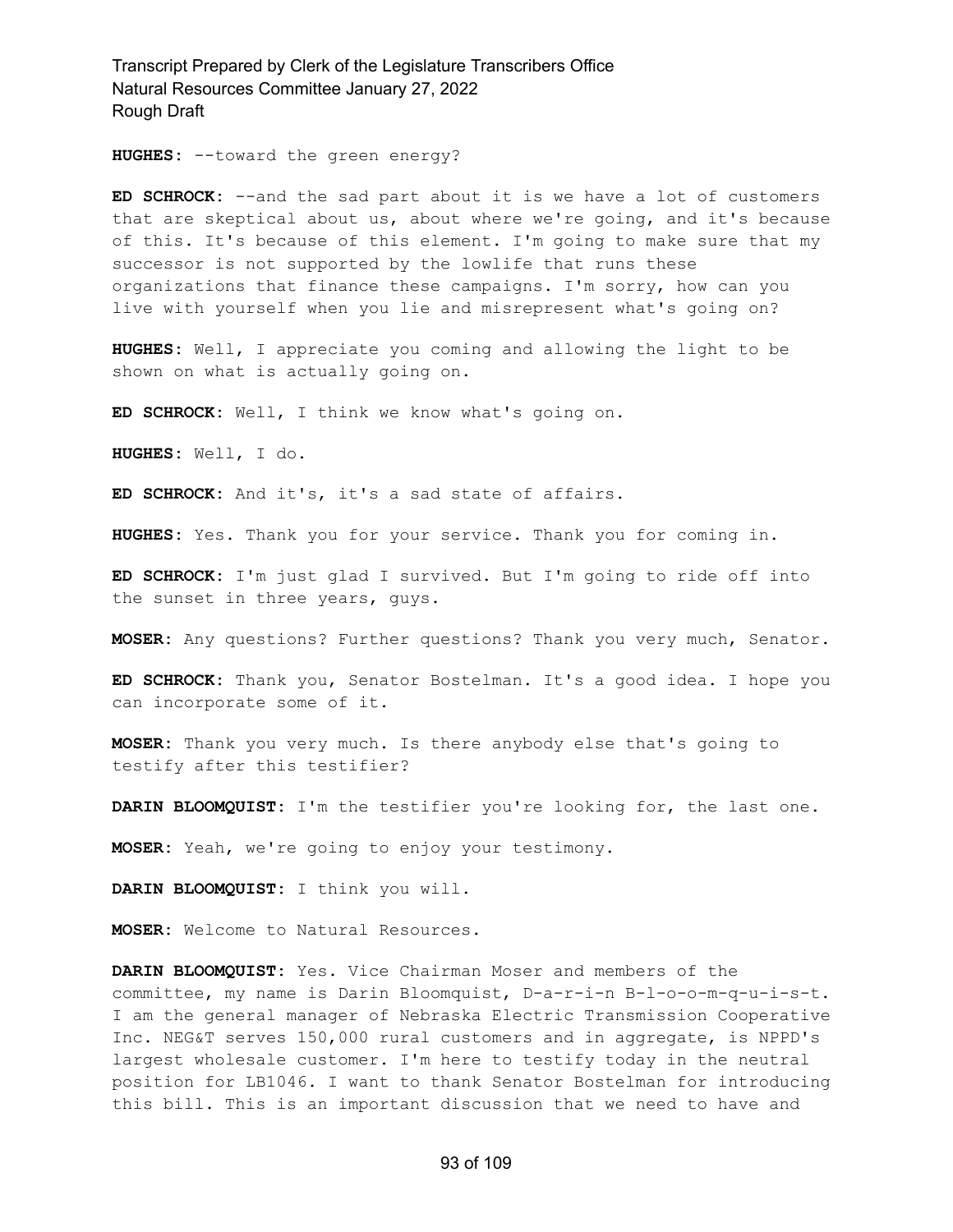**HUGHES:** --toward the green energy?

**ED SCHROCK:** --and the sad part about it is we have a lot of customers that are skeptical about us, about where we're going, and it's because of this. It's because of this element. I'm going to make sure that my successor is not supported by the lowlife that runs these organizations that finance these campaigns. I'm sorry, how can you live with yourself when you lie and misrepresent what's going on?

**HUGHES:** Well, I appreciate you coming and allowing the light to be shown on what is actually going on.

**ED SCHROCK:** Well, I think we know what's going on.

**HUGHES:** Well, I do.

**ED SCHROCK:** And it's, it's a sad state of affairs.

**HUGHES:** Yes. Thank you for your service. Thank you for coming in.

**ED SCHROCK:** I'm just glad I survived. But I'm going to ride off into the sunset in three years, guys.

**MOSER:** Any questions? Further questions? Thank you very much, Senator.

**ED SCHROCK:** Thank you, Senator Bostelman. It's a good idea. I hope you can incorporate some of it.

**MOSER:** Thank you very much. Is there anybody else that's going to testify after this testifier?

**DARIN BLOOMQUIST:** I'm the testifier you're looking for, the last one.

**MOSER:** Yeah, we're going to enjoy your testimony.

**DARIN BLOOMQUIST:** I think you will.

**MOSER:** Welcome to Natural Resources.

**DARIN BLOOMQUIST:** Yes. Vice Chairman Moser and members of the committee, my name is Darin Bloomquist, D-a-r-i-n B-l-o-o-m-q-u-i-s-t. I am the general manager of Nebraska Electric Transmission Cooperative Inc. NEG&T serves 150,000 rural customers and in aggregate, is NPPD's largest wholesale customer. I'm here to testify today in the neutral position for LB1046. I want to thank Senator Bostelman for introducing this bill. This is an important discussion that we need to have and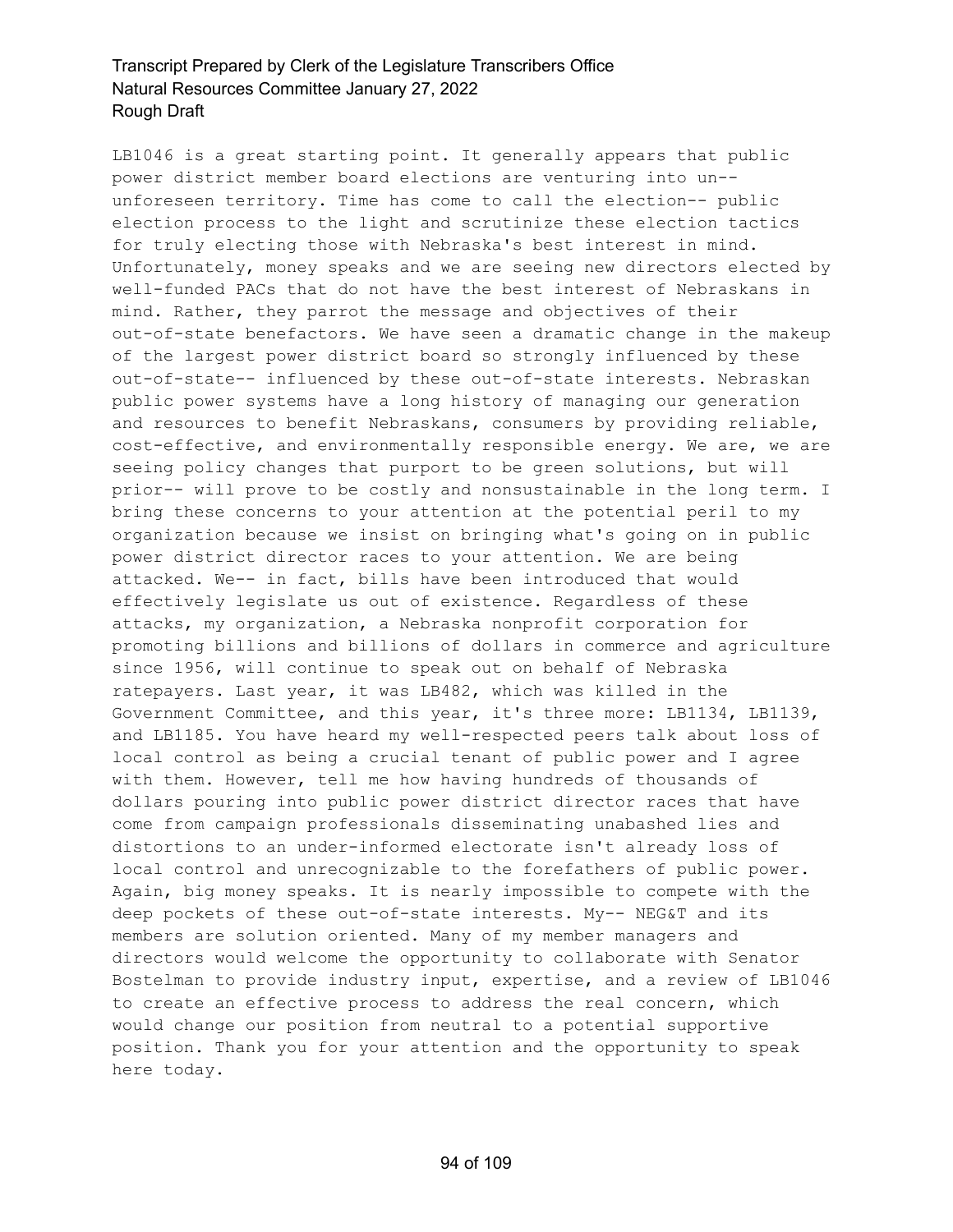LB1046 is a great starting point. It generally appears that public power district member board elections are venturing into un- unforeseen territory. Time has come to call the election-- public election process to the light and scrutinize these election tactics for truly electing those with Nebraska's best interest in mind. Unfortunately, money speaks and we are seeing new directors elected by well-funded PACs that do not have the best interest of Nebraskans in mind. Rather, they parrot the message and objectives of their out-of-state benefactors. We have seen a dramatic change in the makeup of the largest power district board so strongly influenced by these out-of-state-- influenced by these out-of-state interests. Nebraskan public power systems have a long history of managing our generation and resources to benefit Nebraskans, consumers by providing reliable, cost-effective, and environmentally responsible energy. We are, we are seeing policy changes that purport to be green solutions, but will prior-- will prove to be costly and nonsustainable in the long term. I bring these concerns to your attention at the potential peril to my organization because we insist on bringing what's going on in public power district director races to your attention. We are being attacked. We-- in fact, bills have been introduced that would effectively legislate us out of existence. Regardless of these attacks, my organization, a Nebraska nonprofit corporation for promoting billions and billions of dollars in commerce and agriculture since 1956, will continue to speak out on behalf of Nebraska ratepayers. Last year, it was LB482, which was killed in the Government Committee, and this year, it's three more: LB1134, LB1139, and LB1185. You have heard my well-respected peers talk about loss of local control as being a crucial tenant of public power and I agree with them. However, tell me how having hundreds of thousands of dollars pouring into public power district director races that have come from campaign professionals disseminating unabashed lies and distortions to an under-informed electorate isn't already loss of local control and unrecognizable to the forefathers of public power. Again, big money speaks. It is nearly impossible to compete with the deep pockets of these out-of-state interests. My-- NEG&T and its members are solution oriented. Many of my member managers and directors would welcome the opportunity to collaborate with Senator Bostelman to provide industry input, expertise, and a review of LB1046 to create an effective process to address the real concern, which would change our position from neutral to a potential supportive position. Thank you for your attention and the opportunity to speak here today.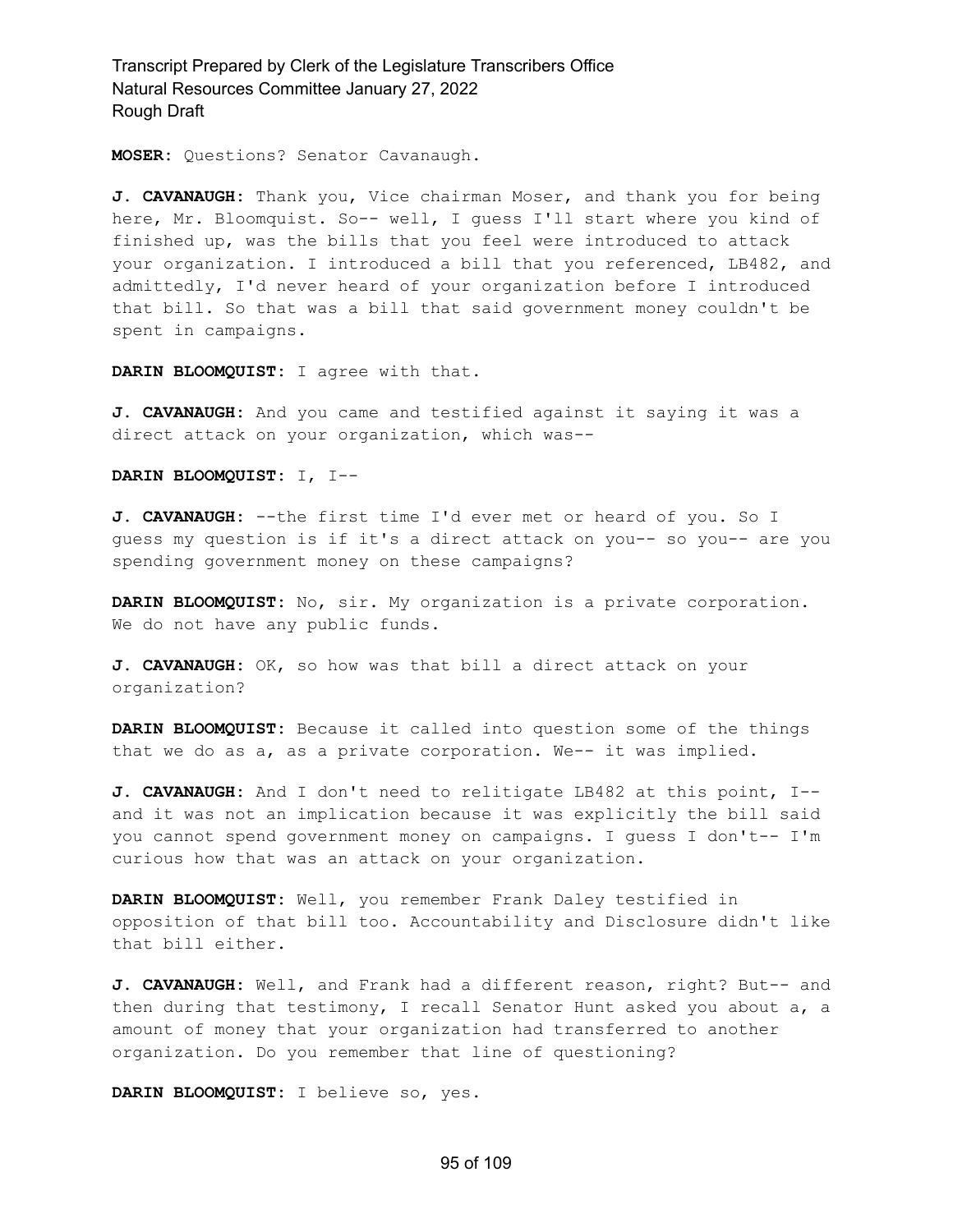**MOSER:** Questions? Senator Cavanaugh.

**J. CAVANAUGH:** Thank you, Vice chairman Moser, and thank you for being here, Mr. Bloomquist. So-- well, I guess I'll start where you kind of finished up, was the bills that you feel were introduced to attack your organization. I introduced a bill that you referenced, LB482, and admittedly, I'd never heard of your organization before I introduced that bill. So that was a bill that said government money couldn't be spent in campaigns.

**DARIN BLOOMQUIST:** I agree with that.

**J. CAVANAUGH:** And you came and testified against it saying it was a direct attack on your organization, which was--

**DARIN BLOOMQUIST:** I, I--

**J. CAVANAUGH:** --the first time I'd ever met or heard of you. So I guess my question is if it's a direct attack on you-- so you-- are you spending government money on these campaigns?

**DARIN BLOOMQUIST:** No, sir. My organization is a private corporation. We do not have any public funds.

**J. CAVANAUGH:** OK, so how was that bill a direct attack on your organization?

**DARIN BLOOMQUIST:** Because it called into question some of the things that we do as a, as a private corporation. We-- it was implied.

**J. CAVANAUGH:** And I don't need to relitigate LB482 at this point, I- and it was not an implication because it was explicitly the bill said you cannot spend government money on campaigns. I guess I don't-- I'm curious how that was an attack on your organization.

**DARIN BLOOMQUIST:** Well, you remember Frank Daley testified in opposition of that bill too. Accountability and Disclosure didn't like that bill either.

**J. CAVANAUGH:** Well, and Frank had a different reason, right? But-- and then during that testimony, I recall Senator Hunt asked you about a, a amount of money that your organization had transferred to another organization. Do you remember that line of questioning?

**DARIN BLOOMQUIST:** I believe so, yes.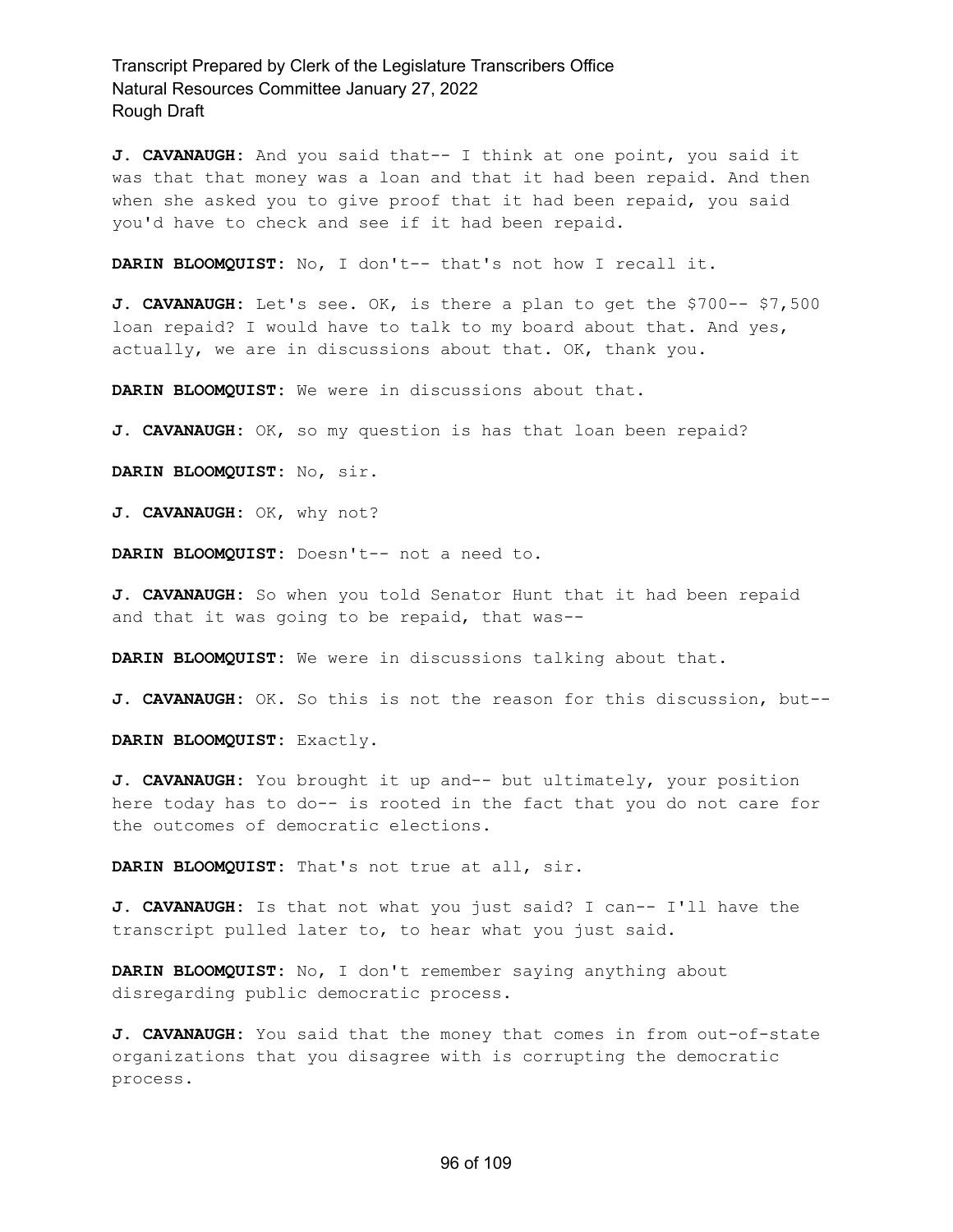**J. CAVANAUGH:** And you said that-- I think at one point, you said it was that that money was a loan and that it had been repaid. And then when she asked you to give proof that it had been repaid, you said you'd have to check and see if it had been repaid.

**DARIN BLOOMQUIST:** No, I don't-- that's not how I recall it.

**J. CAVANAUGH:** Let's see. OK, is there a plan to get the \$700-- \$7,500 loan repaid? I would have to talk to my board about that. And yes, actually, we are in discussions about that. OK, thank you.

**DARIN BLOOMQUIST:** We were in discussions about that.

**J. CAVANAUGH:** OK, so my question is has that loan been repaid?

**DARIN BLOOMQUIST:** No, sir.

**J. CAVANAUGH:** OK, why not?

**DARIN BLOOMQUIST:** Doesn't-- not a need to.

**J. CAVANAUGH:** So when you told Senator Hunt that it had been repaid and that it was going to be repaid, that was--

**DARIN BLOOMQUIST:** We were in discussions talking about that.

**J. CAVANAUGH:** OK. So this is not the reason for this discussion, but--

**DARIN BLOOMQUIST:** Exactly.

**J. CAVANAUGH:** You brought it up and-- but ultimately, your position here today has to do-- is rooted in the fact that you do not care for the outcomes of democratic elections.

**DARIN BLOOMQUIST:** That's not true at all, sir.

**J. CAVANAUGH:** Is that not what you just said? I can-- I'll have the transcript pulled later to, to hear what you just said.

**DARIN BLOOMQUIST:** No, I don't remember saying anything about disregarding public democratic process.

**J. CAVANAUGH:** You said that the money that comes in from out-of-state organizations that you disagree with is corrupting the democratic process.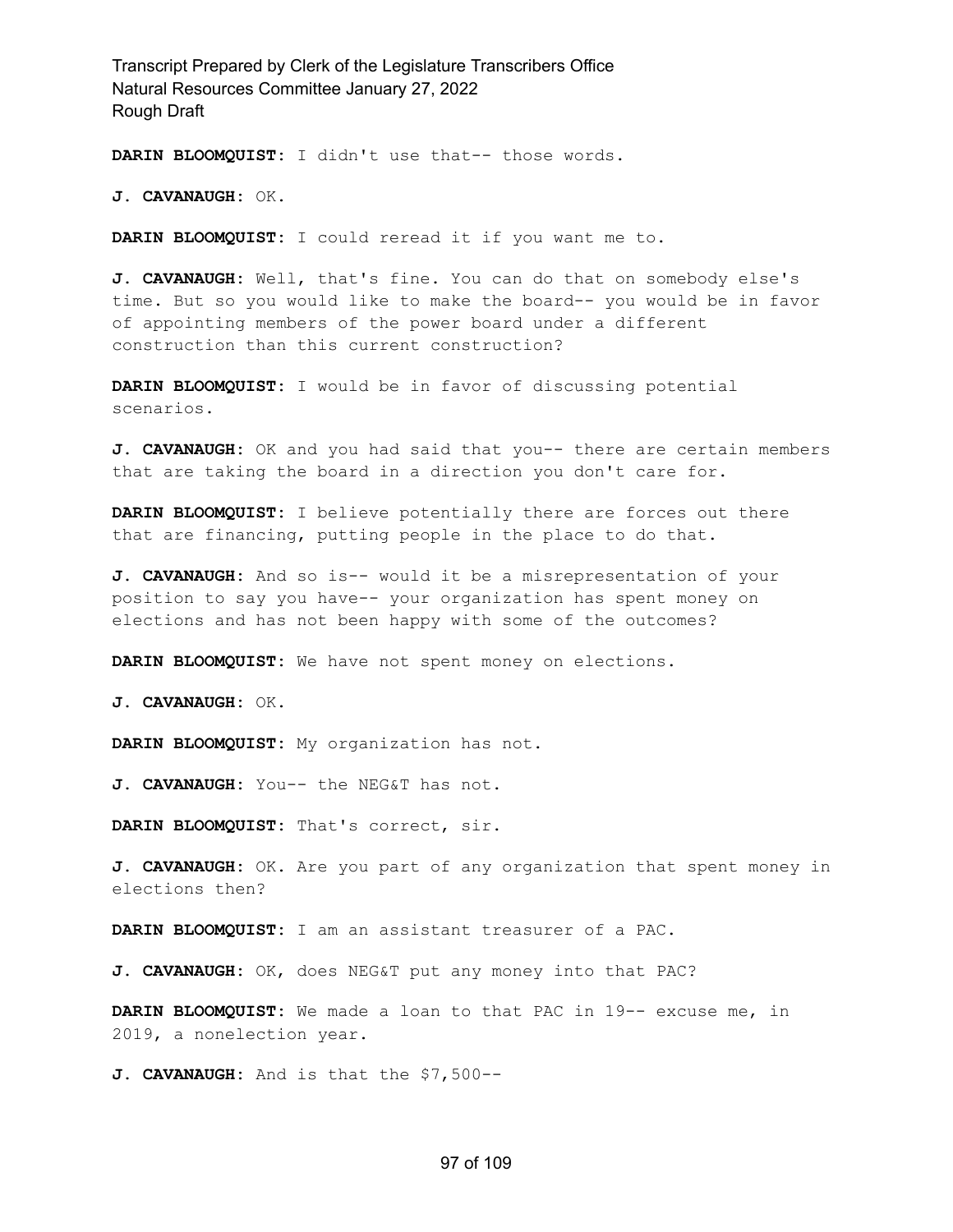**DARIN BLOOMQUIST:** I didn't use that-- those words.

**J. CAVANAUGH:** OK.

**DARIN BLOOMQUIST:** I could reread it if you want me to.

**J. CAVANAUGH:** Well, that's fine. You can do that on somebody else's time. But so you would like to make the board-- you would be in favor of appointing members of the power board under a different construction than this current construction?

**DARIN BLOOMQUIST:** I would be in favor of discussing potential scenarios.

**J. CAVANAUGH:** OK and you had said that you-- there are certain members that are taking the board in a direction you don't care for.

**DARIN BLOOMQUIST:** I believe potentially there are forces out there that are financing, putting people in the place to do that.

**J. CAVANAUGH:** And so is-- would it be a misrepresentation of your position to say you have-- your organization has spent money on elections and has not been happy with some of the outcomes?

**DARIN BLOOMQUIST:** We have not spent money on elections.

**J. CAVANAUGH:** OK.

**DARIN BLOOMQUIST:** My organization has not.

**J. CAVANAUGH:** You-- the NEG&T has not.

**DARIN BLOOMQUIST:** That's correct, sir.

**J. CAVANAUGH:** OK. Are you part of any organization that spent money in elections then?

**DARIN BLOOMQUIST:** I am an assistant treasurer of a PAC.

**J. CAVANAUGH:** OK, does NEG&T put any money into that PAC?

**DARIN BLOOMQUIST:** We made a loan to that PAC in 19-- excuse me, in 2019, a nonelection year.

**J. CAVANAUGH:** And is that the \$7,500--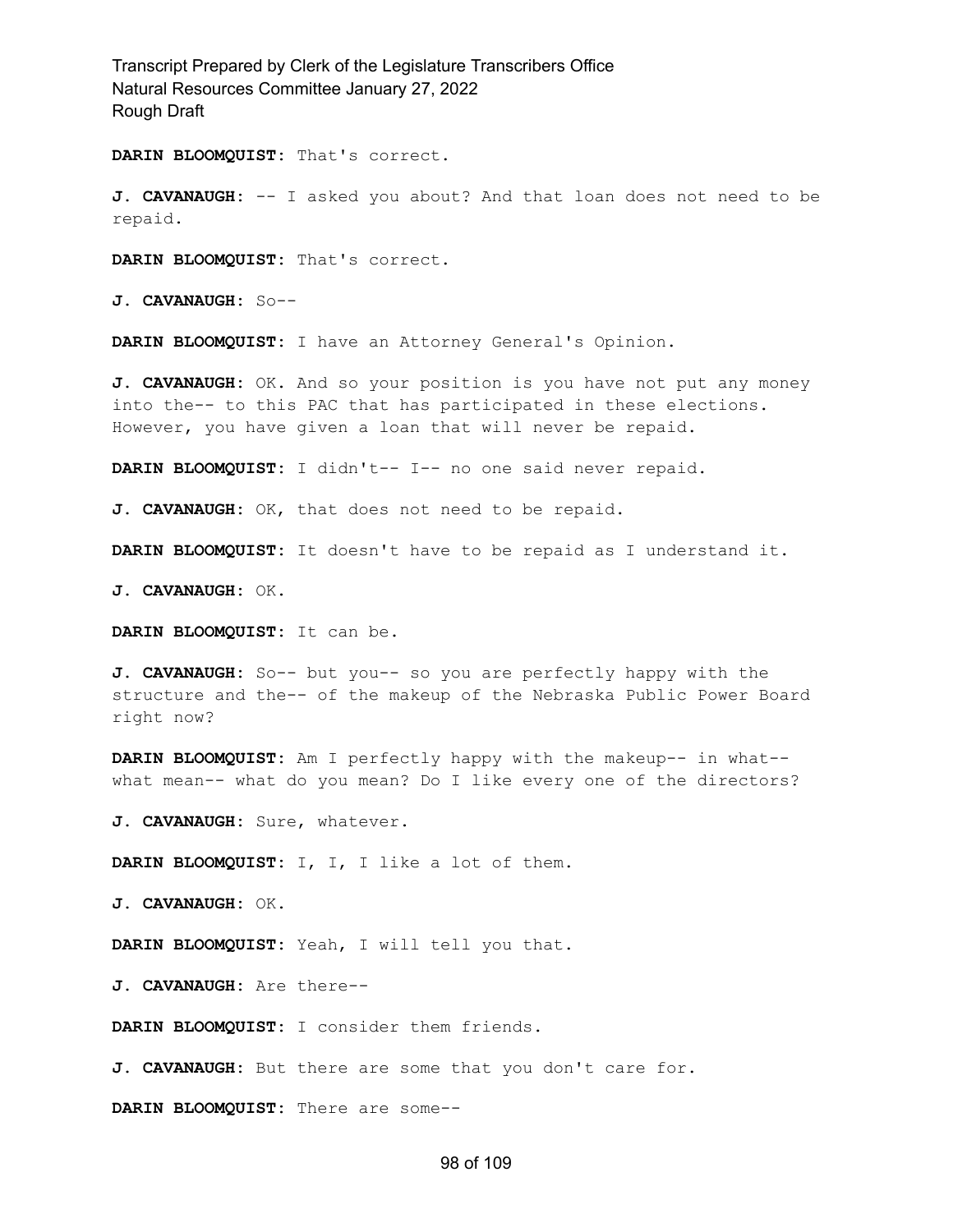**DARIN BLOOMQUIST:** That's correct.

**J. CAVANAUGH:** -- I asked you about? And that loan does not need to be repaid.

**DARIN BLOOMQUIST:** That's correct.

**J. CAVANAUGH:** So--

**DARIN BLOOMQUIST:** I have an Attorney General's Opinion.

**J. CAVANAUGH:** OK. And so your position is you have not put any money into the-- to this PAC that has participated in these elections. However, you have given a loan that will never be repaid.

**DARIN BLOOMQUIST:** I didn't-- I-- no one said never repaid.

**J. CAVANAUGH:** OK, that does not need to be repaid.

**DARIN BLOOMQUIST:** It doesn't have to be repaid as I understand it.

**J. CAVANAUGH:** OK.

**DARIN BLOOMQUIST:** It can be.

**J. CAVANAUGH:** So-- but you-- so you are perfectly happy with the structure and the-- of the makeup of the Nebraska Public Power Board right now?

**DARIN BLOOMQUIST:** Am I perfectly happy with the makeup-- in what- what mean-- what do you mean? Do I like every one of the directors?

**J. CAVANAUGH:** Sure, whatever.

**DARIN BLOOMQUIST:** I, I, I like a lot of them.

**J. CAVANAUGH:** OK.

**DARIN BLOOMQUIST:** Yeah, I will tell you that.

**J. CAVANAUGH:** Are there--

**DARIN BLOOMQUIST:** I consider them friends.

**J. CAVANAUGH:** But there are some that you don't care for.

**DARIN BLOOMQUIST:** There are some--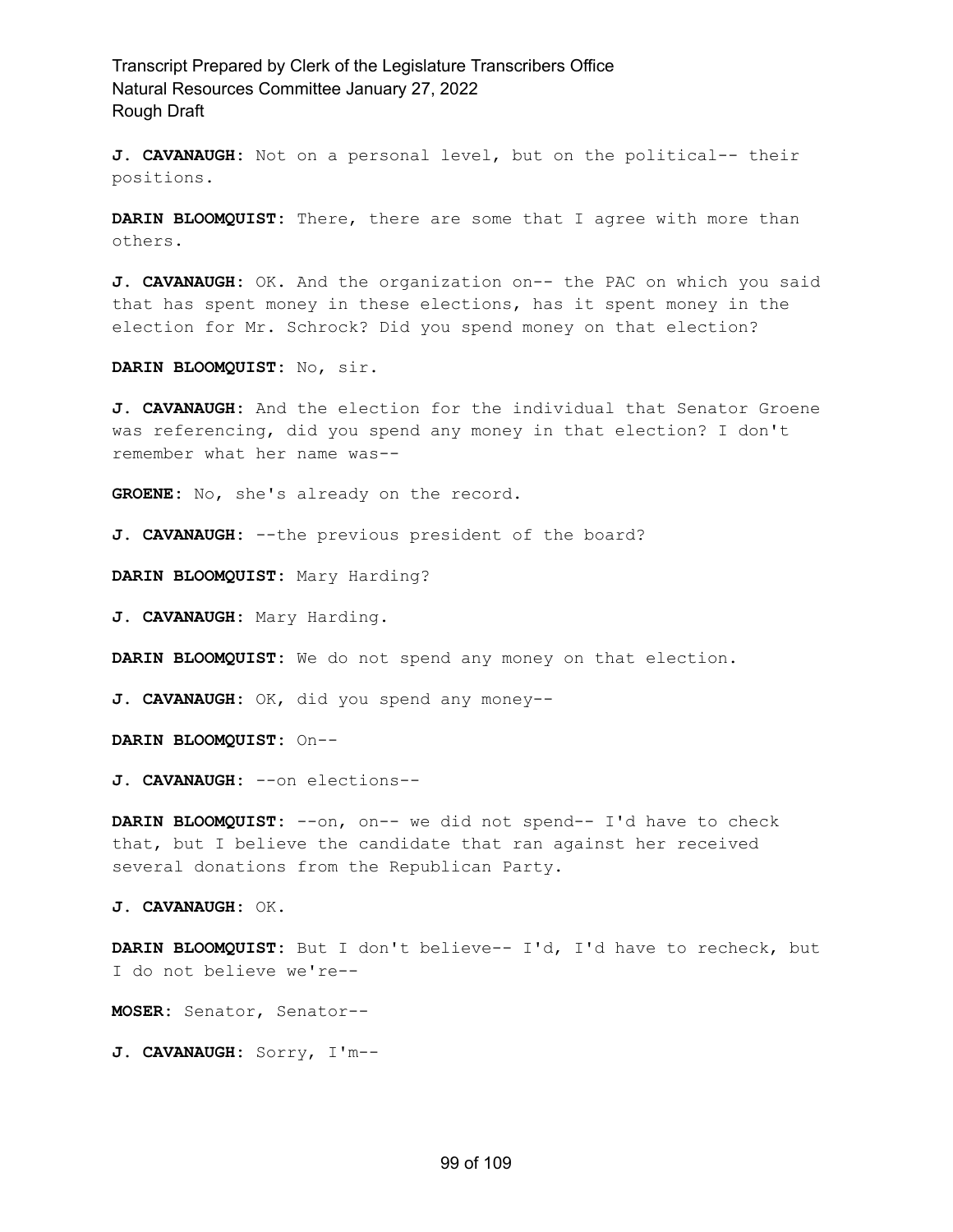**J. CAVANAUGH:** Not on a personal level, but on the political-- their positions.

**DARIN BLOOMQUIST:** There, there are some that I agree with more than others.

**J. CAVANAUGH:** OK. And the organization on-- the PAC on which you said that has spent money in these elections, has it spent money in the election for Mr. Schrock? Did you spend money on that election?

**DARIN BLOOMQUIST:** No, sir.

**J. CAVANAUGH:** And the election for the individual that Senator Groene was referencing, did you spend any money in that election? I don't remember what her name was--

**GROENE:** No, she's already on the record.

**J. CAVANAUGH:** --the previous president of the board?

**DARIN BLOOMQUIST:** Mary Harding?

**J. CAVANAUGH:** Mary Harding.

**DARIN BLOOMQUIST:** We do not spend any money on that election.

**J. CAVANAUGH:** OK, did you spend any money--

**DARIN BLOOMQUIST:** On--

**J. CAVANAUGH:** --on elections--

**DARIN BLOOMQUIST:** --on, on-- we did not spend-- I'd have to check that, but I believe the candidate that ran against her received several donations from the Republican Party.

**J. CAVANAUGH:** OK.

**DARIN BLOOMQUIST:** But I don't believe-- I'd, I'd have to recheck, but I do not believe we're--

**MOSER:** Senator, Senator--

**J. CAVANAUGH:** Sorry, I'm--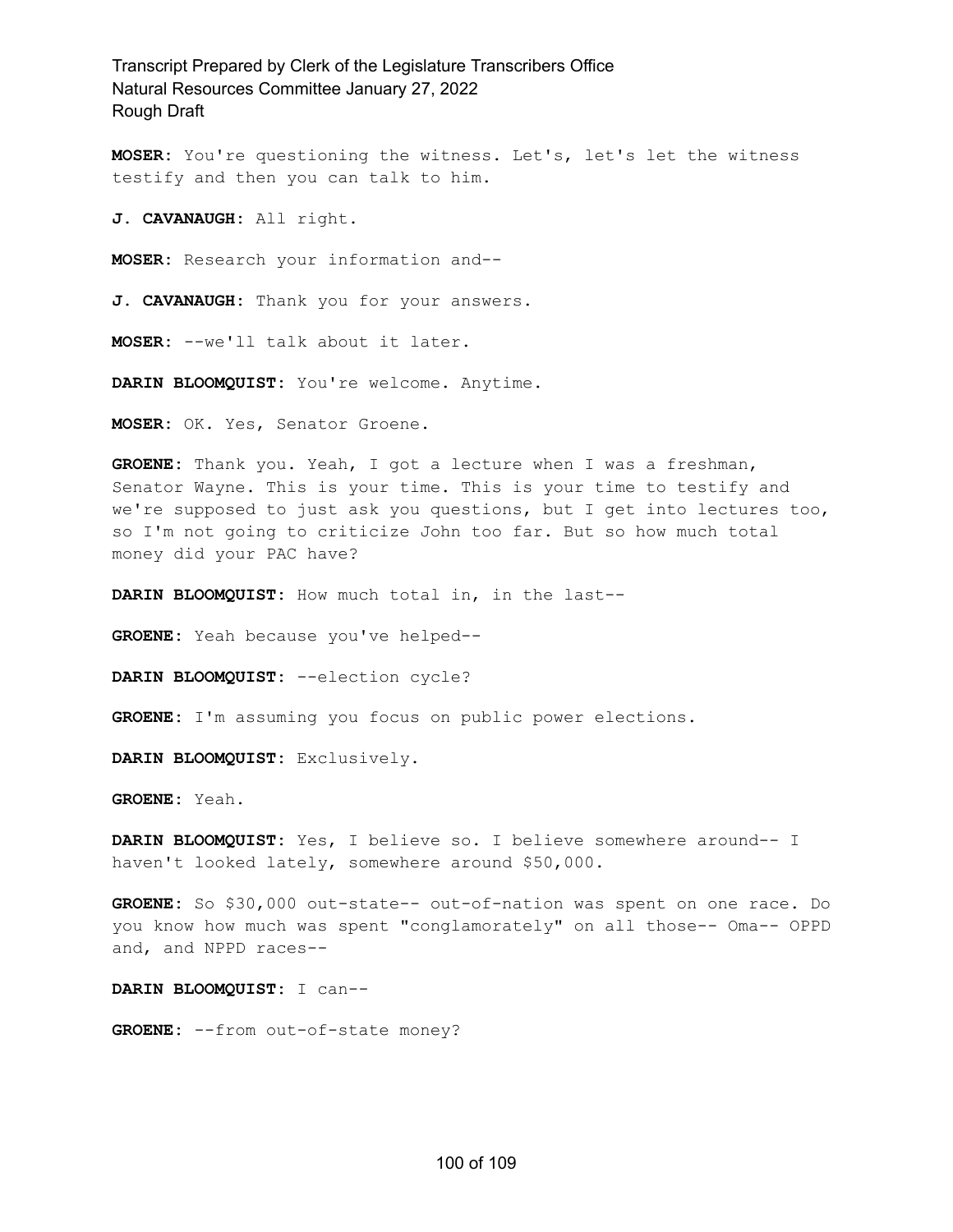**MOSER:** You're questioning the witness. Let's, let's let the witness testify and then you can talk to him.

**J. CAVANAUGH:** All right.

**MOSER:** Research your information and--

**J. CAVANAUGH:** Thank you for your answers.

**MOSER:** --we'll talk about it later.

**DARIN BLOOMQUIST:** You're welcome. Anytime.

**MOSER:** OK. Yes, Senator Groene.

**GROENE:** Thank you. Yeah, I got a lecture when I was a freshman, Senator Wayne. This is your time. This is your time to testify and we're supposed to just ask you questions, but I get into lectures too, so I'm not going to criticize John too far. But so how much total money did your PAC have?

**DARIN BLOOMQUIST:** How much total in, in the last--

**GROENE:** Yeah because you've helped--

**DARIN BLOOMQUIST:** --election cycle?

**GROENE:** I'm assuming you focus on public power elections.

**DARIN BLOOMQUIST:** Exclusively.

**GROENE:** Yeah.

**DARIN BLOOMQUIST:** Yes, I believe so. I believe somewhere around-- I haven't looked lately, somewhere around \$50,000.

**GROENE:** So \$30,000 out-state-- out-of-nation was spent on one race. Do you know how much was spent "conglamorately" on all those-- Oma-- OPPD and, and NPPD races--

**DARIN BLOOMQUIST:** I can--

**GROENE:** --from out-of-state money?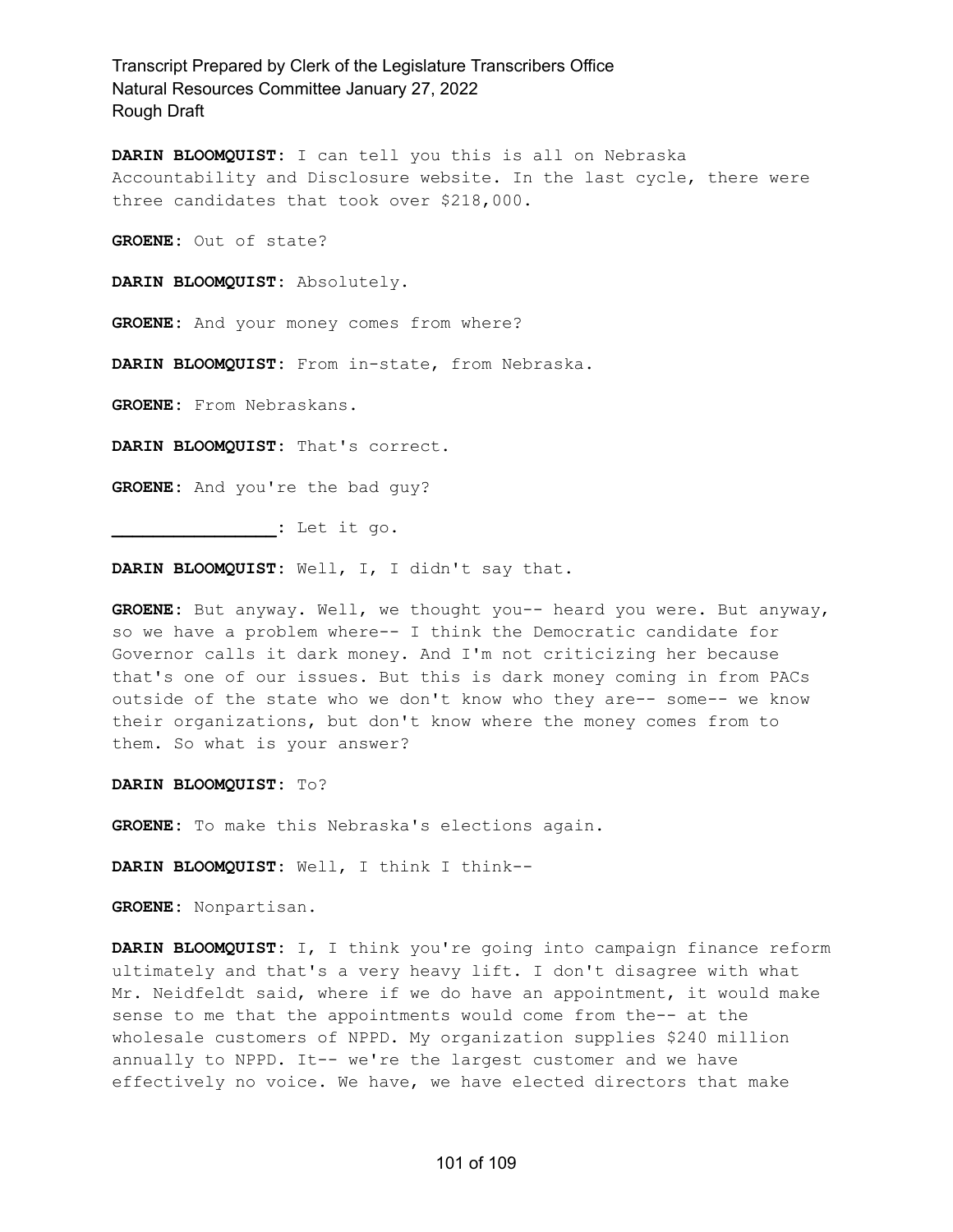**DARIN BLOOMQUIST:** I can tell you this is all on Nebraska Accountability and Disclosure website. In the last cycle, there were three candidates that took over \$218,000.

**GROENE:** Out of state?

**DARIN BLOOMQUIST:** Absolutely.

**GROENE:** And your money comes from where?

**DARIN BLOOMQUIST:** From in-state, from Nebraska.

**GROENE:** From Nebraskans.

**DARIN BLOOMQUIST:** That's correct.

**GROENE:** And you're the bad guy?

**\_\_\_\_\_\_\_\_\_\_\_\_\_\_\_\_:** Let it go.

**DARIN BLOOMQUIST:** Well, I, I didn't say that.

**GROENE:** But anyway. Well, we thought you-- heard you were. But anyway, so we have a problem where-- I think the Democratic candidate for Governor calls it dark money. And I'm not criticizing her because that's one of our issues. But this is dark money coming in from PACs outside of the state who we don't know who they are-- some-- we know their organizations, but don't know where the money comes from to them. So what is your answer?

**DARIN BLOOMQUIST:** To?

**GROENE:** To make this Nebraska's elections again.

**DARIN BLOOMQUIST:** Well, I think I think--

**GROENE:** Nonpartisan.

**DARIN BLOOMQUIST:** I, I think you're going into campaign finance reform ultimately and that's a very heavy lift. I don't disagree with what Mr. Neidfeldt said, where if we do have an appointment, it would make sense to me that the appointments would come from the-- at the wholesale customers of NPPD. My organization supplies \$240 million annually to NPPD. It-- we're the largest customer and we have effectively no voice. We have, we have elected directors that make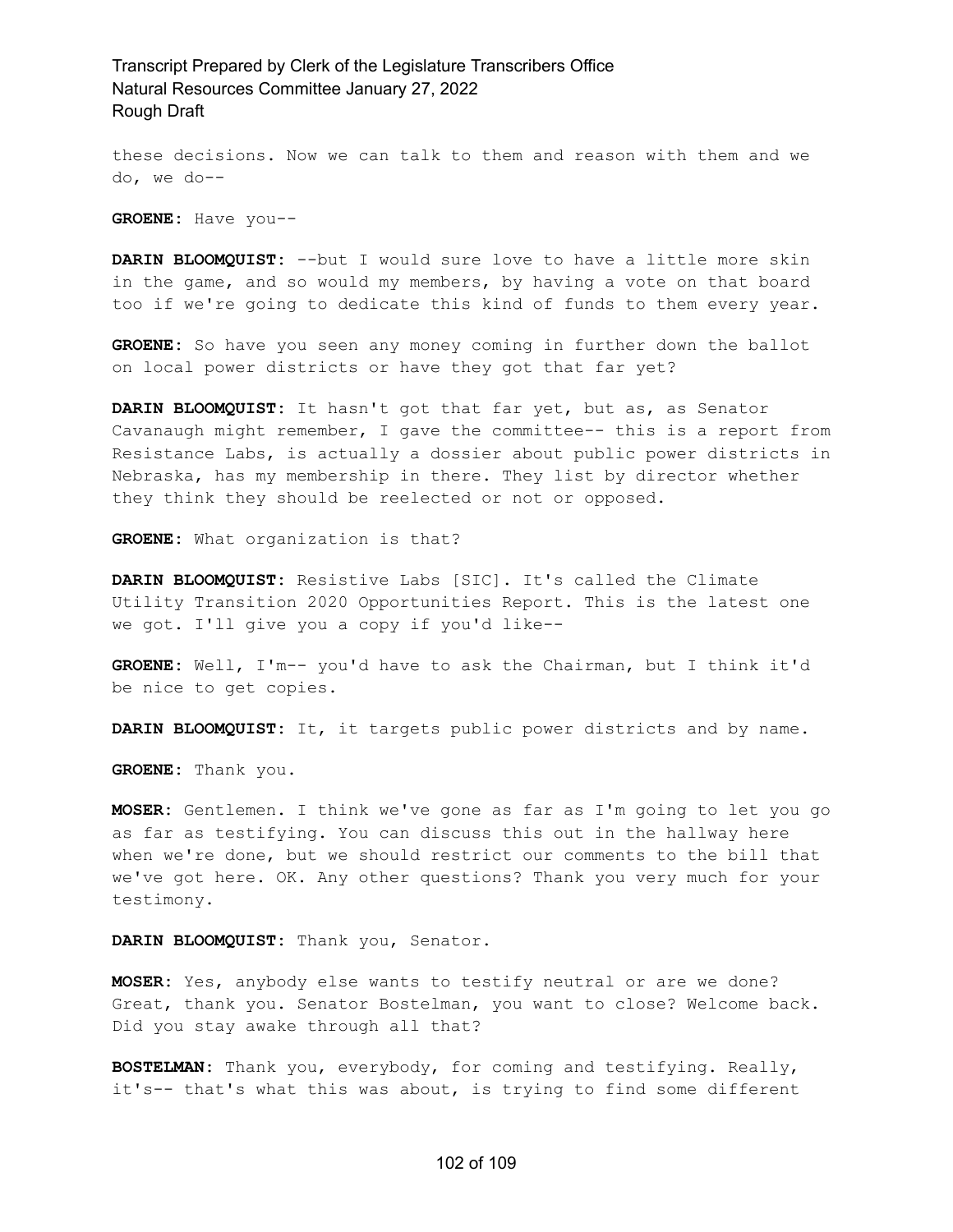these decisions. Now we can talk to them and reason with them and we do, we do--

**GROENE:** Have you--

**DARIN BLOOMQUIST:** --but I would sure love to have a little more skin in the game, and so would my members, by having a vote on that board too if we're going to dedicate this kind of funds to them every year.

**GROENE:** So have you seen any money coming in further down the ballot on local power districts or have they got that far yet?

**DARIN BLOOMQUIST:** It hasn't got that far yet, but as, as Senator Cavanaugh might remember, I gave the committee-- this is a report from Resistance Labs, is actually a dossier about public power districts in Nebraska, has my membership in there. They list by director whether they think they should be reelected or not or opposed.

**GROENE:** What organization is that?

**DARIN BLOOMQUIST:** Resistive Labs [SIC]. It's called the Climate Utility Transition 2020 Opportunities Report. This is the latest one we got. I'll give you a copy if you'd like--

**GROENE:** Well, I'm-- you'd have to ask the Chairman, but I think it'd be nice to get copies.

**DARIN BLOOMQUIST:** It, it targets public power districts and by name.

**GROENE:** Thank you.

**MOSER:** Gentlemen. I think we've gone as far as I'm going to let you go as far as testifying. You can discuss this out in the hallway here when we're done, but we should restrict our comments to the bill that we've got here. OK. Any other questions? Thank you very much for your testimony.

#### **DARIN BLOOMQUIST:** Thank you, Senator.

**MOSER:** Yes, anybody else wants to testify neutral or are we done? Great, thank you. Senator Bostelman, you want to close? Welcome back. Did you stay awake through all that?

**BOSTELMAN:** Thank you, everybody, for coming and testifying. Really, it's-- that's what this was about, is trying to find some different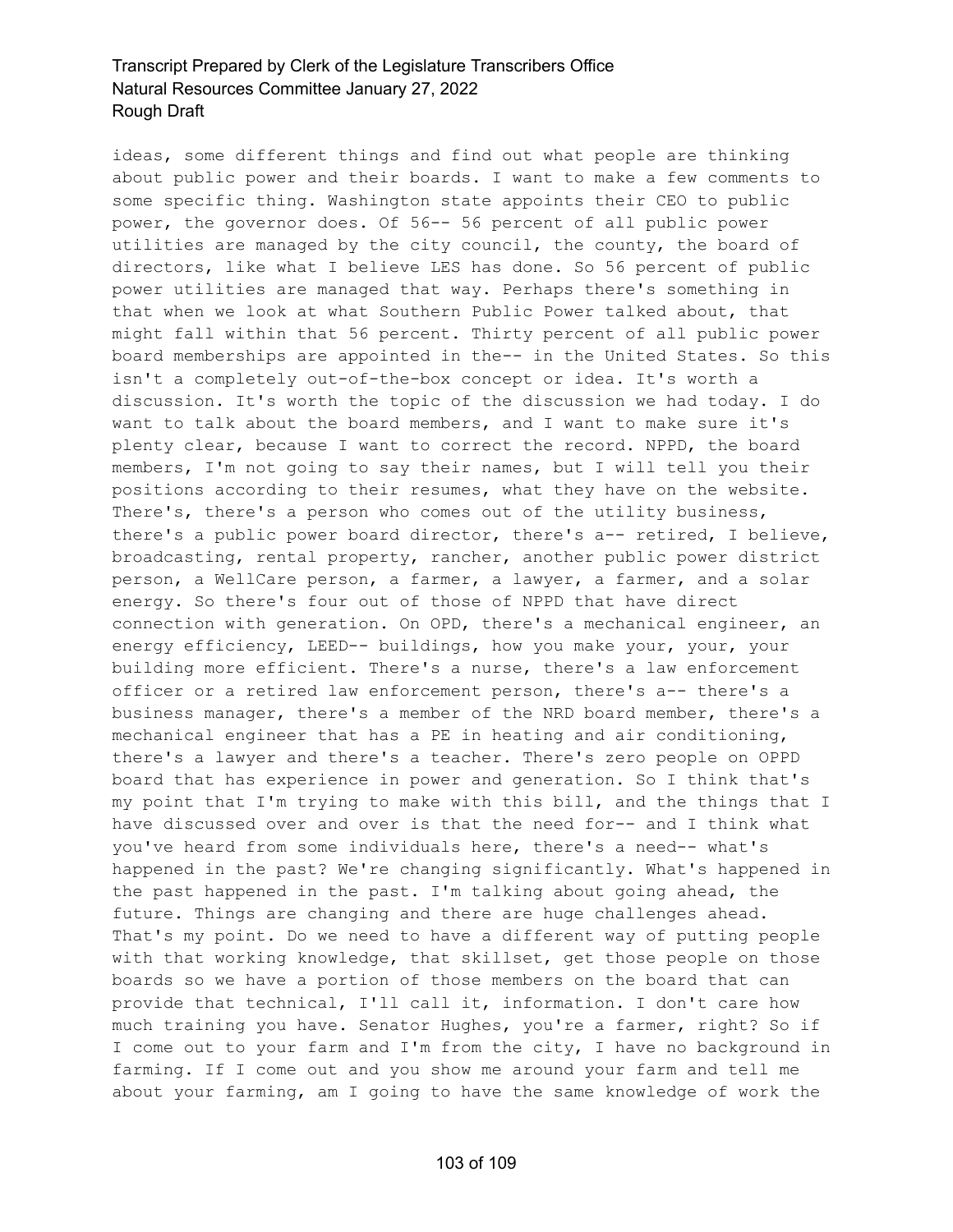ideas, some different things and find out what people are thinking about public power and their boards. I want to make a few comments to some specific thing. Washington state appoints their CEO to public power, the governor does. Of 56-- 56 percent of all public power utilities are managed by the city council, the county, the board of directors, like what I believe LES has done. So 56 percent of public power utilities are managed that way. Perhaps there's something in that when we look at what Southern Public Power talked about, that might fall within that 56 percent. Thirty percent of all public power board memberships are appointed in the-- in the United States. So this isn't a completely out-of-the-box concept or idea. It's worth a discussion. It's worth the topic of the discussion we had today. I do want to talk about the board members, and I want to make sure it's plenty clear, because I want to correct the record. NPPD, the board members, I'm not going to say their names, but I will tell you their positions according to their resumes, what they have on the website. There's, there's a person who comes out of the utility business, there's a public power board director, there's a-- retired, I believe, broadcasting, rental property, rancher, another public power district person, a WellCare person, a farmer, a lawyer, a farmer, and a solar energy. So there's four out of those of NPPD that have direct connection with generation. On OPD, there's a mechanical engineer, an energy efficiency, LEED-- buildings, how you make your, your, your building more efficient. There's a nurse, there's a law enforcement officer or a retired law enforcement person, there's a-- there's a business manager, there's a member of the NRD board member, there's a mechanical engineer that has a PE in heating and air conditioning, there's a lawyer and there's a teacher. There's zero people on OPPD board that has experience in power and generation. So I think that's my point that I'm trying to make with this bill, and the things that I have discussed over and over is that the need for-- and I think what you've heard from some individuals here, there's a need-- what's happened in the past? We're changing significantly. What's happened in the past happened in the past. I'm talking about going ahead, the future. Things are changing and there are huge challenges ahead. That's my point. Do we need to have a different way of putting people with that working knowledge, that skillset, get those people on those boards so we have a portion of those members on the board that can provide that technical, I'll call it, information. I don't care how much training you have. Senator Hughes, you're a farmer, right? So if I come out to your farm and I'm from the city, I have no background in farming. If I come out and you show me around your farm and tell me about your farming, am I going to have the same knowledge of work the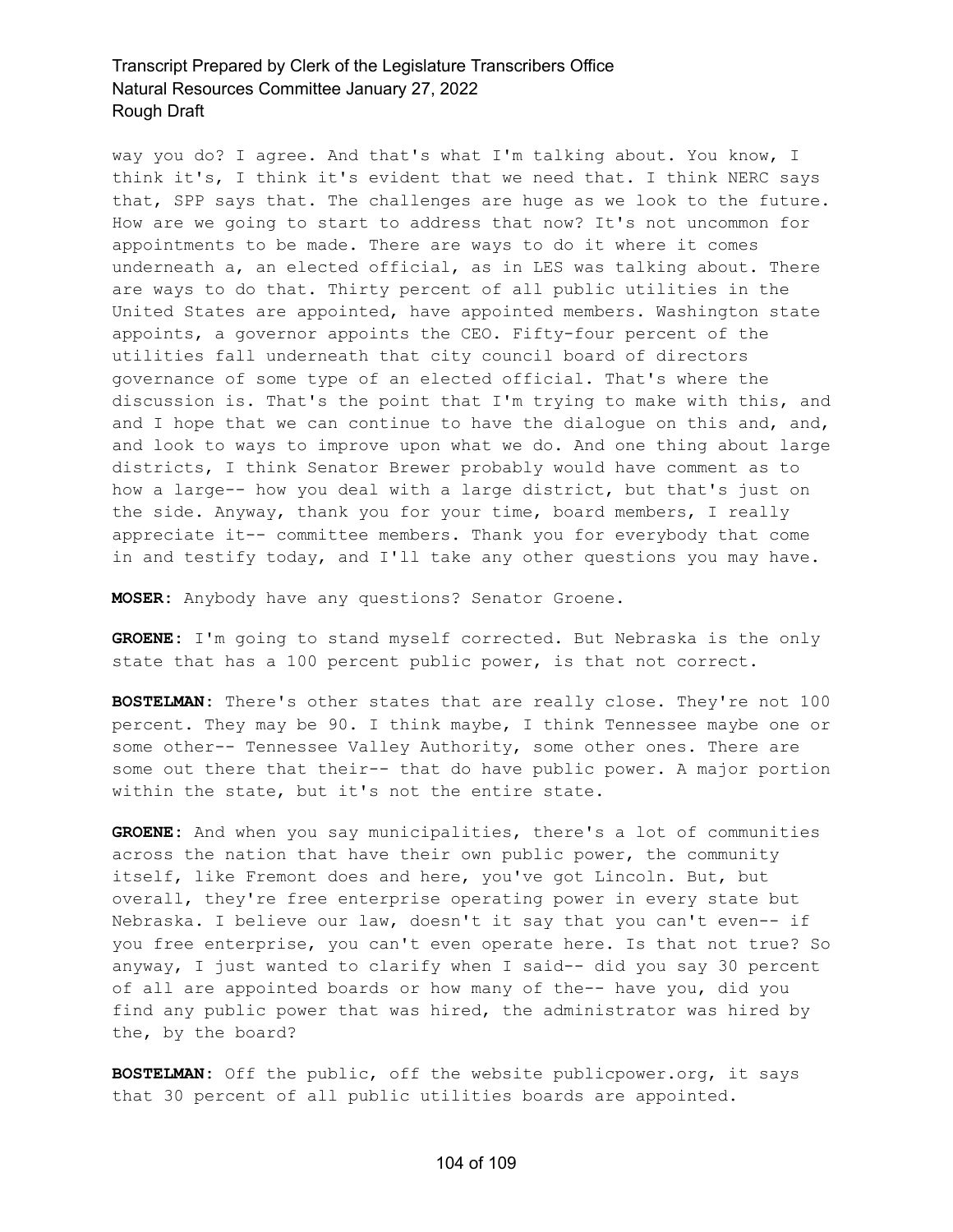way you do? I agree. And that's what I'm talking about. You know, I think it's, I think it's evident that we need that. I think NERC says that, SPP says that. The challenges are huge as we look to the future. How are we going to start to address that now? It's not uncommon for appointments to be made. There are ways to do it where it comes underneath a, an elected official, as in LES was talking about. There are ways to do that. Thirty percent of all public utilities in the United States are appointed, have appointed members. Washington state appoints, a governor appoints the CEO. Fifty-four percent of the utilities fall underneath that city council board of directors governance of some type of an elected official. That's where the discussion is. That's the point that I'm trying to make with this, and and I hope that we can continue to have the dialogue on this and, and, and look to ways to improve upon what we do. And one thing about large districts, I think Senator Brewer probably would have comment as to how a large-- how you deal with a large district, but that's just on the side. Anyway, thank you for your time, board members, I really appreciate it-- committee members. Thank you for everybody that come in and testify today, and I'll take any other questions you may have.

**MOSER:** Anybody have any questions? Senator Groene.

**GROENE:** I'm going to stand myself corrected. But Nebraska is the only state that has a 100 percent public power, is that not correct.

**BOSTELMAN:** There's other states that are really close. They're not 100 percent. They may be 90. I think maybe, I think Tennessee maybe one or some other-- Tennessee Valley Authority, some other ones. There are some out there that their-- that do have public power. A major portion within the state, but it's not the entire state.

**GROENE:** And when you say municipalities, there's a lot of communities across the nation that have their own public power, the community itself, like Fremont does and here, you've got Lincoln. But, but overall, they're free enterprise operating power in every state but Nebraska. I believe our law, doesn't it say that you can't even-- if you free enterprise, you can't even operate here. Is that not true? So anyway, I just wanted to clarify when I said-- did you say 30 percent of all are appointed boards or how many of the-- have you, did you find any public power that was hired, the administrator was hired by the, by the board?

**BOSTELMAN:** Off the public, off the website publicpower.org, it says that 30 percent of all public utilities boards are appointed.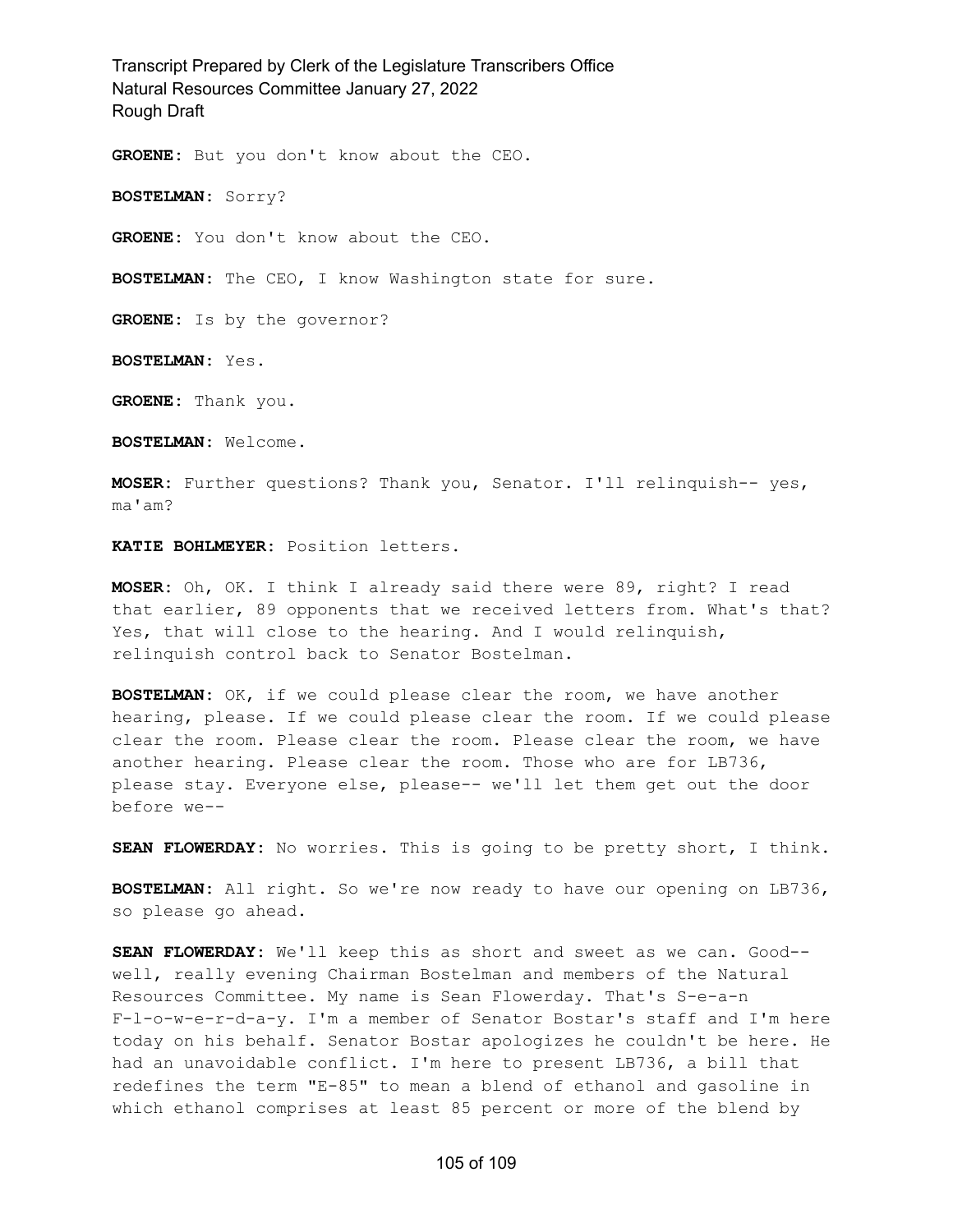**GROENE:** But you don't know about the CEO.

**BOSTELMAN:** Sorry?

**GROENE:** You don't know about the CEO.

**BOSTELMAN:** The CEO, I know Washington state for sure.

**GROENE:** Is by the governor?

**BOSTELMAN:** Yes.

**GROENE:** Thank you.

**BOSTELMAN:** Welcome.

**MOSER:** Further questions? Thank you, Senator. I'll relinquish-- yes, ma'am?

**KATIE BOHLMEYER:** Position letters.

**MOSER:** Oh, OK. I think I already said there were 89, right? I read that earlier, 89 opponents that we received letters from. What's that? Yes, that will close to the hearing. And I would relinquish, relinquish control back to Senator Bostelman.

**BOSTELMAN:** OK, if we could please clear the room, we have another hearing, please. If we could please clear the room. If we could please clear the room. Please clear the room. Please clear the room, we have another hearing. Please clear the room. Those who are for LB736, please stay. Everyone else, please-- we'll let them get out the door before we--

**SEAN FLOWERDAY:** No worries. This is going to be pretty short, I think.

**BOSTELMAN:** All right. So we're now ready to have our opening on LB736, so please go ahead.

**SEAN FLOWERDAY:** We'll keep this as short and sweet as we can. Good- well, really evening Chairman Bostelman and members of the Natural Resources Committee. My name is Sean Flowerday. That's S-e-a-n F-l-o-w-e-r-d-a-y. I'm a member of Senator Bostar's staff and I'm here today on his behalf. Senator Bostar apologizes he couldn't be here. He had an unavoidable conflict. I'm here to present LB736, a bill that redefines the term "E-85" to mean a blend of ethanol and gasoline in which ethanol comprises at least 85 percent or more of the blend by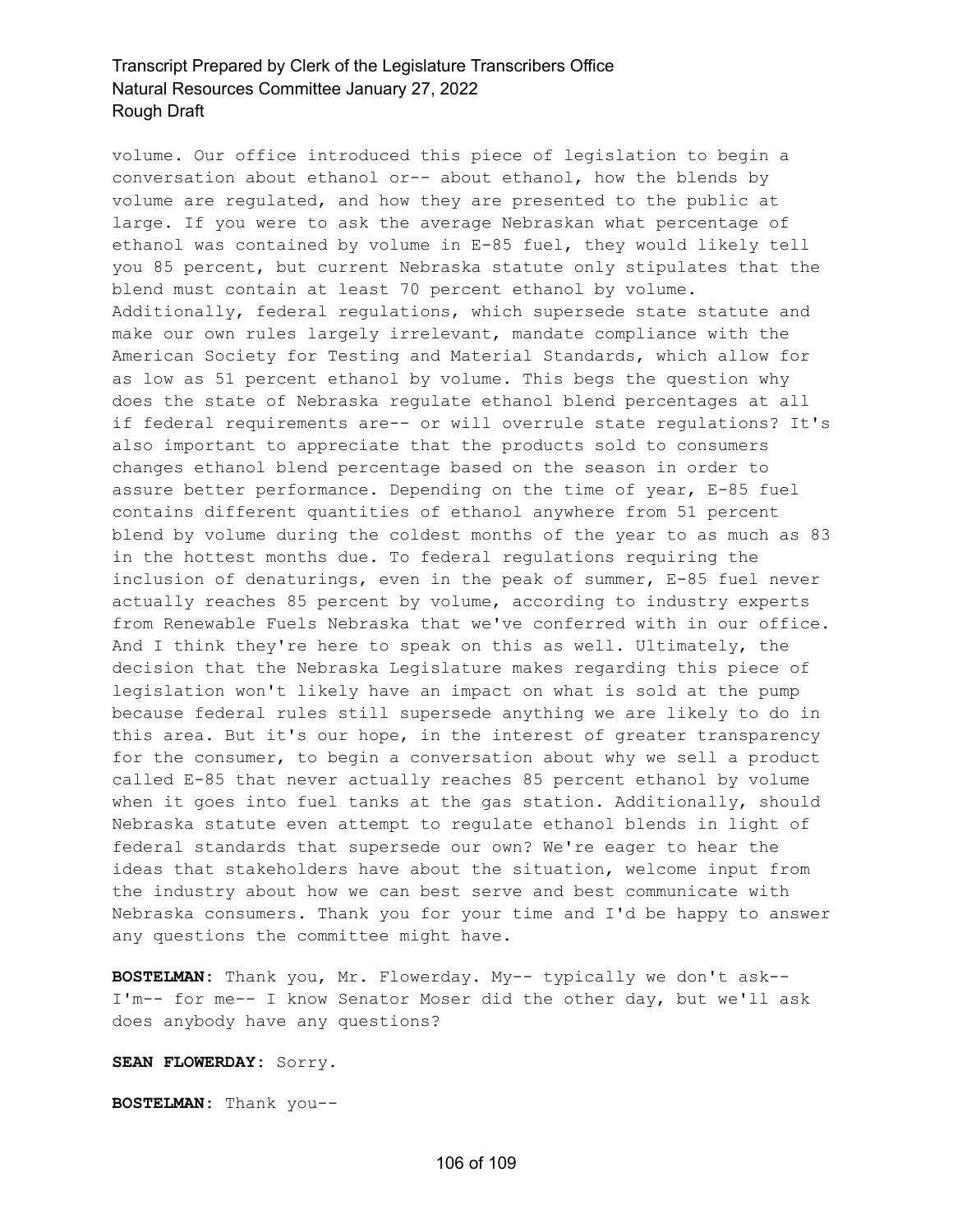volume. Our office introduced this piece of legislation to begin a conversation about ethanol or-- about ethanol, how the blends by volume are regulated, and how they are presented to the public at large. If you were to ask the average Nebraskan what percentage of ethanol was contained by volume in E-85 fuel, they would likely tell you 85 percent, but current Nebraska statute only stipulates that the blend must contain at least 70 percent ethanol by volume. Additionally, federal regulations, which supersede state statute and make our own rules largely irrelevant, mandate compliance with the American Society for Testing and Material Standards, which allow for as low as 51 percent ethanol by volume. This begs the question why does the state of Nebraska regulate ethanol blend percentages at all if federal requirements are-- or will overrule state regulations? It's also important to appreciate that the products sold to consumers changes ethanol blend percentage based on the season in order to assure better performance. Depending on the time of year, E-85 fuel contains different quantities of ethanol anywhere from 51 percent blend by volume during the coldest months of the year to as much as 83 in the hottest months due. To federal regulations requiring the inclusion of denaturings, even in the peak of summer, E-85 fuel never actually reaches 85 percent by volume, according to industry experts from Renewable Fuels Nebraska that we've conferred with in our office. And I think they're here to speak on this as well. Ultimately, the decision that the Nebraska Legislature makes regarding this piece of legislation won't likely have an impact on what is sold at the pump because federal rules still supersede anything we are likely to do in this area. But it's our hope, in the interest of greater transparency for the consumer, to begin a conversation about why we sell a product called E-85 that never actually reaches 85 percent ethanol by volume when it goes into fuel tanks at the gas station. Additionally, should Nebraska statute even attempt to regulate ethanol blends in light of federal standards that supersede our own? We're eager to hear the ideas that stakeholders have about the situation, welcome input from the industry about how we can best serve and best communicate with Nebraska consumers. Thank you for your time and I'd be happy to answer any questions the committee might have.

**BOSTELMAN:** Thank you, Mr. Flowerday. My-- typically we don't ask-- I'm-- for me-- I know Senator Moser did the other day, but we'll ask does anybody have any questions?

**SEAN FLOWERDAY:** Sorry.

**BOSTELMAN:** Thank you--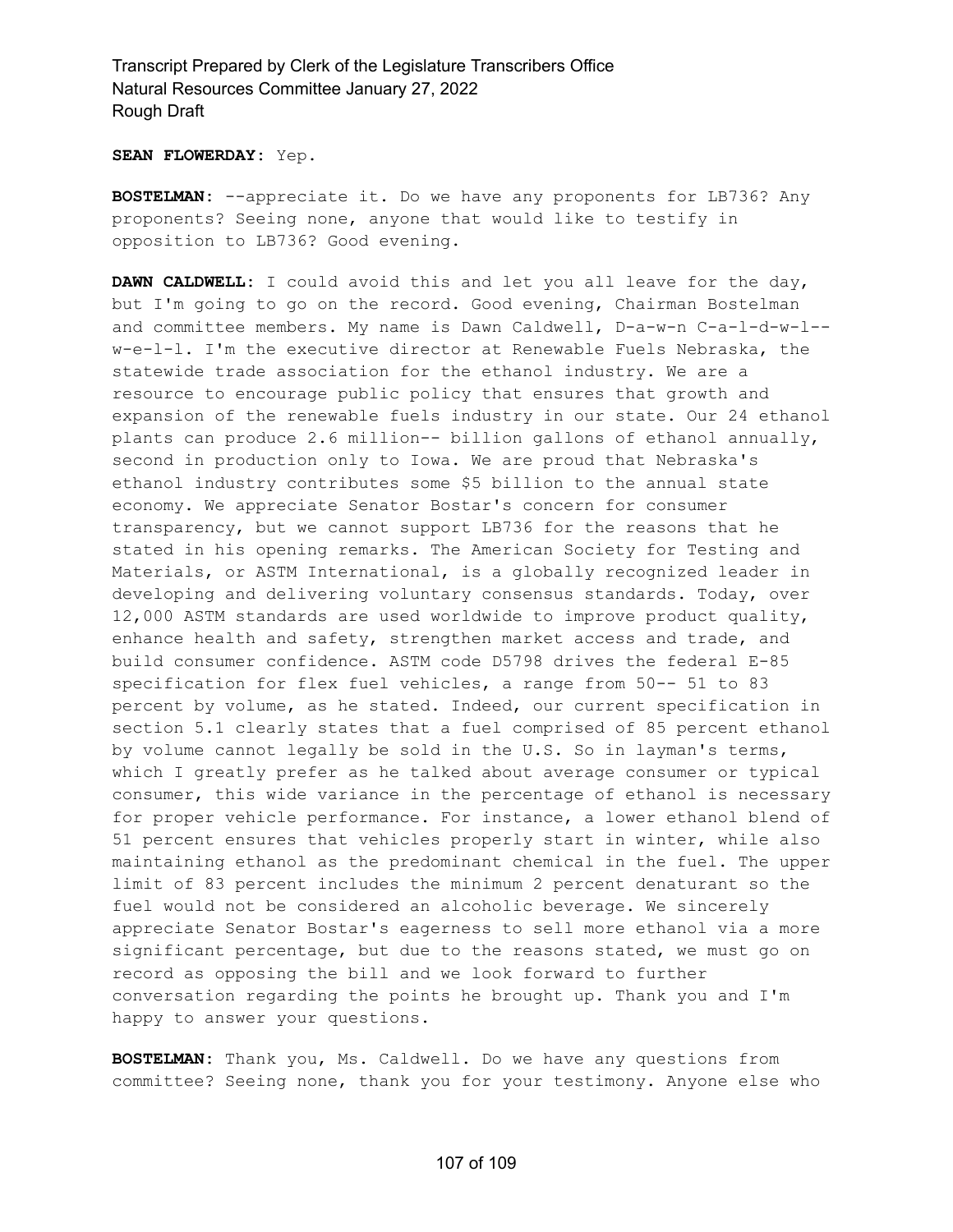#### **SEAN FLOWERDAY:** Yep.

**BOSTELMAN:** --appreciate it. Do we have any proponents for LB736? Any proponents? Seeing none, anyone that would like to testify in opposition to LB736? Good evening.

**DAWN CALDWELL:** I could avoid this and let you all leave for the day, but I'm going to go on the record. Good evening, Chairman Bostelman and committee members. My name is Dawn Caldwell, D-a-w-n C-a-l-d-w-l- w-e-l-l. I'm the executive director at Renewable Fuels Nebraska, the statewide trade association for the ethanol industry. We are a resource to encourage public policy that ensures that growth and expansion of the renewable fuels industry in our state. Our 24 ethanol plants can produce 2.6 million-- billion gallons of ethanol annually, second in production only to Iowa. We are proud that Nebraska's ethanol industry contributes some \$5 billion to the annual state economy. We appreciate Senator Bostar's concern for consumer transparency, but we cannot support LB736 for the reasons that he stated in his opening remarks. The American Society for Testing and Materials, or ASTM International, is a globally recognized leader in developing and delivering voluntary consensus standards. Today, over 12,000 ASTM standards are used worldwide to improve product quality, enhance health and safety, strengthen market access and trade, and build consumer confidence. ASTM code D5798 drives the federal E-85 specification for flex fuel vehicles, a range from 50-- 51 to 83 percent by volume, as he stated. Indeed, our current specification in section 5.1 clearly states that a fuel comprised of 85 percent ethanol by volume cannot legally be sold in the U.S. So in layman's terms, which I greatly prefer as he talked about average consumer or typical consumer, this wide variance in the percentage of ethanol is necessary for proper vehicle performance. For instance, a lower ethanol blend of 51 percent ensures that vehicles properly start in winter, while also maintaining ethanol as the predominant chemical in the fuel. The upper limit of 83 percent includes the minimum 2 percent denaturant so the fuel would not be considered an alcoholic beverage. We sincerely appreciate Senator Bostar's eagerness to sell more ethanol via a more significant percentage, but due to the reasons stated, we must go on record as opposing the bill and we look forward to further conversation regarding the points he brought up. Thank you and I'm happy to answer your questions.

**BOSTELMAN:** Thank you, Ms. Caldwell. Do we have any questions from committee? Seeing none, thank you for your testimony. Anyone else who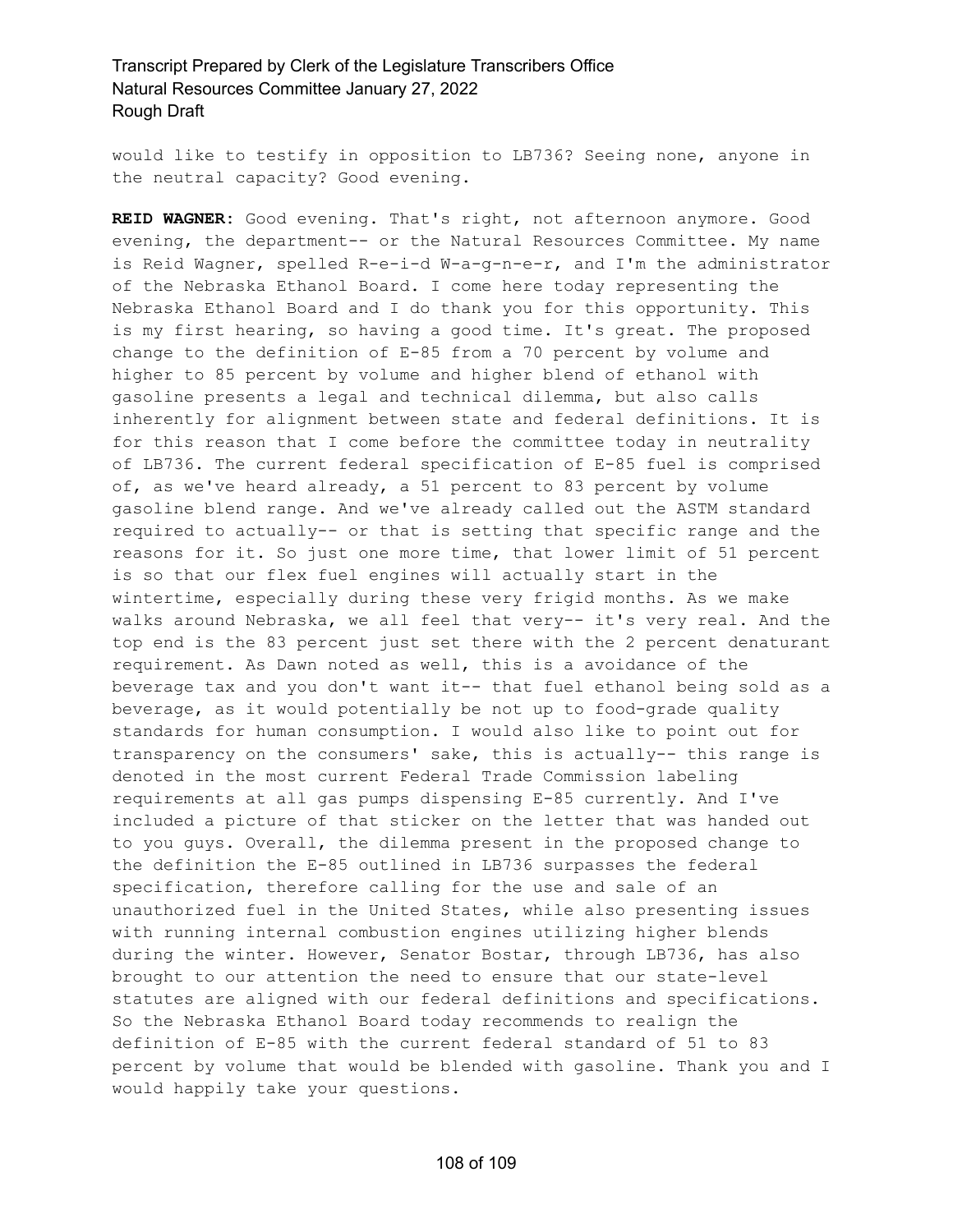would like to testify in opposition to LB736? Seeing none, anyone in the neutral capacity? Good evening.

**REID WAGNER:** Good evening. That's right, not afternoon anymore. Good evening, the department-- or the Natural Resources Committee. My name is Reid Wagner, spelled R-e-i-d W-a-g-n-e-r, and I'm the administrator of the Nebraska Ethanol Board. I come here today representing the Nebraska Ethanol Board and I do thank you for this opportunity. This is my first hearing, so having a good time. It's great. The proposed change to the definition of E-85 from a 70 percent by volume and higher to 85 percent by volume and higher blend of ethanol with gasoline presents a legal and technical dilemma, but also calls inherently for alignment between state and federal definitions. It is for this reason that I come before the committee today in neutrality of LB736. The current federal specification of E-85 fuel is comprised of, as we've heard already, a 51 percent to 83 percent by volume gasoline blend range. And we've already called out the ASTM standard required to actually-- or that is setting that specific range and the reasons for it. So just one more time, that lower limit of 51 percent is so that our flex fuel engines will actually start in the wintertime, especially during these very frigid months. As we make walks around Nebraska, we all feel that very-- it's very real. And the top end is the 83 percent just set there with the 2 percent denaturant requirement. As Dawn noted as well, this is a avoidance of the beverage tax and you don't want it-- that fuel ethanol being sold as a beverage, as it would potentially be not up to food-grade quality standards for human consumption. I would also like to point out for transparency on the consumers' sake, this is actually-- this range is denoted in the most current Federal Trade Commission labeling requirements at all gas pumps dispensing E-85 currently. And I've included a picture of that sticker on the letter that was handed out to you guys. Overall, the dilemma present in the proposed change to the definition the E-85 outlined in LB736 surpasses the federal specification, therefore calling for the use and sale of an unauthorized fuel in the United States, while also presenting issues with running internal combustion engines utilizing higher blends during the winter. However, Senator Bostar, through LB736, has also brought to our attention the need to ensure that our state-level statutes are aligned with our federal definitions and specifications. So the Nebraska Ethanol Board today recommends to realign the definition of E-85 with the current federal standard of 51 to 83 percent by volume that would be blended with gasoline. Thank you and I would happily take your questions.